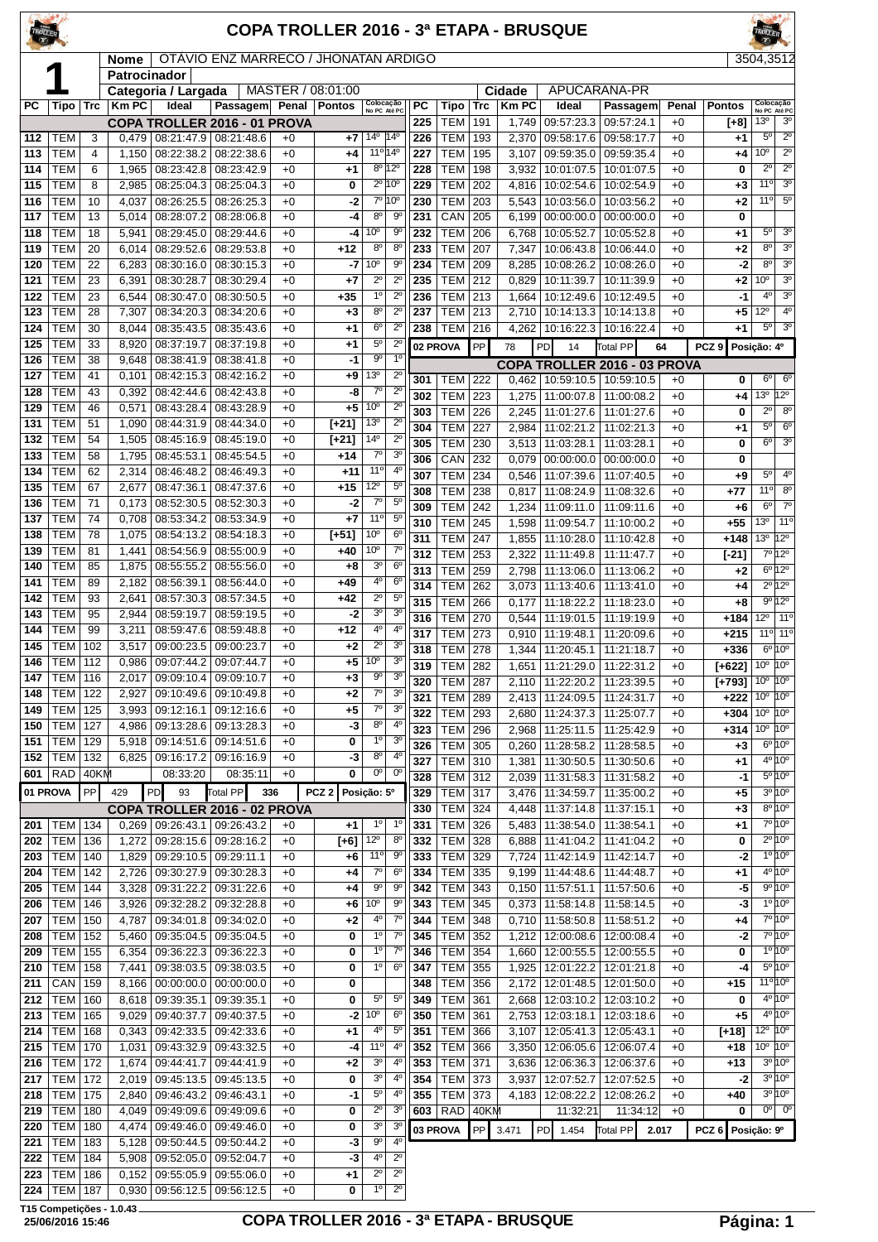| TROLLER    |                                  |               |                |                          |                                                          |              |                   |                                    |                                  |            |                          |            |                | COPA TROLLER 2016 - 3ª ETAPA - BRUSQUE |                          |              |                                            |                                |                                                 |
|------------|----------------------------------|---------------|----------------|--------------------------|----------------------------------------------------------|--------------|-------------------|------------------------------------|----------------------------------|------------|--------------------------|------------|----------------|----------------------------------------|--------------------------|--------------|--------------------------------------------|--------------------------------|-------------------------------------------------|
|            |                                  |               | Nome           |                          | OTÁVIO ENZ MARRECO / JHONATAN ARDIGO                     |              |                   |                                    |                                  |            |                          |            |                |                                        |                          |              |                                            | 3504,3512                      |                                                 |
|            | И                                |               | Patrocinador   | Categoria / Largada      |                                                          |              | MASTER / 08:01:00 |                                    |                                  |            |                          |            | Cidade         | APUCARANA-PR                           |                          |              |                                            |                                |                                                 |
| РC         | <b>Tipo</b>                      | Trc           | <b>KmPC</b>    | Ideal                    | Passagem Penal                                           |              | <b>Pontos</b>     | Colocação<br>No PC Até PC          |                                  | <b>PC</b>  | <b>Tipo</b>              | Trc        | <b>KmPC</b>    | Ideal                                  | Passagem                 | Penal        | Pontos                                     |                                | Colocação<br>No PC Até PC                       |
|            |                                  |               |                |                          | COPA TROLLER 2016 - 01 PROVA                             |              |                   |                                    |                                  | 225        | <b>TEM</b>               | 191        | 1,749          | 09:57:23.3                             | 09:57:24.1               | $+0$         | $[-8]$                                     | 13 <sup>°</sup>                | 3 <sup>0</sup>                                  |
| 112        | тем                              | 3<br>4        | 0,479          | 08:21:47.9               | 08:21:48.6                                               | $+0$         | +7                | $14^{\circ}$                       | $14^{\circ}$<br>11º 14º          | 226<br>227 | <b>TEM</b>               | 193        | 2,370          | 09:58:17.6                             | 09:58:17.7               | $+0$         | +1                                         | $5^{\circ}$<br>10 <sup>o</sup> | $2^{\circ}$<br>$\overline{2^0}$                 |
| 113<br>114 | TEM<br><b>TEM</b>                | 6             | 1,150<br>1,965 | 08:22:38.2<br>08:23:42.8 | 08:22:38.6<br>08:23:42.9                                 | $+0$<br>$+0$ | $+4$<br>$+1$      |                                    | $8^{\circ}$ 12°                  | 228        | <b>TEM</b><br><b>TEM</b> | 195<br>198 | 3,107<br>3,932 | 09:59:35.0<br>10:01:07.5               | 09:59:35.4<br>10:01:07.5 | $+0$<br>$+0$ | +4<br>0                                    | $\overline{2^0}$               | $\overline{2^0}$                                |
| 115        | <b>TEM</b>                       | 8             | 2,985          | 08:25:04.3               | 08:25:04.3                                               | $+0$         | 0                 |                                    | 2º 10º                           | 229        | <b>TEM</b>               | 202        | 4,816          | 10:02:54.6                             | 10:02:54.9               | $+0$         | +3                                         | 11°                            | 3 <sup>o</sup>                                  |
| 116        | <b>TEM</b>                       | 10            | 4,037          | 08:26:25.5               | 08:26:25.3                                               | $+0$         | $-2$              |                                    | 7º 10º                           | 230        | <b>TEM</b>               | 203        | 5,543          | 10:03:56.0                             | 10:03:56.2               | $+0$         | +2                                         | 11°                            | $5^{\circ}$                                     |
| 117        | TEM                              | 13            | 5,014          | 08:28:07.2               | 08:28:06.8                                               | $+0$         | -4                | $8^{\circ}$<br>10 <sup>o</sup>     | 90                               | 231        | CAN                      | 205        | 6,199          | 00:00:00.0                             | 00:00:00.0               | $+0$         | 0                                          | $5^{\circ}$                    | 3 <sup>o</sup>                                  |
| 118<br>119 | <b>TEM</b><br>TEM                | 18<br>20      | 5,941<br>6,014 | 08:29:45.0<br>08:29:52.6 | 08:29:44.6<br>08:29:53.8                                 | $+0$<br>$+0$ | -4<br>+12         | 8 <sup>o</sup>                     | 9 <sup>o</sup><br>$8^{\circ}$    | 232<br>233 | <b>TEM</b><br><b>TEM</b> | 206<br>207 | 6,768<br>7,347 | 10:05:52.7<br>10:06:43.8               | 10:05:52.8<br>10:06:44.0 | $+0$<br>$+0$ | +1<br>+2                                   | 8 <sup>o</sup>                 | 3 <sup>0</sup>                                  |
| 120        | <b>TEM</b>                       | 22            | 6,283          | 08:30:16.0               | 08:30:15.3                                               | $+0$         | -7                | 10 <sup>o</sup>                    | 90                               | 234        | <b>TEM</b>               | 209        | 8,285          | 10:08:26.2                             | 10:08:26.0               | $+0$         | $-2$                                       | $8^{\circ}$                    | 3 <sup>o</sup>                                  |
| 121        | TEM                              | 23            | 6,391          | 08:30:28.7               | 08:30:29.4                                               | $+0$         | +7                | $2^{\circ}$                        | $2^{\circ}$                      | 235        | <b>TEM</b>               | 212        | 0,829          | 10:11:39.7                             | 10:11:39.9               | $+0$         | $+2$                                       | 10 <sup>o</sup>                | 3 <sup>o</sup>                                  |
| 122        | <b>TEM</b>                       | 23            | 6,544          | 08:30:47.0               | 08:30:50.5                                               | $+0$         | $+35$             | 1 <sup>0</sup>                     | $2^{\circ}$                      | 236        | <b>TEM</b>               | 213        | 1,664          | 10:12:49.6                             | 10:12:49.5               | $+0$         | $-1$                                       | 4°                             | 3 <sup>o</sup>                                  |
| 123<br>124 | <b>TEM</b><br>TEM                | 28<br>30      | 7,307<br>8,044 | 08:34:20.3<br>08:35:43.5 | 08:34:20.6<br>08:35:43.6                                 | $+0$<br>$+0$ | $+3$<br>+1        | 8 <sup>o</sup><br>$6^{\circ}$      | $2^{\circ}$<br>$2^{\circ}$       | 237<br>238 | <b>TEM</b><br><b>TEM</b> | 213<br>216 | 2,710<br>4,262 | 10:14:13.3<br>10:16:22.3               | 10:14:13.8<br>10:16:22.4 | $+0$<br>$+0$ | +5<br>+1                                   | $12^{\circ}$<br>$5^{\circ}$    | $4^{\circ}$<br>3 <sup>0</sup>                   |
| 125        | <b>TEM</b>                       | 33            | 8,920          | 08:37:19.7               | 08:37:19.8                                               | $+0$         | +1                | $5^{\circ}$                        | $2^{\circ}$                      |            | 02 PROVA                 | PP         | 78             | PD<br>14                               | <b>Total PP</b>          | 64           | PCZ <sub>9</sub>                           | Posição: 4º                    |                                                 |
| 126        | <b>TEM</b>                       | 38            | 9,648          | 08:38:41.9               | 08:38:41.8                                               | $+0$         | -1                | $9^{\circ}$                        | 1 <sup>0</sup>                   |            |                          |            |                | COPA TROLLER 2016 - 03 PROVA           |                          |              |                                            |                                |                                                 |
| 127        | <b>TEM</b>                       | 41            | 0,101          | 08:42:15.3               | 08:42:16.2                                               | $+0$         | +9                | 13 <sup>0</sup>                    | $2^{\circ}$                      | 301        | <b>TEM</b>               | 222        | 0,462          | 10:59:10.5                             | 10:59:10.5               | $+0$         | 0                                          | $6^{\circ}$                    | $6^{\circ}$                                     |
| 128        | <b>TEM</b>                       | 43            | 0,392          | 08:42:44.6               | 08:42:43.8                                               | $+0$         | -8                | $7^{\circ}$                        | $2^{\circ}$                      | 302        | <b>TEM</b>               | 223        | 1,275          | 11:00:07.8                             | 11:00:08.2               | $+0$         | +4                                         |                                | 13º 12º                                         |
| 129<br>131 | TEM<br>TEM                       | 46<br>51      | 0,571<br>1,090 | 08:43:28.4<br>08:44:31.9 | 08:43:28.9<br>08:44:34.0                                 | $+0$<br>$+0$ | +5<br>$[+21]$     | 10 <sup>o</sup><br>13 <sup>0</sup> | $2^{\circ}$<br>$2^{\circ}$       | 303        | <b>TEM</b>               | 226        | 2,245          | 11:01:27.6                             | 11:01:27.6               | $+0$         | 0                                          | $2^{\circ}$                    | $8^{\circ}$                                     |
| 132        | TEM                              | 54            | 1,505          | 08:45:16.9               | 08:45:19.0                                               | $+0$         | $[-21]$           | 14 <sup>°</sup>                    | $2^{\circ}$                      | 304<br>305 | <b>TEM</b><br><b>TEM</b> | 227<br>230 | 2,984<br>3,513 | 11:02:21.2<br>11:03:28.1               | 11:02:21.3<br>11:03:28.1 | $+0$<br>$+0$ | +1<br>0                                    | $5^{\circ}$<br>6 <sup>o</sup>  | $6^{\circ}$<br>3 <sup>0</sup>                   |
| 133        | TEM                              | 58            | 1,795          | 08:45:53.1               | 08:45:54.5                                               | $+0$         | +14               | $7^\circ$                          | 3 <sup>o</sup>                   | 306        | CAN                      | 232        | 0,079          | 00:00:00.0                             | 00:00:00.0               | $+0$         | 0                                          |                                |                                                 |
| 134        | <b>TEM</b>                       | 62            | 2,314          | 08:46:48.2               | 08:46:49.3                                               | $+0$         | $+11$             | 11°                                | 4 <sup>0</sup>                   | 307        | <b>TEM</b>               | 234        | 0,546          | 11:07:39.6                             | 11:07:40.5               | $+0$         | +9                                         | $5^{\circ}$                    | 4 <sup>0</sup>                                  |
| 135        | <b>TEM</b>                       | 67            | 2,677          | 08:47:36.1               | 08:47:37.6                                               | $+0$         | +15               | $12^{\circ}$<br>$7^\circ$          | $5^{\circ}$<br>$5^{\circ}$       | 308        | <b>TEM</b>               | 238        | 0,817          | 11:08:24.9                             | 11:08:32.6               | $+0$         | +77                                        | 11°                            | 8 <sup>o</sup>                                  |
| 136<br>137 | <b>TEM</b><br>TEM                | 71<br>74      | 0,173<br>0,708 | 08:52:30.5<br>08:53:34.2 | 08:52:30.3<br>08:53:34.9                                 | $+0$<br>$+0$ | $-2$<br>+7        | 11°                                | $5^{\circ}$                      | 309        | <b>TEM</b>               | 242        | 1,234          | 11:09:11.0                             | 11:09:11.6               | $+0$         | +6                                         | $6^{\circ}$                    | $7^\circ$                                       |
| 138        | <b>TEM</b>                       | 78            | 1,075          | 08:54:13.2               | 08:54:18.3                                               | $+0$         | $[-51]$           | 10 <sup>o</sup>                    | 6 <sup>o</sup>                   | 310<br>311 | <b>TEM</b><br><b>TEM</b> | 245<br>247 | 1,598<br>1,855 | 11:09:54.7<br>11:10:28.0               | 11:10:00.2<br>11:10:42.8 | $+0$<br>$+0$ | $+55$<br>$+148$                            | 13 <sup>°</sup><br>13º 12º     | 11°                                             |
| 139        | <b>TEM</b>                       | 81            | 1,441          | 08:54:56.9               | 08:55:00.9                                               | $+0$         | +40               | 10 <sup>o</sup>                    | $7^{\circ}$                      | 312        | <b>TEM</b>               | 253        | 2,322          | 11:11:49.8                             | 11:11:47.7               | $+0$         | $[-21]$                                    |                                | 7°12°                                           |
| 140        | <b>TEM</b>                       | 85            | 1,875          | 08:55:55.2               | 08:55:56.0                                               | $+0$         | +8                | 3 <sup>o</sup>                     | 6 <sup>o</sup>                   | 313        | <b>TEM</b>               | 259        | 2,798          | 11:13:06.0                             | 11:13:06.2               | $+0$         | +2                                         |                                | $6^{\circ}12^{\circ}$                           |
| 141        | TEM                              | 89            | 2,182          | 08:56:39.1               | 08:56:44.0                                               | $+0$         | $+49$             | $4^{\circ}$<br>$2^{\circ}$         | $6^{\circ}$<br>$5^{\circ}$       | 314        | TEM                      | 262        | 3,073          | 11:13:40.6                             | 11:13:41.0               | $+0$         | +4                                         |                                | $2^{\circ}12^{\circ}$                           |
| 142<br>143 | <b>TEM</b><br><b>TEM</b>         | 93<br>95      | 2,641<br>2,944 | 08:57:30.3<br>08:59:19.7 | 08:57:34.5<br>08:59:19.5                                 | $+0$<br>$+0$ | $+42$<br>-2       | 30                                 | 3 <sup>o</sup>                   | 315        | <b>TEM</b>               | 266        | 0,177          | 11:18:22.2                             | 11:18:23.0               | $+0$         | +8                                         | $12^{\circ}$                   | 9°12°<br>11 <sup>o</sup>                        |
| 144        | <b>TEM</b>                       | 99            | 3,211          | 08:59:47.6               | 08:59:48.8                                               | $+0$         | +12               | 4°                                 | $4^{\circ}$                      | 316<br>317 | <b>TEM</b><br><b>TEM</b> | 270<br>273 | 0,544<br>0,910 | 11:19:01.5<br>11:19:48.1               | 11:19:19.9<br>11:20:09.6 | $+0$<br>$+0$ | $+184$<br>$+215$                           |                                | 11° 11°                                         |
| 145        | TEM                              | 102           | 3,517          | 09:00:23.5               | 09:00:23.7                                               | $+0$         | +2                | $2^{\circ}$                        | 3 <sup>o</sup>                   | 318        | <b>TEM</b>               | 278        | 1,344          | 11:20:45.1                             | 11:21:18.7               | $+0$         | $+336$                                     |                                | $6^{\circ}10^{\circ}$                           |
| 146        | <b>TEM</b>                       | 112           | 0,986          | 09:07:44.2               | 09:07:44.7                                               | $+0$         | +5                | 10 <sup>o</sup>                    | 3 <sup>o</sup>                   | 319        | <b>TEM</b>               | 282        | 1,651          | 11:21:29.0                             | 11:22:31.2               | $+0$         | $[+622]$ 10° 10°                           |                                |                                                 |
| 147<br>148 | <b>TEM   116</b><br><b>TEM</b>   | $ 122\rangle$ | 2,927          |                          | 2,017   09:09:10.4   09:09:10.7<br>09:10:49.6 09:10:49.8 | $+0$<br>$+0$ | $+3$<br>$+2$      | 90<br>$7^\circ$                    | 3 <sup>o</sup><br>3 <sup>o</sup> | 320        | <b>TEM 287</b>           |            |                | 2,110   11:22:20.2   11:23:39.5        |                          | $+0$         | $[+793]$ 10 <sup>°</sup> 10 <sup>°</sup>   |                                |                                                 |
| 149        | <b>TEM 125</b>                   |               | 3,993          |                          | 09:12:16.1 09:12:16.6                                    | $+0$         | $+5$              | $7^\circ$                          | 3 <sup>o</sup>                   | 321<br>322 | TEM<br><b>TEM</b>        | 289<br>293 | 2,413<br>2,680 | 11:24:09.5<br>11:24:37.3               | 11:24:31.7<br>11:25:07.7 | $+0$<br>$+0$ | $+222   10^{\circ}   10^{\circ}$<br>$+304$ | $10^{\circ}$ $10^{\circ}$      |                                                 |
| 150        | <b>TEM 127</b>                   |               | 4,986          |                          | 09:13:28.6   09:13:28.3                                  | $+0$         | -3                | 8 <sup>o</sup>                     | $4^{\circ}$                      | 323        | <b>TEM</b>               | 296        | 2,968          | 11:25:11.5                             | 11:25:42.9               | $+0$         | $+314$                                     | $10^{\circ}$ $10^{\circ}$      |                                                 |
| 151        | TEM   129                        |               | 5,918          |                          | 09:14:51.6 09:14:51.6                                    | $+0$         | 0                 | $1^{\circ}$                        | 3 <sup>0</sup>                   | 326        | TEM                      | 305        |                | $0,260$ 11:28:58.2                     | 11:28:58.5               | $+0$         | $+3$                                       |                                | $6^{\circ}10^{\circ}$                           |
| 152        | <b>TEM</b>                       | 132           | 6,825          |                          | 09:16:17.2 09:16:16.9                                    | $+0$         | -3                | $8^{\circ}$                        | 4 <sup>°</sup>                   | 327        | <b>TEM</b>               | 310        | 1,381          | 11:30:50.5                             | 11:30:50.6               | $+0$         | +1                                         |                                | $4^{\circ} 10^{\circ}$                          |
| 601        | $RAD$ 40KM<br>01 PROVA           |               |                | 08:33:20                 | 08:35:11                                                 | $+0$         | 0                 | $0^{\circ}$                        | $0^{\rm o}$                      | 328        | <b>TEM 312</b>           |            | 2,039          | 11:31:58.3                             | 11:31:58.2               | $+0$         | $-1$                                       |                                | $5^{\circ}10^{\circ}$                           |
|            |                                  | PP            | 429            | <b>PD</b><br>93          | Total PP<br>COPA TROLLER 2016 - 02 PROVA                 | 336          | PCZ <sub>2</sub>  | Posição: 5º                        |                                  | 329<br>330 | TEM<br><b>TEM</b>        | 317<br>324 | 3,476<br>4,448 | 11:34:59.7<br>11:37:14.8               | 11:35:00.2<br>11:37:15.1 | $+0$<br>$+0$ | +5<br>$+3$                                 |                                | $3^{\circ}10^{\circ}$<br>$8^{\circ} 10^{\circ}$ |
| 201        | <b>TEM   134</b>                 |               |                |                          | $0,269$   09:26:43.1   09:26:43.2                        | $+0$         | $+1$              |                                    | $1^{\circ}$ 1 $^{\circ}$         | 331        | <b>TEM 326</b>           |            |                | 5,483   11:38:54.0                     | 11:38:54.1               | $+0$         | +1                                         |                                | 7º 10°                                          |
| 202        | <b>TEM   136</b>                 |               | 1,272          |                          | 09:28:15.6 09:28:16.2                                    | $+0$         | [+6]              | $12^{\circ}$                       | $8^{\circ}$                      | 332        | <b>TEM</b>               | 328        | 6,888          | 11:41:04.2                             | 11:41:04.2               | $+0$         | 0                                          |                                | $2^{\circ}$ 10 $^{\circ}$                       |
| 203        | <b>TEM 140</b>                   |               | 1,829          |                          | 09:29:10.5 09:29:11.1                                    | $+0$         | +6                |                                    | $11^{\circ}$ 9°                  | 333        | <b>TEM 329</b>           |            | 7,724          | 11:42:14.9                             | 11:42:14.7               | $+0$         | $-2$                                       |                                | $10^{10}$                                       |
| 204        | <b>TEM</b>                       | 142           | 2,726          |                          | 09:30:27.9 09:30:28.3                                    | $+0$         | +4                | $7^\circ$<br>$9^{\circ}$           | $6^{\circ}$                      | 334        | <b>TEM</b>               | 335        | 9,199          | 11:44:48.6                             | 11:44:48.7               | $+0$         | +1                                         |                                | $4^{\circ} 10^{\circ}$<br>9°10°                 |
| 205<br>206 | <b>TEM</b><br><b>TEM 146</b>     | 144           | 3,328<br>3,926 |                          | 09:31:22.2 09:31:22.6<br>09:32:28.2 09:32:28.8           | $+0$<br>$+0$ | +4<br>+6          | 10 <sup>o</sup>                    | $9^{\rm o}$<br>9 <sup>o</sup>    | 342<br>343 | <b>TEM</b><br><b>TEM</b> | 343<br>345 | 0,150          | 11:57:51.1<br>$0,373$ 11:58:14.8       | 11:57:50.6<br>11:58:14.5 | $+0$<br>$+0$ | -5<br>-3                                   |                                | $10^{10}$                                       |
| 207        | <b>TEM</b>                       | 150           | 4,787          |                          | 09:34:01.8 09:34:02.0                                    | $+0$         | $+2$              | 4 <sup>0</sup>                     | $7^{\rm o}$                      | 344        | <b>TEM</b>               | 348        |                | $0,710$   11:58:50.8                   | 11:58:51.2               | $+0$         | +4                                         |                                | 7°10°                                           |
| 208        | <b>TEM</b>                       | 152           | 5,460          |                          | 09:35:04.5 09:35:04.5                                    | $+0$         | 0                 | $1^\circ$                          | $7^\circ$                        | 345        | TEM                      | 352        |                | 1,212 12:00:08.6                       | 12:00:08.4               | $+0$         | -2                                         |                                | 7°10°                                           |
| 209        | <b>TEM</b>                       | 155           | 6,354          |                          | 09:36:22.3 09:36:22.3                                    | $+0$         | 0                 | $1^{\circ}$                        | $7^\circ$                        | 346        | <b>TEM</b>               | 354        |                | 1,660 12:00:55.5                       | 12:00:55.5               | $+0$         | 0                                          |                                | $10^{10}$                                       |
| 210        | <b>TEM</b>                       | 158           | 7,441          |                          | 09:38:03.5 09:38:03.5                                    | $+0$         | 0                 | 10                                 | $6^{\circ}$                      | 347        | <b>TEM</b>               | 355        | 1,925          | 12:01:22.2                             | 12:01:21.8               | $+0$         | $-4$                                       |                                | $5^{\circ}10^{\circ}$<br>$11^{\circ}10^{\circ}$ |
| 211<br>212 | CAN<br><b>TEM</b>                | 159<br>160    | 8,166<br>8,618 | $\overline{09:39:35.1}$  | $00:00:00.0$ 00:00:00.0<br>09:39:35.1                    | $+0$<br>$+0$ | 0<br>0            | $5^{\rm o}$                        | $5^{\rm o}$                      | 348<br>349 | TEM<br><b>TEM</b>        | 356<br>361 | 2,668          | 2,172 12:01:48.5<br>12:03:10.2         | 12:01:50.0<br>12:03:10.2 | $+0$<br>$+0$ | +15<br>0                                   |                                | $4^{\circ} 10^{\circ}$                          |
| 213        | TEM                              | 165           | 9,029          | 09:40:37.7               | 09:40:37.5                                               | $+0$         | -2                | 10 <sup>o</sup>                    | $6^{\circ}$                      | 350        | TEM                      | 361        | 2,753          | 12:03:18.1                             | 12:03:18.6               | $+0$         | $+5$                                       |                                | $4^{\circ}10^{\circ}$                           |
| 214        | <b>TEM</b>                       | 168           | 0,343          | 09:42:33.5               | 09:42:33.6                                               | $+0$         | +1                | 4º                                 | $5^{\circ}$                      | 351        | <b>TEM</b>               | 366        | 3,107          | 12:05:41.3                             | 12:05:43.1               | $+0$         | $[+18]$                                    |                                | $12^{\circ}$ 10 $^{\circ}$                      |
| 215        | <b>TEM</b>                       | 170           | 1,031          |                          | 09:43:32.9 09:43:32.5                                    | $+0$         | -4                | 11°                                | $4^{\circ}$                      | 352        | <b>TEM</b>               | 366        | 3,350          | 12:06:05.6                             | 12:06:07.4               | $+0$         | $+18$                                      | $10^{\circ}$ $10^{\circ}$      |                                                 |
| 216        | <b>TEM 172</b><br><b>TEM 172</b> |               | 1,674          | 09:44:41.7<br>09:45:13.5 | 09:44:41.9                                               | $+0$         | $+2$              | 3 <sup>0</sup><br>3 <sup>o</sup>   | $4^{\circ}$<br>$4^{\circ}$       | 353        | TEM<br><b>TEM</b>        | 371        | 3,636          | 12:06:36.3 12:06:37.6                  |                          | $+0$         | +13<br>$-2$                                |                                | $3^{\circ} 10^{\circ}$<br>$3^{\circ}10^{\circ}$ |
| 217<br>218 | <b>TEM 175</b>                   |               | 2,019<br>2,840 | 09:46:43.2               | 09:45:13.5<br>09:46:43.1                                 | $+0$<br>$+0$ | 0<br>-1           | $5^{\circ}$                        | $4^{\circ}$                      | 354<br>355 | TEM                      | 373<br>373 | 3,937          | 12:07:52.7<br>4,183   12:08:22.2       | 12:07:52.5<br>12:08:26.2 | $+0$<br>$+0$ | +40                                        |                                | $3^{\circ}10^{\circ}$                           |
| 219        | <b>TEM</b>                       | 180           | 4,049          |                          | 09:49:09.6   09:49:09.6                                  | $+0$         | 0                 | $2^{\circ}$                        | 3 <sup>o</sup>                   |            | 603   RAD                | 40KM       |                | 11:32:21                               | 11:34:12                 | $+0$         | 0                                          |                                | $00$ 0 <sup>o</sup>                             |
| 220        | TEM                              | 180           | 4,474          |                          | 09:49:46.0 09:49:46.0                                    | $+0$         | 0                 | $3^{\circ}$                        | 3 <sup>o</sup>                   |            | 03 PROVA                 |            | PP 3.471       | PD 1.454                               | Total PP                 | 2.017        | PCZ <sub>6</sub>                           | Posição: 9º                    |                                                 |
| 221        | <b>TEM</b>                       | 183           | 5,128          |                          | 09:50:44.5 09:50:44.2                                    | $+0$         | -3                | $9^{\circ}$                        | 4 <sup>0</sup>                   |            |                          |            |                |                                        |                          |              |                                            |                                |                                                 |
| 222        | <b>TEM 184</b>                   |               | 5,908          | 09:52:05.0               | 09:52:04.7                                               | $+0$         | -3                | 4º                                 | $2^{\circ}$                      |            |                          |            |                |                                        |                          |              |                                            |                                |                                                 |

 TEM 186 0,152 09:55:05.9 09:55:06.0 +0 **+1** 2º 2º TEM 187 0,930 09:56:12.5 09:56:12.5 +0 **0** 1º 2º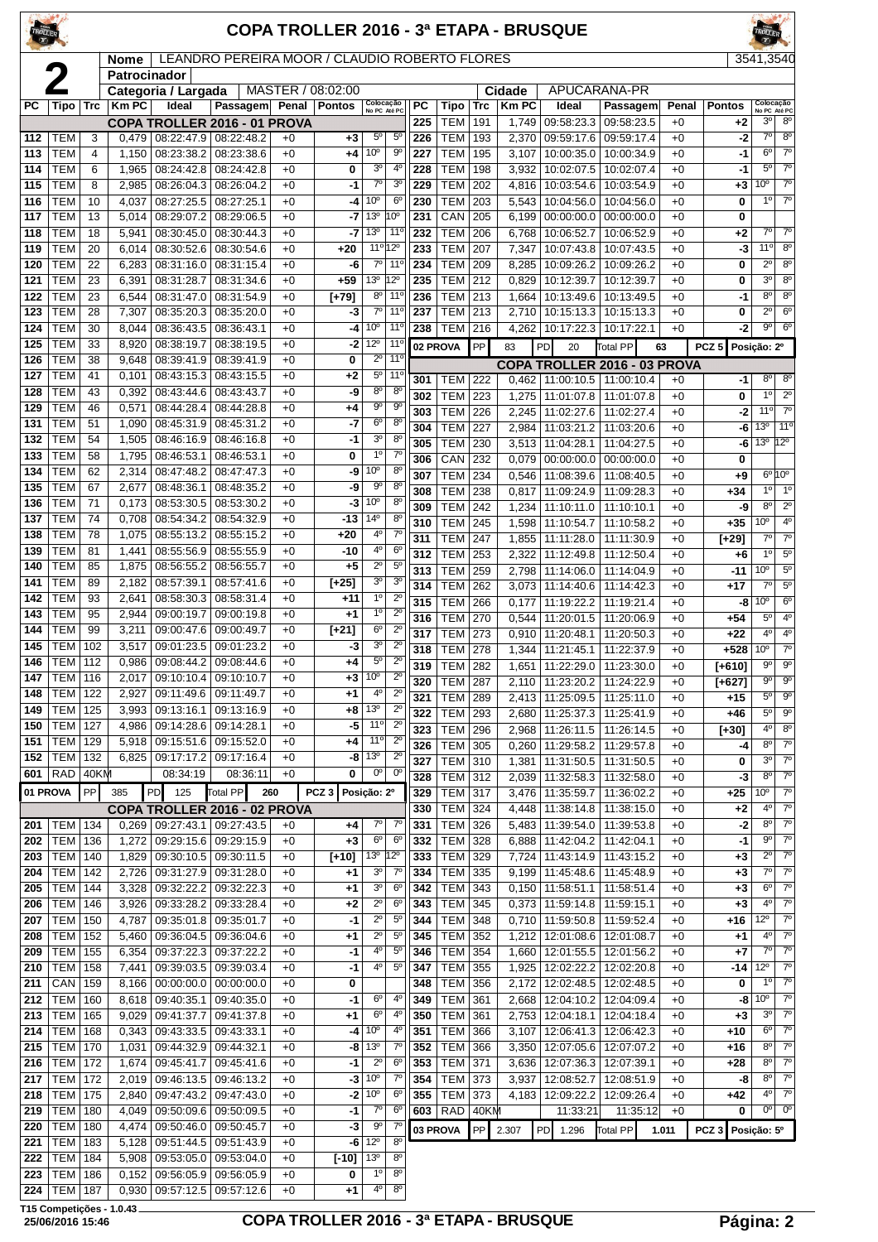| TROLLER       |                          |            |                                    |                                 |                                               |              |                   |                                                    |                                  |            |                              |            |                | COPA TROLLER 2016 - 3ª ETAPA - BRUSQUE            |                          |              |                  |                                |                               |
|---------------|--------------------------|------------|------------------------------------|---------------------------------|-----------------------------------------------|--------------|-------------------|----------------------------------------------------|----------------------------------|------------|------------------------------|------------|----------------|---------------------------------------------------|--------------------------|--------------|------------------|--------------------------------|-------------------------------|
|               |                          |            | <b>Nome</b><br><b>Patrocinador</b> |                                 | LEANDRO PEREIRA MOOR / CLAUDIO ROBERTO FLORES |              |                   |                                                    |                                  |            |                              |            |                |                                                   |                          |              |                  | 3541,3540                      |                               |
|               |                          |            |                                    | Categoria / Largada             |                                               |              | MASTER / 08:02:00 |                                                    |                                  |            |                              |            | Cidade         |                                                   | APUCARANA-PR             |              |                  |                                |                               |
| <b>PC</b>     | Tipo                     | Trc        | <b>KmPC</b>                        | Ideal                           | Passagem Penal                                |              | <b>Pontos</b>     | Colocação<br>No PC Até PC                          |                                  | PC         | Tipo                         | <b>Trc</b> | <b>KmPC</b>    | Ideal                                             | Passagem                 | Penal        | <b>Pontos</b>    |                                | Colocação<br>No PC Até PC     |
| 112           | TEM                      | 3          | 0,479                              | 08:22:47.9 08:22:48.2           | <b>COPA TROLLER 2016 - 01 PROVA</b>           | $+0$         | $+3$              | $5^{\circ}$                                        | $5^{\circ}$                      | 225<br>226 | TEM<br>TEM                   | 191<br>193 | 1,749<br>2,370 | 09:58:23.3<br>09:59:17.6 09:59:17.4               | 09:58:23.5               | $+0$<br>$+0$ | +2<br>$-2$       | 30<br>$7^\circ$                | $8^{\circ}$<br>8 <sup>o</sup> |
| 113           | <b>TEM</b>               | 4          | 1,150                              | 08:23:38.2                      | 08:23:38.6                                    | $+0$         | $+4$              | 10 <sup>o</sup>                                    | $9^{\circ}$                      | 227        | <b>TEM</b>                   | 195        | 3,107          | 10:00:35.0                                        | 10:00:34.9               | $+0$         | -1               | $6^{\circ}$                    | $7^\circ$                     |
| 114           | <b>TEM</b>               | 6          | 1,965                              | 08:24:42.8                      | 08:24:42.8                                    | $+0$         | 0                 | 3 <sup>o</sup>                                     | $4^{\circ}$                      | 228        | <b>TEM</b>                   | 198        | 3,932          | 10:02:07.5                                        | 10:02:07.4               | $+0$         | $-1$             | $5^{\circ}$                    | $\overline{7^0}$              |
| 115           | <b>TEM</b>               | 8          | 2,985                              | 08:26:04.3                      | 08:26:04.2                                    | $+0$         | -1                | $7^{\circ}$                                        | 3 <sup>o</sup>                   | 229        | <b>TEM</b>                   | 202        | 4,816          | 10:03:54.6                                        | 10:03:54.9               | $+0$         | +3               | 10 <sup>o</sup>                | $7^\circ$                     |
| 116           | <b>TEM</b>               | 10         | 4,037                              | 08:27:25.5                      | 08:27:25.1                                    | $+0$         | -4                | 10 <sup>o</sup>                                    | $6^{\circ}$                      | 230        | <b>TEM</b>                   | 203        | 5,543          | 10:04:56.0                                        | 10:04:56.0               | $+0$         | 0                | $1^{\circ}$                    | $7^{\circ}$                   |
| 117           | <b>TEM</b>               | 13         | 5,014                              | 08:29:07.2                      | 08:29:06.5                                    | $+0$         | -7                | 13 <sup>o</sup>                                    | 10 <sup>o</sup>                  | 231        | CAN                          | 205        | 6,199          | 00:00:00.0                                        | 00:00:00.0               | $+0$         | 0                |                                |                               |
| 118<br>119    | <b>TEM</b><br><b>TEM</b> | 18<br>20   | 5,941<br>6,014                     | 08:30:45.0<br>08:30:52.6        | 08:30:44.3<br>08:30:54.6                      | $+0$<br>$+0$ | -7<br>$+20$       | 13 <sup>0</sup><br>11 <sup>o</sup> 12 <sup>o</sup> | $11^{\circ}$                     | 232<br>233 | <b>TEM</b><br><b>TEM</b>     | 206<br>207 | 6,768<br>7,347 | 10:06:52.7<br>10:07:43.8                          | 10:06:52.9<br>10:07:43.5 | $+0$<br>$+0$ | +2<br>-3         | 7º l<br>11°                    | $7^\circ$<br>8 <sup>0</sup>   |
| 120           | <b>TEM</b>               | 22         | 6,283                              | 08:31:16.0                      | 08:31:15.4                                    | $+0$         | -6                | $7^\circ$                                          | $11^{\circ}$                     | 234        | TEM                          | 209        | 8,285          | 10:09:26.2                                        | 10:09:26.2               | $+0$         | 0                | $2^{\circ}$                    | $8^{\circ}$                   |
| 121           | <b>TEM</b>               | 23         | 6,391                              | 08:31:28.7                      | 08:31:34.6                                    | $+0$         | $+59$             | 13 <sup>o</sup>                                    | 12°                              | 235        | <b>TEM</b>                   | 212        | 0,829          | 10:12:39.7                                        | 10:12:39.7               | $+0$         | 0                | 3 <sup>o</sup>                 | 8 <sup>0</sup>                |
| 122           | <b>TEM</b>               | 23         | 6,544                              | 08:31:47.0                      | 08:31:54.9                                    | $+0$         | $[-79]$           | $8^{\circ}$                                        | $11^{\circ}$                     | 236        | TEM                          | 213        | 1,664          | 10:13:49.6                                        | 10:13:49.5               | $+0$         | $-1$             | $8^{\circ}$                    | $8^{\circ}$                   |
| 123           | <b>TEM</b>               | 28         | 7,307                              | 08:35:20.3                      | 08:35:20.0                                    | $+0$         | -3                | $7^\circ$                                          | $11^{\circ}$                     | 237        | <b>TEM</b>                   | 213        | 2,710          | 10:15:13.3                                        | 10:15:13.3               | $+0$         | 0                | 2°                             | $6^{\circ}$                   |
| 124           | <b>TEM</b>               | 30         | 8,044                              | 08:36:43.5                      | 08:36:43.1                                    | $+0$         | -4                | 10 <sup>o</sup>                                    | $11^{\circ}$                     | 238        | <b>TEM</b>                   | 216        | 4,262          | 10:17:22.3                                        | 10:17:22.1               | $+0$         | $-2$             | $9^{\circ}$                    | $6^{\circ}$                   |
| 125           | <b>TEM</b>               | 33         | 8,920                              | 08:38:19.7                      | 08:38:19.5                                    | $+0$         | -2                | 12°                                                | 11 <sup>0</sup>                  |            | 02 PROVA                     | PP         | 83             | PD<br>20                                          | Total PP                 | 63           | PCZ <sub>5</sub> | Posição: 2º                    |                               |
| 126           | <b>TEM</b>               | 38         | 9,648                              | 08:39:41.9                      | 08:39:41.9                                    | $+0$         | 0                 | $2^{\circ}$                                        | 11 <sup>o</sup>                  |            |                              |            |                | COPA TROLLER 2016 - 03 PROVA                      |                          |              |                  |                                |                               |
| 127<br>128    | <b>TEM</b><br><b>TEM</b> | 41<br>43   | 0,101<br>0,392                     | 08:43:15.3<br>08:43:44.6        | 08:43:15.5<br>08:43:43.7                      | $+0$<br>$+0$ | $+2$<br>-9        | $5^{\circ}$<br>$8^{\circ}$                         | $11^{\circ}$<br>8 <sup>o</sup>   | 301        | TEM                          | 222        |                | $0,462$   11:00:10.5                              | 11:00:10.4               | $+0$         | -1               | $8^{\circ}$                    | $8^{\circ}$                   |
| 129           | <b>TEM</b>               | 46         | 0,571                              | 08:44:28.4                      | 08:44:28.8                                    | $+0$         | +4                | $9^{\circ}$                                        | $9^{\circ}$                      | 302        | <b>TEM</b>                   | 223        | 1,275          | 11:01:07.8                                        | 11:01:07.8               | $+0$         | 0                | $1^{\circ}$<br>11 <sup>°</sup> | $2^{\circ}$<br>$7^\circ$      |
| 131           | <b>TEM</b>               | 51         | 1,090                              | 08:45:31.9                      | 08:45:31.2                                    | $+0$         | -7                | $6^{\circ}$                                        | 8 <sup>o</sup>                   | 303<br>304 | <b>TEM</b><br><b>TEM</b>     | 226<br>227 | 2,245<br>2,984 | 11:02:27.6<br>11:03:21.2                          | 11:02:27.4<br>11:03:20.6 | $+0$<br>$+0$ | $-2$<br>-6       | 13 <sup>o</sup>                | 11°                           |
| 132           | <b>TEM</b>               | 54         | 1,505                              | 08:46:16.9                      | 08:46:16.8                                    | $+0$         | -1                | $\overline{3^0}$                                   | 8 <sup>o</sup>                   | 305        | <b>TEM</b>                   | 230        | 3,513          | 11:04:28.1                                        | 11:04:27.5               | $+0$         | -6               |                                | $13^{\circ}$ $12^{\circ}$     |
| 133           | <b>TEM</b>               | 58         | 1,795                              | 08:46:53.1                      | 08:46:53.1                                    | $+0$         | 0                 | $1^{\circ}$                                        | $7^{\circ}$                      | 306        | CAN                          | 232        | 0,079          | 00:00:00.0                                        | 00:00:00.0               | $+0$         | 0                |                                |                               |
| 134           | <b>TEM</b>               | 62         | 2,314                              | 08:47:48.2                      | 08:47:47.3                                    | $+0$         | -9                | 10 <sup>o</sup>                                    | 8 <sup>o</sup>                   | 307        | <b>TEM</b>                   | 234        | 0,546          | 11:08:39.6                                        | 11:08:40.5               | $+0$         | $+9$             |                                | $6^{\circ}10^{\circ}$         |
| 135           | <b>TEM</b>               | 67         | 2,677                              | 08:48:36.1                      | 08:48:35.2                                    | $+0$         | -9                | 90                                                 | 8 <sup>o</sup>                   | 308        | <b>TEM</b>                   | 238        | 0,817          | 11:09:24.9                                        | 11:09:28.3               | $+0$         | $+34$            | $1^{\circ}$                    | 1 <sup>0</sup>                |
| 136<br>137    | <b>TEM</b><br><b>TEM</b> | 71<br>74   | 0,173<br>0,708                     | 08:53:30.5<br>08:54:34.2        | 08:53:30.2<br>08:54:32.9                      | $+0$<br>$+0$ | -3<br>$-13$       | 10 <sup>o</sup><br>14 <sup>°</sup>                 | 8 <sup>o</sup><br>8 <sup>o</sup> | 309        | <b>TEM</b>                   | 242        | 1,234          | 11:10:11.0                                        | 11:10:10.1               | $+0$         | -9               | $8^{\circ}$                    | $2^{\circ}$                   |
| 138           | <b>TEM</b>               | 78         | 1,075                              | 08:55:13.2                      | 08:55:15.2                                    | $+0$         | $+20$             | 4º                                                 | $7^\circ$                        | 310        | <b>TEM</b>                   | 245        | 1,598          | 11:10:54.7                                        | 11:10:58.2               | $+0$         | +35              | 10 <sup>o</sup>                | 4 <sup>0</sup>                |
| 139           | <b>TEM</b>               | 81         | 1,441                              | 08:55:56.9                      | 08:55:55.9                                    | $+0$         | $-10$             | $4^{\rm o}$                                        | 6 <sup>o</sup>                   | 311<br>312 | <b>TEM</b><br>TEM            | 247<br>253 | 1,855<br>2,322 | 11:11:28.0<br>11:12:49.8                          | 11:11:30.9<br>11:12:50.4 | $+0$<br>$+0$ | [+29]<br>+6      | $7^{\circ}$<br>$1^{\circ}$     | $7^\circ$<br>$5^{\circ}$      |
| 140           | <b>TEM</b>               | 85         | 1,875                              | 08:56:55.2                      | 08:56:55.7                                    | $+0$         | $+5$              | $2^{\circ}$                                        | $5^{\circ}$                      | 313        | <b>TEM</b>                   | 259        | 2,798          | 11:14:06.0                                        | 11:14:04.9               | $+0$         | $-11$            | 10 <sup>o</sup>                | $5^{\circ}$                   |
| 141           | <b>TEM</b>               | 89         | 2,182                              | 08:57:39.1                      | 08:57:41.6                                    | $+0$         | $[+25]$           | 3 <sup>o</sup>                                     | 3 <sup>o</sup>                   | 314        | <b>TEM</b>                   | 262        | 3,073          | 11:14:40.6                                        | 11:14:42.3               | $+0$         | $+17$            | $7^\circ$                      | $5^{\circ}$                   |
| 142           | <b>TEM</b>               | 93         | 2,641                              | 08:58:30.3                      | 08:58:31.4                                    | $+0$         | +11               | 1 <sup>0</sup>                                     | $2^{\circ}$                      | 315        | <b>TEM</b>                   | 266        | 0,177          | 11:19:22.2                                        | 11:19:21.4               | $+0$         | -8               | 10 <sup>o</sup>                | $6^{\circ}$                   |
| 143           | <b>TEM</b>               | 95         | 2,944                              | 09:00:19.7                      | 09:00:19.8                                    | $+0$         | $+1$              | $1^{\circ}$                                        | $2^{\circ}$                      | 316        | <b>TEM</b>                   | 270        | 0,544          | 11:20:01.5                                        | 11:20:06.9               | $+0$         | $+54$            | $5^{\circ}$                    | 4 <sup>0</sup>                |
| 144           | <b>TEM</b>               | 99         | 3,211                              | 09:00:47.6                      | 09:00:49.7                                    | $+0$         | $[+21]$           | 6 <sup>o</sup><br>30                               | $2^{\circ}$                      | 317        | TEM                          | 273        | 0,910          | 11:20:48.1                                        | 11:20:50.3               | $+0$         | $+22$            | 4 <sup>0</sup>                 | 4 <sup>0</sup>                |
| 145<br>146    | <b>TEM</b><br><b>TEM</b> | 102<br>112 | 3,517<br>0,986                     | 09:01:23.5<br>09:08:44.2        | 09:01:23.2<br>09:08:44.6                      | $+0$<br>$+0$ | -3<br>+4          | $5^{\circ}$                                        | $2^{\circ}$<br>$2^{\circ}$       | 318        | <b>TEM</b>                   | 278        | 1,344          | 11:21:45.1                                        | 11:22:37.9               | $+0$         | $+528$           | 10°                            | $\overline{7^{\circ}}$        |
| $\boxed{147}$ | <b>TEM</b> 116           |            |                                    |                                 | 2,017 09:10:10.4 09:10:10.7                   | $+0$         | $+3$              | 10 <sup>o</sup>                                    | $2^{\circ}$                      | 319        | <b>TEM</b><br><b>TEM 287</b> | 282        | 1,651          | 11:22:29.0<br>2,110 11:23:20.2 11:24:22.9         | 11:23:30.0               | $+0$         | $[+610]$         | 9º<br>$9^{\circ}$              | $9^{\circ}$<br>90             |
| 148           | <b>TEM   122</b>         |            | 2,927                              | 09:11:49.6                      | 09:11:49.7                                    | $+0$         | $+1$              | $4^{\circ}$                                        | $2^{\circ}$                      | 320<br>321 | <b>TEM 289</b>               |            |                | 2,413   11:25:09.5                                | 11:25:11.0               | $+0$<br>$+0$ | [+627]<br>+15    | $5^{\circ}$                    | $9^{\circ}$                   |
| 149           | <b>TEM</b>               | 125        | 3,993                              | 09:13:16.1                      | 09:13:16.9                                    | $+0$         | +8                | 13 <sup>o</sup>                                    | $\overline{2^0}$                 | 322        | <b>TEM 293</b>               |            |                | 2,680 11:25:37.3 11:25:41.9                       |                          | $+0$         | $+46$            | $5^{\circ}$                    | $9^{\circ}$                   |
| 150           | TEM                      | 127        |                                    | 4,986   09:14:28.6   09:14:28.1 |                                               | $+0$         | -5                | $11^{\circ}$                                       | $2^{\circ}$                      | 323        | <b>TEM 296</b>               |            |                | 2,968 11:26:11.5 11:26:14.5                       |                          | $+0$         | $[+30]$          | $4^{\circ}$                    | $8^{\circ}$                   |
| 151           | <b>TEM</b>               | 129        |                                    | 5,918 09:15:51.6                | 09:15:52.0                                    | $+0$         | +4                | 11°                                                | $2^{\circ}$                      | 326        | TEM 305                      |            |                | $0,260$ 11:29:58.2                                | 11:29:57.8               | $+0$         | -4               | $8^{\circ}$                    | $7^\circ$                     |
| 152           | TEM                      | 132        |                                    | 6,825 09:17:17.2                | 09:17:16.4                                    | $+0$         | -8                | 13 <sup>o</sup><br>$0^{\circ}$                     | $\overline{2^0}$<br>$0^{\circ}$  | 327        | TEM 310                      |            | 1,381          | 11:31:50.5                                        | 11:31:50.5               | $+0$         | 0                | 3°                             | $7^{\circ}$                   |
| 601           | RAD                      | 40KM       |                                    | 08:34:19                        | 08:36:11                                      | $+0$         | 0                 |                                                    |                                  | 328        | <b>TEM 312</b>               |            |                | 2,039 11:32:58.3                                  | 11:32:58.0               | $+0$         | -3               | $8^{\circ}$                    | $7^\circ$                     |
|               | 01 PROVA                 | <b>PP</b>  | 385                                | PD<br>125                       | Total PP                                      | 260          | PCZ3              | Posição: 2º                                        |                                  | 329<br>330 | TEM 317<br><b>TEM 324</b>    |            | 4,448          | 3,476   11:35:59.7   11:36:02.2<br>11:38:14.8     | 11:38:15.0               | $+0$<br>$+0$ | +25<br>+2        | 10 <sup>o</sup><br>$4^{\circ}$ | $7^\circ$<br>$7^{\circ}$      |
| 201           | <b>TEM</b>               | 134        |                                    | $0,269$ 09:27:43.1              | COPA TROLLER 2016 - 02 PROVA<br>09:27:43.5    | $+0$         | +4                | $7^\circ$                                          | 7 <sup>0</sup>                   | 331        | <b>TEM 326</b>               |            |                | 5,483   11:39:54.0                                | 11:39:53.8               | $+0$         | $-2$             | $8^{\circ}$                    | $7^\circ$                     |
| 202           | TEM                      | 136        | 1,272                              | 09:29:15.6                      | 09:29:15.9                                    | $+0$         | $+3$              | $6^{\circ}$                                        | $6^{\circ}$                      | 332        | TEM 328                      |            | 6,888          | 11:42:04.2                                        | 11:42:04.1               | $+0$         | $-1$             | $9^{\circ}$                    | $7^\circ$                     |
| 203           | <b>TEM</b>               | 140        | 1,829                              | 09:30:10.5                      | 09:30:11.5                                    | $+0$         | $[+10]$           | $13^{\circ}$                                       | $12^{\circ}$                     | 333        | <b>TEM</b>                   | 329        | 7,724          | 11:43:14.9                                        | 11:43:15.2               | $+0$         | +3               | $2^{\circ}$                    | $7^\circ$                     |
| 204           | TEM                      | 142        |                                    | 2,726 09:31:27.9                | 09:31:28.0                                    | $+0$         | $+1$              | 3 <sup>o</sup>                                     | 7 <sup>0</sup>                   | 334        | TEM 335                      |            |                | 9,199   11:45:48.6   11:45:48.9                   |                          | $+0$         | $+3$             | $7^\circ$                      | $7^\circ$                     |
| 205           | <b>TEM</b>               | 144        | 3,328                              | 09:32:22.2                      | 09:32:22.3                                    | $+0$         | $+1$              | 3 <sup>o</sup>                                     | 6 <sup>o</sup>                   | 342        | $TEM$ 343                    |            |                | $0,150$   11:58:51.1   11:58:51.4                 |                          | $+0$         | $+3$             | $6^{\circ}$                    | $7^\circ$                     |
| 206           | <b>TEM</b>               | 146        | 3,926                              | 09:33:28.2                      | 09:33:28.4                                    | $+0$         | $+2$              | $\overline{2^0}$                                   | 6 <sup>o</sup>                   | 343        | <b>TEM 345</b>               |            |                | $0,373$   11:59:14.8                              | 11:59:15.1               | $+0$         | $+3$             | 4 <sup>0</sup>                 | $7^\circ$<br>$7^\circ$        |
| 207<br>208    | <b>TEM</b><br><b>TEM</b> | 150<br>152 | 4,787<br>5,460                     | 09:35:01.8<br>09:36:04.5        | 09:35:01.7<br>09:36:04.6                      | $+0$<br>$+0$ | $-1$<br>$+1$      | $2^{\circ}$<br>$2^{\circ}$                         | 5 <sup>o</sup><br>$5^{\circ}$    | 344<br>345 | <b>TEM</b><br><b>TEM</b>     | 348<br>352 | 1,212          | $0,710$   11:59:50.8  <br>12:01:08.6   12:01:08.7 | 11:59:52.4               | $+0$<br>$+0$ | +16<br>+1        | $12^{\circ}$<br>$4^{\circ}$    | $7^{\circ}$                   |
| 209           | <b>TEM 155</b>           |            | 6,354                              | 09:37:22.3                      | 09:37:22.2                                    | $+0$         | -1                | 4°                                                 | $5^{\circ}$                      | 346        | TEM 354                      |            |                | 1,660   12:01:55.5   12:01:56.2                   |                          | $+0$         | +7               | $7^{\circ}$                    | $7^\circ$                     |
| 210           | <b>TEM</b>               | 158        | 7,441                              | 09:39:03.5                      | 09:39:03.4                                    | $+0$         | -1                | 40                                                 | $5^{\circ}$                      | 347        | TEM 355                      |            | 1,925          | 12:02:22.2 12:02:20.8                             |                          | $+0$         | -14              | $12^{\circ}$                   | $7^\circ$                     |
| 211           | CAN                      | 159        | 8,166                              | 00:00:00.0                      | 00:00:00.0                                    | $+0$         | 0                 |                                                    |                                  | 348        | TEM 356                      |            |                | 2,172   12:02:48.5   12:02:48.5                   |                          | $+0$         | 0                | $1^{\circ}$                    | $7^\circ$                     |
| 212           | <b>TEM</b>               | 160        |                                    | 8,618 09:40:35.1                | 09:40:35.0                                    | $+0$         | $-1$              | $6^{\circ}$                                        | $4^{\circ}$                      | 349        | <b>TEM</b>                   | 361        | 2,668          | 12:04:10.2   12:04:09.4                           |                          | $+0$         | -8               | $10^{\circ}$                   | $7^\circ$                     |
| 213           | <b>TEM</b>               | 165        | 9,029                              | 09:41:37.7                      | 09:41:37.8                                    | $+0$         | $+1$              | $6^{\circ}$                                        | $4^{\circ}$                      | 350        | <b>TEM</b>                   | 361        | 2,753          | 12:04:18.1                                        | 12:04:18.4               | $+0$         | $+3$             | 3 <sup>o</sup>                 | $7^\circ$                     |
| 214           | <b>TEM</b>               | 168        |                                    | 0,343 09:43:33.5                | 09:43:33.1                                    | $+0$         | -4                | 10 <sup>o</sup>                                    | $4^{\circ}$                      | 351        | <b>TEM 366</b>               |            | 3,107          | 12:06:41.3   12:06:42.3                           |                          | $+0$         | +10              | $6^{\circ}$                    | $7^{\circ}$                   |
| 215           | <b>TEM</b>               | 170        | 1,031                              | 09:44:32.9                      | 09:44:32.1                                    | $+0$         | -8                | 13 <sup>o</sup><br>$2^{\circ}$                     | $7^{\circ}$<br>6 <sup>o</sup>    | 352        | <b>TEM 366</b>               |            | 3,350          | 12:07:05.6                                        | 12:07:07.2               | $+0$         | +16              | $8^{\circ}$<br>$8^{\circ}$     | $7^\circ$<br>$7^\circ$        |
| 216<br>217    | TEM  <br><b>TEM</b>      | 172<br>172 | 1,674                              | 09:45:41.7<br>2,019 09:46:13.5  | 09:45:41.6<br>09:46:13.2                      | $+0$<br>$+0$ | -1<br>$-3$        | 10 <sup>o</sup>                                    | $7^{\circ}$                      | 353<br>354 | TEM 371<br><b>TEM</b>        | 373        | 3,636<br>3,937 | 12:07:36.3   12:07:39.1<br>12:08:52.7             | 12:08:51.9               | $+0$<br>$+0$ | +28<br>-8        | $8^{\circ}$                    | $\overline{7^{\circ}}$        |
| 218           | TEM                      | 175        |                                    | 2,840   09:47:43.2              | 09:47:43.0                                    | $+0$         |                   | $-2$ 10 <sup>o</sup>                               | $6^{\circ}$                      | 355        | <b>TEM</b>                   | 373        | 4,183          | 12:09:22.2                                        | 12:09:26.4               | $+0$         | +42              | $4^{\circ}$                    | $\overline{7^0}$              |
| 219           | <b>TEM</b>               | 180        |                                    | 4,049 09:50:09.6 09:50:09.5     |                                               | $+0$         | $-1$              | $7^{\circ}$                                        | $6^{\circ}$                      |            | 603 RAD 40KM                 |            |                | 11:33:21                                          | 11:35:12                 | $+0$         | 0                | $0^{\circ}$                    | $0^{\circ}$                   |
| 220           | TEM                      | 180        | 4,474                              | 09:50:46.0                      | 09:50:45.7                                    | $+0$         | -3                | 90                                                 | $7^{\circ}$                      |            | 03 PROVA                     | l PP l     | 2.307          | PD 1.296                                          | <b>Total PP</b>          | 1.011        | PCZ <sub>3</sub> | Posição: 5º                    |                               |
| 221           | TEM                      | 183        |                                    | 5,128 09:51:44.5                | 09:51:43.9                                    | $+0$         | -6                | $12^{\circ}$                                       | 8 <sup>o</sup>                   |            |                              |            |                |                                                   |                          |              |                  |                                |                               |
| 222           | <b>TEM 184</b>           |            |                                    | 5,908   09:53:05.0   09:53:04.0 |                                               | $+0$         | [-10]             | 13 <sup>o</sup>                                    | $8^{\circ}$                      |            |                              |            |                |                                                   |                          |              |                  |                                |                               |

 TEM 186 0,152 09:56:05.9 09:56:05.9 +0 **0** 1º 8º TEM 187 0,930 09:57:12.5 09:57:12.6 +0 **+1** 4º 8º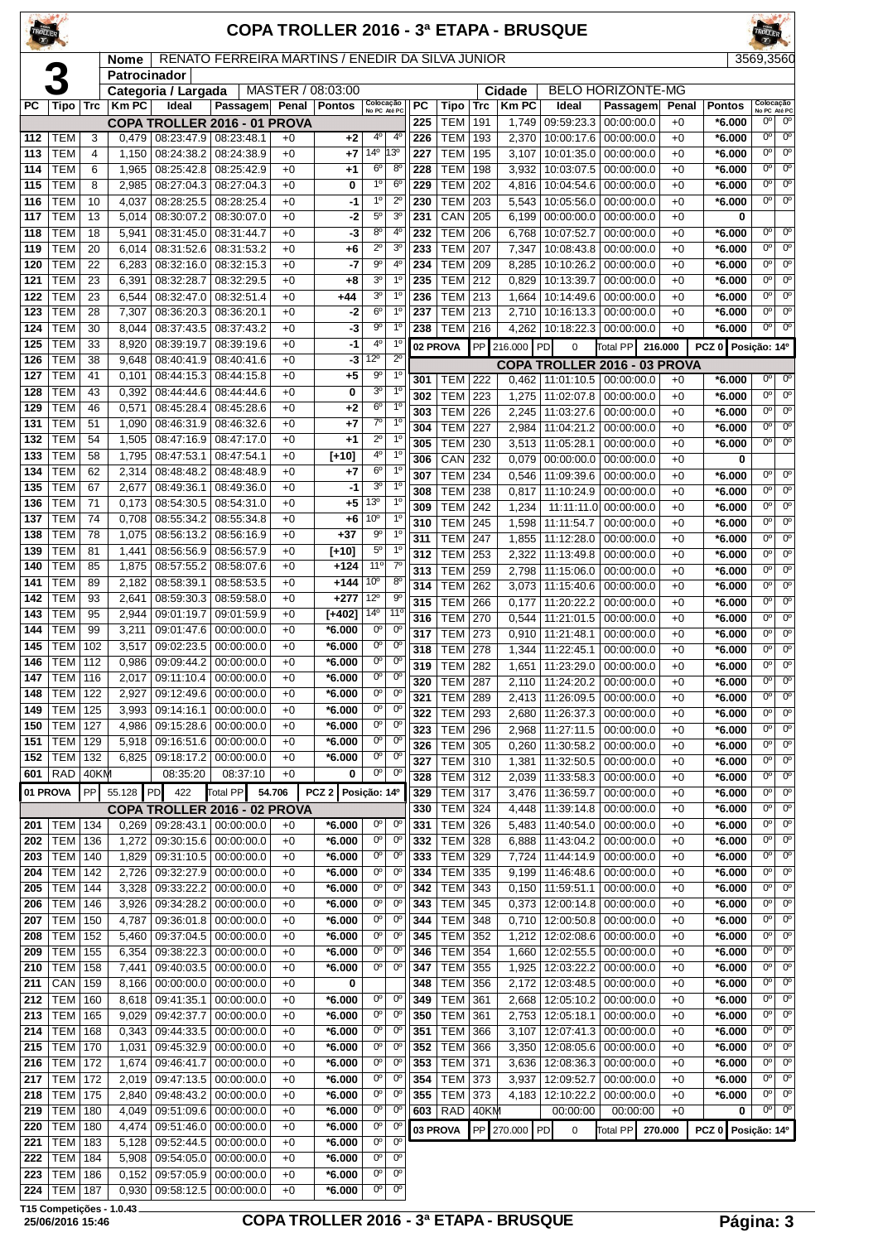|            |                          |            |                |                                          |                                                  |              |                      |                                       |                                  |            |                          |            |                | <b>COPA TROLLER 2016 - 3ª ETAPA - BRUSQUE</b> |                           |              |                      |                                       |                                       |
|------------|--------------------------|------------|----------------|------------------------------------------|--------------------------------------------------|--------------|----------------------|---------------------------------------|----------------------------------|------------|--------------------------|------------|----------------|-----------------------------------------------|---------------------------|--------------|----------------------|---------------------------------------|---------------------------------------|
|            |                          |            | Nome           |                                          | RENATO FERREIRA MARTINS / ENEDIR DA SILVA JUNIOR |              |                      |                                       |                                  |            |                          |            |                |                                               |                           |              |                      | 3569,3560                             |                                       |
|            |                          |            | Patrocinador   | Categoria / Largada                      |                                                  |              | MASTER / 08:03:00    |                                       |                                  |            |                          |            | Cidade         |                                               | <b>BELO HORIZONTE-MG</b>  |              |                      |                                       |                                       |
| РC         | Tipo                     | Trc        | <b>KmPC</b>    | Ideal                                    | Passagem                                         | Penal        | <b>Pontos</b>        | Colocação<br>No PC Até PC             |                                  | РC         | Tipo                     | Trc        | <b>Km PC</b>   | Ideal                                         | Passagem                  | Penal        | <b>Pontos</b>        |                                       | Colocação<br>No PC Até PC             |
|            |                          |            |                |                                          | COPA TROLLER 2016 - 01 PROVA                     |              |                      |                                       |                                  | 225        | <b>TEM</b>               | 191        | 1.749          | 09:59:23.3                                    | 00:00:00.0                | $+0$         | $*6.000$             | $0^{\circ}$                           | $0^{\circ}$                           |
| 112        | TEM                      | 3          |                |                                          | $0,479$   $08:23:47.9$   $08:23:48.1$            | $+0$         | $+2$                 | $4^{\circ}$                           | $4^{\circ}$                      | 226        | <b>TEM</b>               | 193        | 2,370          | 10:00:17.6                                    | 00:00:00.0                | $+0$         | *6.000               | $0^{\circ}$                           | $0^{\circ}$                           |
| 113        | <b>TEM</b>               | 4          | 1,150          | 08:24:38.2                               | 08:24:38.9                                       | $+0$         | +7                   | 14 <sup>°</sup>                       | 13º                              | 227        | <b>TEM</b>               | 195        | 3,107          | 10:01:35.0                                    | 00:00:00.0                | $+0$         | *6.000               | 0°                                    | $0^{\circ}$                           |
| 114<br>115 | TEM<br><b>TEM</b>        | 6          | 1,965          | 08:25:42.8                               | 08:25:42.9                                       | $+0$<br>$+0$ | +1                   | 6 <sup>o</sup><br>1 <sup>0</sup>      | $8^{\circ}$<br>$6^{\circ}$       | 228<br>229 | <b>TEM</b><br><b>TEM</b> | 198<br>202 | 3,932          | 10:03:07.5                                    | 00:00:00.0                | $+0$<br>$+0$ | *6.000<br>$*6.000$   | $0^{\circ}$<br>$0^{\circ}$            | $0^{\circ}$<br>$0^{\circ}$            |
| 116        | <b>TEM</b>               | 8<br>10    | 2,985<br>4,037 | 08:27:04.3<br>08:28:25.5                 | 08:27:04.3<br>08:28:25.4                         | $+0$         | 0<br>$-1$            | 1 <sup>0</sup>                        | $2^{\circ}$                      | 230        | <b>TEM</b>               | 203        | 4,816<br>5,543 | 10:04:54.6<br>10:05:56.0                      | 00:00:00.0<br>00:00:00.0  | $+0$         | $*6.000$             | $\overline{0}$                        | $0^{\circ}$                           |
| 117        | <b>TEM</b>               | 13         | 5,014          | 08:30:07.2                               | 08:30:07.0                                       | $+0$         | $-2$                 | $5^{\circ}$                           | 3 <sup>o</sup>                   | 231        | CAN                      | 205        | 6,199          | 00:00:00.0                                    | 00:00:00.0                | $+0$         | 0                    |                                       |                                       |
| 118        | <b>TEM</b>               | 18         | 5,941          | 08:31:45.0                               | 08:31:44.7                                       | $+0$         | -3                   | 8 <sup>o</sup>                        | $4^{\circ}$                      | 232        | <b>TEM</b>               | 206        | 6,768          | 10:07:52.7                                    | 00:00:00.0                | $+0$         | $*6.000$             | 0 <sup>o</sup>                        | $0^{\circ}$                           |
| 119        | <b>TEM</b>               | 20         | 6,014          | 08:31:52.6                               | 08:31:53.2                                       | $+0$         | $+6$                 | $2^{\circ}$                           | 3 <sup>o</sup>                   | 233        | <b>TEM</b>               | 207        | 7,347          | 10:08:43.8                                    | 00:00:00.0                | $+0$         | *6.000               | $0^{\circ}$                           | $0^{\circ}$                           |
| 120        | <b>TEM</b>               | 22         | 6,283          | 08:32:16.0                               | 08:32:15.3                                       | $+0$         | -7                   | $9^{\circ}$                           | 4 <sup>0</sup>                   | 234        | <b>TEM</b>               | 209        | 8,285          | 10:10:26.2                                    | 00:00:00.0                | $+0$         | *6.000               | $0^{\circ}$                           | $0^{\circ}$                           |
| 121        | <b>TEM</b>               | 23         | 6,391          | 08:32:28.7                               | 08:32:29.5                                       | $+0$         | +8                   | 3 <sup>o</sup><br>3 <sup>o</sup>      | $1^{\circ}$<br>$1^{\circ}$       | 235        | <b>TEM</b>               | 212        | 0,829          | 10:13:39.7                                    | 00:00:00.0                | $+0$         | *6.000               | $0^{\circ}$<br>$0^{\circ}$            | $0^{\circ}$<br>$0^{\circ}$            |
| 122<br>123 | <b>TEM</b><br><b>TEM</b> | 23<br>28   | 6,544<br>7,307 | 08:32:47.0<br>08:36:20.3                 | 08:32:51.4<br>08:36:20.1                         | $+0$<br>$+0$ | $+44$<br>$-2$        | $6^{\circ}$                           | $1^{\circ}$                      | 236<br>237 | <b>TEM</b><br><b>TEM</b> | 213<br>213 | 1,664<br>2,710 | 10:14:49.6<br>10:16:13.3                      | 00:00:00.0<br>00:00:00.0  | $+0$<br>$+0$ | $*6.000$<br>$*6.000$ | $0^{\circ}$                           | $\overline{0^{\circ}}$                |
| 124        | <b>TEM</b>               | 30         | 8,044          | 08:37:43.5                               | 08:37:43.2                                       | $+0$         | -3                   | $9^{\circ}$                           | 1 <sup>0</sup>                   | 238        | <b>TEM</b>               | 216        | 4,262          | 10:18:22.3                                    | 00:00:00.0                | $+0$         | $*6.000$             | $0^{\circ}$                           | $0^{\circ}$                           |
| 125        | <b>TEM</b>               | 33         | 8,920          | 08:39:19.7                               | 08:39:19.6                                       | $+0$         | $-1$                 | 4 <sup>0</sup>                        | 1 <sup>0</sup>                   |            | 02 PROVA                 |            | PP 216.000     | PD<br>$\mathbf 0$                             | Total PP                  | 216.000      | PCZ <sub>0</sub>     | Posição: 14º                          |                                       |
| 126        | <b>TEM</b>               | 38         |                | $9,648$   08:40:41.9                     | 08:40:41.6                                       | $+0$         | -3                   | $12^{\circ}$                          | $\overline{2^0}$                 |            |                          |            |                | COPA TROLLER 2016 - 03 PROVA                  |                           |              |                      |                                       |                                       |
| 127        | <b>TEM</b>               | 41         | 0,101          | 08:44:15.3                               | 08:44:15.8                                       | $+0$         | $+5$                 | 90                                    | $1^{\circ}$                      | 301        | TEM                      | 222        |                | $0,462$   11:01:10.5                          | 00:00:00.0                | $+0$         | $*6.000$             | $0^{\circ}$                           | 0 <sup>o</sup>                        |
| 128        | <b>TEM</b>               | 43         | 0,392          | 08:44:44.6                               | 08:44:44.6                                       | $+0$         | 0                    | 3 <sup>o</sup><br>6 <sup>o</sup>      | 1 <sup>0</sup><br>$1^{\circ}$    | 302        | <b>TEM</b>               | 223        | 1,275          | 11:02:07.8                                    | 00:00:00.0                | $+0$         | $*6.000$             | 0 <sup>o</sup>                        | 0 <sup>o</sup>                        |
| 129<br>131 | <b>TEM</b><br><b>TEM</b> | 46<br>51   | 0,571<br>1,090 | 08:45:28.4<br>08:46:31.9                 | 08:45:28.6<br>08:46:32.6                         | $+0$<br>$+0$ | $+2$<br>+7           | 70                                    | 1 <sup>0</sup>                   | 303        | <b>TEM</b>               | 226        | 2,245          | 11:03:27.6                                    | 00:00:00.0                | $+0$         | $*6.000$             | $\overline{O^{\circ}}$<br>$0^{\circ}$ | $0^{\circ}$<br>$0^{\circ}$            |
| 132        | <b>TEM</b>               | 54         | 1,505          | 08:47:16.9                               | 08:47:17.0                                       | $+0$         | $^{\mathrm {+1}}$    | $2^{\circ}$                           | $\overline{1^0}$                 | 304<br>305 | <b>TEM</b><br><b>TEM</b> | 227<br>230 | 2,984<br>3,513 | 11:04:21.2<br>11:05:28.1                      | 00:00:00.0<br>00:00:00.0  | $+0$<br>$+0$ | $*6.000$<br>*6.000   | $0^{\circ}$                           | $0^{\circ}$                           |
| 133        | <b>TEM</b>               | 58         | 1,795          | 08:47:53.1                               | 08:47:54.1                                       | $+0$         | $[+10]$              | $4^{\circ}$                           | 1 <sup>0</sup>                   | 306        | CAN                      | 232        | 0,079          | 00:00:00.0                                    | 00:00:00.0                | $+0$         | 0                    |                                       |                                       |
| 134        | <b>TEM</b>               | 62         | 2,314          | 08:48:48.2                               | 08:48:48.9                                       | $+0$         | +7                   | 6 <sup>o</sup>                        | $\overline{1^0}$                 | 307        | <b>TEM</b>               | 234        | 0,546          | 11:09:39.6                                    | 00:00:00.0                | $+0$         | *6.000               | 0 <sup>o</sup>                        | $0^{\circ}$                           |
| 135        | <b>TEM</b>               | 67         | 2,677          | 08:49:36.1                               | 08:49:36.0                                       | $+0$         | -1                   | 3 <sup>o</sup>                        | 1 <sup>0</sup>                   | 308        | <b>TEM</b>               | 238        | 0,817          | 11:10:24.9                                    | 00:00:00.0                | $+0$         | $*6.000$             | $0^{\circ}$                           | $0^{\circ}$                           |
| 136        | <b>TEM</b><br><b>TEM</b> | 71<br>74   | 0,173          | 08:54:30.5                               | 08:54:31.0                                       | $+0$         | +5                   | 13 <sup>o</sup><br>10 <sup>o</sup>    | 1 <sup>0</sup><br>1 <sup>0</sup> | 309        | <b>TEM</b>               | 242        | 1,234          | 11:11:11.0 00:00:00.0                         |                           | $+0$         | *6.000               | 0 <sup>o</sup>                        | $0^{\circ}$                           |
| 137<br>138 | <b>TEM</b>               | 78         | 1,075          | $0,708$   $08:55:34.2$<br>08:56:13.2     | 08:55:34.8<br>08:56:16.9                         | $+0$<br>$+0$ | $+6$<br>$+37$        | 90                                    | $1^{\circ}$                      | 310        | <b>TEM</b>               | 245        | 1,598          | 11:11:54.7                                    | 00:00:00.0                | $+0$         | *6.000               | $0^{\circ}$                           | $0^{\circ}$                           |
| 139        | <b>TEM</b>               | 81         | 1,441          | 08:56:56.9                               | 08:56:57.9                                       | $+0$         | $[+10]$              | $5^{\circ}$                           | 1 <sup>0</sup>                   | 311<br>312 | <b>TEM</b><br><b>TEM</b> | 247<br>253 | 1,855<br>2,322 | 11:12:28.0<br>11:13:49.8                      | 00:00:00.0<br>00:00:00.0  | $+0$<br>$+0$ | *6.000<br>*6.000     | $0^{\circ}$<br>$0^{\circ}$            | $0^{\circ}$<br>$\overline{0^{\circ}}$ |
| 140        | <b>TEM</b>               | 85         | 1,875          | 08:57:55.2                               | 08:58:07.6                                       | $+0$         | $+124$               | 11°                                   | $7^{\circ}$                      | 313        | <b>TEM</b>               | 259        | 2,798          | 11:15:06.0                                    | 00:00:00.0                | $+0$         | *6.000               | $\overline{0^{\circ}}$                | 0 <sup>o</sup>                        |
| 141        | <b>TEM</b>               | 89         | 2,182          | 08:58:39.1                               | 08:58:53.5                                       | $+0$         | $+144$               | 10 <sup>o</sup>                       | 8 <sup>o</sup>                   | 314        | <b>TEM</b>               | 262        | 3,073          | 11:15:40.6                                    | 00:00:00.0                | $+0$         | *6.000               | $0^{\circ}$                           | $\overline{0^{\circ}}$                |
| 142        | <b>TEM</b>               | 93         | 2,641          | 08:59:30.3                               | 08:59:58.0                                       | $+0$         | $+277$               | $12^{\circ}$                          | 9 <sup>o</sup>                   | 315        | <b>TEM</b>               | 266        | 0,177          | 11:20:22.2                                    | 00:00:00.0                | $+0$         | $*6.000$             | $\overline{0}$                        | $0^{\circ}$                           |
| 143        | <b>TEM</b>               | 95         | 2,944          | 09:01:19.7                               | 09:01:59.9                                       | $+0$         | $[-402]$             | 14°<br>$0^{\circ}$                    | $11^{\circ}$<br>$0^{\circ}$      | 316        | <b>TEM</b>               | 270        | 0,544          | 11:21:01.5                                    | 00:00:00.0                | $+0$         | $*6.000$             | $0^{\circ}$                           | $0^{\circ}$                           |
| 144<br>145 | <b>TEM</b><br><b>TEM</b> | 99<br>102  | 3,211<br>3,517 | 09:01:47.6<br>09:02:23.5                 | 00:00:00.0<br>00:00:00.0                         | $+0$<br>$+0$ | $*6.000$<br>*6.000   | $0^{\circ}$                           | $0^{\circ}$                      | 317        | <b>TEM</b>               | 273        | 0,910          | 11:21:48.1                                    | 00:00:00.0                | $+0$         | *6.000               | $\overline{O^{\circ}}$<br>$0^{\circ}$ | 0 <sup>o</sup><br>$0^{\circ}$         |
| 146        | TEM                      | 112        |                |                                          | $0,986$   $09:09:44.2$   $00:00:00.0$            | $+0$         | *6.000               | $0^{\circ}$                           | $0^{\circ}$                      | 318<br>319 | <b>TEM</b><br><b>TEM</b> | 278<br>282 | 1,344<br>1,651 | 11:22:45.1<br>11:23:29.0                      | 00:00:00.0<br>00:00:00.0  | $+0$<br>$+0$ | $*6.000$<br>$*6.000$ | $0^{\circ}$                           | $0^{\circ}$                           |
|            | 147 TEM 116              |            |                |                                          | 2,017 09:11:10.4 00:00:00.0                      | $+0$         | $*6.000$             | $0^{\circ}$                           | $0^{\rm o}$                      | 320        | <b>TEM 287</b>           |            |                | 2,110   11:24:20.2   00:00:00.0               |                           | $+0$         | *6.000               | 0°                                    | 0°                                    |
| 148        | <b>TEM   122</b>         |            | 2,927          | 09:12:49.6                               | 00:00:00.0                                       | $+0$         | $*6.000$             | $0^{\circ}$                           | $0^{\circ}$                      | 321        | <b>TEM</b>               | 289        | 2,413          | 11:26:09.5                                    | 00:00:00.0                | $+0$         | *6.000               | $0^{\circ}$                           | $0^{\circ}$                           |
| 149        | TEM                      | 125        | 3,993          | 09:14:16.1                               | 00:00:00.0                                       | $+0$         | $*6.000$             | $0^{\circ}$                           | $0^{\circ}$                      | 322        | <b>TEM 293</b>           |            | 2,680          | 11:26:37.3                                    | 00:00:00.0                | $+0$         | $*6.000$             | 0 <sup>o</sup>                        | $0^{\circ}$                           |
| 150        | TEM<br><b>TEM 129</b>    | 127        |                | 4,986 09:15:28.6                         | 00:00:00.0                                       | $+0$<br>$+0$ | $*6.000$             | $0^{\circ}$<br>$\overline{0^{\circ}}$ | $0^{\circ}$<br>$0^{\circ}$       | 323        | <b>TEM</b>               | 296        | 2,968          | 11:27:11.5                                    | 00:00:00.0                | $+0$         | $*6.000$             | 0 <sup>o</sup>                        | $0^{\circ}$                           |
| 151<br>152 | <b>TEM 132</b>           |            |                | 5,918 09:16:51.6<br>$6,825$   09:18:17.2 | 00:00:00.0<br>00:00:00.0                         | $+0$         | $*6.000$<br>$*6.000$ | 0°                                    | $0^{\circ}$                      | 326        | <b>TEM</b>               | 305        | 0,260          | 11:30:58.2                                    | 00:00:00.0                | $+0$         | $*6.000$             | 0 <sup>o</sup><br>$0^{\circ}$         | 0 <sup>o</sup><br>$0^{\circ}$         |
| 601        | $RAD$ 40KM               |            |                | 08:35:20                                 | 08:37:10                                         | $+0$         | 0                    | $0^{\circ}$                           | $0^{\circ}$                      | 327<br>328 | <b>TEM</b><br><b>TEM</b> | 310<br>312 | 1,381<br>2,039 | 11:32:50.5<br>11:33:58.3                      | 00:00:00.0<br>00:00:00.0  | $+0$<br>$+0$ | *6.000<br>$*6.000$   | 0 <sup>o</sup>                        | $0^{\circ}$                           |
|            | 01 PROVA                 | PP         | 55.128 PD      | 422                                      | Total PP                                         | 54.706       | PCZ 2 Posição: 14º   |                                       |                                  | 329        | <b>TEM 317</b>           |            | 3,476          | 11:36:59.7                                    | 00:00:00.0                | $+0$         | $*6.000$             | 0 <sup>o</sup>                        | $0^{\circ}$                           |
|            |                          |            |                |                                          | COPA TROLLER 2016 - 02 PROVA                     |              |                      |                                       |                                  | 330        | <b>TEM</b>               | 324        | 4,448          | 11:39:14.8                                    | 00:00:00.0                | $+0$         | $*6.000$             | $0^{\circ}$                           | $0^{\circ}$                           |
| 201        | <b>TEM 134</b>           |            |                | 0,269   09:28:43.1                       | 00:00:00.0                                       | $+0$         | $*6.000$             | 0°                                    | $0^{\circ}$                      | 331        | <b>TEM</b>               | 326        | 5,483          | 11:40:54.0                                    | 00:00:00.0                | $+0$         | $*6.000$             | 0 <sup>o</sup>                        | 0 <sup>o</sup>                        |
| 202        | TEM                      | 136        | 1,272          | 09:30:15.6                               | 00:00:00.0                                       | $+0$         | $*6.000$             | $0^{\rm o}$                           | $0^{\circ}$                      | 332        | <b>TEM</b>               | 328        | 6,888          | 11:43:04.2                                    | 00:00:00.0                | $+0$         | *6.000               | $0^{\circ}$                           | $0^{\circ}$                           |
| 203<br>204 | TEM<br>TEM               | 140<br>142 | 1,829          | 09:31:10.5<br>2,726 09:32:27.9           | 00:00:00.0<br> 00:00:00.0                        | $+0$<br>$+0$ | $*6.000$<br>$*6.000$ | $0^{\circ}$<br>$0^{\circ}$            | 0 <sup>o</sup><br>$0^{\circ}$    | 333<br>334 | <b>TEM</b><br><b>TEM</b> | 329<br>335 | 7,724<br>9,199 | 11:44:14.9<br>11:46:48.6                      | 00:00:00.0<br>00:00:00.0  | $+0$<br>$+0$ | *6.000<br>$*6.000$   | 0 <sup>o</sup><br>$0^{\circ}$         | $0^{\circ}$<br>$0^{\circ}$            |
| 205        | <b>TEM</b>               | 144        |                | $3,328$   09:33:22.2                     | 00:00:00.0                                       | $+0$         | $*6.000$             | $0^{\rm o}$                           | $0^{\circ}$                      | 342        | <b>TEM</b>               | 343        | 0,150          | 11:59:51.1                                    | 00:00:00.0                | $+0$         | $*6.000$             | $0^{\circ}$                           | $0^{\circ}$                           |
| 206        | TEM                      | 146        |                | 3,926   09:34:28.2                       | 00:00:00.0                                       | $+0$         | $*6.000$             | $0^{\circ}$                           | $0^{\circ}$                      | 343        | TEM                      | 345        | 0,373          | 12:00:14.8                                    | 00:00:00.0                | $+0$         | $*6.000$             | 0 <sup>o</sup>                        | $0^{\circ}$                           |
| 207        | TEM                      | 150        | 4,787          | 09:36:01.8                               | 00:00:00.0                                       | $+0$         | $*6.000$             | $0^{\rm o}$                           | $0^{\circ}$                      | 344        | <b>TEM</b>               | 348        | 0,710          | 12:00:50.8                                    | 00:00:00.0                | $+0$         | $*6.000$             | $0^{\circ}$                           | $0^{\circ}$                           |
| 208        | TEM                      | 152        | 5,460          | 09:37:04.5                               | 00:00:00.0                                       | $+0$         | $*6.000$             | $0^{\circ}$                           | $0^{\circ}$                      | 345        | <b>TEM</b>               | 352        | 1,212          | 12:02:08.6                                    | 00:00:00.0                | $+0$         | $*6.000$             | 0 <sup>0</sup>                        | 0 <sup>o</sup>                        |
| 209        | <b>TEM 155</b>           |            |                | 6,354   09:38:22.3                       | 00:00:00.0                                       | $+0$         | $*6.000$             | $0^{\circ}$                           | 0°                               | 346        | <b>TEM</b>               | 354        | 1,660          | 12:02:55.5                                    | 00:00:00.0                | $+0$         | $*6.000$             | 0 <sup>o</sup>                        | $0^{\circ}$                           |
| 210<br>211 | TEM<br>$CAN$   159       | 158        | 7,441          | 09:40:03.5<br>8,166 00:00:00.0           | 00:00:00.0<br>00:00:00.0                         | $+0$<br>$+0$ | $*6.000$<br>0        | $0^{\circ}$                           | $0^{\circ}$                      | 347<br>348 | <b>TEM</b><br>TEM        | 355<br>356 | 1,925<br>2,172 | 12:03:22.2<br>12:03:48.5                      | 00:00:00.0<br>00:00:00.0  | $+0$<br>$+0$ | $*6.000$<br>$*6.000$ | $0^{\circ}$<br>0 <sup>o</sup>         | $0^{\circ}$<br>$0^{\circ}$            |
| 212        | <b>TEM</b>               | 160        | 8,618          | 09:41:35.1                               | 00:00:00.0                                       | $+0$         | *6.000               | $0^{\rm o}$                           | $0^{\circ}$                      | 349        | <b>TEM</b>               | 361        | 2,668          | 12:05:10.2                                    | 00:00:00.0                | $+0$         | $*6.000$             | $0^{\circ}$                           | $0^{\circ}$                           |
| 213        | TEM                      | 165        | 9,029          | 09:42:37.7                               | 00:00:00.0                                       | $+0$         | $*6.000$             | 0 <sup>o</sup>                        | 0 <sup>o</sup>                   | 350        | <b>TEM</b>               | 361        | 2,753          | 12:05:18.1                                    | 00:00:00.0                | $+0$         | $*6.000$             | 0 <sup>0</sup>                        | 0 <sup>o</sup>                        |
| 214        | TEM                      | 168        |                | 0,343   09:44:33.5                       | 00:00:00.0                                       | $+0$         | $*6.000$             | $0^{\circ}$                           | $0^{\circ}$                      | 351        | <b>TEM</b>               | 366        | 3,107          | 12:07:41.3                                    | 00:00:00.0                | $+0$         | $*6.000$             | 0 <sup>o</sup>                        | $0^{\circ}$                           |
| 215        | <b>TEM   170</b>         |            | 1,031          | 09:45:32.9                               | 00:00:00.0                                       | $+0$         | $*6.000$             | $0^{\circ}$                           | $0^{\circ}$                      | 352        | <b>TEM</b>               | 366        | 3,350          | 12:08:05.6                                    | 00:00:00.0                | $+0$         | $*6.000$             | $0^{\circ}$                           | $0^{\circ}$                           |
| 216        | <b>TEM 172</b>           |            | 1,674          | 09:46:41.7                               | 00:00:00.0                                       | $+0$         | $*6.000$             | $0^{\circ}$                           | $0^{\circ}$                      | 353        | <b>TEM</b>               | 371        | 3,636          | 12:08:36.3                                    | 00:00:00.0                | $+0$         | $*6.000$             | 0 <sup>o</sup>                        | $0^{\circ}$                           |
| 217<br>218 | TEM<br><b>TEM 175</b>    | 172        | 2,019          | 09:47:13.5<br>2,840   09:48:43.2         | 00:00:00.0<br>00:00:00.0                         | $+0$<br>$+0$ | $*6.000$<br>$*6.000$ | $\overline{0^{\circ}}$<br>$0^{\rm o}$ | $0^{\circ}$<br>$0^{\circ}$       | 354<br>355 | <b>TEM</b><br><b>TEM</b> | 373<br>373 | 3,937<br>4,183 | 12:09:52.7<br>12:10:22.2                      | 00:00:00.0<br> 00:00:00.0 | $+0$<br>$+0$ | $*6.000$<br>$*6.000$ | 0 <sup>o</sup><br>0 <sup>0</sup>      | $0^{\circ}$<br>0 <sup>o</sup>         |
| 219        | <b>TEM   180</b>         |            |                | 4,049   09:51:09.6                       | 00:00:00.0                                       | $+0$         | $*6.000$             | 0°                                    | $0^{\circ}$                      | 603        | <b>RAD</b>               | 40KM       |                | 00:00:00                                      | 00:00:00                  | $+0$         | 0                    | 0 <sup>0</sup>                        | $0^{\circ}$                           |
| 220        | <b>TEM 180</b>           |            |                | 4,474 09:51:46.0                         | 00:00:00.0                                       | $+0$         | *6.000               | $0^{\circ}$                           | $0^{\circ}$                      |            | 03 PROVA                 |            | PP 270.000     | PD<br>0                                       | Total PP                  | 270.000      | PCZ <sub>0</sub>     | Posição: 14º                          |                                       |
| 221        | TEM   183                |            |                | 5,128 09:52:44.5                         | 00:00:00.0                                       | $+0$         | $*6.000$             | $0^{\circ}$                           | $0^{\circ}$                      |            |                          |            |                |                                               |                           |              |                      |                                       |                                       |
| 222        | <b>TEM   184</b>         |            |                |                                          | 5,908   09:54:05.0   00:00:00.0                  | $+0$         | $*6.000$             | 0 <sup>o</sup>                        | $0^{\circ}$                      |            |                          |            |                |                                               |                           |              |                      |                                       |                                       |

 TEM 186 0,152 09:57:05.9 00:00:00.0 +0 **\*6.000** 0º 0º TEM 187 0,930 09:58:12.5 00:00:00.0 +0 **\*6.000** 0º 0º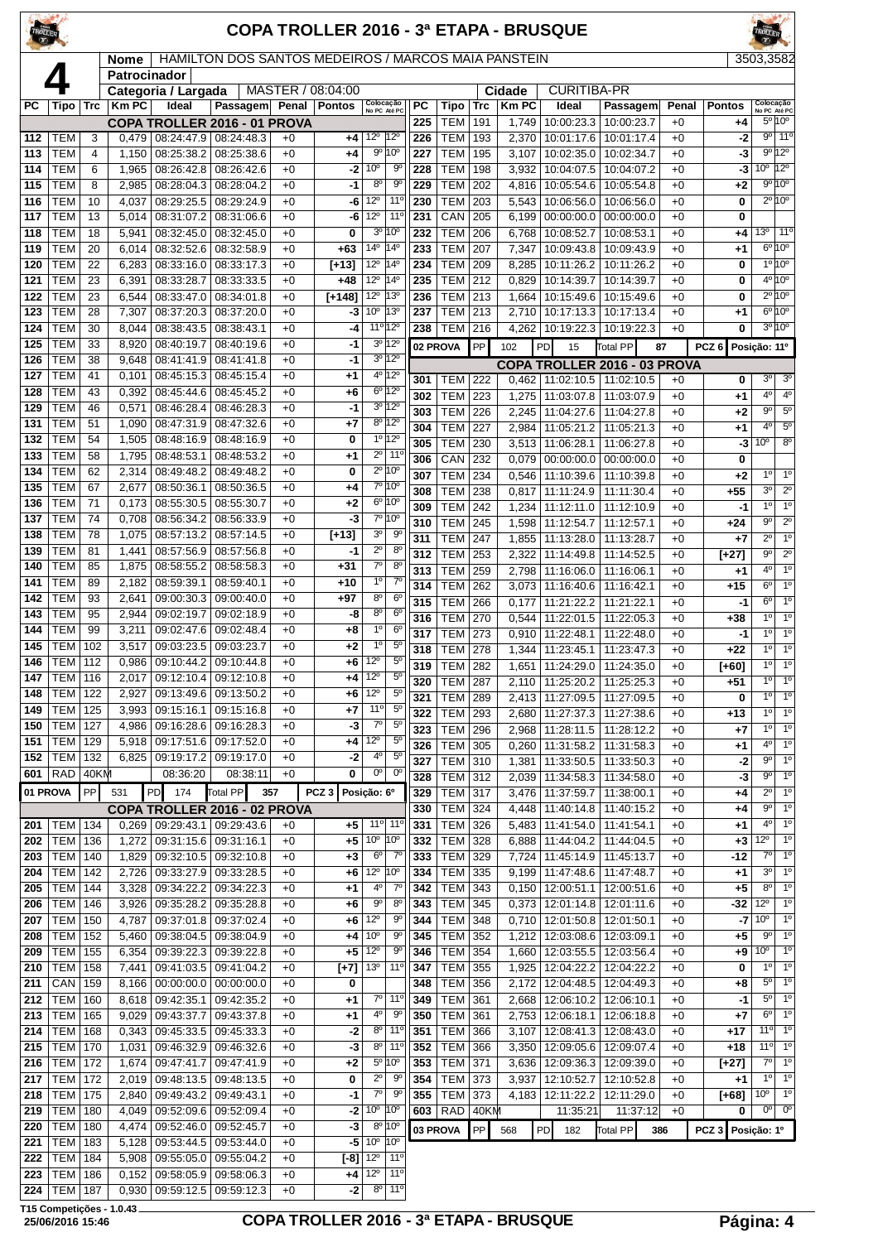|            |                          |                     |                |                                |                                                              |              |                   |                                                                |                                  |            |                                      |            |                | COPA TROLLER 2016 - 3ª ETAPA - BRUSQUE     |                          |              |                   |                               |                                       |
|------------|--------------------------|---------------------|----------------|--------------------------------|--------------------------------------------------------------|--------------|-------------------|----------------------------------------------------------------|----------------------------------|------------|--------------------------------------|------------|----------------|--------------------------------------------|--------------------------|--------------|-------------------|-------------------------------|---------------------------------------|
|            |                          |                     | <b>Nome</b>    |                                | HAMILTON DOS SANTOS MEDEIROS / MARCOS MAIA PANSTEIN          |              |                   |                                                                |                                  |            |                                      |            |                |                                            |                          |              |                   | 3503,3582                     |                                       |
|            |                          |                     | Patrocinador   | Categoria / Largada            |                                                              |              | MASTER / 08:04:00 |                                                                |                                  |            |                                      |            | Cidade         | <b>CURITIBA-PR</b>                         |                          |              |                   |                               |                                       |
| РC         | Tipo                     | <b>Trc</b>          | <b>Km PC</b>   | Ideal                          | Passagem Penal                                               |              | <b>Pontos</b>     | Colocação<br>No PC Até PC                                      |                                  | <b>PC</b>  | Tipo                                 | <b>Trc</b> | <b>KmPC</b>    | Ideal                                      | Passagem                 | Penal        | <b>Pontos</b>     |                               | Colocação<br>No PC Até PC             |
|            |                          |                     |                |                                | COPA TROLLER 2016 - 01 PROVA                                 |              |                   |                                                                |                                  | 225        | <b>TEM</b>                           | 191        | 1,749          | 10:00:23.3                                 | 10:00:23.7               | $+0$         | +4                |                               | $5^{\circ}10^{\circ}$                 |
| 112<br>113 | TEM<br><b>TEM</b>        | 3<br>$\overline{4}$ | 0,479<br>1,150 | 08:25:38.2                     | 08:24:47.9 08:24:48.3<br>08:25:38.6                          | $+0$<br>$+0$ | $+4$<br>$+4$      | $12^{\circ}$<br>$9^{\circ}$                                    | $ 12^{\circ}$<br>10°             | 226<br>227 | <b>TEM</b><br><b>TEM</b>             | 193<br>195 | 2,370<br>3,107 | 10:01:17.6<br>10:02:35.0                   | 10:01:17.4<br>10:02:34.7 | $+0$<br>$+0$ | -2<br>-3          |                               | $9°$ 11°<br>$9^{\circ}12^{\circ}$     |
| 114        | <b>TEM</b>               | 6                   | 1,965          | 08:26:42.8                     | 08:26:42.6                                                   | $+0$         | -2                | 10 <sup>o</sup>                                                | $9^{\circ}$                      | 228        | <b>TEM</b>                           | 198        | 3,932          | 10:04:07.5                                 | 10:04:07.2               | $+0$         | -3                |                               | $10^{\circ}$ 12°                      |
| 115        | <b>TEM</b>               | 8                   | 2,985          | 08:28:04.3                     | 08:28:04.2                                                   | $+0$         | -1                | $8^{\circ}$                                                    | $9^{\circ}$                      | 229        | <b>TEM</b>                           | 202        | 4,816          | 10:05:54.6                                 | 10:05:54.8               | $+0$         | $+2$              |                               | 9°10°                                 |
| 116        | <b>TEM</b>               | 10                  | 4,037          | 08:29:25.5                     | 08:29:24.9                                                   | $+0$         | -6                | $12^{\circ}$                                                   | $11^{\circ}$                     | 230        | <b>TEM</b>                           | 203        | 5,543          | 10:06:56.0                                 | 10:06:56.0               | $+0$         | 0                 |                               | $2^{\circ}10^{\circ}$                 |
| 117        | <b>TEM</b>               | 13                  | 5.014          | 08:31:07.2                     | 08:31:06.6                                                   | $+0$         | -6                | 12°                                                            | 11 <sup>0</sup>                  | 231        | CAN                                  | 205        | 6,199          | 00:00:00.0                                 | 00:00:00.0               | $+0$         | 0                 |                               |                                       |
| 118<br>119 | <b>TEM</b><br><b>TEM</b> | 18<br>20            | 5,941<br>6,014 | 08:32:45.0<br>08:32:52.6       | 08:32:45.0<br>08:32:58.9                                     | $+0$<br>$+0$ | 0<br>$+63$        | 3 <sup>o</sup><br>14 <sup>°</sup>                              | 10°<br>14°                       | 232<br>233 | <b>TEM</b><br><b>TEM</b>             | 206<br>207 | 6,768<br>7,347 | 10:08:52.7<br>10:09:43.8                   | 10:08:53.1<br>10:09:43.9 | $+0$<br>$+0$ | +4<br>+1          | 13º I                         | $11^{\circ}$<br>$6^{\circ}10^{\circ}$ |
| 120        | <b>TEM</b>               | 22                  | 6,283          | 08:33:16.0                     | 08:33:17.3                                                   | $+0$         | $[-13]$           | $12^{\circ}$                                                   | 14°                              | 234        | TEM                                  | 209        | 8,285          | 10:11:26.2                                 | 10:11:26.2               | $+0$         | 0                 |                               | $10^{10}$                             |
| 121        | <b>TEM</b>               | 23                  | 6,391          | 08:33:28.7                     | 08:33:33.5                                                   | $+0$         | $+48$             | $12^{\circ}$                                                   | 14°                              | 235        | <b>TEM</b>                           | 212        | 0,829          | 10:14:39.7                                 | 10:14:39.7               | $+0$         | 0                 |                               | $4^{\circ} 10^{\circ}$                |
| 122        | <b>TEM</b>               | 23                  | 6,544          | 08:33:47.0                     | 08:34:01.8                                                   | $+0$         | $[+148]$          | $12^{\circ}$                                                   | 13°                              | 236        | <b>TEM</b>                           | 213        | 1,664          | 10:15:49.6                                 | 10:15:49.6               | $+0$         | 0                 |                               | $2^{\circ}10^{\circ}$                 |
| 123        | <b>TEM</b>               | 28                  | 7,307          | 08:37:20.3                     | 08:37:20.0                                                   | $+0$         | -3                | 10 <sup>o</sup>                                                | 13°                              | 237        | <b>TEM</b>                           | 213        | 2,710          | 10:17:13.3                                 | 10:17:13.4               | $+0$         | +1                |                               | $6^{\circ}10^{\circ}$                 |
| 124        | <b>TEM</b>               | 30                  | 8,044          | 08:38:43.5                     | 08:38:43.1                                                   | $+0$         | -4                | 11º 12º                                                        |                                  | 238        | <b>TEM</b>                           | 216        | 4,262          | 10:19:22.3                                 | 10:19:22.3               | $+0$         | 0                 |                               | 3º 10º                                |
| 125<br>126 | <b>TEM</b><br><b>TEM</b> | 33<br>38            | 8,920<br>9,648 | 08:40:19.7<br>08:41:41.9       | 08:40:19.6<br>08:41:41.8                                     | $+0$<br>$+0$ | -1<br>-1          |                                                                | 3º 12º<br>$3^0$ 12 <sup>0</sup>  |            | 02 PROVA                             | PP         | 102            | 15<br><b>PD</b>                            | <b>Total PP</b>          | 87           | PCZ <sub>6</sub>  | Posição: 11º                  |                                       |
| 127        | <b>TEM</b>               | 41                  | 0,101          | 08:45:15.3                     | 08:45:15.4                                                   | $+0$         | +1                |                                                                | 4º 12º                           | 301        | <b>TEM 222</b>                       |            | 0,462          | COPA TROLLER 2016 - 03 PROVA<br>11:02:10.5 | 11:02:10.5               | $+0$         | 0                 | $3^{\circ}$                   | 3 <sup>o</sup>                        |
| 128        | <b>TEM</b>               | 43                  | 0,392          | 08:45:44.6                     | 08:45:45.2                                                   | $+0$         | +6                |                                                                | $6^{\circ}$ 12°                  | 302        | <b>TEM</b>                           | 223        | 1,275          | 11:03:07.8                                 | 11:03:07.9               | $+0$         | +1                | 4°                            | $4^{\circ}$                           |
| 129        | <b>TEM</b>               | 46                  | 0,571          | 08:46:28.4                     | 08:46:28.3                                                   | $+0$         | -1                |                                                                | $3^0$ 12 <sup>0</sup>            | 303        | <b>TEM</b>                           | 226        | 2,245          | 11:04:27.6                                 | 11:04:27.8               | $+0$         | +2                | $9^{\circ}$                   | $5^{\circ}$                           |
| 131        | <b>TEM</b>               | 51                  | 1,090          | 08:47:31.9                     | 08:47:32.6                                                   | $+0$         | +7                |                                                                | 8º 12º                           | 304        | <b>TEM</b>                           | 227        | 2,984          | 11:05:21.2                                 | 11:05:21.3               | $+0$         | +1                | $4^{\circ}$                   | $5^{\circ}$                           |
| 132<br>133 | <b>TEM</b><br><b>TEM</b> | 54<br>58            | 1,505          | 08:48:16.9                     | 08:48:16.9                                                   | $+0$<br>$+0$ | 0                 | $\overline{2^0}$                                               | $1°$ 12°<br>$11^{\circ}$         | 305        | <b>TEM</b>                           | 230        | 3,513          | 11:06:28.1                                 | 11:06:27.8               | $+0$         | -3                | 10 <sup>o</sup>               | $8^{\circ}$                           |
| 134        | <b>TEM</b>               | 62                  | 1,795<br>2,314 | 08:48:53.1<br>08:49:48.2       | 08:48:53.2<br>08:49:48.2                                     | $+0$         | +1<br>$\bf{0}$    |                                                                | $2^{\circ}$ 10 $^{\circ}$        | 306        | CAN                                  | 232        | 0,079          | 00:00:00.0                                 | 00:00:00.0               | $+0$         | 0                 | $1^{\circ}$                   | $1^{\circ}$                           |
| 135        | <b>TEM</b>               | 67                  | 2,677          | 08:50:36.1                     | 08:50:36.5                                                   | $+0$         | +4                |                                                                | 7º 10°                           | 307<br>308 | <b>TEM</b><br><b>TEM</b>             | 234<br>238 | 0,546<br>0,817 | 11:10:39.6<br>11:11:24.9                   | 11:10:39.8<br>11:11:30.4 | $+0$<br>$+0$ | +2<br>$+55$       | 3 <sup>0</sup>                | $2^{\circ}$                           |
| 136        | <b>TEM</b>               | 71                  | 0,173          | 08:55:30.5                     | 08:55:30.7                                                   | $+0$         | +2                |                                                                | $6^{\circ}$ 10 <sup>°</sup>      | 309        | <b>TEM</b>                           | 242        | 1,234          | 11:12:11.0                                 | 11:12:10.9               | $+0$         | $-1$              | $1^{\circ}$                   | $1^{\circ}$                           |
| 137        | <b>TEM</b>               | 74                  | 0,708          | 08:56:34.2                     | 08:56:33.9                                                   | $+0$         | -3                |                                                                | 7º 10º                           | 310        | <b>TEM</b>                           | 245        | 1,598          | 11:12:54.7                                 | 11:12:57.1               | $+0$         | $+24$             | $9^{\circ}$                   | $2^{\circ}$                           |
| 138        | <b>TEM</b>               | 78                  | 1,075          | 08:57:13.2                     | 08:57:14.5                                                   | $+0$         | $[+13]$           | 3 <sup>o</sup>                                                 | $9^{\circ}$                      | 311        | <b>TEM</b>                           | 247        | 1,855          | 11:13:28.0                                 | 11:13:28.7               | $+0$         | $+7$              | $2^{\circ}$                   | 1 <sup>0</sup>                        |
| 139<br>140 | <b>TEM</b><br><b>TEM</b> | 81<br>85            | 1,441<br>1,875 | 08:57:56.9<br>08:58:55.2       | 08:57:56.8<br>08:58:58.3                                     | $+0$<br>$+0$ | -1<br>$+31$       | $2^{\circ}$<br>$\overline{7^0}$                                | 8 <sup>0</sup><br>8 <sup>o</sup> | 312        | <b>TEM</b>                           | 253        | 2,322          | 11:14:49.8                                 | 11:14:52.5               | $+0$         | [+27]             | $9^{\circ}$                   | $\overline{2^{\circ}}$                |
| 141        | <b>TEM</b>               | 89                  | 2,182          | 08:59:39.1                     | 08:59:40.1                                                   | $+0$         | $+10$             | $1^{\circ}$                                                    | $7^\circ$                        | 313<br>314 | <b>TEM</b>                           | 259        | 2,798          | 11:16:06.0<br>11:16:40.6                   | 11:16:06.1<br>11:16:42.1 | $+0$         | +1                | 4 <sup>0</sup><br>$6^{\circ}$ | 1 <sup>o</sup><br>$1^{\circ}$         |
| 142        | <b>TEM</b>               | 93                  | 2,641          | 09:00:30.3                     | 09:00:40.0                                                   | $+0$         | $+97$             | 8 <sup>o</sup>                                                 | 6 <sup>o</sup>                   | 315        | <b>TEM</b><br><b>TEM</b>             | 262<br>266 | 3,073<br>0,177 | 11:21:22.2                                 | 11:21:22.1               | $+0$<br>$+0$ | $+15$<br>-1       | $6^{\circ}$                   | $1^{\circ}$                           |
| 143        | <b>TEM</b>               | 95                  | 2,944          | 09:02:19.7                     | 09:02:18.9                                                   | $+0$         | -8                | 8 <sup>o</sup>                                                 | 6 <sup>o</sup>                   | 316        | <b>TEM</b>                           | 270        | 0,544          | 11:22:01.5                                 | 11:22:05.3               | $+0$         | +38               | $1^{\circ}$                   | 1 <sup>0</sup>                        |
| 144        | <b>TEM</b>               | 99                  | 3,211          | 09:02:47.6                     | 09:02:48.4                                                   | $+0$         | +8                | 1 <sup>0</sup>                                                 | 6 <sup>o</sup>                   | 317        | <b>TEM</b>                           | 273        | 0,910          | 11:22:48.1                                 | 11:22:48.0               | $+0$         | $-1$              | 1 <sup>0</sup>                | 1 <sup>0</sup>                        |
| 145        | <b>TEM</b>               | 102                 | 3,517          | 09:03:23.5                     | 09:03:23.7                                                   | $+0$         | +2                | 1 <sup>0</sup>                                                 | $5^{\circ}$                      | 318        | <b>TEM</b>                           | 278        | 1,344          | 11:23:45.1                                 | 11:23:47.3               | $+0$         | +22               | $1^{\circ}$                   | $\overline{1^{\circ}}$                |
| 146<br>147 | <b>TEM</b><br>TEM   116  | 112                 | 0,986          | 09:10:44.2                     | 09:10:44.8                                                   | $+0$<br>$+0$ | +6                | $12^{\circ}$<br>$12^{\circ}$                                   | $5^{\circ}$<br>$5^{\circ}$       | 319        | <b>TEM</b>                           | 282        | 1,651          | 11:24:29.0                                 | 11:24:35.0               | $+0$         | $[+60]$           | 1 <sup>0</sup>                | 1 <sup>°</sup>                        |
| 148        | <b>TEM 122</b>           |                     | 2,927          |                                | 2,017   09:12:10.4   09:12:10.8<br>  09:13:49.6   09:13:50.2 | $+0$         | +4<br>+6          | $12^{\circ}$                                                   | $5^{\circ}$                      | 320<br>321 | <b>TEM 287</b><br><b>TEM 289</b>     |            |                | 2,110   11:25:20.2  <br>11:27:09.5         | 11:25:25.3<br>11:27:09.5 | $+0$         | +51<br>0          | $1^{\circ}$<br>1 <sup>0</sup> | $1^{\circ}$<br>$1^{\circ}$            |
| 149        | <b>TEM</b>               | 125                 | 3,993          | 09:15:16.1                     | 09:15:16.8                                                   | $+0$         | +7                | $11^{\circ}$                                                   | $5^{\circ}$                      | 322        | <b>TEM 293</b>                       |            | 2,413<br>2,680 | 11:27:37.3                                 | 11:27:38.6               | $+0$<br>$+0$ | +13               | $1^{\circ}$                   | $1^{\circ}$                           |
| 150        | TEM                      | 127                 | 4,986          |                                | 09:16:28.6   09:16:28.3                                      | $+0$         | -3                | $7^\circ$                                                      | $5^{\circ}$                      | 323        | <b>TEM 296</b>                       |            | 2,968          | 11:28:11.5                                 | 11:28:12.2               | $+0$         | +7                | 10                            | $1^\circ$                             |
| 151        | <b>TEM</b>               | 129                 |                |                                | 5,918   09:17:51.6   09:17:52.0                              | $+0$         | +4                | $12^{\circ}$                                                   | $5^{\circ}$                      | 326        | TEM 305                              |            | 0,260          | 11:31:58.2                                 | 11:31:58.3               | $+0$         | +1                | $4^{\circ}$                   | $1^{\circ}$                           |
| 152        | <b>TEM</b>               | 132                 | 6,825          | 09:19:17.2                     | 09:19:17.0                                                   | $+0$         | -2                | 40<br>$0^{\circ}$                                              | $5^{\circ}$                      | 327        | <b>TEM 310</b>                       |            | 1,381          | 11:33:50.5                                 | 11:33:50.3               | $+0$         | $-2$              | $9^{\circ}$                   | 1 <sup>0</sup>                        |
| 601        | <b>RAD</b>               | 40KM<br>PP          |                | 08:36:20                       | 08:38:11                                                     | $+0$         | 0                 |                                                                | $0^{\rm o}$                      | 328        | <b>TEM 312</b>                       |            | 2,039          | 11:34:58.3                                 | 11:34:58.0               | $+0$         | -3                | $9^{\circ}$                   | $1^{\circ}$                           |
|            | 01 PROVA                 |                     | 531            | PD<br>174                      | Total PP<br>COPA TROLLER 2016 - 02 PROVA                     | 357          | PCZ <sub>3</sub>  | Posição: 6º                                                    |                                  | 329<br>330 | <b>TEM 317</b><br><b>TEM 324</b>     |            | 3,476<br>4,448 | 11:37:59.7<br>11:40:14.8                   | 11:38:00.1<br>11:40:15.2 | $+0$<br>$+0$ | +4<br>+4          | $2^{\circ}$<br>$9^{\circ}$    | $1^{\circ}$<br>1 <sup>0</sup>         |
| 201        | <b>TEM 134</b>           |                     |                | $0,269$ 09:29:43.1             | 09:29:43.6                                                   | $+0$         | $+5$              |                                                                | $11^{\circ}$ 11 <sup>°</sup>     | 331        | <b>TEM 326</b>                       |            | 5,483          | 11:41:54.0                                 | 11:41:54.1               | $+0$         | +1                | $4^{\circ}$                   | $1^{\circ}$                           |
| 202        | TEM                      | 136                 | 1,272          | 09:31:15.6                     | 09:31:16.1                                                   | $+0$         | +5                | $10^{\circ}$ 10 <sup>°</sup>                                   |                                  | 332        | <b>TEM 328</b>                       |            | 6,888          | 11:44:04.2                                 | 11:44:04.5               | $+0$         | $+3$              | $12^{\circ}$                  | 1 <sup>0</sup>                        |
| 203        | <b>TEM</b>               | 140                 | 1,829          |                                | $09:32:10.5$ 09:32:10.8                                      | $+0$         | $+3$              | $6^{\circ}$                                                    | $7^{\circ}$                      | 333        | TEM 329                              |            | 7,724          | 11:45:14.9                                 | 11:45:13.7               | $+0$         | $-12$             | $7^\circ$                     | $1^{\circ}$                           |
| 204        | <b>TEM</b>               | 142                 | 2,726          | 09:33:27.9                     | 09:33:28.5                                                   | $+0$         | +6                | 12 <sup>o</sup>                                                | 10°                              | 334        | <b>TEM</b>                           | 335        | 9,199          | 11:47:48.6                                 | 11:47:48.7               | $+0$         | +1                | 3 <sup>0</sup>                | $1^{\circ}$                           |
| 205<br>206 | <b>TEM</b><br><b>TEM</b> | 144                 | 3,926          | 3,328 09:34:22.2<br>09:35:28.2 | 09:34:22.3                                                   | $+0$<br>$+0$ | $+1$              | $4^{\rm o}$<br>$9^{\circ}$                                     | $7^{\circ}$<br>$8^{\circ}$       | 342<br>343 | <b>TEM 343</b><br><b>TEM 345</b>     |            |                | $0,150$   12:00:51.1   12:00:51.6          |                          | $+0$<br>$+0$ | $+5$<br>-32       | $8^{\circ}$<br>$12^{\circ}$   | 1 <sup>0</sup><br>$1^{\circ}$         |
| 207        | <b>TEM</b>               | 146<br>150          | 4,787          | 09:37:01.8                     | 09:35:28.8<br>09:37:02.4                                     | $+0$         | +6<br>+6          | $12^{\circ}$                                                   | $9^{\circ}$                      | 344        | TEM 348                              |            | 0,373<br>0,710 | 12:01:14.8<br>12:01:50.8                   | 12:01:11.6<br>12:01:50.1 | $+0$         | -7                | $10^{\circ}$                  | 1 <sup>0</sup>                        |
| 208        | <b>TEM</b>               | 152                 | 5,460          | 09:38:04.5                     | 09:38:04.9                                                   | $+0$         | +4                | 10 <sup>o</sup>                                                | $9^{\circ}$                      | 345        | <b>TEM</b>                           | 352        | 1,212          | 12:03:08.6                                 | 12:03:09.1               | $+0$         | +5                | $9^{\circ}$                   | $1^{\circ}$                           |
| 209        | <b>TEM</b>               | 155                 | 6,354          | 09:39:22.3                     | 09:39:22.8                                                   | $+0$         | +5                | $12^{\circ}$                                                   | 9 <sup>o</sup>                   | 346        | <b>TEM</b>                           | 354        | 1,660          | 12:03:55.5                                 | 12:03:56.4               | $+0$         | +9                | $10^{\circ}$                  | $1^{\circ}$                           |
| 210        | <b>TEM</b>               | 158                 | 7,441          | 09:41:03.5                     | 09:41:04.2                                                   | $+0$         | $[+7]$            | 13 <sup>o</sup>                                                | $11^{\circ}$                     | 347        | TEM 355                              |            | 1,925          | 12:04:22.2 12:04:22.2                      |                          | $+0$         | 0                 | $1^{\circ}$                   | $1^{\circ}$                           |
| 211        | CAN                      | 159                 | 8,166          | 00:00:00.0                     | 00:00:00.0                                                   | $+0$         | 0                 |                                                                |                                  | 348        | <b>TEM 356</b>                       |            | 2,172          | 12:04:48.5                                 | 12:04:49.3               | $+0$         | +8                | $5^{\circ}$                   | $1^{\circ}$                           |
| 212<br>213 | <b>TEM</b><br><b>TEM</b> | 160<br>165          | 9,029          | 8,618 09:42:35.1<br>09:43:37.7 | 09:42:35.2<br>09:43:37.8                                     | $+0$<br>$+0$ | $^{+1}$           | 4 <sup>0</sup>                                                 | $7°$ 11 <sup>o</sup><br>90       | 349<br>350 | TEM 361<br><b>TEM</b>                | 361        | 2,668<br>2,753 | 12:06:10.2<br>12:06:18.1                   | 12:06:10.1<br>12:06:18.8 | $+0$<br>$+0$ | -1<br>+7          | 5 <sup>o</sup><br>$6^{\circ}$ | 1 <sup>0</sup><br>$1^{\circ}$         |
| 214        | <b>TEM</b>               | 168                 | 0,343          | 09:45:33.5                     | 09:45:33.3                                                   | $+0$         | $^{+1}$<br>$-2$   | $8^{\circ}$                                                    | $11^{\circ}$                     | 351        | <b>TEM</b>                           | 366        | 3,107          | 12:08:41.3                                 | 12:08:43.0               | $+0$         | +17               | 11 <sup>o</sup>               | 1 <sup>o</sup>                        |
| 215        | <b>TEM</b>               | 170                 | 1,031          |                                | 09:46:32.9 09:46:32.6                                        | $+0$         | -3                | $8^{\circ}$                                                    | $11^{\circ}$                     | 352        | <b>TEM 366</b>                       |            | 3,350          | 12:09:05.6   12:09:07.4                    |                          | $+0$         | +18               | 11°                           | $1^{\circ}$                           |
| 216        | <b>TEM</b>               | 172                 | 1,674          | 09:47:41.7                     | 09:47:41.9                                                   | $+0$         | +2                |                                                                | $5^{\circ}$ 10 $^{\circ}$        | 353        | TEM 371                              |            | 3,636          | 12:09:36.3                                 | 12:09:39.0               | $+0$         | [+27]             | $7^\circ$                     | $1^{\circ}$                           |
| 217        | <b>TEM</b>               | 172                 |                | 2,019 09:48:13.5               | 09:48:13.5                                                   | $+0$         | 0                 | $\overline{2^0}$                                               | 90                               | 354        | TEM 373                              |            | 3,937          | 12:10:52.7                                 | 12:10:52.8               | $+0$         | +1                | $1^{\circ}$                   | $1^{\circ}$                           |
| 218<br>219 | <b>TEM</b><br><b>TEM</b> | 175<br>180          | 2,840          | 09:49:43.2                     | 09:49:43.1<br>4,049 09:52:09.6 09:52:09.4                    | $+0$<br>$+0$ | -1                | $\overline{7^{\circ}}$<br>$-2$ 10 <sup>o</sup> 10 <sup>o</sup> | $9^{\rm o}$                      | 355        | <b>TEM</b><br>603   RAD $\vert$ 40KM | 373        |                | 4,183 12:11:22.2<br>11:35:21               | 12:11:29.0               | $+0$<br>$+0$ | [+68]<br>0        | 10 <sup>o</sup>               | $1^{\circ}$<br>$00$ 0 <sup>o</sup>    |
| 220        | <b>TEM</b>               | 180                 |                |                                | 4,474   09:52:46.0   09:52:45.7                              | $+0$         | -3                |                                                                | $8^{\circ}$ 10 <sup>°</sup>      |            | 03 PROVA                             | PP         |                | PD<br>182                                  | 11:37:12<br>Total PP     |              | PCZ 3 Posição: 1º |                               |                                       |
| 221        | TEM                      | 183                 | 5,128          | 09:53:44.5                     | 09:53:44.0                                                   | $+0$         | -5                | 10 <sup>o</sup>                                                | 10°                              |            |                                      |            | 568            |                                            |                          | 386          |                   |                               |                                       |
| 222        | <b>TEM 184</b>           |                     |                | 5,908 09:55:05.0               | 09:55:04.2                                                   | $+0$         |                   | $[ -8]$ 12 <sup>o</sup> 11 <sup>o</sup>                        |                                  |            |                                      |            |                |                                            |                          |              |                   |                               |                                       |

 TEM 186 0,152 09:58:05.9 09:58:06.3 +0 TEM 187 0,930 09:59:12.5 09:59:12.3 +0

### **25/06/2016 15:46 COPA TROLLER 2016 - 3ª ETAPA - BRUSQUE Página: 4**

**2224 5,908 09:55:05.0 09:55:04.2 +0 <b>[-8]** 12<sup>0</sup> 11<sup>0</sup><br>
0,152 09:58:05.9 09:58:06.3 +0 **+4** 12<sup>0</sup> 11<sup>0</sup><br>
0,930 09:59:12.5 09:59:12.3 +0 **-2** 8<sup>0</sup> 11<sup>0</sup>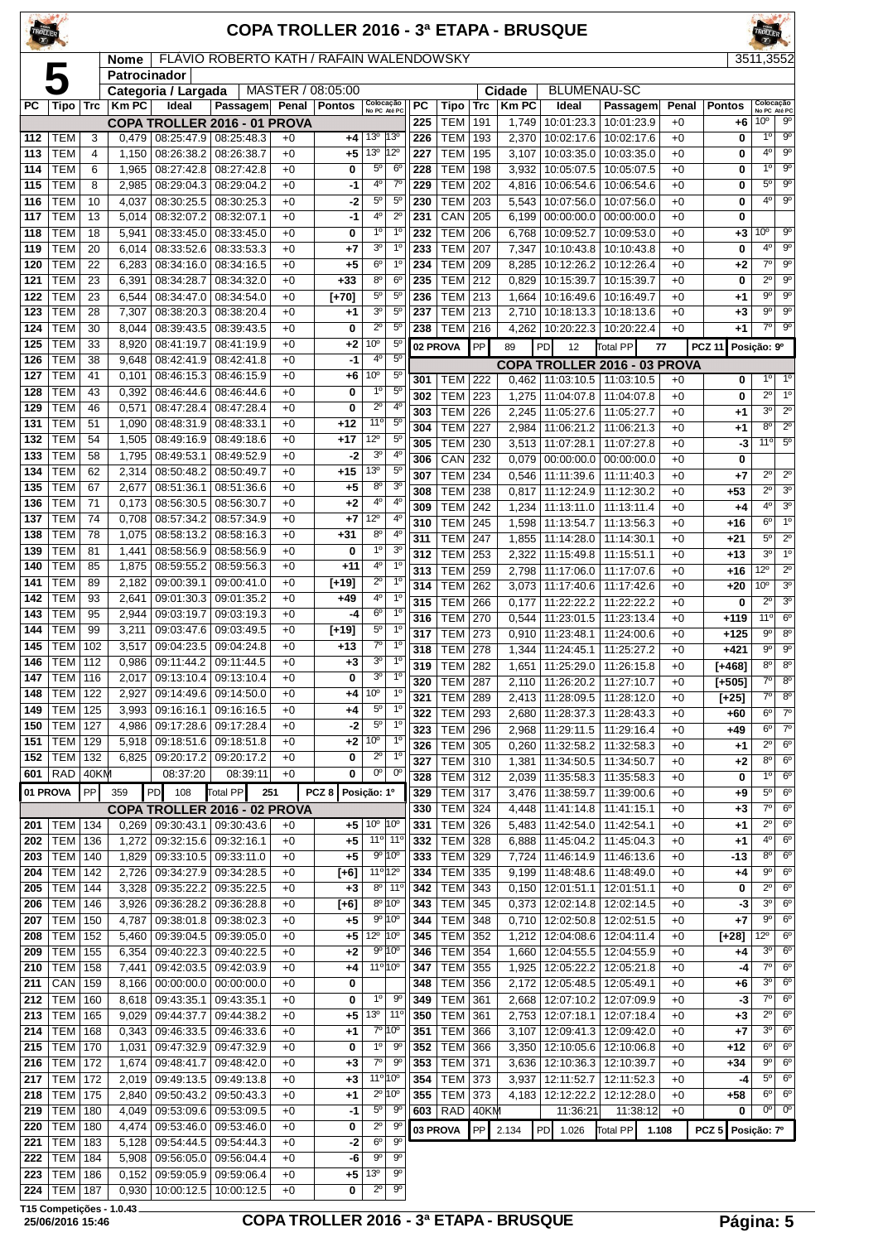|            |                                  |            |                                    |                          |                                                        |              | COPA TROLLER 2016 - 3ª ETAPA - BRUSQUE   |                                   |                                              |            |                                  |             |                |                                                    |                          |              |                   |                                           |                                    |
|------------|----------------------------------|------------|------------------------------------|--------------------------|--------------------------------------------------------|--------------|------------------------------------------|-----------------------------------|----------------------------------------------|------------|----------------------------------|-------------|----------------|----------------------------------------------------|--------------------------|--------------|-------------------|-------------------------------------------|------------------------------------|
|            |                                  |            | Nome                               |                          |                                                        |              | FLÁVIO ROBERTO KATH / RAFAIN WALENDOWSKY |                                   |                                              |            |                                  |             |                |                                                    |                          |              |                   | 3511.3552                                 |                                    |
|            | 5                                |            | Patrocinador                       |                          |                                                        |              | MASTER / 08:05:00                        |                                   |                                              |            |                                  |             | Cidade         | <b>BLUMENAU-SC</b>                                 |                          |              |                   |                                           |                                    |
| РC         | Tipo                             | <b>Trc</b> | Categoria / Largada<br><b>KmPC</b> | Ideal                    | Passagem Penal                                         |              | <b>Pontos</b>                            |                                   | Colocação<br>No PC Até PC                    | <b>PC</b>  | Tipo                             | <b>Trc</b>  | <b>KmPC</b>    | Ideal                                              | Passagem                 | Penal        | Pontos            |                                           | Colocação<br>No PC Até PC          |
|            |                                  |            |                                    |                          | <b>COPA TROLLER 2016 - 01 PROVA</b>                    |              |                                          |                                   |                                              | 225        | <b>TEM</b>                       | 191         | 1,749          | 10:01:23.3                                         | 10:01:23.9               | $+0$         | $+6$              | 10 <sup>o</sup>                           | $9^{\circ}$                        |
| 112        | TEM                              | 3          | 0,479                              |                          | 08:25:47.9 08:25:48.3                                  | $+0$         | +4                                       | 13 <sup>o</sup>                   | 13 <sup>o</sup>                              | 226        | <b>TEM</b>                       | 193         | 2,370          | 10:02:17.6                                         | 10:02:17.6               | $+0$         | 0                 | 1 <sup>0</sup>                            | $\overline{9^{\circ}}$             |
| 113<br>114 | <b>TEM</b><br>TEM                | 4<br>6     | 1,150<br>1,965                     | 08:26:38.2<br>08:27:42.8 | 08:26:38.7<br>08:27:42.8                               | $+0$<br>$+0$ | $+5$<br>0                                | 13 <sup>o</sup><br>$5^{\circ}$    | 12°<br>$6^{\circ}$                           | 227<br>228 | <b>TEM</b><br><b>TEM</b>         | 195<br>198  | 3,107<br>3,932 | 10:03:35.0<br>10:05:07.5                           | 10:03:35.0<br>10:05:07.5 | $+0$<br>$+0$ | 0<br>0            | 40<br>10                                  | $9^{\circ}$<br>9 <sup>o</sup>      |
| 115        | <b>TEM</b>                       | 8          | 2,985                              | 08:29:04.3               | 08:29:04.2                                             | $+0$         | -1                                       | $4^{\rm o}$                       | $7^{\circ}$                                  | 229        | <b>TEM</b>                       | 202         | 4,816          | 10:06:54.6                                         | 10:06:54.6               | $+0$         | 0                 | $5^{\circ}$                               | $9^{\circ}$                        |
| 116        | <b>TEM</b>                       | 10         | 4,037                              | 08:30:25.5               | 08:30:25.3                                             | $+0$         | -2                                       | $5^{\rm o}$                       | $5^{\circ}$                                  | 230        | <b>TEM</b>                       | 203         | 5,543          | 10:07:56.0                                         | 10:07:56.0               | $+0$         | 0                 | 40                                        | 9 <sup>o</sup>                     |
| 117        | <b>TEM</b>                       | 13         | 5.014                              | 08:32:07.2               | 08:32:07.1                                             | $+0$         | -1                                       | 4 <sup>0</sup>                    | $2^{\circ}$                                  | 231        | CAN                              | 205         | 6,199          | 00:00:00.0                                         | 00:00:00.0               | $+0$         | 0                 |                                           |                                    |
| 118<br>119 | <b>TEM</b><br>TEM                | 18<br>20   | 5,941<br>6,014                     | 08:33:45.0<br>08:33:52.6 | 08:33:45.0<br>08:33:53.3                               | $+0$<br>$+0$ | 0<br>+7                                  | $1^{\circ}$<br>3 <sup>o</sup>     | $1^{\circ}$<br>1 <sup>0</sup>                | 232<br>233 | <b>TEM</b><br><b>TEM</b>         | 206<br>207  | 6,768<br>7,347 | 10:09:52.7<br>10:10:43.8                           | 10:09:53.0<br>10:10:43.8 | $+0$<br>$+0$ | $+3$<br>0         | 10 <sup>o</sup><br>40                     | $9^{\circ}$<br>$9^{\circ}$         |
| 120        | TEM                              | 22         | 6,283                              | 08:34:16.0               | 08:34:16.5                                             | $+0$         | $+5$                                     | $6^{\circ}$                       | 1 <sup>0</sup>                               | 234        | <b>TEM</b>                       | 209         | 8,285          | 10:12:26.2                                         | 10:12:26.4               | $+0$         | $+2$              | $7^\circ$                                 | $9^{\circ}$                        |
| 121        | <b>TEM</b>                       | 23         | 6,391                              | 08:34:28.7               | 08:34:32.0                                             | $+0$         | $+33$                                    | 8 <sup>o</sup>                    | $6^{\circ}$                                  | 235        | <b>TEM</b>                       | 212         | 0,829          | 10:15:39.7                                         | 10:15:39.7               | $+0$         | 0                 | $2^{\circ}$                               | $9^{\circ}$                        |
| 122        | <b>TEM</b>                       | 23         | 6,544                              | 08:34:47.0               | 08:34:54.0                                             | $+0$         | $[+70]$                                  | $5^{\circ}$                       | $5^{\circ}$                                  | 236        | TEM                              | 213         | 1,664          | 10:16:49.6                                         | 10:16:49.7               | $+0$         | $+1$              | $9^{\circ}$                               | $9^{\circ}$                        |
| 123        | <b>TEM</b>                       | 28         | 7,307                              | 08:38:20.3               | 08:38:20.4                                             | $+0$         | +1                                       | 3 <sup>o</sup><br>$2^{\circ}$     | $5^{\circ}$                                  | 237        | TEM                              | 213         | 2,710          | 10:18:13.3                                         | 10:18:13.6               | $+0$         | $+3$              | $9^{\circ}$<br>$7^\circ$                  | $9^{\circ}$<br>9 <sup>o</sup>      |
| 124<br>125 | TEM<br>TEM                       | 30<br>33   | 8,044<br>8,920                     | 08:39:43.5<br>08:41:19.7 | 08:39:43.5<br>08:41:19.9                               | $+0$<br>$+0$ | 0<br>+2                                  | 10 <sup>o</sup>                   | $5^{\circ}$<br>5 <sup>c</sup>                | 238        | <b>TEM</b>                       | 216         | 4,262          | 10:20:22.3                                         | 10:20:22.4               | $+0$         | $+1$              |                                           |                                    |
| 126        | <b>TEM</b>                       | 38         | 9,648                              | 08:42:41.9               | 08:42:41.8                                             | $+0$         | -1                                       | 4 <sup>0</sup>                    | $5^{\circ}$                                  |            | 02 PROVA                         | PP          | 89             | PD<br>12<br>COPA TROLLER 2016 - 03 PROVA           | Total PP                 | 77           | <b>PCZ 11</b>     | Posição: 9º                               |                                    |
| 127        | <b>TEM</b>                       | 41         | 0,101                              | 08:46:15.3               | 08:46:15.9                                             | $+0$         | +6                                       | 10 <sup>o</sup>                   | $5^{\circ}$                                  | 301        | TEM                              | 222         | 0,462          | 11:03:10.5                                         | 11:03:10.5               | $+0$         | 0                 | $1^{\circ}$                               | $1^{\circ}$                        |
| 128        | TEM                              | 43         | 0,392                              | 08:46:44.6               | 08:46:44.6                                             | $+0$         | 0                                        | 1 <sup>0</sup>                    | $5^{\circ}$                                  | 302        | <b>TEM</b>                       | 223         | 1,275          | 11:04:07.8                                         | 11:04:07.8               | $+0$         | 0                 | $2^{\circ}$                               | 1 <sup>0</sup>                     |
| 129        | TEM                              | 46         | 0,571                              | 08:47:28.4               | 08:47:28.4                                             | $+0$         | 0                                        | $\overline{2^0}$<br>11°           | 4 <sup>0</sup><br>$5^{\circ}$                | 303        | <b>TEM</b>                       | 226         | 2,245          | 11:05:27.6                                         | 11:05:27.7               | $+0$         | $+1$              | 3 <sup>0</sup>                            | $2^{\circ}$                        |
| 131<br>132 | TEM<br>TEM                       | 51<br>54   | 1,090<br>1,505                     | 08:48:31.9<br>08:49:16.9 | 08:48:33.1<br>08:49:18.6                               | $+0$<br>$+0$ | $+12$<br>$+17$                           | $12^{\circ}$                      | $5^{\circ}$                                  | 304<br>305 | <b>TEM</b>                       | 227         | 2,984          | 11:06:21.2                                         | 11:06:21.3<br>11:07:27.8 | $+0$<br>$+0$ | $+1$<br>-3        | $\overline{8^{\circ}}$<br>11 <sup>0</sup> | $\overline{2^0}$<br>$5^{\circ}$    |
| 133        | <b>TEM</b>                       | 58         | 1,795                              | 08:49:53.1               | 08:49:52.9                                             | $+0$         | -2                                       | 3 <sup>o</sup>                    | $4^{\circ}$                                  | 306        | <b>TEM</b><br>CAN                | 230<br>232  | 3,513<br>0,079 | 11:07:28.1<br>00:00:00.0                           | 00:00:00.0               | $+0$         | 0                 |                                           |                                    |
| 134        | <b>TEM</b>                       | 62         | 2,314                              | 08:50:48.2               | 08:50:49.7                                             | $+0$         | $+15$                                    | 13 <sup>o</sup>                   | 5 <sup>o</sup>                               | 307        | <b>TEM</b>                       | 234         | 0,546          | 11:11:39.6                                         | 11:11:40.3               | $+0$         | $+7$              | $2^{\circ}$                               | $2^{\circ}$                        |
| 135        | <b>TEM</b>                       | 67         | 2,677                              | 08:51:36.1               | 08:51:36.6                                             | $+0$         | +5                                       | $8^{\circ}$                       | 3 <sup>o</sup>                               | 308        | TEM                              | 238         | 0,817          | 11:12:24.9                                         | 11:12:30.2               | $+0$         | $+53$             | $\overline{2^0}$                          | $\overline{3^0}$                   |
| 136<br>137 | <b>TEM</b><br><b>TEM</b>         | 71<br>74   | 0,173<br>0,708                     | 08:56:30.5<br>08:57:34.2 | 08:56:30.7<br>08:57:34.9                               | $+0$<br>$+0$ | +2<br>+7                                 | 4°<br>$12^{\circ}$                | 4 <sup>0</sup><br>$4^{\circ}$                | 309        | <b>TEM</b>                       | 242         | 1,234          | 11:13:11.0                                         | 11:13:11.4               | $+0$         | $+4$              | $4^{\circ}$                               | 3 <sup>o</sup>                     |
| 138        | <b>TEM</b>                       | 78         | 1,075                              | 08:58:13.2               | 08:58:16.3                                             | $+0$         | +31                                      | $8^{\circ}$                       | 4 <sup>0</sup>                               | 310<br>311 | <b>TEM</b><br><b>TEM</b>         | 245<br>247  | 1,598<br>1,855 | 11:13:54.7<br>11:14:28.0                           | 11:13:56.3<br>11:14:30.1 | $+0$<br>$+0$ | $+16$<br>$+21$    | 6 <sup>o</sup><br>$5^{\circ}$             | 10<br>$\overline{2^{\circ}}$       |
| 139        | TEM                              | 81         | 1,441                              | 08:58:56.9               | 08:58:56.9                                             | $+0$         | 0                                        | 1 <sup>0</sup>                    | 3 <sup>o</sup>                               | 312        | <b>TEM</b>                       | 253         | 2,322          | 11:15:49.8                                         | 11:15:51.1               | $+0$         | $+13$             | 3 <sup>0</sup>                            | $1^{\circ}$                        |
| 140        | <b>TEM</b>                       | 85         | 1,875                              | 08:59:55.2               | 08:59:56.3                                             | $+0$         | $+11$                                    | $4^{\circ}$                       | $1^{\circ}$                                  | 313        | <b>TEM</b>                       | 259         | 2,798          | 11:17:06.0                                         | 11:17:07.6               | $+0$         | $+16$             | 12°                                       | $2^{\circ}$                        |
| 141        | TEM                              | 89         | 2,182                              | 09:00:39.1               | 09:00:41.0                                             | $+0$         | $[-19]$                                  | $2^{\circ}$                       | $1^{\circ}$                                  | 314        | <b>TEM</b>                       | 262         | 3,073          | 11:17:40.6                                         | 11:17:42.6               | $+0$         | $+20$             | 10 <sup>o</sup>                           | $\overline{3^0}$                   |
| 142<br>143 | TEM<br><b>TEM</b>                | 93<br>95   | 2,641<br>2,944                     | 09:01:30.3<br>09:03:19.7 | 09:01:35.2<br>09:03:19.3                               | $+0$<br>$+0$ | +49<br>-4                                | $4^{\circ}$<br>$6^{\circ}$        | $1^{\circ}$<br>$1^{\circ}$                   | 315        | <b>TEM</b>                       | 266         | 0,177          | 11:22:22.2                                         | 11:22:22.2               | $+0$         | 0                 | $\overline{2^{\circ}}$                    | $\overline{3^0}$                   |
| 144        | <b>TEM</b>                       | 99         | 3,211                              | 09:03:47.6               | 09:03:49.5                                             | $+0$         | $[+19]$                                  | $5^{\circ}$                       | $1^{\circ}$                                  | 316<br>317 | <b>TEM</b><br><b>TEM</b>         | 270<br>273  | 0,544<br>0,910 | 11:23:01.5<br>11:23:48.1                           | 11:23:13.4<br>11:24:00.6 | $+0$<br>$+0$ | $+119$<br>$+125$  | 11°<br>$9^{\circ}$                        | $6^{\circ}$<br>8 <sup>0</sup>      |
| 145        | TEM                              | 102        | 3,517                              | 09:04:23.5               | 09:04:24.8                                             | $+0$         | $+13$                                    | 7 <sup>o</sup>                    | $1^{\circ}$                                  | 318        | <b>TEM</b>                       | 278         | 1,344          | 11:24:45.1                                         | 11:25:27.2               | $+0$         | $+421$            | $9^{\circ}$                               | $\overline{9^{\circ}}$             |
| 146        | TEM                              | 112        | 0,986                              | 09:11:44.2               | 09:11:44.5                                             | $+0$         | +3                                       | 3 <sup>o</sup>                    | $1^{\circ}$                                  | 319        | TEM                              | 282         | 1,651          | 11:25:29.0                                         | 11:26:15.8               | $+0$         | [+468]            | $8^{\circ}$                               | 8 <sup>0</sup>                     |
| 147<br>148 | <b>TEM</b> 116<br><b>TEM 122</b> |            | 2,927                              |                          | 2,017 09:13:10.4 09:13:10.4<br>09:14:49.6   09:14:50.0 | $+0$<br>$+0$ | o<br>+4                                  | 3 <sup>o</sup><br>10 <sup>o</sup> | $1^{\circ}$                                  | 320        | <b>TEM 287</b>                   |             |                | 2,110   11:26:20.2   11:27:10.7                    |                          | $+0$         | $[-505]$          | 7º                                        | $\overline{8^{\circ}}$             |
| 149        | <b>TEM</b>                       | 125        | 3,993                              | 09:16:16.1               | 09:16:16.5                                             | $+0$         | +4                                       | $5^{\circ}$                       | $1^{\circ}$                                  | 321<br>322 | <b>TEM 289</b><br><b>TEM</b>     | 293         | 2,413<br>2,680 | 11:28:09.5<br>11:28:37.3                           | 11:28:12.0<br>11:28:43.3 | $+0$<br>$+0$ | [+25]<br>$+60$    | $7^\circ$<br>$6^{\circ}$                  | 8 <sup>o</sup><br>$\overline{7^0}$ |
| 150        | <b>TEM</b>                       | 127        | 4,986                              |                          | 09:17:28.6 09:17:28.4                                  | $+0$         | $-2$                                     | $5^{\circ}$                       | $1^{\circ}$                                  | 323        | <b>TEM 296</b>                   |             |                | 2,968 11:29:11.5                                   | 11:29:16.4               | $+0$         | $+49$             | $6^{\circ}$                               | $7^\circ$                          |
| 151        | <b>TEM</b>                       | 129        | 5,918                              | 09:18:51.6               | 09:18:51.8                                             | $+0$         | +2                                       | 10 <sup>o</sup>                   | $1^{\circ}$                                  | 326        | TEM 305                          |             | 0,260          | 11:32:58.2                                         | 11:32:58.3               | $+0$         | $+1$              | $2^{\circ}$                               | $6^{\circ}$                        |
| 152        | <b>TEM</b>                       | 132        |                                    |                          | 6,825   09:20:17.2   09:20:17.2                        | $+0$         | 0                                        | $\overline{2^{\circ}}$            | $\overline{1^0}$                             | 327        | <b>TEM 310</b>                   |             | 1,381          | 11:34:50.5                                         | 11:34:50.7               | $+0$         | $+2$              | 8 <sup>o</sup>                            | 6 <sup>o</sup>                     |
| 601        | <b>RAD</b>                       | 40KM<br>PP |                                    | 08:37:20                 | 08:39:11                                               | $+0$         | 0                                        | $0^{\circ}$                       | 0°                                           | 328        | <b>TEM 312</b>                   |             | 2,039          | 11:35:58.3                                         | 11:35:58.3               | $+0$         | 0                 | $1^{\circ}$                               | $6^{\circ}$                        |
|            | 01 PROVA                         |            | 359                                | 108<br>PD                | Total PP<br>COPA TROLLER 2016 - 02 PROVA               | 251          | PCZ <sub>8</sub>                         | Posição: 1º                       |                                              | 329<br>330 | <b>TEM 317</b><br><b>TEM 324</b> |             | 3,476<br>4,448 | 11:38:59.7<br>11:41:14.8                           | 11:39:00.6<br>11:41:15.1 | $+0$<br>$+0$ | $+9$<br>$+3$      | $5^{\circ}$<br>$\overline{6}$             | $6^{\circ}$<br>$6^{\circ}$         |
| 201        | TEM                              | 134        |                                    | $0,269$ 09:30:43.1       | 09:30:43.6                                             | $+0$         | $+5$                                     |                                   | 10 <sup>°</sup> 10 <sup>°</sup>              | 331        | <b>TEM 326</b>                   |             | 5,483          | 11:42:54.0                                         | 11:42:54.1               | $+0$         | $+1$              | $2^{\circ}$                               | $6^{\circ}$                        |
| 202        | <b>TEM</b>                       | 136        | 1,272                              | 09:32:15.6               | 09:32:16.1                                             | $+0$         | +5                                       |                                   | $11°$ 11°                                    | 332        | <b>TEM 328</b>                   |             | 6,888          | 11:45:04.2                                         | 11:45:04.3               | $+0$         | $+1$              | 4 <sup>0</sup>                            | $6^{\circ}$                        |
| 203        | <b>TEM</b>                       | 140        | 1,829                              | 09:33:10.5               | 09:33:11.0                                             | $+0$         | $+5$                                     |                                   | 9°10°                                        | 333        | <b>TEM</b>                       | 329         | 7,724          | 11:46:14.9                                         | 11:46:13.6               | $+0$         | -13               | $8^{\circ}$                               | $6^{\circ}$                        |
| 204        | <b>TEM</b>                       | 142        |                                    |                          | 2,726 09:34:27.9 09:34:28.5                            | $+0$         | $[-6]$                                   |                                   | $11^{\circ}$ 12°                             | 334        | TEM 335                          |             |                | $9,199$   11:48:48.6                               | $\boxed{11:48:49.0}$     | $+0$         | $+4$              | $9^{\circ}$<br>$\overline{2^{\circ}}$     | 6 <sup>o</sup><br>$6^{\circ}$      |
| 205<br>206 | <b>TEM</b><br><b>TEM</b>         | 144<br>146 | 3,328<br>3,926                     | 09:36:28.2               | 09:35:22.2 09:35:22.5<br>09:36:28.8                    | $+0$<br>$+0$ | +3<br>$[-6]$                             |                                   | $8^{\circ}$ 11°<br>$8^{\circ}$ 10 $^{\circ}$ | 342<br>343 | <b>TEM 343</b><br><b>TEM 345</b> |             |                | $0,150$   12:01:51.1<br>$0,373$   12:02:14.8       | 12:01:51.1<br>12:02:14.5 | $+0$<br>$+0$ | 0<br>-3           | 3 <sup>o</sup>                            | $6^{\circ}$                        |
| 207        | <b>TEM</b>                       | 150        | 4,787                              |                          | 09:38:01.8 09:38:02.3                                  | $+0$         | $+5$                                     |                                   | 9° 10°                                       | 344        | TEM 348                          |             |                | $0,710$   12:02:50.8                               | 12:02:51.5               | $+0$         | $+7$              | $9^{\circ}$                               | $6^{\circ}$                        |
| 208        | <b>TEM</b>                       | 152        | 5,460                              | 09:39:04.5               | 09:39:05.0                                             | $+0$         | +5                                       |                                   | $12^{\circ}$ 10 $^{\circ}$                   | 345        | <b>TEM</b>                       | 352         | 1,212          | 12:04:08.6                                         | 12:04:11.4               | $+0$         | [+28]             | $12^{\circ}$                              | $6^{\circ}$                        |
| 209        | <b>TEM</b>                       | 155        | 6,354                              |                          | 09:40:22.3 09:40:22.5                                  | $+0$         | $+2$                                     |                                   | $9°$ 10°                                     | 346        | <b>TEM 354</b>                   |             |                | 1,660 12:04:55.5                                   | 12:04:55.9               | $+0$         | $+4$              | $3^{\circ}$                               | $\overline{6^{\circ}}$             |
| 210        | <b>TEM</b>                       | 158        | 7,441                              |                          | 09:42:03.5 09:42:03.9                                  | $+0$         | +4                                       |                                   | $11^{\circ} 10^{\circ}$                      | 347        | TEM 355                          |             |                | 1,925 12:05:22.2                                   | 12:05:21.8               | $+0$         | -4                | $7^{\circ}$<br>3 <sup>0</sup>             | $6^{\circ}$<br>$6^{\circ}$         |
| 211<br>212 | CAN<br><b>TEM</b>                | 159<br>160 | 8,166<br>8,618                     | 00:00:00.0<br>09:43:35.1 | 00:00:00.0<br>09:43:35.1                               | $+0$<br>$+0$ | 0<br>0                                   |                                   | $1^0$ 9 <sup>0</sup>                         | 348<br>349 | TEM 356<br>TEM 361               |             | 2,172<br>2,668 | 12:05:48.5   12:05:49.1<br>12:07:10.2   12:07:09.9 |                          | $+0$<br>$+0$ | $+6$<br>-3        | $\overline{7^0}$                          | $6^{\circ}$                        |
| 213        | <b>TEM</b>                       | 165        | 9,029                              | 09:44:37.7               | 09:44:38.2                                             | $+0$         | +5                                       | 13 <sup>o</sup>                   | $11^{\circ}$                                 | 350        | <b>TEM</b>                       | 361         | 2,753          | 12:07:18.1                                         | 12:07:18.4               | $+0$         | $+3$              | $\overline{2^{\circ}}$                    | $6^{\circ}$                        |
| 214        | <b>TEM</b>                       | 168        | 0,343                              | 09:46:33.5               | 09:46:33.6                                             | $+0$         | +1                                       |                                   | 7º 10º                                       | 351        | TEM                              | 366         | 3,107          | 12:09:41.3   12:09:42.0                            |                          | $+0$         | $+7$              | 3 <sup>0</sup>                            | 6 <sup>o</sup>                     |
| 215        | <b>TEM</b>                       | 170        | 1,031                              |                          | 09:47:32.9 09:47:32.9                                  | $+0$         | 0                                        | $1^{\circ}$                       | $9^{\rm o}$                                  | 352        | <b>TEM 366</b>                   |             | 3,350          | 12:10:05.6                                         | 12:10:06.8               | $+0$         | $+12$             | 6 <sup>o</sup>                            | $6^{\circ}$                        |
| 216<br>217 | <b>TEM</b><br><b>TEM</b>         | 172        | 1,674                              | 09:48:41.7               | 09:48:42.0                                             | $+0$         | $^{+3}$                                  | $7^\circ$                         | $9^{\rm o}$<br>$11^{\circ} 10^{\circ}$       | 353<br>354 | <b>TEM 371</b><br>TEM 373        |             | 3,636          | 12:10:36.3                                         | 12:10:39.7               | $+0$         | $+34$<br>$-4$     | 90<br>$5^{\circ}$                         | $6^{\circ}$<br>$6^{\circ}$         |
| 218        | <b>TEM</b>                       | 172<br>175 | 2,019<br>2,840                     | 09:50:43.2               | 09:49:13.5 09:49:13.8<br>09:50:43.3                    | $+0$<br>$+0$ | +3<br>+1                                 |                                   | $2^{\circ}$ 10 $^{\circ}$                    | 355        | TEM                              | 373         | 3,937          | 12:11:52.7<br>4,183 12:12:22.2                     | 12:11:52.3<br>12:12:28.0 | $+0$<br>$+0$ | $+58$             | $6^{\circ}$                               | $6^{\circ}$                        |
| 219        | <b>TEM</b>                       | 180        |                                    |                          | 4,049 09:53:09.6 09:53:09.5                            | $+0$         | -1                                       | $5^{\circ}$                       | $9^{\circ}$                                  |            | 603   RAD $\vert$ 40KM           |             |                | 11:36:21                                           | 11:38:12                 | $+0$         | 0                 |                                           | $00$ 0 <sub>0</sub>                |
| 220        | <b>TEM</b>                       | 180        | 4,474                              |                          | 09:53:46.0 09:53:46.0                                  | $+0$         | 0                                        | $2^{\circ}$                       | $9^{\circ}$                                  |            | 03 PROVA                         | $_{\rm PP}$ | 2.134          | PD 1.026                                           | Total PP                 | 1.108        | PCZ 5 Posição: 7º |                                           |                                    |
| 221        | <b>TEM</b>                       | 183        | 5,128                              |                          | 09:54:44.5   09:54:44.3                                | $+0$         | -2                                       | $6^{\circ}$                       | $9^{\circ}$                                  |            |                                  |             |                |                                                    |                          |              |                   |                                           |                                    |
| 222        | <b>TEM 184</b>                   |            |                                    |                          | 5,908 09:56:05.0 09:56:04.4                            | $+0$         | -6                                       | 9 <sup>o</sup>                    | 9 <sup>o</sup>                               |            |                                  |             |                |                                                    |                          |              |                   |                                           |                                    |

 TEM 186 0,152 09:59:05.9 09:59:06.4 +0 **+5** 13º 9º TEM 187 0,930 10:00:12.5 10:00:12.5 +0 **0** 2º 9º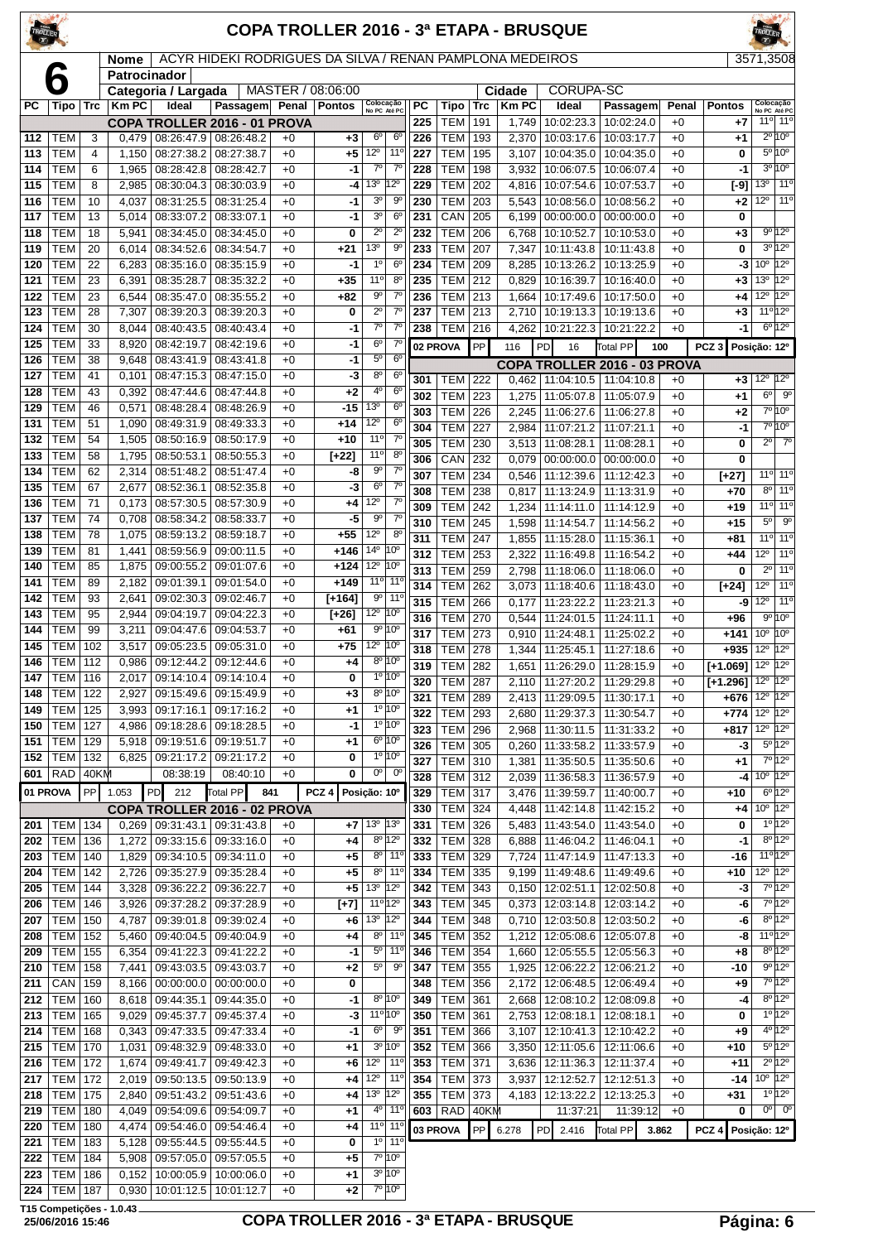| TROLLER                 |                          |                     |                |                                                      |                                                          |              |                   |                                                 |                                        |            |                                  |            |                | <b>COPA TROLLER 2016 - 3ª ETAPA - BRUSQUE</b>                      |                          |              |                        |                                                              |
|-------------------------|--------------------------|---------------------|----------------|------------------------------------------------------|----------------------------------------------------------|--------------|-------------------|-------------------------------------------------|----------------------------------------|------------|----------------------------------|------------|----------------|--------------------------------------------------------------------|--------------------------|--------------|------------------------|--------------------------------------------------------------|
|                         |                          |                     | <b>Nome</b>    |                                                      | ACYR HIDEKI RODRIGUES DA SILVA / RENAN PAMPLONA MEDEIROS |              |                   |                                                 |                                        |            |                                  |            |                |                                                                    |                          |              |                        | 3571,3508                                                    |
|                         | 6                        |                     | Patrocinador   | Categoria / Largada                                  |                                                          |              | MASTER / 08:06:00 |                                                 |                                        |            |                                  |            | Cidade         | <b>CORUPA-SC</b>                                                   |                          |              |                        |                                                              |
| <b>PC</b>               | Tipo                     | <b>Trc</b>          | <b>Km PC</b>   | Ideal                                                | Passagem Penal                                           |              | <b>Pontos</b>     | Colocação<br>No PC Até PC                       |                                        | <b>PC</b>  | Tipo                             | <b>Trc</b> | <b>Km PC</b>   | Ideal                                                              | Passagem                 | Penal        | <b>Pontos</b>          | Colocação<br>No PC Até PC                                    |
|                         |                          |                     |                |                                                      | COPA TROLLER 2016 - 01 PROVA                             |              |                   |                                                 |                                        | 225        | <b>TEM</b>                       | 191        | 1,749          | 10:02:23.3                                                         | 10:02:24.0               | $+0$         | $+7$                   | 11 <sup>o</sup> 11 <sup>o</sup>                              |
| 112                     | TEM                      | 3                   | 0.479          | 08:26:47.9 08:26:48.2                                |                                                          | $+0$         | +3                | 6 <sup>o</sup>                                  | 6 <sup>°</sup>                         | 226        | <b>TEM</b>                       | 193        | 2,370          | 10:03:17.6                                                         | 10:03:17.7               | $+0$         | $+1$                   | $2^{\circ}10^{\circ}$                                        |
| 113                     | TEM<br><b>TEM</b>        | $\overline{4}$<br>6 | 1,150<br>1,965 | 08:27:38.2<br>08:28:42.8                             | 08:27:38.7<br>08:28:42.7                                 | $+0$<br>$+0$ | +5<br>-1          | $12^{\circ}$<br>$\overline{7^0}$                | 11 <sup>0</sup><br>$7^\circ$           | 227<br>228 | <b>TEM</b><br><b>TEM</b>         | 195<br>198 | 3,107<br>3,932 | 10:04:35.0<br>10:06:07.5                                           | 10:04:35.0<br>10:06:07.4 | $+0$<br>$+0$ | 0<br>-1                | 5º 10°<br>$3^{\circ}10^{\circ}$                              |
| 114<br>115              | <b>TEM</b>               | 8                   | 2,985          | 08:30:04.3   08:30:03.9                              |                                                          | $+0$         | -4                | 13 <sup>o</sup>                                 | 12 <sup>o</sup>                        | 229        | <b>TEM</b>                       | 202        |                | 4,816 10:07:54.6                                                   | 10:07:53.7               | $+0$         | [-9]                   | 13 <sup>o</sup><br>11°                                       |
| 116                     | <b>TEM</b>               | 10                  | 4,037          | 08:31:25.5   08:31:25.4                              |                                                          | $+0$         | -1                | 3 <sup>o</sup>                                  | 90                                     | 230        | <b>TEM</b>                       | 203        | 5,543          | 10:08:56.0                                                         | 10:08:56.2               | $+0$         | $+2$                   | 11 <sup>°</sup><br>$12^{\circ}$                              |
| 117                     | <b>TEM</b>               | 13                  | 5,014          | 08:33:07.2                                           | 08:33:07.1                                               | $+0$         | -1                | 3 <sup>o</sup>                                  | $6^{\circ}$                            | 231        | CAN                              | 205        | 6,199          | 00:00:00.0                                                         | 00:00:00.0               | $+0$         | 0                      |                                                              |
| 118                     | <b>TEM</b>               | 18                  | 5,941          | 08:34:45.0                                           | 08:34:45.0                                               | $+0$         | 0                 | $2^{\circ}$                                     | $\overline{2^0}$                       | 232        | <b>TEM</b>                       | 206        | 6,768          | 10:10:52.7                                                         | 10:10:53.0               | $+0$         | $+3$                   | 9°12°                                                        |
| 119                     | <b>TEM</b>               | 20                  | 6,014          | 08:34:52.6                                           | 08:34:54.7                                               | $+0$         | $+21$             | 13 <sup>0</sup>                                 | $9^{\circ}$                            | 233        | <b>TEM</b>                       | 207        | 7,347          | 10:11:43.8                                                         | 10:11:43.8               | $+0$         | 0                      | $3^{\circ}12^{\circ}$                                        |
| 120                     | <b>TEM</b>               | 22                  | 6,283          | 08:35:16.0                                           | 08:35:15.9                                               | $+0$         | -1                | 1 <sup>0</sup>                                  | 6 <sup>o</sup>                         | 234        | <b>TEM</b>                       | 209        | 8,285          | 10:13:26.2                                                         | 10:13:25.9               | $+0$         | -3                     | $10^{\circ}$ 12 $^{\circ}$                                   |
| 121                     | <b>TEM</b>               | 23                  | 6,391          | 08:35:28.7                                           | 08:35:32.2                                               | $+0$         | $+35$             | $11^{\circ}$<br>$9^{\circ}$                     | 8 <sup>0</sup><br>$7^\circ$            | 235        | <b>TEM</b>                       | 212        | 0,829          | 10:16:39.7                                                         | 10:16:40.0               | $+0$         | +3                     | $12^{\circ}$<br>$13^{\circ}$<br>$12^{\circ}$<br>$12^{\circ}$ |
| 122<br>123              | <b>TEM</b><br><b>TEM</b> | 23<br>28            | 6,544<br>7,307 | 08:35:47.0<br>08:39:20.3                             | 08:35:55.2<br>08:39:20.3                                 | $+0$<br>$+0$ | $+82$<br>0        | $2^{\circ}$                                     | $7^{\circ}$                            | 236<br>237 | <b>TEM</b><br><b>TEM</b>         | 213<br>213 | 1,664<br>2,710 | 10:17:49.6<br>10:19:13.3                                           | 10:17:50.0<br>10:19:13.6 | $+0$<br>$+0$ | +4<br>+3               | 11 <sup>o</sup> 12 <sup>o</sup>                              |
| 124                     | <b>TEM</b>               | 30                  | 8,044          | 08:40:43.5                                           | 08:40:43.4                                               | $+0$         | -1                | $7^\circ$                                       | $7^\circ$                              | 238        | <b>TEM</b>                       | 216        | 4,262          | 10:21:22.3                                                         | 10:21:22.2               | $+0$         | -1                     | 6º 12º                                                       |
| 125                     | <b>TEM</b>               | 33                  | 8,920          | 08:42:19.7                                           | 08:42:19.6                                               | $+0$         | -1                | $6^{\circ}$                                     | $7^\circ$                              |            | 02 PROVA                         | PP         | 116            | PD<br>16                                                           | Total PP                 | 100          | PCZ <sub>3</sub>       | Posição: 12º                                                 |
| 126                     | <b>TEM</b>               | 38                  | 9,648          | 08:43:41.9                                           | 08:43:41.8                                               | $+0$         | -1                | $5^{\circ}$                                     | $6^{\circ}$                            |            |                                  |            |                | COPA TROLLER 2016 - 03 PROVA                                       |                          |              |                        |                                                              |
| 127                     | <b>TEM</b>               | 41                  | 0,101          | 08:47:15.3                                           | 08:47:15.0                                               | $+0$         | -3                | $8^{\circ}$                                     | $6^{\circ}$                            | 301        | TEM                              | 222        |                | $0,462$   11:04:10.5   11:04:10.8                                  |                          | $+0$         | $+3$                   | 12º 12º                                                      |
| 128                     | <b>TEM</b>               | 43                  | 0,392          | 08:47:44.6                                           | 08:47:44.8                                               | $+0$         | +2                | 4°                                              | $6^{\circ}$                            | 302        | <b>TEM</b>                       | 223        | 1,275          | 11:05:07.8                                                         | 11:05:07.9               | $+0$         | +1                     | $6^{\circ}$<br>$9^{\circ}$                                   |
| 129                     | <b>TEM</b>               | 46                  | 0,571          | 08:48:28.4                                           | 08:48:26.9                                               | $+0$         | -15               | 13 <sup>o</sup><br>12°                          | 6 <sup>o</sup><br>6 <sup>o</sup>       | 303        | <b>TEM</b>                       | 226        | 2,245          | 11:06:27.6                                                         | 11:06:27.8               | $+0$         | +2                     | 7º 10º                                                       |
| 131<br>132              | <b>TEM</b><br><b>TEM</b> | 51<br>54            | 1,090<br>1,505 | 08:49:31.9<br>08:50:16.9                             | 08:49:33.3<br>08:50:17.9                                 | $+0$<br>$+0$ | $+14$<br>$+10$    | $11^{\circ}$                                    | $7^\circ$                              | 304        | <b>TEM</b>                       | 227        | 2,984          | 11:07:21.2                                                         | 11:07:21.1               | $+0$         | -1                     | 7°10°                                                        |
| 133                     | <b>TEM</b>               | 58                  | 1,795          | 08:50:53.1                                           | 08:50:55.3                                               | $+0$         | $[+22]$           | $11^{\circ}$                                    | $8^{\circ}$                            | 305        | <b>TEM</b><br>CAN                | 230<br>232 | 3,513          | 11:08:28.1                                                         | 11:08:28.1               | $+0$<br>$+0$ | 0<br>0                 | $2^{\circ}$<br>$7^\circ$                                     |
| 134                     | <b>TEM</b>               | 62                  | 2,314          | 08:51:48.2                                           | 08:51:47.4                                               | $+0$         | -8                | $9^{\circ}$                                     | $7^\circ$                              | 306<br>307 | <b>TEM</b>                       | 234        | 0,079<br>0,546 | $00:00:00.0$   $00:00:00.0$<br>11:12:39.6                          | 11:12:42.3               | $+0$         | [+27]                  | 11 <sup>o</sup> 11 <sup>o</sup>                              |
| 135                     | <b>TEM</b>               | 67                  | 2,677          | 08:52:36.1                                           | 08:52:35.8                                               | $+0$         | -3                | 6 <sup>o</sup>                                  | 7 <sup>0</sup>                         | 308        | <b>TEM</b>                       | 238        | 0,817          | 11:13:24.9                                                         | 11:13:31.9               | $+0$         | +70                    | 11°<br>$8^{\circ}$                                           |
| 136                     | <b>TEM</b>               | 71                  | 0,173          | 08:57:30.5                                           | 08:57:30.9                                               | $+0$         | +4                | $12^{\circ}$                                    | $7^\circ$                              | 309        | <b>TEM</b>                       | 242        | 1,234          | 11:14:11.0                                                         | 11:14:12.9               | $+0$         | +19                    | 11 <sup>o</sup> 11 <sup>o</sup>                              |
| 137                     | <b>TEM</b>               | 74                  | 0,708          | 08:58:34.2                                           | 08:58:33.7                                               | $+0$         | -5                | $9^{\circ}$                                     | $7^{\circ}$                            | 310        | <b>TEM</b>                       | 245        | 1,598          | 11:14:54.7                                                         | 11:14:56.2               | $+0$         | +15                    | $9^{\circ}$<br>$5^{\circ}$                                   |
| 138                     | <b>TEM</b>               | 78                  | 1,075          | 08:59:13.2                                           | 08:59:18.7                                               | $+0$         | $+55$             | $12^{\circ}$                                    | $8^{\circ}$                            | 311        | <b>TEM</b>                       | 247        | 1,855          | 11:15:28.0                                                         | 11:15:36.1               | $+0$         | +81                    | 11 <sup>o</sup> 11 <sup>o</sup>                              |
| 139<br>140              | <b>TEM</b><br><b>TEM</b> | 81<br>85            | 1,441<br>1,875 | 08:59:56.9<br>09:00:55.2                             | 09:00:11.5<br>09:01:07.6                                 | $+0$<br>$+0$ | $+146$<br>$+124$  | 14 <sup>°</sup><br>$12^{\circ}$                 | 10°<br>10°                             | 312        | <b>TEM</b>                       | 253        | 2,322          | 11:16:49.8                                                         | 11:16:54.2               | $+0$         | +44                    | $11^{\circ}$<br>$12^{\circ}$                                 |
| 141                     | <b>TEM</b>               | 89                  | 2,182          | 09:01:39.1                                           | 09:01:54.0                                               | $+0$         | $+149$            |                                                 | $11^{\circ}$ 11 <sup>°</sup>           | 313<br>314 | <b>TEM</b><br><b>TEM</b>         | 259<br>262 | 2,798<br>3,073 | 11:18:06.0<br>11:18:40.6                                           | 11:18:06.0<br>11:18:43.0 | $+0$<br>$+0$ | 0                      | 11 <sup>o</sup><br>$2^{\circ}$<br>11°<br>$12^{\circ}$        |
| 142                     | <b>TEM</b>               | 93                  | 2,641          | 09:02:30.3                                           | 09:02:46.7                                               | $+0$         | $[+164]$          | $9^{\rm o}$                                     | 11 <sup>°</sup>                        | 315        | <b>TEM</b>                       | 266        | 0,177          | 11:23:22.2                                                         | 11:23:21.3               | $+0$         | [+24]<br>-9            | 11 <sup>°</sup><br>$12^{\circ}$                              |
| 143                     | <b>TEM</b>               | 95                  | 2,944          | 09:04:19.7                                           | 09:04:22.3                                               | $+0$         | $[-26]$           | $12^{\circ}$ 10 <sup>°</sup>                    |                                        | 316        | <b>TEM</b>                       | 270        | 0,544          | 11:24:01.5   11:24:11.1                                            |                          | $+0$         | $+96$                  | $9^{\circ} 10^{\circ}$                                       |
| 144                     | <b>TEM</b>               | 99                  | 3,211          | 09:04:47.6                                           | 09:04:53.7                                               | $+0$         | $+61$             |                                                 | 9° 10°                                 | 317        | <b>TEM</b>                       | 273        | 0,910          | 11:24:48.1   11:25:02.2                                            |                          | $+0$         | $+141$                 | 10 <sup>o</sup><br>10 <sup>o</sup>                           |
| 145                     | <b>TEM</b>               | 102                 | 3,517          | 09:05:23.5                                           | 09:05:31.0                                               | $+0$         | $+75$             | $12^{\circ}$                                    | 10 <sup>o</sup>                        | 318        | <b>TEM</b>                       | 278        | 1,344          | 11:25:45.1                                                         | 11:27:18.6               | $+0$         | $+935$                 | $12^{\circ}$<br>$12^{\circ}$                                 |
| 146<br>$\overline{147}$ | <b>TEM</b><br>$TEM$ 116  | 112                 | 0,986          | 09:12:44.2 09:12:44.6<br>2,017 09:14:10.4 09:14:10.4 |                                                          | $+0$<br>$+0$ | +4<br>0           |                                                 | $8^{\circ}$ 10 $^{\circ}$<br>$10^{10}$ | 319        | <b>TEM</b>                       | 282        | 1,651          | 11:26:29.0                                                         | 11:28:15.9               | $+0$         | $[-1.069]$             | 12º 12º                                                      |
| 148                     | <b>TEM 122</b>           |                     | 2,927          | 09:15:49.6   09:15:49.9                              |                                                          | $+0$         | +3                |                                                 | 8º 10°                                 | 320        | TEM   287                        |            |                | 2,110   11:27:20.2   11:29:29.8                                    |                          | $+0$         | $[+1.296]$   12°   12° | $12^{\circ}$ 12 $^{\circ}$                                   |
| 149                     | <b>TEM</b>               | 125                 | 3,993          | 09:17:16.1                                           | 09:17:16.2                                               | $+0$         | +1                |                                                 | $10 10^{\circ}$                        | 321<br>322 | <b>TEM 289</b><br><b>TEM 293</b> |            |                | 2,413   11:29:09.5   11:30:17.1<br>2,680   11:29:37.3   11:30:54.7 |                          | $+0$<br>$+0$ | $+676$<br>$+774$       | $12^{\circ}$ 12 $^{\circ}$                                   |
| 150                     | <b>TEM</b>               | 127                 | 4,986          | 09:18:28.6 09:18:28.5                                |                                                          | $+0$         | $-1$              |                                                 | $1^{\circ}$ 10 <sup>°</sup>            | 323        | <b>TEM 296</b>                   |            |                | 2,968   11:30:11.5   11:31:33.2                                    |                          | $+0$         | $+817$                 | $12^{\circ}$ 12 $^{\circ}$                                   |
| 151                     | <b>TEM</b>               | 129                 |                | 5,918 09:19:51.6 09:19:51.7                          |                                                          | $+0$         | +1                |                                                 | 6º 10°                                 | 326        | TEM 305                          |            |                | $0,260$   11:33:58.2   11:33:57.9                                  |                          | $+0$         | -3                     | $5^{\circ}12^{\circ}$                                        |
| 152                     | <b>TEM</b>               | 132                 |                | 6,825 09:21:17.2                                     | 09:21:17.2                                               | $+0$         | 0                 |                                                 | $1^{\circ}$ $10^{\circ}$               | 327        | <b>TEM 310</b>                   |            | 1,381          | 11:35:50.5   11:35:50.6                                            |                          | $+0$         | +1                     | 7º 12º                                                       |
| 601                     | <b>RAD</b>               | 40KM                |                | 08:38:19                                             | 08:40:10                                                 | $+0$         | 0                 |                                                 | $\overline{0^0}$ $\overline{0^0}$      | 328        | <b>TEM 312</b>                   |            |                | 2,039 11:36:58.3 11:36:57.9                                        |                          | $+0$         | -41                    | $10^{\circ}$ 12°                                             |
|                         | 01 PROVA                 | PP                  | 1.053          | PD <br>212                                           | Total PP<br>841                                          |              | PCZ <sub>4</sub>  | Posição: 10°                                    |                                        | 329        | <b>TEM 317</b>                   |            |                | 3,476 11:39:59.7 11:40:00.7                                        |                          | $+0$         | $+10$                  | $6^{\circ}12^{\circ}$                                        |
|                         |                          |                     |                |                                                      | COPA TROLLER 2016 - 02 PROVA                             |              |                   |                                                 |                                        | 330        | <b>TEM 324</b>                   |            |                | 4,448   11:42:14.8   11:42:15.2                                    |                          | $+0$         | +4                     | 10° 12°<br>10 120                                            |
| 201<br>202              | TEM   134<br><b>TEM</b>  | 136                 | 1,272          | $0,269$   09:31:43.1<br>09:33:15.6                   | 09:31:43.8<br>09:33:16.0                                 | $+0$<br>$+0$ | +7<br>+4          | 13 <sup>o</sup> 13 <sup>o</sup>                 | $8^{\circ}$ 12 <sup>°</sup>            | 331<br>332 | <b>TEM 326</b><br><b>TEM 328</b> |            | 5,483          | 11:43:54.0<br>6,888   11:46:04.2                                   | 11:43:54.0<br>11:46:04.1 | $+0$<br>$+0$ | 0<br>$-1$              | $8^{\circ} 12^{\circ}$                                       |
| 203                     | <b>TEM</b>               | 140                 | 1,829          | 09:34:10.5 09:34:11.0                                |                                                          | $+0$         | +5                |                                                 | $8°$ 11 <sup>o</sup>                   | 333        | TEM 329                          |            |                | 7,724   11:47:14.9   11:47:13.3                                    |                          | $+0$         | -16                    | $11^{\circ}12^{\circ}$                                       |
| 204                     | <b>TEM</b>               | 142                 | 2,726          | 09:35:27.9 09:35:28.4                                |                                                          | $+0$         | +5                |                                                 | $8°$ 11 <sup>°</sup>                   | 334        | TEM 335                          |            |                | 9,199   11:49:48.6   11:49:49.6                                    |                          | $+0$         | $+10$                  | 12 <sup>o</sup> 12 <sup>o</sup>                              |
| 205                     | TEM                      | 144                 | 3,328          | 09:36:22.2 09:36:22.7                                |                                                          | $+0$         | +5                | 13º 12º                                         |                                        | 342        | TEM 343                          |            |                | $0,150$   12:02:51.1   12:02:50.8                                  |                          | $+0$         | -3                     | 7°12°                                                        |
| 206                     | <b>TEM</b>               | 146                 | 3,926          | 09:37:28.2 09:37:28.9                                |                                                          | $+0$         | $[+7]$            | 11º 12º                                         |                                        | 343        | <b>TEM</b>                       | 345        |                | $0,373$   12:03:14.8   12:03:14.2                                  |                          | $+0$         | -6                     | 7°12°                                                        |
| 207                     | <b>TEM</b>               | 150                 | 4,787          | 09:39:01.8 09:39:02.4                                |                                                          | $+0$         | +6                | 13º 12º                                         |                                        | 344        | TEM 348                          |            |                | $0,710$   12:03:50.8   12:03:50.2                                  |                          | $+0$         | -6                     | $8^{\circ}12^{\circ}$                                        |
| 208                     | <b>TEM</b>               | 152                 | 5,460          | 09:40:04.5 09:40:04.9                                |                                                          | $+0$         | +4                |                                                 | $8°$ 11°<br>$5^{\circ}$ 11°            | 345        | TEM 352                          |            |                | 1,212   12:05:08.6   12:05:07.8                                    |                          | $+0$         | -8                     | 11 <sup>o</sup> 12 <sup>o</sup><br>$8^{\circ}12^{\circ}$     |
| 209<br>210              | <b>TEM</b><br><b>TEM</b> | 155<br>158          | 6,354<br>7,441 | 09:41:22.3<br>09:43:03.5 09:43:03.7                  | 09:41:22.2                                               | $+0$<br>$+0$ | $-1$<br>+2        | $5^{\circ}$                                     | $9^{\circ}$                            | 346<br>347 | TEM 354<br>TEM 355               |            |                | 1,660   12:05:55.5   12:05:56.3<br>1,925   12:06:22.2   12:06:21.2 |                          | $+0$<br>$+0$ | $+8$<br>-10            | 9°12°                                                        |
| 211                     | CAN                      | 159                 | 8,166          | 00:00:00.0                                           | 00:00:00.0                                               | $+0$         | 0                 |                                                 |                                        | 348        | <b>TEM</b>                       | 356        | 2,172          | 12:06:48.5   12:06:49.4                                            |                          | $+0$         | $+9$                   | $7°$ 12°                                                     |
| 212                     | <b>TEM</b>               | 160                 |                | 8,618 09:44:35.1                                     | 09:44:35.0                                               | $+0$         | -1                |                                                 | 8º 10°                                 | 349        | TEM 361                          |            | 2,668          | 12:08:10.2 12:08:09.8                                              |                          | $+0$         | $-4$                   | $8^{\circ}12^{\circ}$                                        |
| 213                     | <b>TEM</b>               | 165                 |                | 9,029 09:45:37.7                                     | 09:45:37.4                                               | $+0$         | -3                | 11 <sup>o</sup> 10 <sup>o</sup>                 |                                        | 350        | TEM 361                          |            |                | 2,753 12:08:18.1 12:08:18.1                                        |                          | $+0$         | 0                      | $10^{120}$                                                   |
| 214                     | <b>TEM</b>               | 168                 | 0,343          | 09:47:33.5 09:47:33.4                                |                                                          | $+0$         | $-1$              | 6 <sup>o</sup>                                  | $9^{\rm o}$                            | 351        | <b>TEM 366</b>                   |            | 3,107          | 12:10:41.3 12:10:42.2                                              |                          | $+0$         | +9                     | 4º 12º                                                       |
| 215                     | <b>TEM</b>               | 170                 | 1,031          | 09:48:32.9 09:48:33.0                                |                                                          | $+0$         | $+1$              |                                                 | $3^{\circ}$ 10 $^{\circ}$              | 352        | <b>TEM 366</b>                   |            |                | $3,350$   12:11:05.6                                               | 12:11:06.6               | $+0$         | $+10$                  | $5^{\circ}12^{\circ}$                                        |
| 216                     | <b>TEM</b>               | 172                 | 1,674          | 09:49:41.7                                           | 09:49:42.3                                               | $+0$         | +6                | $12^{\circ}$                                    | $11^{\circ}$                           | 353        | <b>TEM</b>                       | 371        | 3,636          | 12:11:36.3                                                         | 12:11:37.4               | $+0$         | +11                    | $2^{\circ}$ 12°<br>$10^{\circ}$ 12°                          |
| 217<br>218              | <b>TEM</b><br><b>TEM</b> | 172<br>175          | 2,840          | 2,019 09:50:13.5 09:50:13.9<br>09:51:43.2 09:51:43.6 |                                                          | $+0$<br>$+0$ | +4<br>+4          | $12^{\circ}$ 11 <sup>°</sup><br>13 <sup>0</sup> | $12^{\circ}$                           | 354<br>355 | TEM 373<br>TEM 373               |            | 3,937          | 12:12:52.7   12:12:51.3<br>4, 183   12:13:22.2   12:13:25.3        |                          | $+0$<br>$+0$ | -14<br>+31             | $10^{120}$                                                   |
| 219                     | <b>TEM</b>               | 180                 | 4,049          | 09:54:09.6                                           | 09:54:09.7                                               | $+0$         | +1                |                                                 | $4^{\circ}$ 11 <sup>°</sup>            |            | $603$ RAD                        | $ 40$ KM   |                | 11:37:21                                                           | 11:39:12                 | $+0$         | 0                      | $00$ 0 <sup>o</sup>                                          |
| 220                     | <b>TEM</b>               | 180                 |                | 4,474 09:54:46.0 09:54:46.4                          |                                                          | $+0$         | $+4$              |                                                 | $11°$ 11°                              |            | 03 PROVA                         | PP         | 6.278          | PD 2.416                                                           | <b>Total PP</b>          | 3.862        | $PCZ$ 4                | Posição: 12º                                                 |
| 221                     | TEM                      | 183                 |                | 5,128 09:55:44.5 09:55:44.5                          |                                                          | $+0$         | 0                 |                                                 | 10 110                                 |            |                                  |            |                |                                                                    |                          |              |                        |                                                              |

 TEM 184 5,908 09:57:05.0 09:57:05.5 +0 **+5** 7º 10º TEM 186 0,152 10:00:05.9 10:00:06.0 +0 **+1** 3º 10º TEM 187 0,930 10:01:12.5 10:01:12.7 +0 +2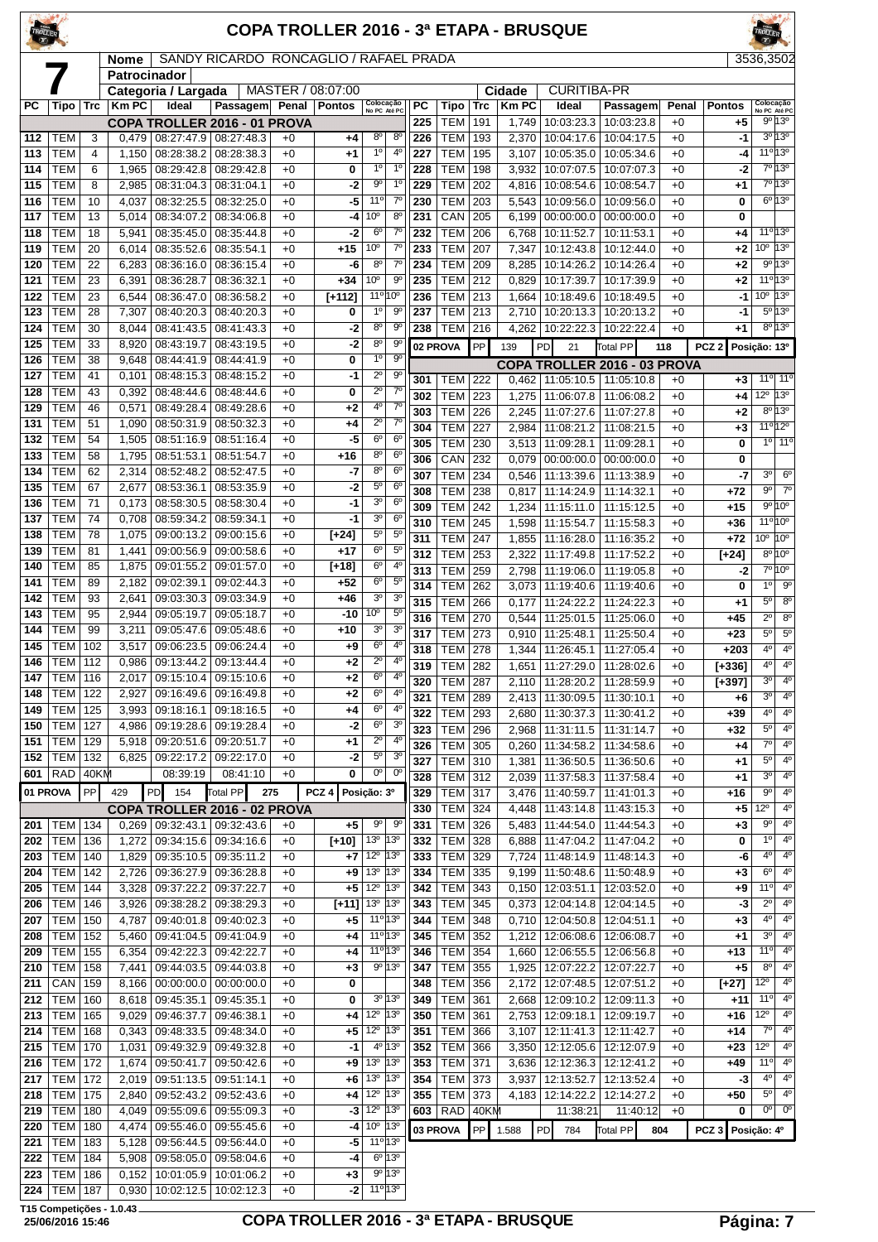| ROLLER     |                          |                     |                |                                                                    |                                        |              |                   |                                                             |                                |            |                                  |            |                | <b>COPA TROLLER 2016 - 3ª ETAPA - BRUSQUE</b>                          |                          |              |                    |                               |                                                           |
|------------|--------------------------|---------------------|----------------|--------------------------------------------------------------------|----------------------------------------|--------------|-------------------|-------------------------------------------------------------|--------------------------------|------------|----------------------------------|------------|----------------|------------------------------------------------------------------------|--------------------------|--------------|--------------------|-------------------------------|-----------------------------------------------------------|
|            |                          |                     | <b>Nome</b>    |                                                                    | SANDY RICARDO RONCAGLIO / RAFAEL PRADA |              |                   |                                                             |                                |            |                                  |            |                |                                                                        |                          |              |                    | 3536,3502                     |                                                           |
|            |                          |                     | Patrocinador   | Categoria / Largada                                                |                                        |              | MASTER / 08:07:00 |                                                             |                                |            |                                  |            | Cidade         | <b>CURITIBA-PR</b>                                                     |                          |              |                    |                               |                                                           |
| <b>PC</b>  | Tipo                     | <b>Trc</b>          | <b>KmPC</b>    | Ideal                                                              | Passagem                               | Penal        | <b>Pontos</b>     | Colocação<br>No PC Até PC                                   |                                | <b>PC</b>  | <b>Tipo</b>                      | <b>Trc</b> | <b>KmPC</b>    | Ideal                                                                  | Passagem                 | Penal        | <b>Pontos</b>      |                               | Colocação<br>No PC Até PC                                 |
|            |                          |                     |                | COPA TROLLER 2016 - 01 PROVA                                       |                                        |              |                   |                                                             |                                | 225        | <b>TEM</b>                       | 191        | 1,749          | 10:03:23.3                                                             | 10:03:23.8               | $+0$         | $+5$               |                               | $9^{\circ}$ 13°                                           |
| 112<br>113 | <b>TEM</b><br><b>TEM</b> | 3<br>$\overline{4}$ | 1,150          | $0,479$ 08:27:47.9 08:27:48.3<br>08:28:38.2                        | 08:28:38.3                             | $+0$<br>$+0$ | +4<br>$+1$        | 8 <sup>o</sup><br>1 <sup>0</sup>                            | 8 <sup>o</sup><br>$4^{\circ}$  | 226<br>227 | <b>TEM</b><br><b>TEM</b>         | 193<br>195 | 2,370<br>3,107 | 10:04:17.6<br>10:05:35.0                                               | 10:04:17.5<br>10:05:34.6 | $+0$<br>$+0$ | $-1$<br>-4         |                               | $3^0$ 13 $^0$<br>11 <sup>o</sup> 13 <sup>o</sup>          |
| 114        | <b>TEM</b>               | 6                   | 1,965          | 08:29:42.8                                                         | 08:29:42.8                             | $+0$         | 0                 | $1^{\circ}$                                                 | $1^{\circ}$                    | 228        | <b>TEM</b>                       | 198        | 3,932          | 10:07:07.5                                                             | 10:07:07.3               | $+0$         | -2                 |                               | 7°13°                                                     |
| 115        | <b>TEM</b>               | 8                   | 2,985          | 08:31:04.3                                                         | 08:31:04.1                             | $+0$         | -2                | $9^{\circ}$                                                 | $1^{\circ}$                    | 229        | <b>TEM</b>                       | 202        | 4,816          | 10:08:54.6                                                             | 10:08:54.7               | $+0$         | +1                 |                               | $7°$ 13 $°$                                               |
| 116        | <b>TEM</b>               | 10                  | 4,037          | 08:32:25.5                                                         | 08:32:25.0                             | $+0$         | -5                | $11^{\circ}$                                                | $7^\circ$                      | 230        | <b>TEM</b>                       | 203        | 5,543          | 10:09:56.0                                                             | 10:09:56.0               | $+0$         | 0                  |                               | 6º 13º                                                    |
| 117<br>118 | <b>TEM</b><br><b>TEM</b> | 13<br>18            | 5,014<br>5,941 | 08:34:07.2<br>08:35:45.0                                           | 08:34:06.8<br>08:35:44.8               | $+0$<br>$+0$ | -4<br>-2          | 10 <sup>o</sup><br>$6^{\circ}$                              | 8 <sup>o</sup><br>$7^\circ$    | 231<br>232 | CAN<br><b>TEM</b>                | 205<br>206 | 6,199<br>6,768 | 00:00:00.0<br>10:11:52.7                                               | 00:00:00.0<br>10:11:53.1 | $+0$<br>$+0$ | 0<br>+4            |                               | $11^{\circ}13^{\circ}$                                    |
| 119        | <b>TEM</b>               | 20                  | 6,014          | 08:35:52.6                                                         | 08:35:54.1                             | $+0$         | $+15$             | 10 <sup>o</sup>                                             | $7^{\circ}$                    | 233        | <b>TEM</b>                       | 207        | 7,347          | 10:12:43.8                                                             | 10:12:44.0               | $+0$         | $+2$               |                               | $10^{\circ}$ 13°                                          |
| 120        | TEM                      | 22                  | 6,283          | 08:36:16.0                                                         | 08:36:15.4                             | $+0$         | -6                | 8 <sup>o</sup>                                              | $7^\circ$                      | 234        | <b>TEM</b>                       | 209        | 8,285          | 10:14:26.2                                                             | 10:14:26.4               | $+0$         | +2                 |                               | 9°13°                                                     |
| 121        | <b>TEM</b>               | 23                  | 6,391          | 08:36:28.7                                                         | 08:36:32.1                             | $+0$         | $+34$             | 10 <sup>o</sup><br>11°                                      | 90<br>10°                      | 235        | <b>TEM</b>                       | 212        | 0,829          | 10:17:39.7                                                             | 10:17:39.9               | $+0$         | $+2$               |                               | $11^{\circ}13^{\circ}$<br>10 <sup>°</sup> 13 <sup>°</sup> |
| 122<br>123 | TEM<br><b>TEM</b>        | 23<br>28            | 6,544<br>7,307 | 08:36:47.0<br>08:40:20.3                                           | 08:36:58.2<br>08:40:20.3               | $+0$<br>$+0$ | $[+112]$<br>0     | $1^{\circ}$                                                 | $9^{\circ}$                    | 236<br>237 | <b>TEM</b><br><b>TEM</b>         | 213<br>213 | 1,664<br>2,710 | 10:18:49.6<br>10:20:13.3                                               | 10:18:49.5<br>10:20:13.2 | $+0$<br>$+0$ | -1<br>$-1$         |                               | $5^{\circ}13^{\circ}$                                     |
| 124        | <b>TEM</b>               | 30                  | 8,044          | 08:41:43.5                                                         | 08:41:43.3                             | $+0$         | -2                | $8^{\circ}$                                                 | $9^{\circ}$                    | 238        | <b>TEM</b>                       | 216        | 4,262          | 10:22:22.3                                                             | 10:22:22.4               | $+0$         | +1                 |                               | $8^{\circ}$ 13°                                           |
| 125        | <b>TEM</b>               | 33                  | 8,920          | 08:43:19.7                                                         | 08:43:19.5                             | $+0$         | -2                | $8^{\circ}$                                                 | $9^{\circ}$                    |            | 02 PROVA                         | PP         | 139            | PD<br>21                                                               | Total PP                 | 118          | PCZ <sub>2</sub>   | Posição: 13º                  |                                                           |
| 126        | TEM                      | 38                  | 9,648          | 08:44:41.9                                                         | 08:44:41.9                             | $+0$         | 0                 | $1^{\circ}$                                                 | $\overline{9^{\circ}}$         |            |                                  |            |                | COPA TROLLER 2016 - 03 PROVA                                           |                          |              |                    |                               |                                                           |
| 127<br>128 | TEM<br><b>TEM</b>        | 41<br>43            | 0,101<br>0,392 | 08:48:15.3<br>08:48:44.6                                           | 08:48:15.2<br>08:48:44.6               | $+0$<br>$+0$ | -1<br>0           | $2^{\circ}$<br>$2^{\circ}$                                  | 90<br>$7^\circ$                | 301        | TEM                              | 222        | 0,462          | 11:05:10.5                                                             | 11:05:10.8               | $+0$         | +3                 |                               | 11 <sup>o</sup> 11 <sup>o</sup><br>$12^{\circ}$ 13°       |
| 129        | <b>TEM</b>               | 46                  | 0,571          | 08:49:28.4                                                         | 08:49:28.6                             | $+0$         | $+2$              | 40                                                          | $7^\circ$                      | 302<br>303 | <b>TEM</b><br><b>TEM</b>         | 223<br>226 | 1,275<br>2,245 | 11:06:07.8<br>11:07:27.6                                               | 11:06:08.2<br>11:07:27.8 | $+0$<br>$+0$ | +4<br>$+2$         |                               | $8^{\circ}13^{\circ}$                                     |
| 131        | <b>TEM</b>               | 51                  | 1,090          | 08:50:31.9                                                         | 08:50:32.3                             | $+0$         | $+4$              | $2^{\circ}$                                                 | $7^\circ$                      | 304        | <b>TEM</b>                       | 227        | 2,984          | 11:08:21.2                                                             | 11:08:21.5               | $+0$         | +3                 |                               | $11^{\circ}12^{\circ}$                                    |
| 132        | тем                      | 54                  | 1,505          | 08:51:16.9                                                         | 08:51:16.4                             | $+0$         | -5                | $6^{\circ}$                                                 | $6^{\circ}$                    | 305        | <b>TEM</b>                       | 230        | 3,513          | 11:09:28.1                                                             | 11:09:28.1               | $+0$         | 0                  |                               | 10 110                                                    |
| 133<br>134 | TEM<br><b>TEM</b>        | 58<br>62            | 1,795<br>2,314 | 08:51:53.1<br>08:52:48.2                                           | 08:51:54.7<br>08:52:47.5               | $+0$<br>$+0$ | $+16$<br>-7       | $8^{\circ}$<br>8 <sup>o</sup>                               | 6 <sup>o</sup><br>$6^{\circ}$  | 306        | CAN                              | 232        | 0,079          | $00:00:00.0$   $00:00:00.0$                                            |                          | $+0$         | 0                  |                               |                                                           |
| 135        | TEM                      | 67                  | 2,677          | 08:53:36.1                                                         | 08:53:35.9                             | $+0$         | -2                | $5^{\circ}$                                                 | 6 <sup>o</sup>                 | 307<br>308 | <b>TEM</b><br><b>TEM</b>         | 234<br>238 | 0,546<br>0,817 | 11:13:39.6<br>11:14:24.9                                               | 11:13:38.9<br>11:14:32.1 | $+0$<br>$+0$ | -7<br>+72          | 3 <sup>o</sup><br>$9^{\circ}$ | $6^{\circ}$<br>$7^\circ$                                  |
| 136        | <b>TEM</b>               | 71                  |                | 0,173   08:58:30.5                                                 | 08:58:30.4                             | $+0$         | -1                | 3 <sup>o</sup>                                              | 6 <sup>o</sup>                 | 309        | <b>TEM</b>                       | 242        | 1,234          | 11:15:11.0                                                             | 11:15:12.5               | $+0$         | $+15$              |                               | 9°10°                                                     |
| 137        | TEM                      | 74                  | 0,708          | 08:59:34.2                                                         | 08:59:34.1                             | $+0$         | $-1$              | 30                                                          | $6^{\circ}$                    | 310        | <b>TEM</b>                       | 245        | 1,598          | 11:15:54.7                                                             | 11:15:58.3               | $+0$         | +36                |                               | 11°10°                                                    |
| 138<br>139 | TEM<br>TEM               | 78<br>81            | 1,075<br>1,441 | 09:00:13.2<br>09:00:56.9                                           | 09:00:15.6<br>09:00:58.6               | $+0$<br>$+0$ | [+24]<br>$+17$    | $5^{\circ}$<br>$6^{\circ}$                                  | $5^{\circ}$<br>$5^{\circ}$     | 311        | TEM                              | 247        | 1,855          | 11:16:28.0                                                             | 11:16:35.2               | $+0$         | +72                |                               | $10^{\circ}$ $10^{\circ}$                                 |
| 140        | <b>TEM</b>               | 85                  | 1,875          | 09:01:55.2                                                         | 09:01:57.0                             | $+0$         | $[+18]$           | $6^{\circ}$                                                 | 4 <sup>0</sup>                 | 312<br>313 | <b>TEM</b><br><b>TEM</b>         | 253<br>259 | 2,322<br>2,798 | 11:17:49.8<br>11:19:06.0                                               | 11:17:52.2<br>11:19:05.8 | $+0$<br>$+0$ | $[+24]$<br>-2      |                               | $8^{\circ}10^{\circ}$<br>7º 10º                           |
| 141        | <b>TEM</b>               | 89                  | 2,182          | 09:02:39.1                                                         | 09:02:44.3                             | $+0$         | $+52$             | $6^{\circ}$                                                 | $5^{\circ}$                    | 314        | <b>TEM</b>                       | 262        | 3,073          | 11:19:40.6                                                             | 11:19:40.6               | $+0$         | 0                  | 1 <sup>°</sup>                | $9^{\circ}$                                               |
| 142        | TEM                      | 93                  | 2,641          | 09:03:30.3                                                         | 09:03:34.9                             | $+0$         | $+46$             | 3 <sup>o</sup>                                              | 3 <sup>o</sup>                 | 315        | <b>TEM</b>                       | 266        | 0,177          | 11:24:22.2                                                             | 11:24:22.3               | $+0$         | +1                 | $5^{\circ}$                   | 8 <sup>o</sup>                                            |
| 143        | TEM                      | 95                  | 2,944          | 09:05:19.7                                                         | 09:05:18.7                             | $+0$         | $-10$             | 10 <sup>o</sup><br>30                                       | $5^{\circ}$<br>3 <sup>o</sup>  | 316        | <b>TEM</b>                       | 270        | 0,544          | 11:25:01.5                                                             | 11:25:06.0               | $+0$         | $+45$              | $2^{\circ}$                   | $8^{\circ}$                                               |
| 144<br>145 | TEM<br><b>TEM</b>        | 99<br>102           | 3,211<br>3,517 | 09:05:47.6<br>09:06:23.5                                           | 09:05:48.6<br>09:06:24.4               | $+0$<br>$+0$ | $+10$<br>+9       | $6^{\circ}$                                                 | $4^{\circ}$                    | 317        | <b>TEM</b>                       | 273        | 0,910          | 11:25:48.1                                                             | 11:25:50.4               | $+0$         | $+23$              | $\overline{5^0}$<br>40        | $5^{\circ}$<br>$4^{\circ}$                                |
| 146        | TEM                      | 112                 |                | $0,986$   09:13:44.2   09:13:44.4                                  |                                        | $+0$         | $+2$              | $\overline{2^0}$                                            | 4 <sup>0</sup>                 | 318<br>319 | <b>TEM</b><br><b>TEM</b>         | 278<br>282 | 1.344<br>1,651 | 11:26:45.1<br>11:27:29.0                                               | 11:27:05.4<br>11:28:02.6 | $+0$<br>$+0$ | $+203$<br>$[-336]$ | $4^{\circ}$                   | $4^{\circ}$                                               |
|            | 147 TEM 116              |                     |                | 2,017 09:15:10.4 09:15:10.6                                        |                                        | $+0$         | $+2$              | $6^{\circ}$                                                 | 4º                             | 320        | TEM   287                        |            |                | 2,110   11:28:20.2   11:28:59.9                                        |                          | +0           | [+397]             | $3^\circ$                     | $4^\circ$                                                 |
| 148        | <b>TEM   122</b>         |                     |                | 2,927 09:16:49.6 09:16:49.8                                        |                                        | $+0$         | +2                | $6^{\circ}$                                                 | 4 <sup>0</sup>                 | 321        | TEM   289                        |            |                | 2,413   11:30:09.5   11:30:10.1                                        |                          | $+0$         | +6                 | 3 <sup>o</sup>                | 4 <sup>0</sup>                                            |
| 149<br>150 | <b>TEM</b><br>TEM        | 125<br>127          |                | 3,993   09:18:16.1<br>4,986 09:19:28.6                             | 09:18:16.5<br>09:19:28.4               | $+0$<br>$+0$ | $+4$<br>-2        | $6^{\circ}$<br>$6^{\circ}$                                  | $4^{\circ}$<br>3 <sup>o</sup>  | 322        | <b>TEM 293</b>                   |            |                | 2,680 11:30:37.3 11:30:41.2                                            |                          | $+0$         | $+39$              | $4^{\circ}$                   | $4^{\circ}$                                               |
| 151        | <b>TEM 129</b>           |                     |                | 5,918 09:20:51.6 09:20:51.7                                        |                                        | $+0$         | $+1$              | $\overline{2^0}$                                            | 4 <sup>0</sup>                 | 323<br>326 | <b>TEM 296</b><br>TEM 305        |            |                | 2,968   11:31:11.5   11:31:14.7<br>$0,260$   11:34:58.2   11:34:58.6   |                          | $+0$<br>$+0$ | $+32$<br>+4        | $5^{\circ}$<br>$7^\circ$      | $4^{\circ}$<br>$4^{\circ}$                                |
| 152        | <b>TEM</b>               | 132                 |                | 6,825   09:22:17.2                                                 | 09:22:17.0                             | $+0$         | -2                | $5^{\circ}$                                                 | 3 <sup>0</sup>                 | 327        | TEM 310                          |            | 1,381          | 11:36:50.5                                                             | 11:36:50.6               | $+0$         | +1                 | $5^{\circ}$                   | 4 <sup>0</sup>                                            |
| 601        | RAD                      | 40KM                |                | 08:39:19                                                           | 08:41:10                               | $+0$         | 0                 | $0^{\circ}$                                                 | $0^{\rm o}$                    | 328        | <b>TEM 312</b>                   |            |                | 2,039   11:37:58.3   11:37:58.4                                        |                          | $+0$         | +1                 | $3^{\circ}$                   | $4^{\circ}$                                               |
|            | 01 PROVA                 | <b>PP</b>           | 429            | PD 154                                                             | Total PP                               | 275          | PCZ 4 Posicão: 3º |                                                             |                                | 329        | <b>TEM 317</b>                   |            | 3,476          | 11:40:59.7   11:41:01.3                                                |                          | $+0$         | +16                | $9^{\circ}$                   | $4^{\circ}$                                               |
| 201        | <b>TEM 134</b>           |                     |                | COPA TROLLER 2016 - 02 PROVA<br>$0,269$   09:32:43.1               | 09:32:43.6                             | $+0$         | +5                | 90                                                          | $9^{\rm o}$                    | 330<br>331 | <b>TEM 324</b><br><b>TEM 326</b> |            |                | 4,448   11:43:14.8  <br>$5,483$   11:44:54.0                           | 11:43:15.3<br>11:44:54.3 | $+0$<br>$+0$ | $+5$<br>$+3$       | $12^{\circ}$<br>$9^{\circ}$   | $4^{\circ}$<br>$4^{\circ}$                                |
| 202        | TEM                      | 136                 | 1,272          | 09:34:15.6                                                         | 09:34:16.6                             | $+0$         | $[+10]$           | $13^{\circ}$ $ 13^{\circ}$                                  |                                | 332        | TEM                              | 328        |                | $6,888$   11:47:04.2                                                   | 11:47:04.2               | $+0$         | 0                  | 1 <sup>°</sup>                | $4^{\circ}$                                               |
| 203        | <b>TEM 140</b>           |                     |                | 1,829 09:35:10.5 09:35:11.2                                        |                                        | $+0$         |                   | $+7$ 12 <sup>o</sup> 13 <sup>o</sup>                        |                                | 333        | TEM 329                          |            |                | 7,724   11:48:14.9   11:48:14.3                                        |                          | $+0$         | -6                 | $4^{\circ}$                   | 4 <sup>o</sup>                                            |
| 204        | <b>TEM</b>               | 142                 |                | 2,726   09:36:27.9                                                 | 09:36:28.8                             | $+0$         |                   | $+9 13^{\circ}$                                             | $ 13^{\circ} $                 | 334        | TEM 335                          |            |                | 9,199   11:50:48.6   11:50:48.9                                        |                          | $+0$         | $+3$               | $6^{\circ}$                   | $4^{\circ}$                                               |
| 205<br>206 | <b>TEM</b><br><b>TEM</b> | 144<br>146          |                | 3,328   09:37:22.2   09:37:22.7<br>3,926   09:38:28.2   09:38:29.3 |                                        | $+0$<br>$+0$ | [+11]             | $+5$   12 <sup>o</sup>   13 <sup>o</sup><br>13 <sup>0</sup> | $ 13^{\circ}$                  | 342<br>343 | <b>TEM 343</b><br><b>TEM 345</b> |            |                | $0,150$   12:03:51.1   12:03:52.0<br>$0,373$   12:04:14.8   12:04:14.5 |                          | $+0$<br>$+0$ | +9<br>-3           | 11°<br>$2^{\circ}$            | 4 <sup>o</sup><br>4 <sup>0</sup>                          |
| 207        | <b>TEM</b>               | 150                 |                | 4,787   09:40:01.8                                                 | 09:40:02.3                             | $+0$         | +5                | $11^{\circ}$ 13°                                            |                                | 344        | <b>TEM</b>                       | 348        |                | $0,710$   12:04:50.8   12:04:51.1                                      |                          | $+0$         | +3                 | $4^{\circ}$                   | $4^{\circ}$                                               |
| 208        | <b>TEM 152</b>           |                     |                | 5,460   09:41:04.5   09:41:04.9                                    |                                        | $+0$         | +4                | 11º 13º                                                     |                                | 345        | TEM 352                          |            |                | 1,212   12:06:08.6   12:06:08.7                                        |                          | $+0$         | $+1$               | 3 <sup>0</sup>                | 4 <sup>0</sup>                                            |
| 209        | <b>TEM</b>               | 155                 |                | 6,354   09:42:22.3                                                 | 09:42:22.7                             | $+0$         | +4                | 11 <sup>o</sup> 13 <sup>o</sup>                             |                                | 346        | TEM 354                          |            |                | 1,660   12:06:55.5   12:06:56.8                                        |                          | $+0$         | +13                | 11°                           | $4^{\circ}$                                               |
| 210        | <b>TEM</b>               | 158                 | 7,441          | 09:44:03.5                                                         | 09:44:03.8                             | $+0$         | $+3$              |                                                             | $9^{\circ}$ 13°                | 347        | TEM 355                          |            |                | 1,925   12:07:22.2   12:07:22.7                                        |                          | $+0$         | +5                 | $8^{\circ}$<br>$12^{\circ}$   | $4^{\circ}$<br>$4^{\circ}$                                |
| 211<br>212 | CAN<br><b>TEM</b>        | 159<br>160          | 8,618          | 8,166   00:00:00.0<br>09:45:35.1                                   | 00:00:00.0<br>09:45:35.1               | $+0$<br>$+0$ | 0<br>0            |                                                             | $3^0$ 13 <sup>0</sup>          | 348<br>349 | TEM 356<br><b>TEM</b>            | 361        | 2,668          | 2,172   12:07:48.5   12:07:51.2<br>12:09:10.2   12:09:11.3             |                          | $+0$<br>$+0$ | $[+27]$<br>$+11$   | 11°                           | $4^{\circ}$                                               |
| 213        | TEM                      | 165                 |                | 9,029   09:46:37.7                                                 | 09:46:38.1                             | $+0$         | +4                | 12 <sup>o</sup> 13 <sup>o</sup>                             |                                | 350        | TEM 361                          |            |                | 2,753   12:09:18.1   12:09:19.7                                        |                          | $+0$         | +16                | $12^{\circ}$                  | $4^{\circ}$                                               |
| 214        | <b>TEM</b>               | 168                 |                | $0,343 \mid 09:48:33.5$                                            | 09:48:34.0                             | $+0$         |                   | $+5$ 12 <sup>o</sup> 13 <sup>o</sup>                        |                                | 351        | <b>TEM</b>                       | 366        |                | 3,107   12:11:41.3   12:11:42.7                                        |                          | $+0$         | +14                | $7^\circ$                     | 4 <sup>o</sup>                                            |
| 215        | <b>TEM</b>               | 170                 | 1,031          |                                                                    | 09:49:32.9 09:49:32.8                  | $+0$         | -1                |                                                             | 4º 13º                         | 352        | TEM 366                          |            | 3,350          | 12:12:05.6   12:12:07.9                                                |                          | $+0$         | +23                | $12^{\circ}$                  | $4^{\circ}$                                               |
| 216<br>217 | <b>TEM</b><br><b>TEM</b> | 172<br>172          |                | 1,674   09:50:41.7<br>2,019 09:51:13.5                             | 09:50:42.6<br>09:51:14.1               | $+0$<br>$+0$ | $+9$<br>$+6$      | 13 <sup>0</sup><br>13 <sup>°</sup>                          | $ 13^{\circ}$<br>$ 13^{\circ}$ | 353<br>354 | <b>TEM</b><br><b>TEM</b>         | 371<br>373 | 3,636<br>3,937 | 12:12:36.3   12:12:41.2<br>12:13:52.7   12:13:52.4                     |                          | $+0$<br>$+0$ | $+49$<br>-3        | 11°<br>$4^{\circ}$            | 4 <sup>0</sup><br>$4^{\circ}$                             |
| 218        | <b>TEM 175</b>           |                     |                | 2,840   09:52:43.2   09:52:43.6                                    |                                        | $+0$         | $+4$              | $12^{\circ}$                                                | $ 13^{\circ}$                  | 355        | TEM 373                          |            |                | 4,183   12:14:22.2   12:14:27.2                                        |                          | $+0$         | +50                | $5^{\circ}$                   | $4^{\circ}$                                               |
| 219        | <b>TEM</b>               | 180                 |                | 4,049 09:55:09.6                                                   | 09:55:09.3                             | $+0$         |                   | $-3$ 12 <sup>o</sup> 13 <sup>o</sup>                        |                                |            | 603   RAD                        | 40KM       |                | 11:38:21                                                               | 11:40:12                 | $+0$         | 0                  | 0 <sup>0</sup>                | $0^{\circ}$                                               |
| 220        | TEM                      | 180                 |                | 4,474   09:55:46.0   09:55:45.6                                    |                                        | $+0$         |                   | $-4$ 10 <sup>o</sup> 13 <sup>o</sup>                        |                                |            | 03 PROVA                         | PP         | 1.588          | PD<br>784                                                              | <b>Total PP</b>          | 804          | PCZ <sub>3</sub>   | Posição: 4º                   |                                                           |
| 221<br>222 | TEM<br><b>TEM 184</b>    | 183                 |                | 5,128 09:56:44.5<br>5,908 09:58:05.0 09:58:04.6                    | 09:56:44.0                             | $+0$<br>$+0$ | -5  <br>-4        | 11º 13º                                                     | $6^{\circ}$ 13°                |            |                                  |            |                |                                                                        |                          |              |                    |                               |                                                           |

 TEM 186 0,152 10:01:05.9 10:01:06.2 +0 **+3** 9º 13º TEM 187 0,930 10:02:12.5 10:02:12.3 +0 **-2** 11º 13º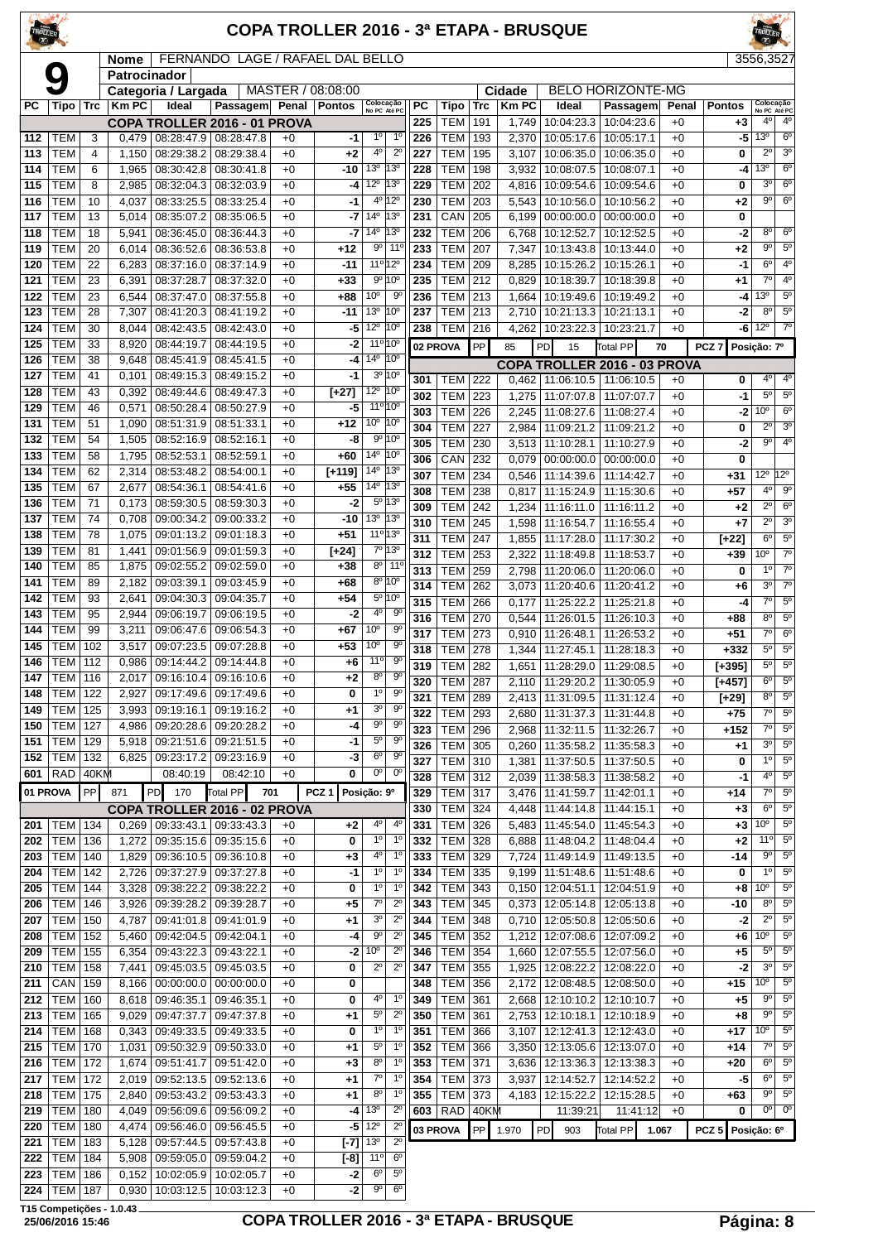#### **COPA TROLLER 2016 - 3ª ETAPA - BRUSQUE**

Nome | FERNANDO LAGE / RAFAEL DAL BELLO | 3556,3

|                  |                  |                 |              | NOTHE   FENTANDO LAGE / NAFAEL DAL BELLO |            |          |       |                        |                                 |                             |                 |                |                  |             |                                 |                                    |       |                    | ວວວບ,ວວ∠7                       |                        |
|------------------|------------------|-----------------|--------------|------------------------------------------|------------|----------|-------|------------------------|---------------------------------|-----------------------------|-----------------|----------------|------------------|-------------|---------------------------------|------------------------------------|-------|--------------------|---------------------------------|------------------------|
|                  |                  |                 | Patrocinador |                                          |            |          |       |                        |                                 |                             |                 |                |                  |             |                                 |                                    |       |                    |                                 |                        |
|                  |                  |                 |              | Categoria / Largada                      |            |          |       | MASTER / 08:08:00      |                                 |                             |                 |                |                  | Cidade      |                                 | <b>BELO HORIZONTE-MG</b>           |       |                    |                                 |                        |
| РC               | Tipo             | <b>Trc</b>      | <b>Km PC</b> | Ideal                                    |            | Passagem | Penal | <b>Pontos</b>          | Colocação<br>No PC Até PC       |                             | $\overline{PC}$ | Tipo           | <b>Trc</b>       | <b>KmPC</b> | Ideal                           | Passagem                           | Penal | <b>Pontos</b>      | Colocação<br>No PC Até PC       |                        |
|                  |                  |                 |              | COPA TROLLER 2016 - 01 PROVA             |            |          |       |                        |                                 |                             | 225             | TEM            | 191              | 1,749       | 10:04:23.3                      | 10:04:23.6                         | $+0$  | $+3$               | 4°                              | 4 <sup>0</sup>         |
| 112              | TEM              | 3               | 0,479        | 08:28:47.9                               | 08:28:47.8 |          | $+0$  | -1                     | $1^{\circ}$                     | $1^{\circ}$                 | 226             | <b>TEM</b>     | 193              | 2,370       | 10:05:17.6                      | 10:05:17.1                         | $+0$  | -5                 | 13 <sup>o</sup>                 | 6 <sup>o</sup>         |
| 113              | <b>TEM</b>       | 4               | 1,150        | 08:29:38.2                               | 08:29:38.4 |          | $+0$  | $+2$                   | 4°                              | $2^{\circ}$                 | 227             | <b>TEM</b>     | 195              | 3,107       | 10:06:35.0                      | 10:06:35.0                         | $+0$  | 0                  | $2^{\circ}$                     | 3 <sup>o</sup>         |
| 114              | <b>TEM</b>       | 6               | 1,965        | 08:30:42.8                               | 08:30:41.8 |          | $+0$  | $-10$                  | 13 <sup>0</sup>                 | 13°                         | 228             | <b>TEM</b>     | 198              | 3,932       | 10:08:07.5                      | 10:08:07.1                         | $+0$  | -4                 | $13^{\circ}$                    | 6 <sup>o</sup>         |
| 115              | <b>TEM</b>       | 8               | 2,985        | 08:32:04.3                               | 08:32:03.9 |          | $+0$  | -4                     | $12^{\circ}$                    | $13^{\circ}$                | 229             | <b>TEM</b>     | 202              | 4,816       | 10:09:54.6                      | 10:09:54.6                         | $+0$  | 0                  | 3 <sup>o</sup>                  | 6 <sup>o</sup>         |
| 116              | <b>TEM</b>       | 10              | 4,037        | 08:33:25.5                               | 08:33:25.4 |          | $+0$  | -1                     |                                 | 4º 12º                      | 230             | <b>TEM</b>     | 203              | 5,543       | 10:10:56.0                      | 10:10:56.2                         | $+0$  | $+2$               | $9^{\circ}$                     | $6^{\circ}$            |
| 117              | <b>TEM</b>       | 13              | 5,014        | 08:35:07.2                               | 08:35:06.5 |          | $+0$  | -7                     | 14 <sup>°</sup>                 | 13°                         | 231             | CAN            | 205              | 6,199       |                                 | $\overline{00:00:00.0}$ 00:00:00.0 | $+0$  | 0                  |                                 |                        |
|                  |                  |                 |              |                                          |            |          |       |                        | $14^{\circ}$                    | 13 <sup>o</sup>             |                 |                |                  |             |                                 |                                    |       |                    | 8 <sup>o</sup>                  | $6^{\circ}$            |
| 118              | <b>TEM</b>       | 18              | 5,941        | $\overline{08}$ :36:45.0                 | 08:36:44.3 |          | $+0$  | -7                     |                                 |                             | 232             | <b>TEM</b>     | 206              | 6,768       | 10:12:52.7                      | 10:12:52.5                         | $+0$  | -2                 |                                 |                        |
| 119              | <b>TEM</b>       | 20              | 6,014        | 08:36:52.6                               | 08:36:53.8 |          | $+0$  | $+12$                  | 90                              | $11^{\circ}$                | 233             | <b>TEM</b>     | 207              | 7,347       | 10:13:43.8                      | 10:13:44.0                         | $+0$  | +2                 | $9^{\circ}$                     | $5^{\circ}$            |
| 120              | <b>TEM</b>       | 22              | 6,283        | 08:37:16.0                               | 08:37:14.9 |          | $+0$  | $-11$                  | 11º 12º                         |                             | 234             | <b>TEM</b>     | 209              | 8,285       | 10:15:26.2                      | 10:15:26.1                         | $+0$  | -1                 | 6 <sup>o</sup>                  | 4 <sup>0</sup>         |
| 121              | <b>TEM</b>       | 23              | 6,391        | 08:37:28.7                               | 08:37:32.0 |          | $+0$  | $+33$                  |                                 | $9°$ 10°                    | 235             | TEM            | 212              | 0,829       | 10:18:39.7                      | 10:18:39.8                         | $+0$  | $+1$               | 7 <sup>0</sup>                  | 4 <sup>0</sup>         |
| 122              | <b>TEM</b>       | 23              | 6,544        | 08:37:47.0                               | 08:37:55.8 |          | $+0$  | +88                    | 10 <sup>o</sup>                 | 90                          | 236             | TEM            | 213              | 1,664       | 10:19:49.6                      | 10:19:49.2                         | $+0$  | -4                 | 13 <sup>o</sup>                 | 5 <sup>o</sup>         |
| 123              | <b>TEM</b>       | 28              | 7,307        | 08:41:20.3                               | 08:41:19.2 |          | $+0$  | $-11$                  | 13 <sup>o</sup>                 | 10°                         | 237             | TEM            | 213              | 2,710       | 10:21:13.3                      | 10:21:13.1                         | $+0$  | -2                 | 8 <sup>o</sup>                  | $\overline{5^0}$       |
| 124              | <b>TEM</b>       | 30              | 8,044        | 08:42:43.5                               | 08:42:43.0 |          | $+0$  | -5                     | $12^{\circ}$                    | 10°                         | 238             | TEM            | 216              | 4,262       | 10:23:22.3                      | 10:23:21.7                         | $+0$  | -6                 | $12^{\circ}$                    | $\overline{7}^{\circ}$ |
| 125              | <b>TEM</b>       | 33              | 8,920        | 08:44:19.7                               | 08:44:19.5 |          | $+0$  | -2                     | $11^{\circ} 10^{\circ}$         |                             |                 |                | PP               |             |                                 |                                    |       |                    |                                 |                        |
| 126              | <b>TEM</b>       | $\overline{38}$ | 9,648        | 08:45:41.9                               | 08:45:41.5 |          | $+0$  | -4                     | 14 <sup>°</sup>                 | 10 <sup>o</sup>             |                 | 02 PROVA       |                  | 85          | PD<br>15                        | Total PP                           | 70    | PCZ <sub>7</sub>   | Posição: 7º                     |                        |
| 127              | <b>TEM</b>       | 41              |              |                                          | 08:49:15.2 |          | $+0$  | $-1$                   |                                 | $3^0$ 10 <sup>0</sup>       |                 |                |                  |             |                                 | COPA TROLLER 2016 - 03 PROVA       |       |                    |                                 |                        |
|                  |                  |                 | 0,101        | 08:49:15.3                               |            |          |       |                        |                                 |                             | 301             | TEM            | 222              | 0,462       | 11:06:10.5                      | 11:06:10.5                         | $+0$  | 0                  | 4°                              | 4 <sup>0</sup>         |
| 128              | <b>TEM</b>       | 43              | 0,392        | 08:49:44.6                               | 08:49:47.3 |          | $+0$  | $[-27]$                | 12 <sup>o</sup> 10 <sup>o</sup> |                             | 302             | TEM            | 223              | 1,275       | 11:07:07.8                      | 11:07:07.7                         | $+0$  | $-1$               | $5^{\circ}$                     | $5^{\circ}$            |
| 129              | <b>TEM</b>       | 46              | 0,571        | 08:50:28.4                               | 08:50:27.9 |          | $+0$  | -5                     | $11^{\circ} 10^{\circ}$         |                             | 303             | TEM            | 226              | 2,245       | 11:08:27.6                      | 11:08:27.4                         | $+0$  | -2                 | 10 <sup>o</sup>                 | 6 <sup>o</sup>         |
| 131              | <b>TEM</b>       | 51              | 1,090        | 08:51:31.9                               | 08:51:33.1 |          | $+0$  | +12                    | 10 <sup>o</sup>                 | 10 <sup>o</sup>             | 304             | TEM            | 227              | 2,984       | 11:09:21.2                      | 11:09:21.2                         | $+0$  | 0                  | $\overline{2^0}$                | $\overline{3^0}$       |
| $\overline{132}$ | <b>TEM</b>       | 54              | 1,505        | 08:52:16.9                               | 08:52:16.1 |          | $+0$  | -8                     |                                 | $9^{\circ}$ 10 <sup>°</sup> | 305             | TEM            | 230              | 3,513       | 11:10:28.1                      | 11:10:27.9                         | $+0$  | -2                 | $9^{\circ}$                     | 4 <sup>0</sup>         |
| 133              | <b>TEM</b>       | 58              | 1,795        | 08:52:53.1                               | 08:52:59.1 |          | $+0$  | +60                    | 14 <sup>°</sup>                 | 10 <sup>o</sup>             | 306             | CAN            | 232              | 0,079       | 00:00:00.0                      | 00:00:00.0                         | $+0$  | 0                  |                                 |                        |
| 134              | <b>TEM</b>       | 62              | 2,314        | 08:53:48.2                               | 08:54:00.1 |          | $+0$  | $[+119]$               | 14 <sup>°</sup>                 | 13 <sup>o</sup>             | 307             | TEM            | 234              | 0,546       | 11:14:39.6                      | 11:14:42.7                         | $+0$  | $+31$              | 12 <sup>o</sup> 12 <sup>o</sup> |                        |
| 135              | TEM              | 67              | 2,677        | 08:54:36.1                               | 08:54:41.6 |          | $+0$  | $+55$                  | $14^{\circ}$                    | $13^{\circ}$                |                 |                |                  |             |                                 |                                    |       |                    | 4 <sup>0</sup>                  | $9^{\circ}$            |
| 136              | <b>TEM</b>       | 71              | 0,173        | 08:59:30.5                               | 08:59:30.3 |          | $+0$  | $-2$                   |                                 | $5^{\circ}$ 13 $^{\circ}$   | 308             | <b>TEM</b>     | 238              | 0,817       | 11:15:24.9                      | 11:15:30.6                         | $+0$  | $+57$              |                                 |                        |
| 137              | <b>TEM</b>       | $\overline{74}$ | 0,708        | 09:00:34.2                               | 09:00:33.2 |          | $+0$  | $-10$                  | 13 <sup>o</sup>                 | 13°                         | 309             | <b>TEM</b>     | 242              | 1,234       | 11:16:11.0                      | 11:16:11.2                         | $+0$  | $+2$               | $2^{\circ}$                     | $6^{\circ}$            |
|                  |                  |                 |              |                                          |            |          |       |                        |                                 |                             | 310             | <b>TEM</b>     | 245              | 1,598       | 11:16:54.7                      | 11:16:55.4                         | $+0$  | +7                 | $2^{\circ}$                     | 3 <sup>o</sup>         |
| 138              | <b>TEM</b>       | 78              | 1,075        | 09:01:13.2                               | 09:01:18.3 |          | $+0$  | $+51$                  | 11 <sup>o</sup> 13 <sup>o</sup> |                             | 311             | <b>TEM</b>     | 247              | 1,855       | 11:17:28.0                      | 11:17:30.2                         | $+0$  | $[+22]$            | 6 <sup>o</sup>                  | $5^{\circ}$            |
| 139              | <b>TEM</b>       | 81              | 1,441        | 09:01:56.9                               | 09:01:59.3 |          | $+0$  | [+24]                  |                                 | 7º 13º                      | 312             | TEM            | 253              | 2,322       | 11:18:49.8                      | 11:18:53.7                         | $+0$  | $+39$              | 10 <sup>o</sup>                 | $\overline{7^{\circ}}$ |
| 140              | <b>TEM</b>       | 85              | 1,875        | 09:02:55.2                               | 09:02:59.0 |          | $+0$  | +38                    | 8°                              | $11^{\circ}$                | 313             | <b>TEM</b>     | 259              | 2,798       | 11:20:06.0                      | 11:20:06.0                         | $+0$  | 0                  | 1 <sup>0</sup>                  | $\overline{7^{\circ}}$ |
| 141              | <b>TEM</b>       | 89              | 2,182        | 09:03:39.1                               | 09:03:45.9 |          | $+0$  | $+68$                  |                                 | $8^{\circ}$ 10 $^{\circ}$   | 314             | <b>TEM</b>     | 262              | 3,073       | 11:20:40.6                      | 11:20:41.2                         | $+0$  | $+6$               | 3 <sup>o</sup>                  | $\overline{7}^{\circ}$ |
| 142              | <b>TEM</b>       | 93              | 2,641        | 09:04:30.3                               | 09:04:35.7 |          | $+0$  | $+54$                  |                                 | 5º 10º                      | 315             | <b>TEM</b>     | 266              | 0,177       | 11:25:22.2                      | 11:25:21.8                         | $+0$  | -4                 | $\overline{7^\circ}$            | $\overline{5^0}$       |
| 143              | <b>TEM</b>       | 95              | 2,944        | 09:06:19.7                               | 09:06:19.5 |          | $+0$  | $-2$                   | 4º                              | 90                          | 316             | <b>TEM</b>     | 270              | 0,544       | 11:26:01.5                      | 11:26:10.3                         | $+0$  | +88                | 8 <sup>o</sup>                  | $5^{\circ}$            |
| 144              | <b>TEM</b>       | 99              | 3,211        | 09:06:47.6                               | 09:06:54.3 |          | $+0$  | $+67$                  | 10 <sup>o</sup>                 | 9 <sup>o</sup>              | 317             | TEM            | $\overline{273}$ |             | 11:26:48.1                      | 11:26:53.2                         | $+0$  | $+51$              | $7^\circ$                       | 6 <sup>o</sup>         |
| 145              | <b>TEM</b>       | 102             | 3,517        | 09:07:23.5                               | 09:07:28.8 |          | $+0$  | +53                    | 10 <sup>o</sup>                 | $9^{\circ}$                 |                 |                |                  | 0,910       |                                 |                                    |       |                    | $5^{\circ}$                     | $5^{\circ}$            |
| 146              | TEM              | 112             | 0,986        | 09:14:44.2                               | 09:14:44.8 |          | $+0$  | +6                     | 11 <sup>o</sup>                 | 9 <sup>o</sup>              | 318             | <b>TEM</b>     | 278              | 1,344       | 11:27:45.1                      | 11:28:18.3                         | $+0$  | $+332$             |                                 |                        |
|                  |                  |                 |              |                                          |            |          |       |                        | 8 <sup>o</sup>                  | 90                          | 319             | <b>TEM</b>     | 282              | 1,651       | 11:28:29.0                      | 11:29:08.5                         | $+0$  | $[-395]$           | $5^{\circ}$                     | $5^{\circ}$            |
| 147              | <b>TEM</b>       | 116             | 2,017        | 09:16:10.4                               | 09:16:10.6 |          | $+0$  | $+2$                   |                                 |                             | 320             | <b>TEM</b>     | 287              | 2,110       | 11:29:20.2                      | 11:30:05.9                         | $+0$  | $[-457]$           | $6^{\circ}$                     | $5^{\circ}$            |
| 148              | TEM              | 122             | 2,927        | 09:17:49.6                               | 09:17:49.6 |          | $+0$  | 0                      | $1^{\circ}$                     | 90                          | 321             | <b>TEM</b>     | 289              | 2,413       | 11:31:09.5                      | 11:31:12.4                         | $+0$  | $\overline{[+29]}$ | $8^{\circ}$                     | $5^{\circ}$            |
| 149              | <b>TEM</b>       | 125             | 3,993        | 09:19:16.1                               | 09:19:16.2 |          | $+0$  | $+1$                   | 3 <sup>o</sup>                  | $9^{\circ}$                 | 322             | TEM            | 293              | 2,680       | 11:31:37.3                      | 11:31:44.8                         | $+0$  | $+75$              | $\overline{7^0}$                | $\overline{5^0}$       |
|                  | 150   TEM   127  |                 |              | 4,986   09:20:28.6   09:20:28.2          |            |          | $+0$  | -4                     | $9^{\rm o}$                     | 9                           | 323             | TEM   296      |                  |             | 2,968   11:32:11.5   11:32:26.7 |                                    | $+0$  | +152               | 70                              | $5^{\circ}$            |
| 151              | TEM   129        |                 |              | 5,918 09:21:51.6 09:21:51.5              |            |          | $+0$  | $-1$                   | $5^{\circ}$                     | $9^{\circ}$                 | 326             | TEM            | 305              | 0,260       | 11:35:58.2                      | 11:35:58.3                         | $+0$  | $+1$               | 3 <sup>0</sup>                  | $5^{\circ}$            |
|                  | 152   TEM   132  |                 |              | 6,825   09:23:17.2   09:23:16.9          |            |          | $+0$  | $-3$                   | 6 <sup>o</sup>                  | 90                          | 327             | TEM            | 310              | 1,381       | 11:37:50.5                      | 11:37:50.5                         | $+0$  | 0                  | $1^{\circ}$                     | 5 <sup>0</sup>         |
|                  | $601$ RAD        | 40KM            |              | 08:40:19                                 |            | 08:42:10 | $+0$  | 0                      | 0 <sup>o</sup>                  | $0^{\circ}$                 | 328             | <b>TEM 312</b> |                  | 2,039       |                                 | 11:38:58.3 11:38:58.2              | $+0$  | $-1$               | 4 <sup>0</sup>                  | $5^{\circ}$            |
| 01 PROVA         |                  | PP              | 871          | <b>PD</b><br>170                         | Total PP   | 701      |       | PCZ <sub>1</sub>       | Posição: 9º                     |                             |                 | <b>TEM 317</b> |                  | 3,476       |                                 |                                    | $+0$  | $+14$              | $7^\circ$                       | $5^{\circ}$            |
|                  |                  |                 |              |                                          |            |          |       |                        |                                 |                             | 329             |                |                  |             | 11:41:59.7                      | 11:42:01.1                         |       |                    |                                 |                        |
|                  |                  |                 |              | COPA TROLLER 2016 - 02 PROVA             |            |          |       |                        |                                 |                             | 330             | TEM            | 324              | 4,448       | 11:44:14.8                      | 11:44:15.1                         | $+0$  | $+3$               | $6^{\circ}$                     | $5^{\circ}$            |
| 201              | <b>TEM   134</b> |                 | 0,269        | 09:33:43.1   09:33:43.3                  |            |          | $+0$  | +2                     | 4°                              | $4^{\circ}$                 | 331             | TEM            | 326              | 5,483       | 11:45:54.0                      | 11:45:54.3                         | $+0$  | $+3$               | 10 <sup>o</sup>                 | $5^{\circ}$            |
| 202              | <b>TEM</b>       | 136             | 1,272        | 09:35:15.6 09:35:15.6                    |            |          | $+0$  | 0                      | $1^{\circ}$                     | $1^{\circ}$                 | 332             | TEM            | 328              | 6,888       | 11:48:04.2                      | 11:48:04.4                         | $+0$  | +2                 | $11^{\circ}$                    | $5^{\circ}$            |
| 203              | <b>TEM</b>       | 140             | 1,829        | 09:36:10.5 09:36:10.8                    |            |          | $+0$  | $+3$                   | 4°                              | $1^{\circ}$                 | 333             | <b>TEM 329</b> |                  | 7,724       | 11:49:14.9                      | 11:49:13.5                         | $+0$  | -14                | $9^{\circ}$                     | $5^{\circ}$            |
| 204              | <b>TEM 142</b>   |                 | 2,726        | 09:37:27.9 09:37:27.8                    |            |          | $+0$  | $-1$                   | $1^{\circ}$                     | $1^{\circ}$                 | 334             | TEM 335        |                  | 9,199       | 11:51:48.6                      | 11:51:48.6                         | $+0$  | 0                  | 1 <sup>0</sup>                  | 5 <sup>0</sup>         |
| 205              | TEM              | 144             | 3,328        | 09:38:22.2                               | 09:38:22.2 |          | $+0$  | 0                      | $1^{\circ}$                     | $1^{\circ}$                 | 342             | <b>TEM</b>     | 343              | 0,150       | 12:04:51.1                      | 12:04:51.9                         | $+0$  | +8                 | 10 <sup>o</sup>                 | $5^{\circ}$            |
| 206              | TEM              | 146             | 3,926        | 09:39:28.2 09:39:28.7                    |            |          | $+0$  | +5                     | $7^\circ$                       | $2^{\circ}$                 | 343             | TEM            | 345              | 0,373       | 12:05:14.8                      | 12:05:13.8                         | $+0$  | -10                | 8 <sup>o</sup>                  | $5^{\circ}$            |
| 207              | TEM              | 150             | 4,787        | 09:41:01.8                               | 09:41:01.9 |          | $+0$  | +1                     | 3 <sup>o</sup>                  | $2^{\circ}$                 | 344             | <b>TEM</b>     | 348              | 0,710       | 12:05:50.8                      | 12:05:50.6                         | $+0$  | -2                 | $2^{\circ}$                     | 5 <sup>0</sup>         |
| 208              | TEM              | 152             | 5,460        | 09:42:04.5   09:42:04.1                  |            |          | $+0$  | -4                     | $9^{\rm o}$                     | $2^{\circ}$                 | 345             | <b>TEM</b>     | 352              | 1,212       |                                 | 12:07:08.6   12:07:09.2            | $+0$  | $+6$               | 10 <sup>o</sup>                 | $5^{\circ}$            |
|                  |                  | 155             |              |                                          |            |          | $+0$  |                        | 10 <sup>o</sup>                 | $2^{\circ}$                 | 346             | TEM            | 354              |             |                                 |                                    |       |                    | $5^{\circ}$                     | $5^{\circ}$            |
| 209              | TEM              |                 | 6,354        | 09:43:22.3 09:43:22.1                    |            |          |       | $-2$                   |                                 |                             |                 |                |                  | 1,660       |                                 | 12:07:55.5   12:07:56.0            | $+0$  | +5                 |                                 |                        |
| 210              | TEM              | 158             | 7,441        | 09:45:03.5                               | 09:45:03.5 |          | $+0$  | 0                      | $2^{\circ}$                     | $2^{\circ}$                 | 347             | TEM            | 355              | 1,925       | 12:08:22.2                      | 12:08:22.0                         | $+0$  | $-2$               | 3 <sup>o</sup>                  | $5^{\circ}$            |
| 211              | CAN              | 159             | 8,166        | $00:00:00.0$   $00:00:00.0$              |            |          | $+0$  | 0                      |                                 |                             | 348             | TEM            | 356              | 2,172       | 12:08:48.5                      | 12:08:50.0                         | $+0$  | $+15$              | 10 <sup>o</sup>                 | $5^{\circ}$            |
| 212              | <b>TEM</b>       | 160             | 8,618        | 09:46:35.1                               | 09:46:35.1 |          | $+0$  | 0                      | 4º                              | $1^{\circ}$                 | 349             | <b>TEM</b>     | 361              | 2,668       | 12:10:10.2                      | 12:10:10.7                         | $+0$  | $+5$               | $9^{\circ}$                     | 5 <sup>0</sup>         |
| 213              | <b>TEM   165</b> |                 | 9,029        | 09:47:37.7   09:47:37.8                  |            |          | $+0$  | +1                     | $5^{\circ}$                     | $2^{\circ}$                 | 350             | <b>TEM</b>     | 361              | 2,753       |                                 | 12:10:18.1   12:10:18.9            | $+0$  | +8                 | $9^{\circ}$                     | $5^{\circ}$            |
| 214              | <b>TEM</b>       | 168             | 0,343        | 09:49:33.5   09:49:33.5                  |            |          | $+0$  | 0                      | $1^{\circ}$                     | $1^{\circ}$                 | 351             | <b>TEM</b>     | 366              | 3,107       |                                 | 12:12:41.3   12:12:43.0            | $+0$  | +17                | 10 <sup>o</sup>                 | $5^{\circ}$            |
| 215              | <b>TEM</b>       | 170             | 1,031        | 09:50:32.9                               | 09:50:33.0 |          | $+0$  | +1                     | $5^{\circ}$                     | $1^{\circ}$                 | 352             | <b>TEM</b>     | 366              | 3,350       | 12:13:05.6                      | 12:13:07.0                         | $+0$  | $+14$              | $7^{\circ}$                     | $5^{\circ}$            |
| 216              | TEM              | 172             | 1,674        | 09:51:41.7                               | 09:51:42.0 |          | $+0$  | +3                     | $8^{\circ}$                     | $1^{\circ}$                 | 353             | TEM            | 371              | 3,636       | 12:13:36.3                      | 12:13:38.3                         | $+0$  | $+20$              | $6^{\circ}$                     | 5 <sup>0</sup>         |
| 217              | TEM              | 172             | 2,019        | 09:52:13.5                               | 09:52:13.6 |          | $+0$  | +1                     | 70                              | $1^{\circ}$                 | 354             | <b>TEM</b>     | 373              | 3,937       | 12:14:52.7                      | 12:14:52.2                         | $+0$  | -5                 | $6^{\circ}$                     | $5^{\circ}$            |
|                  | <b>TEM 175</b>   |                 |              |                                          |            |          | $+0$  |                        | 8 <sup>o</sup>                  | $1^{\circ}$                 | 355             | TEM 373        |                  |             |                                 |                                    |       | $+63$              | $9^{\circ}$                     | $5^{\circ}$            |
| 218              |                  |                 | 2,840        | 09:53:43.2 09:53:43.3                    |            |          |       | +1                     |                                 |                             |                 |                |                  | 4,183       |                                 | 12:15:22.2   12:15:28.5            | $+0$  |                    | $0^{\circ}$                     | $0^{\circ}$            |
| 219              | <b>TEM</b>       | 180             | 4,049        | 09:56:09.6   09:56:09.2                  |            |          | $+0$  |                        | $-4$   13 <sup>o</sup>          | $2^{\circ}$                 | 603             | $RAD$ 40KM     |                  |             | 11:39:21                        | 11:41:12                           | $+0$  | 0                  |                                 |                        |
| 220              | TEM              | 180             | 4,474        | 09:56:46.0                               | 09:56:45.5 |          | $+0$  |                        | $-5$ 12 <sup>o</sup>            | $2^{\circ}$                 |                 | 03 PROVA       | <b>PP</b>        | 1.970       | PD<br>903                       | Total PP                           | 1.067 | PCZ 5 Posição: 6°  |                                 |                        |
| 221              | TEM              | 183             | 5,128        | 09:57:44.5                               | 09:57:43.8 |          | $+0$  | $[-7]$ 13 <sup>°</sup> |                                 | $2^{\circ}$                 |                 |                |                  |             |                                 |                                    |       |                    |                                 |                        |
| 222              | <b>TEM</b>       | 184             | 5,908        | 09:59:05.0   09:59:04.2                  |            |          | $+0$  | $[-8]$                 | 11°                             | 6 <sup>o</sup>              |                 |                |                  |             |                                 |                                    |       |                    |                                 |                        |
| 223              | <b>TEM 186</b>   |                 |              | $0,152$   10:02:05.9   10:02:05.7        |            |          | $+0$  | $-2$                   | 6 <sup>o</sup>                  | $5^{\circ}$                 |                 |                |                  |             |                                 |                                    |       |                    |                                 |                        |

**T15 Competições - 1.0.43**

TEM 187 0,930 10:03:12.5 10:03:12.3 +0 **-2** 9º 6º

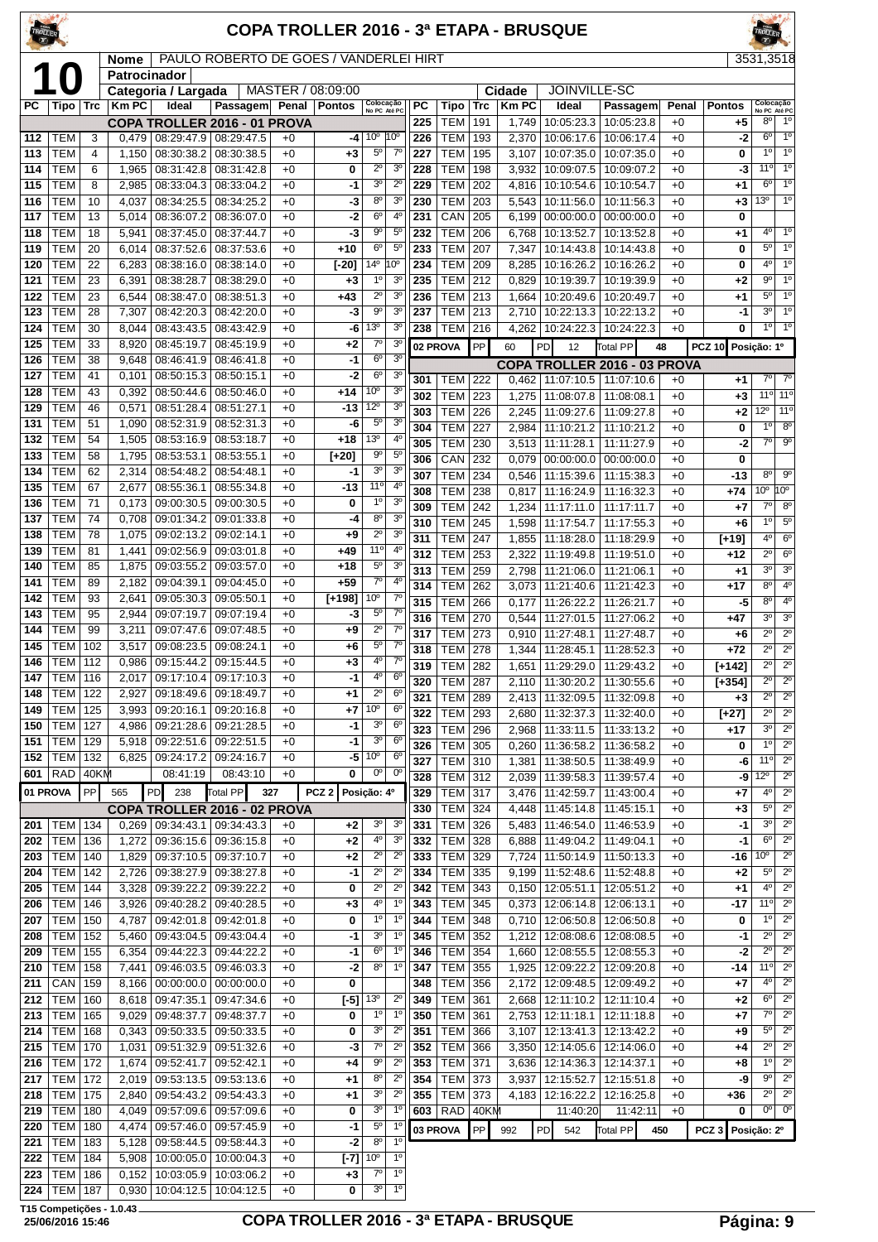| <b>TROLLER</b>   |                                      |           |                |                                               |                          |              | <b>COPA TROLLER 2016 - 3ª ETAPA - BRUSQUE</b> |                                   |                                  |            |                          |            |                |                                     |                                       |              |                    |                                                                                     |
|------------------|--------------------------------------|-----------|----------------|-----------------------------------------------|--------------------------|--------------|-----------------------------------------------|-----------------------------------|----------------------------------|------------|--------------------------|------------|----------------|-------------------------------------|---------------------------------------|--------------|--------------------|-------------------------------------------------------------------------------------|
|                  |                                      |           | Nome           | PAULO ROBERTO DE GOES / VANDERLEI HIRT        |                          |              |                                               |                                   |                                  |            |                          |            |                |                                     |                                       |              |                    | 3531,3518                                                                           |
|                  |                                      |           | Patrocinador   |                                               |                          |              | MASTER / 08:09:00                             |                                   |                                  |            |                          |            | Cidade         | JOINVILLE-SC                        |                                       |              |                    |                                                                                     |
| РC               | Tipo   Trc                           |           | <b>KmPC</b>    | Categoria / Largada<br>Ideal                  | Passagem                 | Penal        | <b>Pontos</b>                                 | Colocação<br>No PC Até PC         |                                  | PC         | Tipo                     | <b>Trc</b> | <b>Km PC</b>   | Ideal                               | Passagem                              | Penal        | <b>Pontos</b>      | Colocação<br>No PC Até PC                                                           |
|                  |                                      |           |                | COPA TROLLER 2016 - 01 PROVA                  |                          |              |                                               |                                   |                                  | 225        | <b>TEM</b>               | 191        | 1,749          | 10:05:23.3                          | 10:05:23.8                            | $+0$         | +5                 | 1 <sup>0</sup><br>8 <sup>0</sup>                                                    |
| 112              | <b>TEM</b>                           | 3         | 0,479          | 08:29:47.9 08:29:47.5                         |                          | $+0$         | -4                                            | 10 <sup>o</sup>                   | 10 <sup>o</sup>                  | 226        | <b>TEM</b>               | 193        | 2,370          | 10:06:17.6                          | 10:06:17.4                            | $+0$         | -2                 | 1 <sup>0</sup><br>$6^{\circ}$                                                       |
| 113              | <b>TEM</b>                           | 4         | 1,150          | 08:30:38.2                                    | 08:30:38.5               | $+0$         | $+3$                                          | $5^{\circ}$                       | $7^\circ$                        | 227        | <b>TEM</b>               | 195        | 3,107          | 10:07:35.0                          | 10:07:35.0                            | $+0$         | 0                  | 1 <sup>0</sup><br>$1^{\circ}$<br>1 <sup>0</sup>                                     |
| 114<br>115       | TEM<br><b>TEM</b>                    | 6<br>8    | 1,965<br>2,985 | 08:31:42.8<br>08:33:04.3                      | 08:31:42.8<br>08:33:04.2 | $+0$<br>$+0$ | 0<br>-1                                       | $2^{\circ}$<br>3 <sup>o</sup>     | 3 <sup>o</sup><br>$2^{\circ}$    | 228<br>229 | <b>TEM</b><br><b>TEM</b> | 198<br>202 | 3,932<br>4,816 | 10:09:07.5<br>10:10:54.6            | 10:09:07.2<br>10:10:54.7              | $+0$<br>$+0$ | -3<br>+1           | 11°<br>$1^{\circ}$<br>$6^{\circ}$                                                   |
| 116              | <b>TEM</b>                           | 10        | 4,037          | 08:34:25.5                                    | 08:34:25.2               | $+0$         | -3                                            | $8^{\circ}$                       | 3 <sup>o</sup>                   | 230        | <b>TEM</b>               | 203        | 5,543          | 10:11:56.0                          | 10:11:56.3                            | $+0$         | $+3$               | 1 <sup>0</sup><br>13 <sup>o</sup>                                                   |
| 117              | <b>TEM</b>                           | 13        | 5,014          | 08:36:07.2                                    | 08:36:07.0               | $+0$         | $-2$                                          | $6^{\circ}$                       | $4^{\circ}$                      | 231        | CAN                      | 205        | 6,199          | 00:00:00.0                          | 00:00:00.0                            | $+0$         | 0                  |                                                                                     |
| 118              | <b>TEM</b>                           | 18        | 5,941          | 08:37:45.0                                    | 08:37:44.7               | $+0$         | -3                                            | 90                                | $5^{\circ}$                      | 232        | <b>TEM</b>               | 206        | 6,768          | 10:13:52.7                          | 10:13:52.8                            | $+0$         | $+1$               | $1^{\circ}$<br>40                                                                   |
| 119              | <b>TEM</b>                           | 20        | 6,014          | 08:37:52.6                                    | 08:37:53.6               | $+0$         | $+10$                                         | $6^{\circ}$                       | $5^{\circ}$                      | 233        | <b>TEM</b>               | 207        | 7,347          | 10:14:43.8                          | 10:14:43.8                            | $+0$         | 0                  | 1 <sup>0</sup><br>$5^{\circ}$                                                       |
| 120              | <b>TEM</b>                           | 22        | 6,283          | 08:38:16.0                                    | 08:38:14.0               | $+0$         | $[-20]$                                       | 14º<br>$1^{\circ}$                | 10°<br>3 <sup>o</sup>            | 234        | <b>TEM</b>               | 209        | 8,285          | 10:16:26.2                          | 10:16:26.2                            | $+0$         | 0                  | 4°<br>1 <sup>0</sup><br>$\overline{1^0}$<br>$9^{\circ}$                             |
| 121<br>122       | <b>TEM</b><br><b>TEM</b>             | 23<br>23  | 6,391<br>6,544 | 08:38:28.7<br>08:38:47.0                      | 08:38:29.0<br>08:38:51.3 | $+0$<br>$+0$ | +3<br>$+43$                                   | $2^{\circ}$                       | 3 <sup>o</sup>                   | 235<br>236 | <b>TEM</b><br><b>TEM</b> | 212<br>213 | 0,829<br>1,664 | 10:19:39.7<br>10:20:49.6            | 10:19:39.9<br>10:20:49.7              | $+0$<br>$+0$ | $+2$<br>$+1$       | $5^{\circ}$<br>1 <sup>0</sup>                                                       |
| 123              | <b>TEM</b>                           | 28        | 7,307          | 08:42:20.3                                    | 08:42:20.0               | $+0$         | -3                                            | $9^{\circ}$                       | 3 <sup>o</sup>                   | 237        | <b>TEM</b>               | 213        | 2,710          | 10:22:13.3                          | 10:22:13.2                            | $+0$         | $-1$               | $\overline{1^0}$<br>3 <sup>o</sup>                                                  |
| 124              | <b>TEM</b>                           | 30        | 8,044          | 08:43:43.5                                    | 08:43:42.9               | $+0$         | -6                                            | $13^{\circ}$                      | 3 <sup>o</sup>                   | 238        | <b>TEM</b>               | 216        | 4,262          | 10:24:22.3                          | 10:24:22.3                            | $+0$         | 0                  | 1 <sup>°</sup><br>$1^{\circ}$                                                       |
| 125              | <b>TEM</b>                           | 33        | 8,920          | 08:45:19.7                                    | 08:45:19.9               | $+0$         | +2                                            | $7^\circ$                         | 3 <sup>o</sup>                   |            | 02 PROVA                 | <b>PP</b>  | 60             | PD<br>12                            | Total PP                              | 48           | PCZ 10 Posição: 1º |                                                                                     |
| 126              | <b>TEM</b>                           | 38        | 9,648          | 08:46:41.9 08:46:41.8                         |                          | $+0$         | -1                                            | $6^{\circ}$                       | $\overline{3^0}$                 |            |                          |            |                |                                     | COPA TROLLER 2016 - 03 PROVA          |              |                    |                                                                                     |
| 127              | <b>TEM</b><br><b>TEM</b>             | 41        | 0,101          | 08:50:15.3                                    | 08:50:15.1               | $+0$         | -2                                            | $6^{\circ}$<br>10 <sup>o</sup>    | 3 <sup>o</sup><br>3 <sup>o</sup> | 301        | TEM                      | 222        | 0,462          | 11:07:10.5   11:07:10.6             |                                       | $+0$         | +1                 | $7^\circ$<br>$7^\circ$                                                              |
| 128<br>129       | <b>TEM</b>                           | 43<br>46  | 0,392<br>0,571 | 08:50:44.6<br>08:51:28.4                      | 08:50:46.0<br>08:51:27.1 | $+0$<br>$+0$ | $+14$<br>$-13$                                | $12^{\circ}$                      | 3 <sup>o</sup>                   | 302        | <b>TEM</b>               | 223        | 1,275          | 11:08:07.8                          | 11:08:08.1                            | $+0$         | $+3$               | 11 <sup>o</sup> 11 <sup>o</sup>                                                     |
| 131              | <b>TEM</b>                           | 51        | 1,090          | 08:52:31.9                                    | 08:52:31.3               | $+0$         | -6                                            | $5^{\circ}$                       | 3 <sup>0</sup>                   | 303<br>304 | <b>TEM</b><br><b>TEM</b> | 226<br>227 | 2,245<br>2,984 | 11:09:27.6<br>11:10:21.2            | 11:09:27.8<br>11:10:21.2              | $+0$<br>$+0$ | $+2$<br>0          | 11°<br>$12^{\circ}$<br>$8^{\circ}$<br>10                                            |
| 132              | <b>TEM</b>                           | 54        | 1,505          | 08:53:16.9 08:53:18.7                         |                          | $+0$         | $+18$                                         | 13 <sup>o</sup>                   | 4 <sup>0</sup>                   | 305        | <b>TEM</b>               | 230        | 3,513          | 11:11:28.1                          | 11:11:27.9                            | $+0$         | -2                 | $7^\circ$<br>$9^{\circ}$                                                            |
| 133              | <b>TEM</b>                           | 58        | 1,795          | 08:53:53.1                                    | 08:53:55.1               | $+0$         | $[+20]$                                       | 90                                | $5^{\circ}$                      | 306        | CAN                      | 232        | 0,079          | 00:00:00.0                          | 00:00:00.0                            | $+0$         | 0                  |                                                                                     |
| 134              | <b>TEM</b>                           | 62        | 2,314          | 08:54:48.2                                    | 08:54:48.1               | $+0$         | -1                                            | 3 <sup>o</sup>                    | 3 <sup>o</sup>                   | 307        | <b>TEM</b>               | 234        | 0,546          | 11:15:39.6                          | 11:15:38.3                            | $+0$         | $-13$              | 8 <sup>o</sup><br>$9^{\circ}$                                                       |
| 135              | <b>TEM</b>                           | 67        | 2,677          | 08:55:36.1                                    | 08:55:34.8               | $+0$         | -13                                           | 11 <sup>0</sup><br>$1^{\circ}$    | 4 <sup>0</sup><br>3 <sup>o</sup> | 308        | <b>TEM</b>               | 238        | 0,817          | 11:16:24.9                          | 11:16:32.3                            | $+0$         | $+74$              | 10 <sup>o</sup><br>10 <sup>o</sup>                                                  |
| 136<br>137       | <b>TEM</b><br><b>TEM</b>             | 71<br>74  | 0,173<br>0,708 | 09:00:30.5<br>09:01:34.2 09:01:33.8           | 09:00:30.5               | $+0$<br>$+0$ | 0<br>-4                                       | $8^{\circ}$                       | 3 <sup>o</sup>                   | 309        | <b>TEM</b>               | 242        | 1,234          | 11:17:11.0                          | 11:17:11.7                            | $+0$         | $+7$               | 8 <sup>o</sup><br>$7^\circ$                                                         |
| 138              | <b>TEM</b>                           | 78        | 1,075          | 09:02:13.2                                    | 09:02:14.1               | $+0$         | +9                                            | $2^{\circ}$                       | 3 <sup>o</sup>                   | 310<br>311 | <b>TEM</b><br><b>TEM</b> | 245<br>247 | 1,598<br>1,855 | 11:17:54.7<br>11:18:28.0            | 11:17:55.3<br>11:18:29.9              | $+0$<br>$+0$ | +6                 | 5 <sup>0</sup><br>$1^{\circ}$<br>4º<br>6 <sup>o</sup>                               |
| 139              | <b>TEM</b>                           | 81        | 1,441          | 09:02:56.9                                    | 09:03:01.8               | $+0$         | +49                                           | 11 <sup>0</sup>                   | 4 <sup>0</sup>                   | 312        | <b>TEM</b>               | 253        | 2,322          | 11:19:49.8                          | 11:19:51.0                            | $+0$         | [+19]<br>+12       | $6^{\circ}$<br>$\overline{2^{\circ}}$                                               |
| 140              | <b>TEM</b>                           | 85        | 1,875          | 09:03:55.2                                    | 09:03:57.0               | $+0$         | $+18$                                         | $5^{\circ}$                       | 3 <sup>0</sup>                   | 313        | <b>TEM</b>               | 259        | 2,798          | 11:21:06.0                          | 11:21:06.1                            | $+0$         | $+1$               | 3 <sup>o</sup><br>3 <sup>o</sup>                                                    |
| 141              | <b>TEM</b>                           | 89        | 2,182          | 09:04:39.1                                    | 09:04:45.0               | $+0$         | $+59$                                         | $7^\circ$                         | $4^{\circ}$                      | 314        | <b>TEM</b>               | 262        | 3,073          | 11:21:40.6                          | 11:21:42.3                            | $+0$         | $+17$              | 4 <sup>0</sup><br>$8^{\circ}$                                                       |
| 142              | TEM                                  | 93        | 2,641          | 09:05:30.3   09:05:50.1                       |                          | $+0$         | [+198]                                        | 10°<br>$5^{\circ}$                | $7^\circ$<br>$7^\circ$           | 315        | <b>TEM</b>               | 266        | 0,177          | 11:26:22.2                          | 11:26:21.7                            | $+0$         | -5                 | 80<br>$4^{\circ}$                                                                   |
| 143<br>144       | <b>TEM</b><br><b>TEM</b>             | 95<br>99  | 2,944<br>3,211 | 09:07:19.7<br>09:07:47.6                      | 09:07:19.4<br>09:07:48.5 | $+0$<br>$+0$ | -3<br>+9                                      | $2^{\circ}$                       | 7 <sup>0</sup>                   | 316        | <b>TEM</b>               | 270        | 0,544          | 11:27:01.5                          | 11:27:06.2                            | $+0$         | +47                | 3 <sup>o</sup><br>3 <sup>o</sup>                                                    |
| 145              | <b>TEM</b>                           | 102       | 3,517          | 09:08:23.5                                    | 09:08:24.1               | $+0$         | +6                                            | $5^{\circ}$                       | $7^\circ$                        | 317<br>318 | TEM<br>TEM               | 273<br>278 | 0,910<br>1,344 | 11:27:48.1<br>11:28:45.1            | 11:27:48.7<br>11:28:52.3              | $+0$<br>$+0$ | +6<br>$+72$        | $2^{\circ}$<br>$\overline{2^0}$<br>$\overline{2^{\circ}}$<br>$\overline{2^{\circ}}$ |
| 146              | <b>TEM 112</b>                       |           | 0,986          | 09:15:44.2   09:15:44.5                       |                          | $+0$         | $+3$                                          | 4°                                | $\overline{7}^{\circ}$           | 319        | <b>TEM</b>               | 282        | 1,651          | 11:29:29.0                          | 11:29:43.2                            | $+0$         | [+142]             | $\overline{2^0}$<br>$2^{\circ}$                                                     |
| $\overline{147}$ | <b>TEM</b> 116                       |           |                | 2,017 09:17:10.4 09:17:10.3                   |                          | $+0$         | $-1$                                          | $4^{\circ}$                       | 6 <sup>o</sup>                   | 320        | <b>TEM 287</b>           |            |                | 2,110   11:30:20.2   11:30:55.6     |                                       | $+0$         | $[-354]$           | 2º<br>$2^{\circ}$                                                                   |
| 148              | <b>TEM   122</b>                     |           | 2,927          | 09:18:49.6 09:18:49.7                         |                          | $+0$         | $+1$                                          | $2^{\circ}$                       | 6 <sup>o</sup>                   | 321        | TEM                      | 289        | 2,413          | 11:32:09.5                          | 11:32:09.8                            | $+0$         | $+3$               | $\overline{2^0}$<br>$2^{\circ}$                                                     |
| 149              | <b>TEM   125</b><br><b>TEM   127</b> |           | 3,993          | 09:20:16.1<br>09:21:28.6                      | 09:20:16.8<br>09:21:28.5 | $+0$         | +7<br>-1                                      | 10 <sup>o</sup><br>3 <sup>o</sup> | 6 <sup>o</sup><br>6 <sup>o</sup> | 322        | <b>TEM 293</b>           |            | 2,680          | 11:32:37.3   11:32:40.0             |                                       | $+0$         | $[+27]$            | $2^{\circ}$<br>$2^{\circ}$                                                          |
| 150<br>151       | <b>TEM 129</b>                       |           | 4,986<br>5,918 | 09:22:51.6                                    | 09:22:51.5               | $+0$<br>$+0$ | -1                                            | 3 <sup>o</sup>                    | 6 <sup>o</sup>                   | 323        | <b>TEM 296</b>           |            | 2,968          | 11:33:11.5                          | 11:33:13.2                            | $+0$         | $+17$              | $2^{\circ}$<br>3 <sup>0</sup><br>$\overline{2^0}$<br>1 <sup>0</sup>                 |
| 152              | <b>TEM 132</b>                       |           | 6,825          | 09:24:17.2 09:24:16.7                         |                          | $+0$         | -5                                            | 10 <sup>o</sup>                   | $6^{\circ}$                      | 326<br>327 | TEM<br>TEM               | 305<br>310 | 0,260<br>1,381 | 11:36:58.2<br>11:38:50.5            | 11:36:58.2<br>11:38:49.9              | $+0$<br>$+0$ | 0<br>-6            | $2^{\circ}$<br>11°                                                                  |
| 601              | $RAD$ 40KM                           |           |                | 08:41:19                                      | 08:43:10                 | $+0$         | 0                                             | $0^{\circ}$                       | $0^{\circ}$                      | 328        | TEM                      | 312        | 2,039          | 11:39:58.3                          | 11:39:57.4                            | $+0$         | -9                 | $\overline{2^0}$<br>$12^{\circ}$                                                    |
| 01 PROVA         |                                      | <b>PP</b> | 565            | <b>PD</b><br>238                              | Total PP                 | 327          | PCZ <sub>2</sub>                              | Posição: 4º                       |                                  | 329        | <b>TEM 317</b>           |            | 3,476          | 11:42:59.7                          | 11:43:00.4                            | $+0$         | $+7$               | $2^{\circ}$<br>$4^{\circ}$                                                          |
|                  |                                      |           |                | COPA TROLLER 2016 - 02 PROVA                  |                          |              |                                               |                                   |                                  | 330        | $TEM$ 324                |            | 4,448          | 11:45:14.8                          | 11:45:15.1                            | $+0$         | $+3$               | $2^{\circ}$<br>$5^{\circ}$                                                          |
| 201              | <b>TEM   134</b>                     |           | 0,269          | 09:34:43.1 09:34:43.3                         |                          | $+0$         | $+2$                                          | 3 <sup>o</sup>                    | 3 <sup>0</sup>                   | 331        | <b>TEM</b>               | 326        | 5,483          | 11:46:54.0                          | 11:46:53.9                            | $+0$         | $-1$               | $2^{\circ}$<br>3 <sup>o</sup>                                                       |
| 202              | <b>TEM   136</b><br><b>TEM 140</b>   |           | 1,272          | 09:36:15.6 09:36:15.8<br>09:37:10.5           |                          | $+0$         | $+2$                                          | 40<br>$2^{\circ}$                 | 3 <sup>o</sup><br>$2^{\circ}$    | 332<br>333 | <b>TEM</b><br><b>TEM</b> | 328<br>329 | 6,888          | 11:49:04.2<br>11:50:14.9            | 11:49:04.1                            | $+0$         | -1                 | $2^{\circ}$<br>$6^{\circ}$<br>$\overline{2^0}$<br>10 <sup>o</sup>                   |
| 203<br>204       | <b>TEM   142</b>                     |           | 1,829<br>2,726 | 09:38:27.9 09:38:27.8                         | 09:37:10.7               | $+0$<br>$+0$ | +2<br>-1                                      | $2^{\circ}$                       | $2^{\circ}$                      | 334        | <b>TEM</b>               | 335        | 7,724<br>9,199 | 11:52:48.6   11:52:48.8             | 11:50:13.3                            | $+0$<br>$+0$ | -16<br>$+2$        | $2^{\circ}$<br>$5^{\circ}$                                                          |
| 205              | <b>TEM 144</b>                       |           | 3,328          | 09:39:22.2                                    | 09:39:22.2               | $+0$         | 0                                             | $2^{\circ}$                       | $2^{\circ}$                      | 342        | <b>TEM</b>               | 343        | 0,150          | 12:05:51.1                          | 12:05:51.2                            | $+0$         | $+1$               | $\overline{2^0}$<br>4°                                                              |
| 206              | <b>TEM   146</b>                     |           | 3,926          | 09:40:28.2 09:40:28.5                         |                          | $+0$         | +3                                            | 40                                | 1 <sup>0</sup>                   | 343        | TEM                      | 345        |                | $0,373$   12:06:14.8   12:06:13.1   |                                       | $+0$         | -17                | $2^{\circ}$<br>11°                                                                  |
| 207              | TEM                                  | 150       | 4,787          | 09:42:01.8                                    | 09:42:01.8               | $+0$         | 0                                             | $1^{\circ}$                       | 1 <sup>0</sup>                   | 344        | <b>TEM</b>               | 348        | 0,710          | 12:06:50.8                          | 12:06:50.8                            | $+0$         | 0                  | $2^{\circ}$<br>$1^{\circ}$                                                          |
| 208              | <b>TEM 152</b>                       |           | 5,460          | 09:43:04.5                                    | 09:43:04.4               | $+0$         | -1                                            | 3 <sup>o</sup>                    | 1 <sup>0</sup>                   | 345        | <b>TEM</b>               | 352        | 1,212          | 12:08:08.6                          | 12:08:08.5                            | $+0$         | -1                 | $2^{\circ}$<br>$2^{\circ}$                                                          |
| 209              | <b>TEM 155</b><br><b>TEM   158</b>   |           | 6,354<br>7,441 | 09:44:22.3<br>09:46:03.5                      | 09:44:22.2<br>09:46:03.3 | $+0$<br>$+0$ | -1<br>-2                                      | $6^{\circ}$<br>80                 | $1^{\circ}$<br>$1^{\circ}$       | 346<br>347 | TEM<br><b>TEM</b>        | 354<br>355 | 1,660          | 12:09:22.2                          | 12:08:55.5   12:08:55.3<br>12:09:20.8 | $+0$<br>$+0$ | -2<br>-14          | $2^{\circ}$<br>$2^{\circ}$<br>$2^{\circ}$<br>11°                                    |
| 210<br>211       | CAN                                  | 159       | 8,166          | $00:00:00.0$   $00:00:00.0$                   |                          | $+0$         | 0                                             |                                   |                                  | 348        | TEM                      | 356        | 1,925<br>2,172 |                                     | 12:09:48.5   12:09:49.2               | $+0$         | $+7$               | $2^{\circ}$<br>4°                                                                   |
| 212              | <b>TEM</b>                           | 160       | 8,618          | 09:47:35.1                                    | 09:47:34.6               | $+0$         | $[-5]$                                        | $13^{\circ}$                      | $2^{\circ}$                      | 349        | <b>TEM</b>               | 361        | 2,668          | 12:11:10.2                          | 12:11:10.4                            | $+0$         | $+2$               | $\overline{2^0}$<br>$6^{\circ}$                                                     |
| 213              | <b>TEM 165</b>                       |           | 9,029          | 09:48:37.7                                    | 09:48:37.7               | $+0$         | 0                                             | $1^{\circ}$                       | $1^{\circ}$                      | 350        | <b>TEM</b>               | 361        | 2,753          | 12:11:18.1                          | 12:11:18.8                            | $+0$         | $+7$               | $\overline{2^0}$<br>$7^\circ$                                                       |
| 214              | <b>TEM 168</b>                       |           | 0,343          | 09:50:33.5   09:50:33.5                       |                          | $+0$         | 0                                             | 3 <sup>o</sup>                    | $2^{\circ}$                      | 351        | TEM                      | 366        | 3,107          |                                     | 12:13:41.3 12:13:42.2                 | $+0$         | $+9$               | $2^{\circ}$<br>$5^{\circ}$                                                          |
| 215              | <b>TEM   170</b>                     |           | 1,031          | 09:51:32.9                                    | 09:51:32.6               | $+0$         | -3                                            | $7^\circ$                         | $2^{\circ}$                      | 352        | TEM                      | 366        | 3,350          |                                     | 12:14:05.6   12:14:06.0               | $+0$         | $+4$               | $2^{\circ}$<br>$2^{\circ}$                                                          |
| 216<br>217       | <b>TEM   172</b><br><b>TEM 172</b>   |           | 1,674<br>2,019 | 09:52:41.7<br>09:53:13.5                      | 09:52:42.1<br>09:53:13.6 | $+0$<br>$+0$ | $+4$<br>+1                                    | $9^{\rm o}$<br>$8^{\circ}$        | $2^{\circ}$<br>$2^{\circ}$       | 353<br>354 | <b>TEM</b><br><b>TEM</b> | 371<br>373 | 3,636<br>3,937 | 12:14:36.3 12:14:37.1<br>12:15:52.7 | 12:15:51.8                            | $+0$<br>$+0$ | +8<br>-9           | $\overline{2^0}$<br>1 <sup>0</sup><br>$9^{\circ}$<br>$\overline{2^0}$               |
| 218              | <b>TEM   175</b>                     |           | 2,840          | 09:54:43.2   09:54:43.3                       |                          | $+0$         | $+1$                                          | 3 <sup>o</sup>                    | $2^{\circ}$                      | 355        | TEM                      | 373        | 4,183          | 12:16:22.2                          | 12:16:25.8                            | $+0$         | +36                | $\overline{2^0}$<br>$2^{\circ}$                                                     |
| 219              | <b>TEM 180</b>                       |           | 4,049          | 09:57:09.6   09:57:09.6                       |                          | $+0$         | 0                                             | 3 <sup>o</sup>                    | $1^{\circ}$                      | 603        | RAD                      | 40KM       |                | 11:40:20                            | 11:42:11                              | $+0$         | 0                  | 0 <sub>0</sub><br>0 <sup>o</sup>                                                    |
| 220              | <b>TEM   180</b>                     |           | 4,474          | 09:57:46.0                                    | 09:57:45.9               | $+0$         | -1                                            | $5^{\circ}$                       | $1^{\circ}$                      |            | 03 PROVA                 | PP         | 992            | PD<br>542                           | Total PP                              | 450          | PCZ <sub>3</sub>   | Posição: 2º                                                                         |
| 221              | <b>TEM 183</b><br><b>TEM 184</b>     |           | 5,128          | 09:58:44.5<br>5,908   10:00:05.0   10:00:04.3 | 09:58:44.3               | $+0$         | $-2$<br>[-7]                                  | $8^{\circ}$<br>10 <sup>o</sup>    | 1 <sup>0</sup><br>$1^{\circ}$    |            |                          |            |                |                                     |                                       |              |                    |                                                                                     |
| 222              |                                      |           |                |                                               |                          | $+0$         |                                               |                                   |                                  |            |                          |            |                |                                     |                                       |              |                    |                                                                                     |

 TEM 184 5,908 10:00:05.0 10:00:04.3 +0 **[-7]** 10º 1º **223** TEM 186 0,152 10:03:05.9 10:03:06.2 +0  $+3$   $7°$  1 TEM 187 0,930 10:04:12.5 10:04:12.5 +0 **0** 3º 1º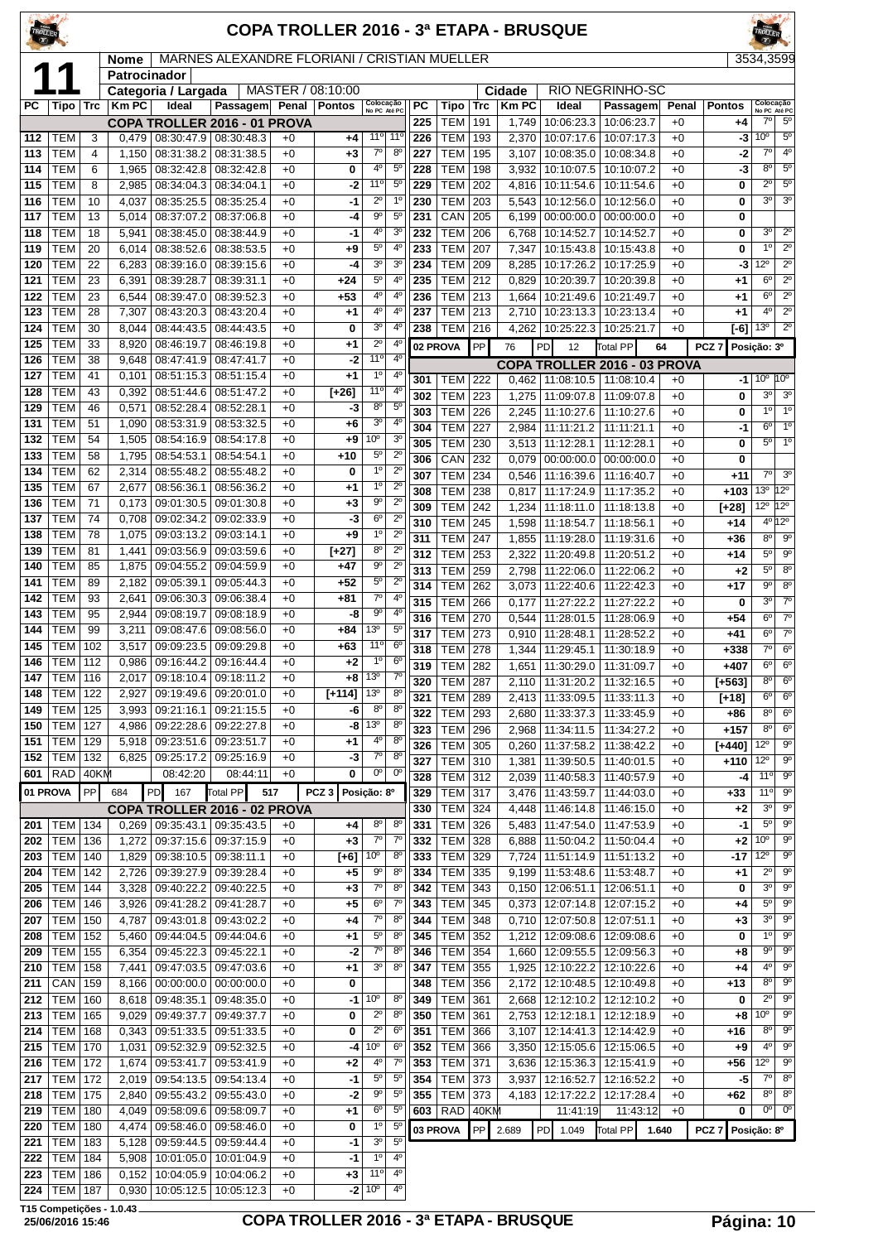| TROLLER         |                                  |          |                      |                                   |                                                                   |              | <b>COPA TROLLER 2016 - 3ª ETAPA - BRUSQUE</b> |                            |                            |            |                                  |            |                |                                   |                                                    |              |                  |                                     |                                       |
|-----------------|----------------------------------|----------|----------------------|-----------------------------------|-------------------------------------------------------------------|--------------|-----------------------------------------------|----------------------------|----------------------------|------------|----------------------------------|------------|----------------|-----------------------------------|----------------------------------------------------|--------------|------------------|-------------------------------------|---------------------------------------|
|                 |                                  |          | Nome<br>Patrocinador |                                   | MARNES ALEXANDRE FLORIANI / CRISTIAN MUELLER                      |              |                                               |                            |                            |            |                                  |            |                |                                   |                                                    |              |                  |                                     | 3534,3599                             |
|                 |                                  |          |                      | Categoria / Largada               |                                                                   |              | MASTER / 08:10:00                             |                            |                            |            |                                  |            | Cidade         |                                   | RIO NEGRINHO-SC                                    |              |                  |                                     |                                       |
| <b>PC</b>       | Tipo   Trc                       |          | <b>Km PC</b>         | Ideal                             | Passagem Penal                                                    |              | <b>Pontos</b>                                 | Colocação<br>No PC Até PC  |                            | <b>PC</b>  | Tipo                             | <b>Trc</b> | <b>KmPC</b>    | Ideal                             | Passagem                                           | Penal        | <b>Pontos</b>    |                                     | Colocação<br>No PC Até PC             |
|                 |                                  |          |                      |                                   | COPA TROLLER 2016 - 01 PROVA                                      |              |                                               |                            |                            | 225        | <b>TEM</b>                       | 191        | 1,749          | 10:06:23.3                        | 10:06:23.7                                         | $+0$         | +4               | 70                                  | $5^{\circ}$                           |
| 112             | TEM                              | 3        | 0.479                | 08:30:47.9                        | 08:30:48.3                                                        | $+0$         | +4                                            | 11°                        | 11 <sup>c</sup>            | 226        | <b>TEM</b>                       | 193        | 2,370          | 10:07:17.6                        | 10:07:17.3                                         | $+0$         | -3               | 10 <sup>o</sup><br>$7^\circ$        | $5^{\circ}$<br>$4^{\circ}$            |
| 113<br>114      | <b>TEM</b><br><b>TEM</b>         | 4<br>6   | 1,150<br>1,965       | 08:31:38.2<br>08:32:42.8          | 08:31:38.5<br>08:32:42.8                                          | $+0$<br>$+0$ | +3<br>0                                       | $7^{\circ}$<br>$4^{\circ}$ | $8^{\circ}$<br>$5^{\circ}$ | 227<br>228 | <b>TEM</b><br><b>TEM</b>         | 195<br>198 | 3,107<br>3,932 | 10:08:35.0<br>10:10:07.5          | 10:08:34.8<br>10:10:07.2                           | $+0$<br>$+0$ | -2<br>-3         | $8^{\circ}$                         | $5^{\circ}$                           |
| 115             | <b>TEM</b>                       | 8        | 2,985                | 08:34:04.3   08:34:04.1           |                                                                   | $+0$         | -2                                            | 11°                        | $5^{\circ}$                | 229        | <b>TEM</b>                       | 202        | 4,816          | 10:11:54.6                        | 10:11:54.6                                         | $+0$         | 0                | $2^{\circ}$                         | $5^{\circ}$                           |
| 116             | <b>TEM</b>                       | 10       | 4,037                |                                   | 08:35:25.5   08:35:25.4                                           | $+0$         | $-1$                                          | $2^{\circ}$                | 1 <sup>0</sup>             | 230        | <b>TEM</b>                       | 203        | 5,543          | 10:12:56.0                        | 10:12:56.0                                         | $+0$         | 0                | $3^{\circ}$                         | 3 <sup>o</sup>                        |
| 117             | <b>TEM</b>                       | 13       | 5,014                | 08:37:07.2                        | 08:37:06.8                                                        | $+0$         | -4                                            | $9^{\circ}$                | $5^{\circ}$                | 231        | CAN                              | 205        | 6,199          | 00:00:00.0                        | 00:00:00.0                                         | $+0$         | 0                |                                     |                                       |
| 118             | <b>TEM</b>                       | 18       | 5,941                | 08:38:45.0                        | 08:38:44.9                                                        | $+0$         | -1                                            | $4^{\circ}$                | 3 <sup>o</sup>             | 232        | <b>TEM</b>                       | 206        | 6,768          | 10:14:52.7                        | 10:14:52.7                                         | $+0$         | 0                | 3 <sup>o</sup>                      | $2^{\circ}$                           |
| 119             | <b>TEM</b>                       | 20       | 6,014                | 08:38:52.6                        | 08:38:53.5                                                        | $+0$         | +9                                            | $5^{\circ}$                | 4 <sup>0</sup>             | 233        | <b>TEM</b>                       | 207        | 7,347          | 10:15:43.8                        | 10:15:43.8                                         | $+0$         | 0                | 1 <sup>0</sup>                      | $2^{\circ}$                           |
| 120             | <b>TEM</b>                       | 22       | 6,283                |                                   | 08:39:16.0   08:39:15.6                                           | $+0$         | -4                                            | 3 <sup>o</sup>             | 3 <sup>o</sup>             | 234        | <b>TEM</b>                       | 209        | 8,285          |                                   | 10:17:26.2   10:17:25.9                            | $+0$         | -3               | $12^{\circ}$                        | $2^{\circ}$                           |
| 121             | <b>TEM</b>                       | 23       | 6,391                | 08:39:28.7                        | 08:39:31.1                                                        | $+0$         | +24                                           | $5^{\circ}$                | $4^{\circ}$                | 235        | <b>TEM</b>                       | 212        | 0,829          | 10:20:39.7                        | 10:20:39.8                                         | $+0$         | $+1$             | $6^{\circ}$                         | $\overline{2^{\circ}}$                |
| 122             | <b>TEM</b>                       | 23       | 6,544                | 08:39:47.0                        | 08:39:52.3                                                        | $+0$         | $+53$                                         | $4^{\circ}$<br>$4^{\circ}$ | $4^{\circ}$<br>$4^{\circ}$ | 236        | <b>TEM</b>                       | 213        | 1,664          | 10:21:49.6                        | 10:21:49.7                                         | $+0$         | $+1$             | $6^{\circ}$<br>$4^{\circ}$          | $2^{\circ}$<br>$2^{\circ}$            |
| 123<br>124      | <b>TEM</b><br><b>TEM</b>         | 28<br>30 | 7,307<br>8,044       | 08:43:20.3<br>08:44:43.5          | 08:43:20.4<br>08:44:43.5                                          | $+0$<br>$+0$ | +1<br>0                                       | 3 <sup>o</sup>             | 4 <sup>0</sup>             | 237<br>238 | <b>TEM</b><br><b>TEM</b>         | 213<br>216 | 2,710<br>4,262 | 10:23:13.3<br>10:25:22.3          | 10:23:13.4<br>10:25:21.7                           | $+0$<br>$+0$ | $+1$<br>[-6]     | 13 <sup>o</sup>                     | $2^{\circ}$                           |
| 125             | <b>TEM</b>                       | 33       | 8,920                | 08:46:19.7                        | 08:46:19.8                                                        | $+0$         | +1                                            | $2^{\circ}$                | 4 <sup>0</sup>             |            |                                  | PP         |                |                                   |                                                    |              |                  |                                     |                                       |
| 126             | <b>TEM</b>                       | 38       | 9,648                | 08:47:41.9                        | 08:47:41.7                                                        | $+0$         | -2                                            | $11^{\circ}$               | 4 <sup>0</sup>             |            | 02 PROVA                         |            | 76             | PD<br>12                          | <b>Total PP</b>                                    | 64           | PCZ <sub>7</sub> | Posição: 3º                         |                                       |
| 127             | TEM                              | 41       | 0,101                | 08:51:15.3                        | 08:51:15.4                                                        | $+0$         | $+1$                                          | $1^{\circ}$                | 4 <sup>0</sup>             | 301        | TEM                              | 222        | 0.462          | 11:08:10.5                        | COPA TROLLER 2016 - 03 PROVA<br>11:08:10.4         | $+0$         | -11              |                                     | $10^{\circ}$ $10^{\circ}$             |
| 128             | <b>TEM</b>                       | 43       | 0,392                | 08:51:44.6                        | 08:51:47.2                                                        | $+0$         | $[-26]$                                       | 11 <sup>0</sup>            | $4^{\circ}$                | 302        | <b>TEM</b>                       | 223        | 1,275          | 11:09:07.8                        | 11:09:07.8                                         | $+0$         | 0                | $3^{\circ}$                         | 3 <sup>o</sup>                        |
| 129             | <b>TEM</b>                       | 46       | 0,571                | 08:52:28.4                        | 08:52:28.1                                                        | $+0$         | -3                                            | $8^{\circ}$                | $5^{\circ}$                | 303        | <b>TEM</b>                       | 226        | 2,245          | 11:10:27.6                        | 11:10:27.6                                         | $+0$         | 0                | $1^{\circ}$                         | $1^{\circ}$                           |
| 131             | <b>TEM</b>                       | 51       | 1,090                | 08:53:31.9                        | 08:53:32.5                                                        | $+0$         | $+6$                                          | 3 <sup>o</sup>             | 4 <sup>0</sup>             | 304        | <b>TEM</b>                       | 227        | 2,984          | 11:11:21.2                        | 11:11:21.1                                         | $+0$         | $-1$             | $6^{\circ}$                         | $1^{\circ}$                           |
| 132             | <b>TEM</b>                       | 54       | 1,505                | 08:54:16.9                        | 08:54:17.8                                                        | $+0$         | +9                                            | 10°                        | 3 <sup>o</sup>             | 305        | <b>TEM</b>                       | 230        | 3,513          | 11:12:28.1                        | 11:12:28.1                                         | $+0$         | 0                | 5 <sup>o</sup>                      | 1 <sup>0</sup>                        |
| 133             | TEM                              | 58       | 1,795                | 08:54:53.1                        | 08:54:54.1                                                        | $+0$         | +10                                           | $5^{\circ}$<br>$1^{\circ}$ | $2^{\circ}$<br>$2^{\circ}$ | 306        | CAN                              | 232        | 0,079          | 00:00:00.0                        | 00:00:00.0                                         | $+0$         | 0                |                                     |                                       |
| 134<br>135      | <b>TEM</b><br><b>TEM</b>         | 62<br>67 | 2,314<br>2,677       | 08:55:48.2<br>08:56:36.1          | 08:55:48.2<br>08:56:36.2                                          | $+0$<br>$+0$ | 0<br>+1                                       | $1^{\circ}$                | $2^{\circ}$                | 307        | <b>TEM</b>                       | 234        | 0,546          | 11:16:39.6                        | 11:16:40.7                                         | $+0$         | $+11$            | $7^\circ$                           | 3 <sup>o</sup>                        |
| 136             | <b>TEM</b>                       | 71       | 0,173                | 09:01:30.5                        | 09:01:30.8                                                        | $+0$         | +3                                            | $9^{\circ}$                | $\overline{2^0}$           | 308<br>309 | <b>TEM</b><br><b>TEM</b>         | 238<br>242 | 0,817          | 11:17:24.9                        | 11:17:35.2                                         | $+0$<br>$+0$ | $+103$           |                                     | 13º 12º<br>$12^{\circ}$ 12 $^{\circ}$ |
| 137             | <b>TEM</b>                       | 74       | 0,708                | 09:02:34.2                        | 09:02:33.9                                                        | $+0$         | -3                                            | $6^{\circ}$                | $2^{\circ}$                | 310        | <b>TEM</b>                       | 245        | 1,234<br>1,598 | 11:18:11.0<br>11:18:54.7          | 11:18:13.8<br>11:18:56.1                           | $+0$         | [+28]<br>+14     |                                     | 4º 12º                                |
| 138             | <b>TEM</b>                       | 78       | 1,075                | 09:03:13.2                        | 09:03:14.1                                                        | $+0$         | $+9$                                          | 1°                         | $2^{\circ}$                | 311        | <b>TEM</b>                       | 247        | 1,855          | 11:19:28.0                        | 11:19:31.6                                         | $+0$         | +36              | $8^{\circ}$                         | 9 <sup>o</sup>                        |
| 139             | <b>TEM</b>                       | 81       | 1,441                | 09:03:56.9                        | 09:03:59.6                                                        | $+0$         | $[-27]$                                       | $8^{\circ}$                | $2^{\circ}$                | 312        | <b>TEM</b>                       | 253        | 2,322          | 11:20:49.8                        | 11:20:51.2                                         | $+0$         | +14              | $5^{\circ}$                         | $9^{\circ}$                           |
| 140             | <b>TEM</b>                       | 85       | 1,875                | 09:04:55.2                        | 09:04:59.9                                                        | $+0$         | +47                                           | $9^{\circ}$                | $2^{\circ}$                | 313        | <b>TEM</b>                       | 259        | 2,798          | 11:22:06.0                        | 11:22:06.2                                         | $+0$         | $+2$             | $5^{\circ}$                         | 8 <sup>o</sup>                        |
| 141             | <b>TEM</b>                       | 89       | 2,182                |                                   | 09:05:39.1   09:05:44.3                                           | $+0$         | $+52$                                         | $5^{\circ}$                | $2^{\circ}$                | 314        | <b>TEM</b>                       | 262        | 3,073          | 11:22:40.6                        | 11:22:42.3                                         | $+0$         | $+17$            | $9^{\circ}$                         | $8^{\circ}$                           |
| 142             | <b>TEM</b>                       | 93       | 2,641                | 09:06:30.3                        | 09:06:38.4                                                        | $+0$         | +81                                           | $7^\circ$<br>$9^{\circ}$   | $4^{\circ}$<br>$4^{\circ}$ | 315        | <b>TEM</b>                       | 266        | 0,177          | 11:27:22.2                        | 11:27:22.2                                         | $+0$         | 0                | 3 <sup>o</sup>                      | $7^\circ$                             |
| 143<br>144      | <b>TEM</b><br><b>TEM</b>         | 95<br>99 | 2,944<br>3,211       | 09:08:19.7<br>09:08:47.6          | 09:08:18.9<br>09:08:56.0                                          | $+0$<br>$+0$ | -8<br>+84                                     | 13 <sup>0</sup>            | $5^{\circ}$                | 316        | <b>TEM</b>                       | 270        | 0,544          | 11:28:01.5                        | 11:28:06.9                                         | $+0$         | $+54$            | 6 <sup>o</sup>                      | 7 <sup>0</sup>                        |
| 145             | <b>TEM</b>                       | 102      | 3,517                | 09:09:23.5                        | 09:09:29.8                                                        | $+0$         | +63                                           | 11 <sup>0</sup>            | 6 <sup>o</sup>             | 317        | <b>TEM</b>                       | 273        | 0,910          | 11:28:48.1                        | 11:28:52.2                                         | $+0$         | $+41$            | $6^{\circ}$<br>$\overline{7^\circ}$ | $7^\circ$<br>$\overline{6^0}$         |
| 146             | <b>TEM   112</b>                 |          | 0,986                |                                   | 09:16:44.2   09:16:44.4                                           | $+0$         | $+2$                                          | $1^{\circ}$                | $6^{\circ}$                | 318<br>319 | <b>TEM</b><br><b>TEM</b>         | 278<br>282 | 1,344<br>1,651 | 11:29:45.1<br>11:30:29.0          | 11:30:18.9<br>11:31:09.7                           | $+0$<br>$+0$ | $+338$<br>$+407$ | $6^{\circ}$                         | $6^{\circ}$                           |
| $\boxed{147}$   | $TEM$ 116                        |          |                      |                                   | 2,017 09:18:10.4 09:18:11.2                                       | $+0$         |                                               | $+8$ 13 <sup>o</sup>       | $7^\circ$                  | 320        | TEM   287                        |            |                | 2,110   11:31:20.2   11:32:16.5   |                                                    | $+0$         | [+563]           | $8^{\circ}$                         | $6^{\circ}$                           |
| 148             | <b>TEM   122</b>                 |          | 2,927                |                                   | 09:19:49.6   09:20:01.0                                           | $+0$         | $[+114]$                                      | 13 <sup>o</sup>            | 8 <sup>o</sup>             | 321        | <b>TEM 289</b>                   |            |                | 2,413   11:33:09.5   11:33:11.3   |                                                    | $+0$         | [+18]            | $6^{\circ}$                         | $6^{\rm o}$                           |
| 149             | <b>TEM 125</b>                   |          | 3,993                |                                   | 09:21:16.1 09:21:15.5                                             | $+0$         | -6                                            | $8^{\circ}$                | $8^{\circ}$                | 322        | <b>TEM 293</b>                   |            | 2,680          | 11:33:37.3   11:33:45.9           |                                                    | $+0$         | $+86$            | $8^{\circ}$                         | 6 <sup>o</sup>                        |
| 150             | <b>TEM 127</b>                   |          | 4,986                | 09:22:28.6                        | 09:22:27.8                                                        | $+0$         | -8                                            | 13 <sup>o</sup>            | $8^{\circ}$                | 323        | <b>TEM 296</b>                   |            | 2,968          | 11:34:11.5                        | 11:34:27.2                                         | $+0$         | $+157$           | $8^{\circ}$                         | $\overline{6^{\circ}}$                |
| 151             | <b>TEM 129</b>                   |          |                      |                                   | 5,918   09:23:51.6   09:23:51.7                                   | $+0$         | $+1$                                          | $4^{\circ}$                | $8^{\circ}$                | 326        | <b>TEM</b>                       | 305        | 0,260          | 11:37:58.2                        | 11:38:42.2                                         | $+0$         | $[+440]$         | $12^{\circ}$                        | $9^{\circ}$                           |
| 152             | <b>TEM 132</b><br>$RAD$ 40KM     |          |                      | 08:42:20                          | $6,825$   09:25:17.2   09:25:16.9<br>08:44:11                     | $+0$<br>$+0$ | -3<br>0                                       | $7^\circ$<br>$0^{\circ}$   | $8^{\circ}$<br>$0^{\circ}$ | 327        | <b>TEM</b>                       | 310        | 1,381          | 11:39:50.5   11:40:01.5           |                                                    | $+0$         | $+110$           | $12^{\circ}$                        | $9^{\circ}$                           |
| 601<br>01 PROVA |                                  | PP       |                      |                                   | Total PP                                                          |              | PCZ <sub>3</sub>                              |                            |                            | 328        | <b>TEM 312</b>                   |            | 2,039          |                                   | 11:40:58.3 11:40:57.9                              | $+0$         | -4               | 11°<br>11°                          | $9^{\circ}$<br>$9^{\circ}$            |
|                 |                                  |          | 684                  | PD<br>167                         |                                                                   | 517          |                                               | Posição: 8º                |                            | 329        | <b>TEM 317</b>                   |            | 3,476          |                                   | 11:43:59.7   11:44:03.0                            | $+0$         | +33              | 3 <sup>o</sup>                      | $9^{\circ}$                           |
| 201             | TEM   134                        |          |                      |                                   | COPA TROLLER 2016 - 02 PROVA<br>$0,269$   09:35:43.1   09:35:43.5 | $+0$         | +4                                            | $8^{\circ}$                | $8^{\circ}$                | 330<br>331 | TEM 324<br><b>TEM</b>            | 326        | 4,448<br>5,483 | 11:47:54.0                        | 11:46:14.8   11:46:15.0<br>11:47:53.9              | $+0$<br>$+0$ | +2<br>-1         | $5^{\circ}$                         | $9^{\circ}$                           |
| 202             | <b>TEM 136</b>                   |          | 1,272                | 09:37:15.6                        | 09:37:15.9                                                        | $+0$         | $+3$                                          | $7^\circ$                  | $7^\circ$                  | 332        | <b>TEM</b>                       | 328        | 6,888          | 11:50:04.2                        | 11:50:04.4                                         | $+0$         | $+2$             | 10 <sup>o</sup>                     | $9^{\circ}$                           |
| 203             | <b>TEM   140</b>                 |          | 1,829                | 09:38:10.5   09:38:11.1           |                                                                   | $+0$         | $[-6]$                                        | 10 <sup>o</sup>            | $8^{\circ}$                | 333        | TEM 329                          |            | 7,724          |                                   | 11:51:14.9   11:51:13.2                            | $+0$         | -17              | $12^{\circ}$                        | $9^{\circ}$                           |
| 204             | <b>TEM 142</b>                   |          | 2,726                |                                   | 09:39:27.9 09:39:28.4                                             | $+0$         | +5                                            | 90                         | 8 <sup>o</sup>             | 334        | TEM 335                          |            | 9,199          | 11:53:48.6   11:53:48.7           |                                                    | $+0$         | $+1$             | $2^{\circ}$                         | $9^{\circ}$                           |
| 205             | <b>TEM   144</b>                 |          |                      |                                   | 3,328   09:40:22.2   09:40:22.5                                   | $+0$         | +3                                            | $7^\circ$                  | $8^{\circ}$                | 342        | TEM 343                          |            |                | $0,150$   12:06:51.1   12:06:51.1 |                                                    | $+0$         | 0                | $3^{\circ}$                         | $9^{\circ}$                           |
| 206             | <b>TEM 146</b>                   |          | 3,926                |                                   | 09:41:28.2 09:41:28.7                                             | $+0$         | +5                                            | $6^{\circ}$                | $7^{\circ}$                | 343        | <b>TEM</b>                       | 345        |                |                                   | $0,373$   12:07:14.8   12:07:15.2                  | $+0$         | +4               | $5^{\circ}$                         | $9^{\circ}$                           |
| 207             | <b>TEM 150</b>                   |          | 4,787                |                                   | 09:43:01.8 09:43:02.2                                             | $+0$         | +4                                            | $7^{\circ}$                | $8^{\circ}$                | 344        | <b>TEM 348</b>                   |            |                | 0,710   12:07:50.8   12:07:51.1   |                                                    | $+0$         | $+3$             | $3^{\circ}$<br>$1^{\circ}$          | $9^{\circ}$<br>$9^{\circ}$            |
| 208<br>209      | <b>TEM 152</b><br><b>TEM 155</b> |          | 5,460<br>6,354       |                                   | 09:44:04.5   09:44:04.6<br>09:45:22.3 09:45:22.1                  | $+0$<br>$+0$ | +1<br>-2                                      | $5^{\circ}$<br>$7^\circ$   | $8^{\circ}$<br>$8^{\circ}$ | 345<br>346 | <b>TEM 352</b><br><b>TEM 354</b> |            | 1,212<br>1,660 |                                   | 12:09:08.6   12:09:08.6<br>12:09:55.5   12:09:56.3 | $+0$<br>$+0$ | 0<br>+8          | $9^{\circ}$                         | $9^{\circ}$                           |
| 210             | <b>TEM 158</b>                   |          | 7,441                |                                   | 09:47:03.5   09:47:03.6                                           | $+0$         | $+1$                                          | 3 <sup>o</sup>             | $8^{\circ}$                | 347        | TEM 355                          |            | 1,925          |                                   | 12:10:22.2   12:10:22.6                            | $+0$         | +4               | $4^{\circ}$                         | $9^{\circ}$                           |
| 211             | $CAN$   159                      |          | 8,166                |                                   | $00:00:00.0$ 00:00:00.0                                           | $+0$         | 0                                             |                            |                            | 348        | TEM                              | 356        | 2,172          | 12:10:48.5                        | 12:10:49.8                                         | $+0$         | +13              | $8^{\circ}$                         | $\overline{9^{\circ}}$                |
| 212             | <b>TEM 160</b>                   |          | 8,618                |                                   | 09:48:35.1   09:48:35.0                                           | $+0$         | -1                                            | 10 <sup>o</sup>            | $8^{\circ}$                | 349        | TEM 361                          |            | 2,668          |                                   | 12:12:10.2   12:12:10.2                            | $+0$         | 0                | $2^{\circ}$                         | $9^{\circ}$                           |
| 213             | <b>TEM 165</b>                   |          |                      |                                   | 9,029   09:49:37.7   09:49:37.7                                   | $+0$         | 0                                             | $2^{\circ}$                | 8 <sup>o</sup>             | 350        | TEM 361                          |            | 2,753          |                                   | 12:12:18.1 12:12:18.9                              | $+0$         | +8               | 10 <sup>o</sup>                     | $9^{\circ}$                           |
| 214             | <b>TEM 168</b>                   |          | 0,343                |                                   | 09:51:33.5 09:51:33.5                                             | $+0$         | 0                                             | $2^{\circ}$                | $6^{\circ}$                | 351        | <b>TEM</b>                       | 366        | 3,107          |                                   | 12:14:41.3   12:14:42.9                            | $+0$         | $+16$            | $8^{\circ}$                         | $9^{\circ}$                           |
| 215             | <b>TEM   170</b>                 |          | 1,031                |                                   | 09:52:32.9 09:52:32.5                                             | $+0$         | -4                                            | 10 <sup>o</sup>            | $6^{\circ}$                | 352        | <b>TEM 366</b>                   |            | 3,350          |                                   | 12:15:05.6   12:15:06.5                            | $+0$         | $+9$             | $4^{\circ}$                         | $9^{\circ}$                           |
| 216             | <b>TEM 172</b>                   |          | 1,674                | 09:53:41.7                        | 09:53:41.9                                                        | $+0$         | +2                                            | 40                         | $7^\circ$                  | 353        | <b>TEM</b>                       | 371        | 3,636          | 12:15:36.3                        | 12:15:41.9                                         | $+0$         | +56              | $12^{\circ}$                        | $9^{\circ}$                           |
| 217             | <b>TEM 172</b><br><b>TEM 175</b> |          |                      |                                   | 2,019 09:54:13.5 09:54:13.4                                       | $+0$<br>$+0$ | $-1$<br>$-2$                                  | $5^{\circ}$<br>90          | $5^{\circ}$<br>$5^{\circ}$ | 354<br>355 | TEM 373<br>TEM 373               |            | 3,937          |                                   | 12:16:52.7   12:16:52.2                            | $+0$<br>$+0$ | -5<br>+62        | $7^\circ$<br>$8^{\circ}$            | 8 <sup>o</sup><br>$8^{\circ}$         |
| 218<br>219      | <b>TEM 180</b>                   |          | 2,840<br>4,049       |                                   | 09:55:43.2   09:55:43.0<br>09:58:09.6 09:58:09.7                  | $+0$         | +1                                            | $6^{\circ}$                | $5^{\circ}$                |            | 603 RAD 40KM                     |            |                | 11:41:19                          | 4, 183   12:17:22.2   12:17:28.4<br>11:43:12       | $+0$         | 0                |                                     | $0o$ 0 <sup>o</sup>                   |
| 220             | <b>TEM   180</b>                 |          | 4,474                |                                   | 09:58:46.0 09:58:46.0                                             | $+0$         | 0                                             | $1^{\circ}$                | $5^{\circ}$                |            | 03 PROVA                         | PP         | 2.689          | PD 1.049                          | Total PP                                           | 1.640        | PCZ <sub>7</sub> | Posição: 8º                         |                                       |
| 221             | <b>TEM   183</b>                 |          | 5,128                |                                   | 09:59:44.5   09:59:44.4                                           | $+0$         | -1                                            | 3 <sup>o</sup>             | 5 <sup>0</sup>             |            |                                  |            |                |                                   |                                                    |              |                  |                                     |                                       |
| 222             | <b>TEM   184</b>                 |          |                      |                                   | 5,908   10:01:05.0   10:01:04.9                                   | $+0$         | -1                                            | $1^{\circ}$                | $4^{\circ}$                |            |                                  |            |                |                                   |                                                    |              |                  |                                     |                                       |
| 223             | <b>TEM 186</b>                   |          |                      | $0,152$   10:04:05.9   10:04:06.2 |                                                                   | $+0$         | $+3$                                          | 11°                        | $4^{\circ}$                |            |                                  |            |                |                                   |                                                    |              |                  |                                     |                                       |

TEM 187 0,930 10:05:12.5 10:05:12.3 +0 **-2** 10º 4º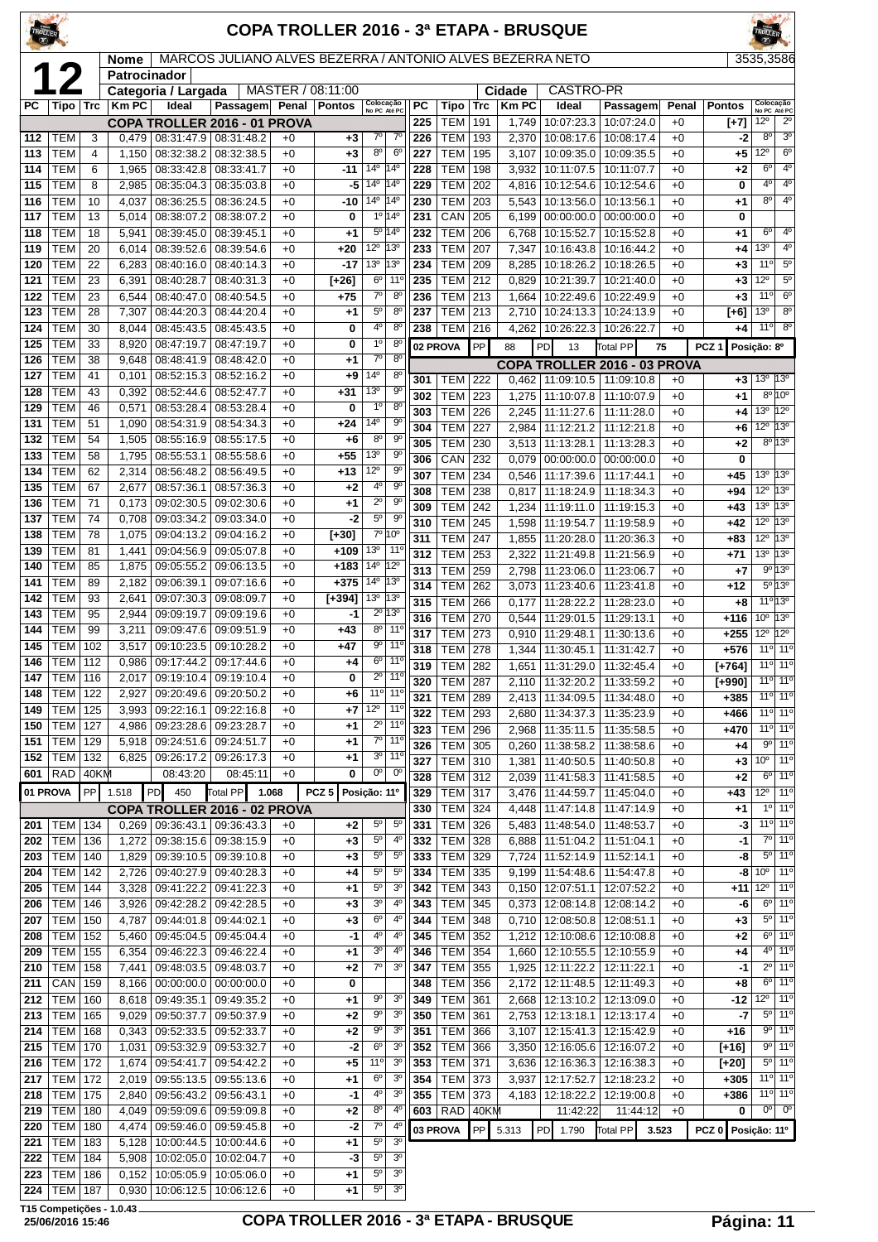| MARCOS JULIANO ALVES BEZERRA / ANTONIO ALVES BEZERRA NETO<br><b>Nome</b><br>Patrocinador<br><b>CASTRO-PR</b><br>MASTER / 08:11:00<br>Categoria / Largada<br>Cidade<br>Colocação<br>Km PC<br>PC<br><b>KmPC</b><br>PC<br>Ideal<br>Passagem<br>Penal<br><b>Pontos</b><br><b>Trc</b><br>Ideal<br>Passagem<br>Penal<br><b>Pontos</b><br>Tipo<br>Trc<br>Tipo<br>No PC Até PC<br><b>TEM</b><br>1,749<br>10:07:23.3<br>10:07:24.0<br>12°<br><b>COPA TROLLER 2016 - 01 PROVA</b><br>225<br>191<br>$+0$<br>$[+7]$<br>$7^{\circ}$<br>$7^\circ$<br>$-2$<br>TEM<br>3<br>0,479<br>08:31:47.9 08:31:48.2<br>226<br><b>TEM</b><br>193<br>2,370<br>10:08:17.6<br>10:08:17.4<br>$+0$<br>112<br>$+0$<br>$+3$<br>$8^{\circ}$<br><b>TEM</b><br>$6^{\circ}$<br><b>TEM</b><br>4<br>1,150<br>08:32:38.2<br>08:32:38.5<br>$+0$<br>$+3$<br>227<br>195<br>3,107<br>10:09:35.0<br>10:09:35.5<br>$+0$<br>+5<br>113<br>$14^{\circ}$ 14 <sup>°</sup><br><b>TEM</b><br><b>TEM</b><br>114<br>6<br>1,965<br>08:33:42.8<br>08:33:41.7<br>$+0$<br>$-11$<br>228<br>198<br>3,932<br>10:11:07.5<br>10:11:07.7<br>$+0$<br>+2<br><b>TEM</b><br>2,985<br>08:35:04.3<br>14 <sup>°</sup><br>$14^{\circ}$<br>229<br><b>TEM</b><br>202<br>10:12:54.6<br>$+0$<br>$\bf{0}$<br>115<br>8<br>08:35:03.8<br>$+0$<br>-5<br>4,816<br>10:12:54.6<br>14 <sup>o</sup> 14 <sup>o</sup><br><b>TEM</b><br><b>TEM</b><br>10<br>4,037<br>08:36:25.5<br>08:36:24.5<br>$-10$<br>230<br>203<br>10:13:56.0<br>10:13:56.1<br>116<br>$+0$<br>5,543<br>$+0$<br>+1<br>$10$ 14 <sup>o</sup><br>117<br><b>TEM</b><br>13<br>231<br>CAN<br>$+0$<br>0<br>5,014<br>08:38:07.2<br>08:38:07.2<br>$+0$<br>0<br>205<br>6,199<br>00:00:00.0<br>00:00:00.0<br>5º 14º<br><b>TEM</b><br><b>TEM</b><br>10:15:52.7<br>18<br>5,941<br>08:39:45.0<br>08:39:45.1<br>$+0$<br>232<br>206<br>6,768<br>10:15:52.8<br>$+0$<br>118<br>+1<br>+1<br>12 <sup>0</sup> 13 <sup>0</sup><br><b>TEM</b><br>20<br>233<br><b>TEM</b><br>119<br>6,014<br>08:39:52.6   08:39:54.6<br>$+0$<br>+20<br>207<br>7,347<br>10:16:43.8<br>10:16:44.2<br>$+0$<br>+4<br><b>TEM</b><br>22<br>08:40:16.0<br>$-17$<br>13 <sup>0</sup> 13 <sup>0</sup><br>234<br><b>TEM</b><br>209<br>10:18:26.2<br>120<br>6,283<br> 08:40:14.3<br>$+0$<br>8,285<br>10:18:26.5<br>$+0$<br>+3<br>6 <sup>o</sup><br><b>TEM</b><br>23<br>6,391<br>08:40:28.7<br>08:40:31.3<br>$11^{\circ}$<br>235<br><b>TEM</b><br>212<br>10:21:39.7<br>10:21:40.0<br>121<br>$+0$<br>[+26]<br>0,829<br>$+0$<br>+3<br>$7^{\circ}$<br>$8^{\circ}$<br>11°<br><b>TEM</b><br>122<br>TEM<br>23<br>6,544<br>08:40:47.0<br>08:40:54.5<br>$+75$<br>236<br>213<br>10:22:49.6<br>10:22:49.9<br>+3<br>$+0$<br>1,664<br>$+0$<br>$5^{\circ}$<br>$8^{\circ}$<br>13º<br><b>TEM</b><br>28<br>7,307<br>$+0$<br>237<br><b>TEM</b><br>213<br>$+0$<br>$[+6]$<br>123<br>08:44:20.3<br>08:44:20.4<br>2,710<br>10:24:13.3<br>10:24:13.9<br>$+1$<br>4 <sup>0</sup><br>$8^{\circ}$<br><b>TEM</b><br>30<br>8,044<br>124<br>08:45:43.5<br>08:45:43.5<br>$+0$<br>238<br><b>TEM</b><br>216<br>4,262<br>10:26:22.3<br>10:26:22.7<br>$+0$<br>0<br>+4<br><b>TEM</b><br>33<br>8,920<br>08:47:19.7<br>$1^{\circ}$<br>8 <sup>o</sup><br>125<br>08:47:19.7<br>$+0$<br>0<br>PP<br>02 PROVA<br>PD<br>PCZ <sub>1</sub><br>88<br><b>Total PP</b><br>75<br>Posicão: 8º<br>13<br>$7^\circ$<br><b>TEM</b><br>38<br>9,648<br>08:48:41.9<br>$8^{\circ}$<br>126<br>08:48:42.0<br>$+0$<br>+1<br>COPA TROLLER 2016 - 03 PROVA<br><b>TEM</b><br>14 <sup>°</sup><br>$8^{\circ}$<br>127<br>41<br>0,101<br>08:52:15.3<br>08:52:16.2<br>$+0$<br>+9<br>222<br>301<br>TEM  <br>$0.462$   11:09:10.5<br>11:09:10.8<br>$+3$<br>$+0$<br>$9^{\circ}$<br><b>TEM</b><br>43<br>08:52:44.6<br>13 <sup>o</sup><br>128<br>0,392<br>08:52:47.7<br>$+0$<br>+31<br>TEM<br>223<br>1,275<br>11:10:07.8<br>11:10:07.9<br>$+0$<br>+1<br>302<br>1 <sup>0</sup><br>$8^{\circ}$<br><b>TEM</b><br>46<br>0,571<br>129<br>08:53:28.4<br>08:53:28.4<br>$+0$<br>0<br>13 <sup>0</sup> 12 <sup>0</sup><br>303<br>TEM<br>226<br>2,245<br>11:11:27.6<br>11:11:28.0<br>$+0$<br>+4<br>$9^{\circ}$<br>$14^{\circ}$<br><b>TEM</b><br>51<br>08:54:31.9<br>131<br>1,090<br>08:54:34.3<br>$+0$<br>$+24$<br>12º 13º<br><b>TEM</b><br>11:12:21.2<br>304<br>227<br>2,984<br>11:12:21.8<br>$+0$<br>+6<br>TEM<br>1,505<br>08:55:16.9<br>$8^{\circ}$<br>$9^{\circ}$<br>132<br>54<br>08:55:17.5<br>$+0$<br>+6<br>305<br><b>TEM</b><br>230<br>$3,513$   11:13:28.1<br>11:13:28.3<br>$+0$<br>+2<br>13 <sup>o</sup><br><b>TEM</b><br>58<br>08:55:53.1<br>$+55$<br>$9^{\circ}$<br>133<br>1,795<br>08:55:58.6<br>$+0$<br>CAN<br>232<br>00:00:00.0<br>00:00:00.0<br>$+0$<br>$\bf{0}$<br>306<br>0,079<br>$12^{\circ}$<br>90<br><b>TEM</b><br>62<br>2,314<br>08:56:48.2<br>08:56:49.5<br>$+0$<br>134<br>+13<br><b>TEM</b><br>234<br>0,546<br>11:17:39.6<br>11:17:44.1<br>$+45$<br>307<br>$+0$<br>$4^{\circ}$<br>$9^{\circ}$<br><b>TEM</b><br>67<br>2,677<br>135<br>08:57:36.1<br>08:57:36.3<br>$+0$<br>$+2$<br>$12^{\circ}$<br><b>TEM</b><br>308<br>238<br>11:18:24.9<br>11:18:34.3<br>$+0$<br>0,817<br>$+94$<br>$2^{\circ}$<br>9 <sup>o</sup><br><b>TEM</b><br>71<br>136<br>0,173<br>09:02:30.5<br>09:02:30.6<br>$+0$<br>+1<br>13 <sup>o</sup><br><b>TEM</b><br>242<br>309<br>1,234<br>11:19:11.0<br>11:19:15.3<br>$+0$<br>$+43$<br>$5^{\circ}$<br>TEM<br>74<br>0,708<br>09:03:34.2<br>90<br>137<br>09:03:34.0<br>$+0$<br>-2<br><b>TEM</b><br>310<br>245<br>1,598<br>11:19:54.7<br>11:19:58.9<br>$+0$<br>+42<br>7º 10º<br><b>TEM</b><br>78<br>$[-30]$<br>138<br>1,075<br>09:04:13.2<br>09:04:16.2<br>$+0$<br>311<br><b>TEM</b><br>247<br>11:20:28.0<br>11:20:36.3<br>1,855<br>$+0$<br>+83<br><b>TEM</b><br>81<br>13 <sup>o</sup><br>139<br>1,441<br>09:04:56.9<br>09:05:07.8<br>$+0$<br>$+109$<br>11'<br><b>TEM</b><br>11:21:49.8<br>11:21:56.9<br>312<br>253<br>2,322<br>$+0$<br>+71<br>$14^{\circ}$<br>$12^{\circ}$<br><b>TEM</b><br>85<br>1,875<br>09:05:55.2<br>09:06:13.5<br>$+0$<br>$+183$<br>140<br>313<br><b>TEM</b><br>259<br>11:23:06.0<br>11:23:06.7<br>2,798<br>$+0$<br>$+7$<br>14 <sup>o</sup> 13 <sup>c</sup><br><b>TEM</b><br>09:06:39.1<br>141<br>89<br>2,182<br>09:07:16.6<br>$+0$<br>$+375$<br><b>TEM</b><br>262<br>314<br>3,073<br>11:23:40.6<br>11:23:41.8<br>$+0$<br>$+12$<br>13º 13º<br><b>TEM</b><br>2,641<br>09:07:30.3<br>09:08:09.7<br>142<br>93<br>$+0$<br>$[-394]$<br>$11^{\circ}13^{\circ}$<br><b>TEM</b><br>315<br>266<br>0,177<br>11:28:22.2<br>11:28:23.0<br>$+0$<br>+8<br>$2^{\circ}$ 13°<br><b>TEM</b><br>95<br>2,944<br>143<br>09:09:19.7<br>09:09:19.6<br>$+0$<br>-1<br><b>TEM</b><br>270<br>11:29:01.5<br>11:29:13.1<br>316<br>0,544<br>$+0$<br>$+116$<br>8 <sup>o</sup><br>11 <sup>c</sup><br><b>TEM</b><br>99<br>3,211<br>144<br>09:09:47.6<br>09:09:51.9<br>$+0$<br>$+43$<br><b>TEM</b><br>273<br>11:29:48.1<br>$+255$<br>317<br>0,910<br>11:30:13.6<br>$+0$<br>90<br><b>TEM</b><br>102<br>11'<br>145<br>3,517<br>09:10:23.5<br>09:10:28.2<br>$+0$<br>+47<br>318<br><b>TEM</b><br>278<br>11:30:45.1<br>11:31:42.7<br>+576<br>1,344<br>$+0$<br>$6^{\circ}$<br><b>TEM</b><br>0,986<br>09:17:44.2 09:17:44.6<br>$11^{\circ}$<br>146<br>112<br>$+0$<br>+4<br>319<br>TEM  <br>282<br>1,651   11:31:29.0   11:32:45.4<br>$[-764]$<br>$+0$<br>09:19:10.4 09:19:10.4<br>$2^{\circ}$<br>$11^{\circ}$<br>147<br>TEM   116<br>$+0$<br>0<br>2,017<br>$11°$ 11°<br>320<br><b>TEM 287</b><br>2,110   11:32:20.2   11:33:59.2<br>[+990]<br>$+0$<br><b>TEM</b><br>11 <sup>o</sup> 11 <sup>o</sup><br>148<br>122<br>2,927<br>09:20:49.6<br>09:20:50.2<br>$+0$<br>$+6$<br>TEM<br>11 <sup>o</sup> 11 <sup>o</sup><br>321<br>289<br>11:34:09.5<br>11:34:48.0<br>$+0$<br>+385<br>2.413<br>$12^{\circ}$<br>$11^{\circ}$<br><b>TEM</b><br>125<br>3,993<br>09:22:16.1<br>$+0$<br>+7<br>149<br>09:22:16.8<br>322<br><b>TEM 293</b><br>$+466$<br>2,680<br>11:34:37.3<br>11:35:23.9<br>$+0$<br>$2^{\circ}$ 11 <sup>°</sup><br>TEM<br>127<br>4,986<br>09:23:28.6   09:23:28.7<br>$+0$<br>150<br>$+1$<br>323<br>TEM<br>296<br>11:35:11.5<br>11:35:58.5<br>$+470$<br>2,968<br>$+0$<br>$7°$   11 <sup>o</sup><br><b>TEM</b><br>5,918<br>129<br>09:24:51.6 09:24:51.7<br>$+0$<br>151<br>+1<br><b>TEM</b><br>326<br>305<br>0,260<br>11:38:58.2<br>11:38:58.6<br>$+0$<br>+4<br>$3^{\circ}$ 11 <sup>c</sup><br><b>TEM</b><br>152<br>132<br>6,825<br>09:26:17.2<br>09:26:17.3<br>$+0$<br>+1<br>10 <sup>o</sup><br>TEM 310<br>$+0$<br>327<br>1,381<br>11:40:50.5<br>11:40:50.8<br>$+3$<br>$00$ 0 <sup>o</sup><br>601<br>RAD<br>40KM<br>08:43:20<br>08:45:11<br>0<br>$+0$<br>$6^{\circ}$ 11 $^{\circ}$<br><b>TEM 312</b><br>328<br>2,039 11:41:58.3<br>11:41:58.5<br>$+0$<br>+2<br>01 PROVA<br>PP<br>1.518<br>PD<br>450<br>Total PP 1.068<br>PCZ <sub>5</sub><br>Posição: 11º<br>329<br><b>TEM 317</b><br>3,476<br>11:44:59.7<br>11:45:04.0<br>$+43$<br>$+0$<br>TEM<br>330<br>324<br>4,448<br>11:47:14.8<br>11:47:14.9<br>$+0$<br>$+1$<br>COPA TROLLER 2016 - 02 PROVA<br>$5^{\circ}$<br>$5^{\circ}$<br>TEM<br><b>TEM   134</b><br> 09:36:43.1 09:36:43.3<br>$+2$<br>331<br>326<br>5,483 11:48:54.0<br>11:48:53.7<br>$+0$<br>-3<br>0,269<br>$+0$<br>201<br>$5^{\circ}$<br>$4^{\circ}$<br>TEM<br>136<br><b>TEM 328</b><br>1,272<br>09:38:15.6 09:38:15.9<br>332<br>11:51:04.2<br>11:51:04.1<br>$+0$<br>$-1$<br>202<br>$+0$<br>$+3$<br>6,888<br>$5^{\circ}$<br>$5^{\circ}$ 11 $^{\circ}$<br>$5^{\circ}$<br>TEM<br>140<br>1,829<br>09:39:10.5 09:39:10.8<br>333<br><b>TEM 329</b><br>11:52:14.9<br>11:52:14.1<br>$+0$<br>-8<br>$+0$<br>$+3$<br>7,724<br>203<br>$5^{\circ}$<br>$5^{\circ}$<br>10 <sup>°</sup><br>TEM<br>334<br>TEM 335<br>204<br>142<br>2,726<br>09:40:27.9 09:40:28.3<br>$+0$<br>+4<br>9,199<br>11:54:48.6<br>11:54:47.8<br>$+0$<br>-8 <br>$5^{\circ}$<br><b>TEM</b><br>TEM<br>205<br>144<br>3,328<br>09:41:22.2 09:41:22.3<br>$+0$<br>3 <sup>o</sup><br>342<br>343<br>$0,150$   12:07:51.1  <br>12:07:52.2<br>$+0$<br>+1<br>+11<br>3 <sup>o</sup><br><b>TEM</b><br>146<br>3,926<br>09:42:28.2 09:42:28.5<br>$4^{\circ}$<br>TEM<br>$+0$<br>$+3$<br>343<br>345<br>$0,373$   12:08:14.8<br>12:08:14.2<br>$+0$<br>-6<br>206<br>$6^{\circ}$<br><b>TEM</b><br>150<br>$4^{\circ}$<br>344<br>TEM 348<br>$+3$<br>4,787<br>09:44:01.8 09:44:02.1<br>$+0$<br>$+3$<br>$0,710$   12:08:50.8   12:08:51.1<br>$+0$<br>207<br>$4^{\circ}$<br>$4^{\circ}$<br><b>TEM</b><br>152<br>5,460<br>09:45:04.5 09:45:04.4<br>$+0$<br>345<br>TEM 352<br>-1<br>1,212<br>12:10:08.6<br>12:10:08.8<br>$+0$<br>$+2$<br>208<br>$3^{\circ}$<br>$4^{\circ}$ 11 $^{\circ}$<br>$4^{\circ}$<br>TEM<br>155<br>6,354<br>346<br>TEM 354<br>1,660 12:10:55.5<br>209<br>09:46:22.3 09:46:22.4<br>$+0$<br>12:10:55.9<br>$+0$<br>+4<br>+1<br>$7^\circ$<br>3 <sup>o</sup><br><b>TEM</b><br>158<br>09:48:03.5 09:48:03.7<br><b>TEM</b><br>12:11:22.2<br>210<br>7,441<br>$+0$<br>+2<br>347<br>355<br>1,925<br>12:11:22.1<br>$+0$<br>$-1$<br>CAN<br>159<br>TEM 356<br>2,172 12:11:48.5<br>211<br>8,166<br>$00:00:00.0$   $00:00:00.0$<br>$+0$<br>0<br>348<br>12:11:49.3<br>$+0$<br>+8<br>90<br>3 <sup>o</sup><br><b>TEM</b><br>160<br>$+0$<br>349<br>TEM 361<br>2,668   12:13:10.2   12:13:09.0<br>$+0$<br>212<br>8,618<br>$\vert$ 09:49:35.1 $\vert$ 09:49:35.2<br>-12<br>+1<br>9 <sup>o</sup><br>3 <sup>o</sup><br>$-7$<br><b>TEM</b><br>09:50:37.7<br>350<br>TEM 361<br>213<br>165<br>9,029<br>09:50:37.9<br>$+0$<br>+2<br>2,753<br>12:13:18.1   12:13:17.4<br>$+0$<br>$9^{\circ}$<br>3 <sup>o</sup><br><b>TEM</b><br>351<br>214<br>168<br>0,343<br>09:52:33.5 09:52:33.7<br>$+0$<br>$+2$<br>TEM 366<br>3,107<br>$12:15:41.3$ 12:15:42.9<br>$+0$<br>$+16$<br>$6^{\rm o}$<br><b>TEM</b><br>170<br>09:53:32.9<br>09:53:32.7<br>$-2$<br>3 <sup>o</sup><br>352<br><b>TEM</b><br>12:16:05.6<br>12:16:07.2<br>215<br>1,031<br>$+0$<br>366<br>3,350<br>$+0$<br>[+16]<br>11°<br><b>TEM</b><br>172<br>1,674<br>09:54:41.7<br>$+0$<br>3 <sup>o</sup><br>353<br>TEM<br>371<br>216<br>09:54:42.2<br>+5<br>3,636<br>  12:16:36.3   12:16:38.3<br>$+0$<br>$[+20]$<br>$6^{\circ}$<br>TEM<br>172<br>3 <sup>o</sup><br>354<br>TEM 373<br>3,937   12:17:52.7   12:18:23.2<br>217<br>2,019<br>09:55:13.5   09:55:13.6<br>$+0$<br>$^{+1}$<br>$+0$<br>$+305$<br>$4^{\circ}$<br><b>TEM</b><br>3 <sup>o</sup><br>355<br>TEM<br>218<br>175<br>2,840<br>09:56:43.2 09:56:43.1<br>$+0$<br>-1<br>373<br>4,183 12:18:22.2<br>12:19:00.8<br>$+0$<br>$+386$<br>8 <sup>o</sup><br>$4^{\circ}$<br>603 RAD 40KM<br>11:42:22<br>$\mathbf{0}$<br>219<br><b>TEM</b><br>180<br>4,049<br>09:59:09.6 09:59:09.8<br>+2<br>11:44:12<br>$+0$<br>$+0$<br>$7^\circ$<br>$4^{\circ}$<br><b>TEM</b><br>180<br>4,474<br>09:59:46.0   09:59:45.8<br>$+0$<br>-2<br>220<br>PP<br>03 PROVA<br>5.313<br>PD 1.790<br><b>Total PP</b><br>PCZ 0 Posição: 11º<br>3.523<br>$5^{\circ}$<br>3 <sup>o</sup><br>TEM<br>183<br>5,128<br>10:00:44.5 10:00:44.6<br>221<br>$+0$<br>+1 |                                          |  |  | <b>COPA TROLLER 2016 - 3ª ETAPA - BRUSQUE</b> |  |  |             |    |      |  |       |     |     | TROLLER |
|------------------------------------------------------------------------------------------------------------------------------------------------------------------------------------------------------------------------------------------------------------------------------------------------------------------------------------------------------------------------------------------------------------------------------------------------------------------------------------------------------------------------------------------------------------------------------------------------------------------------------------------------------------------------------------------------------------------------------------------------------------------------------------------------------------------------------------------------------------------------------------------------------------------------------------------------------------------------------------------------------------------------------------------------------------------------------------------------------------------------------------------------------------------------------------------------------------------------------------------------------------------------------------------------------------------------------------------------------------------------------------------------------------------------------------------------------------------------------------------------------------------------------------------------------------------------------------------------------------------------------------------------------------------------------------------------------------------------------------------------------------------------------------------------------------------------------------------------------------------------------------------------------------------------------------------------------------------------------------------------------------------------------------------------------------------------------------------------------------------------------------------------------------------------------------------------------------------------------------------------------------------------------------------------------------------------------------------------------------------------------------------------------------------------------------------------------------------------------------------------------------------------------------------------------------------------------------------------------------------------------------------------------------------------------------------------------------------------------------------------------------------------------------------------------------------------------------------------------------------------------------------------------------------------------------------------------------------------------------------------------------------------------------------------------------------------------------------------------------------------------------------------------------------------------------------------------------------------------------------------------------------------------------------------------------------------------------------------------------------------------------------------------------------------------------------------------------------------------------------------------------------------------------------------------------------------------------------------------------------------------------------------------------------------------------------------------------------------------------------------------------------------------------------------------------------------------------------------------------------------------------------------------------------------------------------------------------------------------------------------------------------------------------------------------------------------------------------------------------------------------------------------------------------------------------------------------------------------------------------------------------------------------------------------------------------------------------------------------------------------------------------------------------------------------------------------------------------------------------------------------------------------------------------------------------------------------------------------------------------------------------------------------------------------------------------------------------------------------------------------------------------------------------------------------------------------------------------------------------------------------------------------------------------------------------------------------------------------------------------------------------------------------------------------------------------------------------------------------------------------------------------------------------------------------------------------------------------------------------------------------------------------------------------------------------------------------------------------------------------------------------------------------------------------------------------------------------------------------------------------------------------------------------------------------------------------------------------------------------------------------------------------------------------------------------------------------------------------------------------------------------------------------------------------------------------------------------------------------------------------------------------------------------------------------------------------------------------------------------------------------------------------------------------------------------------------------------------------------------------------------------------------------------------------------------------------------------------------------------------------------------------------------------------------------------------------------------------------------------------------------------------------------------------------------------------------------------------------------------------------------------------------------------------------------------------------------------------------------------------------------------------------------------------------------------------------------------------------------------------------------------------------------------------------------------------------------------------------------------------------------------------------------------------------------------------------------------------------------------------------------------------------------------------------------------------------------------------------------------------------------------------------------------------------------------------------------------------------------------------------------------------------------------------------------------------------------------------------------------------------------------------------------------------------------------------------------------------------------------------------------------------------------------------------------------------------------------------------------------------------------------------------------------------------------------------------------------------------------------------------------------------------------------------------------------------------------------------------------------------------------------------------------------------------------------------------------------------------------------------------------------------------------------------------------------------------------------------------------------------------------------------------------------------------------------------------------------------------------------------------------------------------------------------------------------------------------------------------------------------------------------------------------------------------------------------------------------------------------------------------------------------------------------------------------------------------------------------------------------------------------------------------------------------------------------------------------------------------------------------------------------------------------------------------------------------------------------------------------------------------------------------------------------------------------------------------------------------------------------------------------------------------------------------------------------------------------------------------------------------------------------------------------------------------------------------------------------------------------------------------------------------------------------------------------------------------------------------------------------------------------------------------------------------------------------------------------------------------------------------------------------------------------------------------------------------------------------------------------------------------------------------------------------------------------------------------------------------------------------------------------------------------------------------------------------------------------------------------------------------------------------------------------------------------------------------------------------------------------------------------------------------------------------------------------------------------------------------------------------------------------------------------------------------------------------------------------------------------------------------------------------------------------------------------------------------------------------------------------------------------------------------------------------------------------------------------------------------------------------------------------------------------------------------------------------------------------------------------------------------------------------------------------------------------------------------------------------------------------------------------------------------------------------------------------------------------------------------------------------------------------------------------------------------------------------------------------------------------------------------------------------------------------------------------------------------------------------------------------------------------------------------------------------------------------------------------------------------------------------------------------------------------------------------------------------------------------------------------------------------------------------------------------------------------------------------------------------------------------------------------------------------------------------------------------------------------------------------------------------------------------------------------------------------------------------------------------------------------------------------------------------------------------------------------------------------------------------------------------------------------------------------------------------------------------------------------------------------------------------------------------------------------------------------------------------------------------------------------------------------------------------------------------------------------------------------------------------------------------------------------------------------------------------------------------------------------------------------------------------------------------------------------------------------------------------------------------------------------------------------------------------------------------------------------------------------------------------------------------------------------------------------------------------------------------------------------------------------------------------------------------------------------------------------------------------------|------------------------------------------|--|--|-----------------------------------------------|--|--|-------------|----|------|--|-------|-----|-----|---------|
|                                                                                                                                                                                                                                                                                                                                                                                                                                                                                                                                                                                                                                                                                                                                                                                                                                                                                                                                                                                                                                                                                                                                                                                                                                                                                                                                                                                                                                                                                                                                                                                                                                                                                                                                                                                                                                                                                                                                                                                                                                                                                                                                                                                                                                                                                                                                                                                                                                                                                                                                                                                                                                                                                                                                                                                                                                                                                                                                                                                                                                                                                                                                                                                                                                                                                                                                                                                                                                                                                                                                                                                                                                                                                                                                                                                                                                                                                                                                                                                                                                                                                                                                                                                                                                                                                                                                                                                                                                                                                                                                                                                                                                                                                                                                                                                                                                                                                                                                                                                                                                                                                                                                                                                                                                                                                                                                                                                                                                                                                                                                                                                                                                                                                                                                                                                                                                                                                                                                                                                                                                                                                                                                                                                                                                                                                                                                                                                                                                                                                                                                                                                                                                                                                                                                                                                                                                                                                                                                                                                                                                                                                                                                                                                                                                                                                                                                                                                                                                                                                                                                                                                                                                                                                                                                                                                                                                                                                                                                                                                                                                                                                                                                                                                                                                                                                                                                                                                                                                                                                                                                                                                                                                                                                                                                                                                                                                                                                                                                                                                                                                                                                                                                                                                                                                                                                                                                                                                                                                                                                                                                                                                                                                                                                                                                                                                                                                                                                                                                                                                                                                                                                                                                                                                                                                                                                                                                                                                                                                                                                                                                                                                                                                                                                                                                                                                                                                                                                                                                                                                                                                                                                                                                                                                                                                                                                                                                                                                                                                                                                                                                                                                                                                                                                                                                                                                                                                                                                                                                                                                                                                                                                                                                                                                                                                                                                                                                                                                                                                                                                                                                                                                                                                                                                                                                                                                                                  | 3535,3586                                |  |  |                                               |  |  |             |    |      |  |       |     |     |         |
|                                                                                                                                                                                                                                                                                                                                                                                                                                                                                                                                                                                                                                                                                                                                                                                                                                                                                                                                                                                                                                                                                                                                                                                                                                                                                                                                                                                                                                                                                                                                                                                                                                                                                                                                                                                                                                                                                                                                                                                                                                                                                                                                                                                                                                                                                                                                                                                                                                                                                                                                                                                                                                                                                                                                                                                                                                                                                                                                                                                                                                                                                                                                                                                                                                                                                                                                                                                                                                                                                                                                                                                                                                                                                                                                                                                                                                                                                                                                                                                                                                                                                                                                                                                                                                                                                                                                                                                                                                                                                                                                                                                                                                                                                                                                                                                                                                                                                                                                                                                                                                                                                                                                                                                                                                                                                                                                                                                                                                                                                                                                                                                                                                                                                                                                                                                                                                                                                                                                                                                                                                                                                                                                                                                                                                                                                                                                                                                                                                                                                                                                                                                                                                                                                                                                                                                                                                                                                                                                                                                                                                                                                                                                                                                                                                                                                                                                                                                                                                                                                                                                                                                                                                                                                                                                                                                                                                                                                                                                                                                                                                                                                                                                                                                                                                                                                                                                                                                                                                                                                                                                                                                                                                                                                                                                                                                                                                                                                                                                                                                                                                                                                                                                                                                                                                                                                                                                                                                                                                                                                                                                                                                                                                                                                                                                                                                                                                                                                                                                                                                                                                                                                                                                                                                                                                                                                                                                                                                                                                                                                                                                                                                                                                                                                                                                                                                                                                                                                                                                                                                                                                                                                                                                                                                                                                                                                                                                                                                                                                                                                                                                                                                                                                                                                                                                                                                                                                                                                                                                                                                                                                                                                                                                                                                                                                                                                                                                                                                                                                                                                                                                                                                                                                                                                                                                                                                                                  |                                          |  |  |                                               |  |  |             |    |      |  |       |     |     |         |
|                                                                                                                                                                                                                                                                                                                                                                                                                                                                                                                                                                                                                                                                                                                                                                                                                                                                                                                                                                                                                                                                                                                                                                                                                                                                                                                                                                                                                                                                                                                                                                                                                                                                                                                                                                                                                                                                                                                                                                                                                                                                                                                                                                                                                                                                                                                                                                                                                                                                                                                                                                                                                                                                                                                                                                                                                                                                                                                                                                                                                                                                                                                                                                                                                                                                                                                                                                                                                                                                                                                                                                                                                                                                                                                                                                                                                                                                                                                                                                                                                                                                                                                                                                                                                                                                                                                                                                                                                                                                                                                                                                                                                                                                                                                                                                                                                                                                                                                                                                                                                                                                                                                                                                                                                                                                                                                                                                                                                                                                                                                                                                                                                                                                                                                                                                                                                                                                                                                                                                                                                                                                                                                                                                                                                                                                                                                                                                                                                                                                                                                                                                                                                                                                                                                                                                                                                                                                                                                                                                                                                                                                                                                                                                                                                                                                                                                                                                                                                                                                                                                                                                                                                                                                                                                                                                                                                                                                                                                                                                                                                                                                                                                                                                                                                                                                                                                                                                                                                                                                                                                                                                                                                                                                                                                                                                                                                                                                                                                                                                                                                                                                                                                                                                                                                                                                                                                                                                                                                                                                                                                                                                                                                                                                                                                                                                                                                                                                                                                                                                                                                                                                                                                                                                                                                                                                                                                                                                                                                                                                                                                                                                                                                                                                                                                                                                                                                                                                                                                                                                                                                                                                                                                                                                                                                                                                                                                                                                                                                                                                                                                                                                                                                                                                                                                                                                                                                                                                                                                                                                                                                                                                                                                                                                                                                                                                                                                                                                                                                                                                                                                                                                                                                                                                                                                                                                                                                  | Colocação<br>No PC Até PC                |  |  |                                               |  |  |             |    |      |  |       |     |     |         |
|                                                                                                                                                                                                                                                                                                                                                                                                                                                                                                                                                                                                                                                                                                                                                                                                                                                                                                                                                                                                                                                                                                                                                                                                                                                                                                                                                                                                                                                                                                                                                                                                                                                                                                                                                                                                                                                                                                                                                                                                                                                                                                                                                                                                                                                                                                                                                                                                                                                                                                                                                                                                                                                                                                                                                                                                                                                                                                                                                                                                                                                                                                                                                                                                                                                                                                                                                                                                                                                                                                                                                                                                                                                                                                                                                                                                                                                                                                                                                                                                                                                                                                                                                                                                                                                                                                                                                                                                                                                                                                                                                                                                                                                                                                                                                                                                                                                                                                                                                                                                                                                                                                                                                                                                                                                                                                                                                                                                                                                                                                                                                                                                                                                                                                                                                                                                                                                                                                                                                                                                                                                                                                                                                                                                                                                                                                                                                                                                                                                                                                                                                                                                                                                                                                                                                                                                                                                                                                                                                                                                                                                                                                                                                                                                                                                                                                                                                                                                                                                                                                                                                                                                                                                                                                                                                                                                                                                                                                                                                                                                                                                                                                                                                                                                                                                                                                                                                                                                                                                                                                                                                                                                                                                                                                                                                                                                                                                                                                                                                                                                                                                                                                                                                                                                                                                                                                                                                                                                                                                                                                                                                                                                                                                                                                                                                                                                                                                                                                                                                                                                                                                                                                                                                                                                                                                                                                                                                                                                                                                                                                                                                                                                                                                                                                                                                                                                                                                                                                                                                                                                                                                                                                                                                                                                                                                                                                                                                                                                                                                                                                                                                                                                                                                                                                                                                                                                                                                                                                                                                                                                                                                                                                                                                                                                                                                                                                                                                                                                                                                                                                                                                                                                                                                                                                                                                                                                                  | 8 <sup>o</sup>                           |  |  |                                               |  |  |             |    |      |  |       |     |     |         |
|                                                                                                                                                                                                                                                                                                                                                                                                                                                                                                                                                                                                                                                                                                                                                                                                                                                                                                                                                                                                                                                                                                                                                                                                                                                                                                                                                                                                                                                                                                                                                                                                                                                                                                                                                                                                                                                                                                                                                                                                                                                                                                                                                                                                                                                                                                                                                                                                                                                                                                                                                                                                                                                                                                                                                                                                                                                                                                                                                                                                                                                                                                                                                                                                                                                                                                                                                                                                                                                                                                                                                                                                                                                                                                                                                                                                                                                                                                                                                                                                                                                                                                                                                                                                                                                                                                                                                                                                                                                                                                                                                                                                                                                                                                                                                                                                                                                                                                                                                                                                                                                                                                                                                                                                                                                                                                                                                                                                                                                                                                                                                                                                                                                                                                                                                                                                                                                                                                                                                                                                                                                                                                                                                                                                                                                                                                                                                                                                                                                                                                                                                                                                                                                                                                                                                                                                                                                                                                                                                                                                                                                                                                                                                                                                                                                                                                                                                                                                                                                                                                                                                                                                                                                                                                                                                                                                                                                                                                                                                                                                                                                                                                                                                                                                                                                                                                                                                                                                                                                                                                                                                                                                                                                                                                                                                                                                                                                                                                                                                                                                                                                                                                                                                                                                                                                                                                                                                                                                                                                                                                                                                                                                                                                                                                                                                                                                                                                                                                                                                                                                                                                                                                                                                                                                                                                                                                                                                                                                                                                                                                                                                                                                                                                                                                                                                                                                                                                                                                                                                                                                                                                                                                                                                                                                                                                                                                                                                                                                                                                                                                                                                                                                                                                                                                                                                                                                                                                                                                                                                                                                                                                                                                                                                                                                                                                                                                                                                                                                                                                                                                                                                                                                                                                                                                                                                                                                                  | 12°                                      |  |  |                                               |  |  |             |    |      |  |       |     |     |         |
|                                                                                                                                                                                                                                                                                                                                                                                                                                                                                                                                                                                                                                                                                                                                                                                                                                                                                                                                                                                                                                                                                                                                                                                                                                                                                                                                                                                                                                                                                                                                                                                                                                                                                                                                                                                                                                                                                                                                                                                                                                                                                                                                                                                                                                                                                                                                                                                                                                                                                                                                                                                                                                                                                                                                                                                                                                                                                                                                                                                                                                                                                                                                                                                                                                                                                                                                                                                                                                                                                                                                                                                                                                                                                                                                                                                                                                                                                                                                                                                                                                                                                                                                                                                                                                                                                                                                                                                                                                                                                                                                                                                                                                                                                                                                                                                                                                                                                                                                                                                                                                                                                                                                                                                                                                                                                                                                                                                                                                                                                                                                                                                                                                                                                                                                                                                                                                                                                                                                                                                                                                                                                                                                                                                                                                                                                                                                                                                                                                                                                                                                                                                                                                                                                                                                                                                                                                                                                                                                                                                                                                                                                                                                                                                                                                                                                                                                                                                                                                                                                                                                                                                                                                                                                                                                                                                                                                                                                                                                                                                                                                                                                                                                                                                                                                                                                                                                                                                                                                                                                                                                                                                                                                                                                                                                                                                                                                                                                                                                                                                                                                                                                                                                                                                                                                                                                                                                                                                                                                                                                                                                                                                                                                                                                                                                                                                                                                                                                                                                                                                                                                                                                                                                                                                                                                                                                                                                                                                                                                                                                                                                                                                                                                                                                                                                                                                                                                                                                                                                                                                                                                                                                                                                                                                                                                                                                                                                                                                                                                                                                                                                                                                                                                                                                                                                                                                                                                                                                                                                                                                                                                                                                                                                                                                                                                                                                                                                                                                                                                                                                                                                                                                                                                                                                                                                                                                                                  | 6 <sup>o</sup>                           |  |  |                                               |  |  |             |    |      |  |       |     |     |         |
|                                                                                                                                                                                                                                                                                                                                                                                                                                                                                                                                                                                                                                                                                                                                                                                                                                                                                                                                                                                                                                                                                                                                                                                                                                                                                                                                                                                                                                                                                                                                                                                                                                                                                                                                                                                                                                                                                                                                                                                                                                                                                                                                                                                                                                                                                                                                                                                                                                                                                                                                                                                                                                                                                                                                                                                                                                                                                                                                                                                                                                                                                                                                                                                                                                                                                                                                                                                                                                                                                                                                                                                                                                                                                                                                                                                                                                                                                                                                                                                                                                                                                                                                                                                                                                                                                                                                                                                                                                                                                                                                                                                                                                                                                                                                                                                                                                                                                                                                                                                                                                                                                                                                                                                                                                                                                                                                                                                                                                                                                                                                                                                                                                                                                                                                                                                                                                                                                                                                                                                                                                                                                                                                                                                                                                                                                                                                                                                                                                                                                                                                                                                                                                                                                                                                                                                                                                                                                                                                                                                                                                                                                                                                                                                                                                                                                                                                                                                                                                                                                                                                                                                                                                                                                                                                                                                                                                                                                                                                                                                                                                                                                                                                                                                                                                                                                                                                                                                                                                                                                                                                                                                                                                                                                                                                                                                                                                                                                                                                                                                                                                                                                                                                                                                                                                                                                                                                                                                                                                                                                                                                                                                                                                                                                                                                                                                                                                                                                                                                                                                                                                                                                                                                                                                                                                                                                                                                                                                                                                                                                                                                                                                                                                                                                                                                                                                                                                                                                                                                                                                                                                                                                                                                                                                                                                                                                                                                                                                                                                                                                                                                                                                                                                                                                                                                                                                                                                                                                                                                                                                                                                                                                                                                                                                                                                                                                                                                                                                                                                                                                                                                                                                                                                                                                                                                                                                                                  | 4°                                       |  |  |                                               |  |  |             |    |      |  |       |     |     |         |
|                                                                                                                                                                                                                                                                                                                                                                                                                                                                                                                                                                                                                                                                                                                                                                                                                                                                                                                                                                                                                                                                                                                                                                                                                                                                                                                                                                                                                                                                                                                                                                                                                                                                                                                                                                                                                                                                                                                                                                                                                                                                                                                                                                                                                                                                                                                                                                                                                                                                                                                                                                                                                                                                                                                                                                                                                                                                                                                                                                                                                                                                                                                                                                                                                                                                                                                                                                                                                                                                                                                                                                                                                                                                                                                                                                                                                                                                                                                                                                                                                                                                                                                                                                                                                                                                                                                                                                                                                                                                                                                                                                                                                                                                                                                                                                                                                                                                                                                                                                                                                                                                                                                                                                                                                                                                                                                                                                                                                                                                                                                                                                                                                                                                                                                                                                                                                                                                                                                                                                                                                                                                                                                                                                                                                                                                                                                                                                                                                                                                                                                                                                                                                                                                                                                                                                                                                                                                                                                                                                                                                                                                                                                                                                                                                                                                                                                                                                                                                                                                                                                                                                                                                                                                                                                                                                                                                                                                                                                                                                                                                                                                                                                                                                                                                                                                                                                                                                                                                                                                                                                                                                                                                                                                                                                                                                                                                                                                                                                                                                                                                                                                                                                                                                                                                                                                                                                                                                                                                                                                                                                                                                                                                                                                                                                                                                                                                                                                                                                                                                                                                                                                                                                                                                                                                                                                                                                                                                                                                                                                                                                                                                                                                                                                                                                                                                                                                                                                                                                                                                                                                                                                                                                                                                                                                                                                                                                                                                                                                                                                                                                                                                                                                                                                                                                                                                                                                                                                                                                                                                                                                                                                                                                                                                                                                                                                                                                                                                                                                                                                                                                                                                                                                                                                                                                                                                                                                  | $8^{\circ}$                              |  |  |                                               |  |  |             |    |      |  |       |     |     |         |
|                                                                                                                                                                                                                                                                                                                                                                                                                                                                                                                                                                                                                                                                                                                                                                                                                                                                                                                                                                                                                                                                                                                                                                                                                                                                                                                                                                                                                                                                                                                                                                                                                                                                                                                                                                                                                                                                                                                                                                                                                                                                                                                                                                                                                                                                                                                                                                                                                                                                                                                                                                                                                                                                                                                                                                                                                                                                                                                                                                                                                                                                                                                                                                                                                                                                                                                                                                                                                                                                                                                                                                                                                                                                                                                                                                                                                                                                                                                                                                                                                                                                                                                                                                                                                                                                                                                                                                                                                                                                                                                                                                                                                                                                                                                                                                                                                                                                                                                                                                                                                                                                                                                                                                                                                                                                                                                                                                                                                                                                                                                                                                                                                                                                                                                                                                                                                                                                                                                                                                                                                                                                                                                                                                                                                                                                                                                                                                                                                                                                                                                                                                                                                                                                                                                                                                                                                                                                                                                                                                                                                                                                                                                                                                                                                                                                                                                                                                                                                                                                                                                                                                                                                                                                                                                                                                                                                                                                                                                                                                                                                                                                                                                                                                                                                                                                                                                                                                                                                                                                                                                                                                                                                                                                                                                                                                                                                                                                                                                                                                                                                                                                                                                                                                                                                                                                                                                                                                                                                                                                                                                                                                                                                                                                                                                                                                                                                                                                                                                                                                                                                                                                                                                                                                                                                                                                                                                                                                                                                                                                                                                                                                                                                                                                                                                                                                                                                                                                                                                                                                                                                                                                                                                                                                                                                                                                                                                                                                                                                                                                                                                                                                                                                                                                                                                                                                                                                                                                                                                                                                                                                                                                                                                                                                                                                                                                                                                                                                                                                                                                                                                                                                                                                                                                                                                                                                                                                  | $6^{\circ}$                              |  |  |                                               |  |  |             |    |      |  |       |     |     |         |
|                                                                                                                                                                                                                                                                                                                                                                                                                                                                                                                                                                                                                                                                                                                                                                                                                                                                                                                                                                                                                                                                                                                                                                                                                                                                                                                                                                                                                                                                                                                                                                                                                                                                                                                                                                                                                                                                                                                                                                                                                                                                                                                                                                                                                                                                                                                                                                                                                                                                                                                                                                                                                                                                                                                                                                                                                                                                                                                                                                                                                                                                                                                                                                                                                                                                                                                                                                                                                                                                                                                                                                                                                                                                                                                                                                                                                                                                                                                                                                                                                                                                                                                                                                                                                                                                                                                                                                                                                                                                                                                                                                                                                                                                                                                                                                                                                                                                                                                                                                                                                                                                                                                                                                                                                                                                                                                                                                                                                                                                                                                                                                                                                                                                                                                                                                                                                                                                                                                                                                                                                                                                                                                                                                                                                                                                                                                                                                                                                                                                                                                                                                                                                                                                                                                                                                                                                                                                                                                                                                                                                                                                                                                                                                                                                                                                                                                                                                                                                                                                                                                                                                                                                                                                                                                                                                                                                                                                                                                                                                                                                                                                                                                                                                                                                                                                                                                                                                                                                                                                                                                                                                                                                                                                                                                                                                                                                                                                                                                                                                                                                                                                                                                                                                                                                                                                                                                                                                                                                                                                                                                                                                                                                                                                                                                                                                                                                                                                                                                                                                                                                                                                                                                                                                                                                                                                                                                                                                                                                                                                                                                                                                                                                                                                                                                                                                                                                                                                                                                                                                                                                                                                                                                                                                                                                                                                                                                                                                                                                                                                                                                                                                                                                                                                                                                                                                                                                                                                                                                                                                                                                                                                                                                                                                                                                                                                                                                                                                                                                                                                                                                                                                                                                                                                                                                                                                                                                  | 13 <sup>o</sup>                          |  |  |                                               |  |  |             |    |      |  |       |     |     |         |
|                                                                                                                                                                                                                                                                                                                                                                                                                                                                                                                                                                                                                                                                                                                                                                                                                                                                                                                                                                                                                                                                                                                                                                                                                                                                                                                                                                                                                                                                                                                                                                                                                                                                                                                                                                                                                                                                                                                                                                                                                                                                                                                                                                                                                                                                                                                                                                                                                                                                                                                                                                                                                                                                                                                                                                                                                                                                                                                                                                                                                                                                                                                                                                                                                                                                                                                                                                                                                                                                                                                                                                                                                                                                                                                                                                                                                                                                                                                                                                                                                                                                                                                                                                                                                                                                                                                                                                                                                                                                                                                                                                                                                                                                                                                                                                                                                                                                                                                                                                                                                                                                                                                                                                                                                                                                                                                                                                                                                                                                                                                                                                                                                                                                                                                                                                                                                                                                                                                                                                                                                                                                                                                                                                                                                                                                                                                                                                                                                                                                                                                                                                                                                                                                                                                                                                                                                                                                                                                                                                                                                                                                                                                                                                                                                                                                                                                                                                                                                                                                                                                                                                                                                                                                                                                                                                                                                                                                                                                                                                                                                                                                                                                                                                                                                                                                                                                                                                                                                                                                                                                                                                                                                                                                                                                                                                                                                                                                                                                                                                                                                                                                                                                                                                                                                                                                                                                                                                                                                                                                                                                                                                                                                                                                                                                                                                                                                                                                                                                                                                                                                                                                                                                                                                                                                                                                                                                                                                                                                                                                                                                                                                                                                                                                                                                                                                                                                                                                                                                                                                                                                                                                                                                                                                                                                                                                                                                                                                                                                                                                                                                                                                                                                                                                                                                                                                                                                                                                                                                                                                                                                                                                                                                                                                                                                                                                                                                                                                                                                                                                                                                                                                                                                                                                                                                                                                                                                  | 11°                                      |  |  |                                               |  |  |             |    |      |  |       |     |     |         |
|                                                                                                                                                                                                                                                                                                                                                                                                                                                                                                                                                                                                                                                                                                                                                                                                                                                                                                                                                                                                                                                                                                                                                                                                                                                                                                                                                                                                                                                                                                                                                                                                                                                                                                                                                                                                                                                                                                                                                                                                                                                                                                                                                                                                                                                                                                                                                                                                                                                                                                                                                                                                                                                                                                                                                                                                                                                                                                                                                                                                                                                                                                                                                                                                                                                                                                                                                                                                                                                                                                                                                                                                                                                                                                                                                                                                                                                                                                                                                                                                                                                                                                                                                                                                                                                                                                                                                                                                                                                                                                                                                                                                                                                                                                                                                                                                                                                                                                                                                                                                                                                                                                                                                                                                                                                                                                                                                                                                                                                                                                                                                                                                                                                                                                                                                                                                                                                                                                                                                                                                                                                                                                                                                                                                                                                                                                                                                                                                                                                                                                                                                                                                                                                                                                                                                                                                                                                                                                                                                                                                                                                                                                                                                                                                                                                                                                                                                                                                                                                                                                                                                                                                                                                                                                                                                                                                                                                                                                                                                                                                                                                                                                                                                                                                                                                                                                                                                                                                                                                                                                                                                                                                                                                                                                                                                                                                                                                                                                                                                                                                                                                                                                                                                                                                                                                                                                                                                                                                                                                                                                                                                                                                                                                                                                                                                                                                                                                                                                                                                                                                                                                                                                                                                                                                                                                                                                                                                                                                                                                                                                                                                                                                                                                                                                                                                                                                                                                                                                                                                                                                                                                                                                                                                                                                                                                                                                                                                                                                                                                                                                                                                                                                                                                                                                                                                                                                                                                                                                                                                                                                                                                                                                                                                                                                                                                                                                                                                                                                                                                                                                                                                                                                                                                                                                                                                                                                                  | $12^{\circ}$                             |  |  |                                               |  |  |             |    |      |  |       |     |     |         |
|                                                                                                                                                                                                                                                                                                                                                                                                                                                                                                                                                                                                                                                                                                                                                                                                                                                                                                                                                                                                                                                                                                                                                                                                                                                                                                                                                                                                                                                                                                                                                                                                                                                                                                                                                                                                                                                                                                                                                                                                                                                                                                                                                                                                                                                                                                                                                                                                                                                                                                                                                                                                                                                                                                                                                                                                                                                                                                                                                                                                                                                                                                                                                                                                                                                                                                                                                                                                                                                                                                                                                                                                                                                                                                                                                                                                                                                                                                                                                                                                                                                                                                                                                                                                                                                                                                                                                                                                                                                                                                                                                                                                                                                                                                                                                                                                                                                                                                                                                                                                                                                                                                                                                                                                                                                                                                                                                                                                                                                                                                                                                                                                                                                                                                                                                                                                                                                                                                                                                                                                                                                                                                                                                                                                                                                                                                                                                                                                                                                                                                                                                                                                                                                                                                                                                                                                                                                                                                                                                                                                                                                                                                                                                                                                                                                                                                                                                                                                                                                                                                                                                                                                                                                                                                                                                                                                                                                                                                                                                                                                                                                                                                                                                                                                                                                                                                                                                                                                                                                                                                                                                                                                                                                                                                                                                                                                                                                                                                                                                                                                                                                                                                                                                                                                                                                                                                                                                                                                                                                                                                                                                                                                                                                                                                                                                                                                                                                                                                                                                                                                                                                                                                                                                                                                                                                                                                                                                                                                                                                                                                                                                                                                                                                                                                                                                                                                                                                                                                                                                                                                                                                                                                                                                                                                                                                                                                                                                                                                                                                                                                                                                                                                                                                                                                                                                                                                                                                                                                                                                                                                                                                                                                                                                                                                                                                                                                                                                                                                                                                                                                                                                                                                                                                                                                                                                                                                                  |                                          |  |  |                                               |  |  |             |    |      |  |       |     |     |         |
|                                                                                                                                                                                                                                                                                                                                                                                                                                                                                                                                                                                                                                                                                                                                                                                                                                                                                                                                                                                                                                                                                                                                                                                                                                                                                                                                                                                                                                                                                                                                                                                                                                                                                                                                                                                                                                                                                                                                                                                                                                                                                                                                                                                                                                                                                                                                                                                                                                                                                                                                                                                                                                                                                                                                                                                                                                                                                                                                                                                                                                                                                                                                                                                                                                                                                                                                                                                                                                                                                                                                                                                                                                                                                                                                                                                                                                                                                                                                                                                                                                                                                                                                                                                                                                                                                                                                                                                                                                                                                                                                                                                                                                                                                                                                                                                                                                                                                                                                                                                                                                                                                                                                                                                                                                                                                                                                                                                                                                                                                                                                                                                                                                                                                                                                                                                                                                                                                                                                                                                                                                                                                                                                                                                                                                                                                                                                                                                                                                                                                                                                                                                                                                                                                                                                                                                                                                                                                                                                                                                                                                                                                                                                                                                                                                                                                                                                                                                                                                                                                                                                                                                                                                                                                                                                                                                                                                                                                                                                                                                                                                                                                                                                                                                                                                                                                                                                                                                                                                                                                                                                                                                                                                                                                                                                                                                                                                                                                                                                                                                                                                                                                                                                                                                                                                                                                                                                                                                                                                                                                                                                                                                                                                                                                                                                                                                                                                                                                                                                                                                                                                                                                                                                                                                                                                                                                                                                                                                                                                                                                                                                                                                                                                                                                                                                                                                                                                                                                                                                                                                                                                                                                                                                                                                                                                                                                                                                                                                                                                                                                                                                                                                                                                                                                                                                                                                                                                                                                                                                                                                                                                                                                                                                                                                                                                                                                                                                                                                                                                                                                                                                                                                                                                                                                                                                                                                                                  | 11°                                      |  |  |                                               |  |  |             |    |      |  |       |     |     |         |
|                                                                                                                                                                                                                                                                                                                                                                                                                                                                                                                                                                                                                                                                                                                                                                                                                                                                                                                                                                                                                                                                                                                                                                                                                                                                                                                                                                                                                                                                                                                                                                                                                                                                                                                                                                                                                                                                                                                                                                                                                                                                                                                                                                                                                                                                                                                                                                                                                                                                                                                                                                                                                                                                                                                                                                                                                                                                                                                                                                                                                                                                                                                                                                                                                                                                                                                                                                                                                                                                                                                                                                                                                                                                                                                                                                                                                                                                                                                                                                                                                                                                                                                                                                                                                                                                                                                                                                                                                                                                                                                                                                                                                                                                                                                                                                                                                                                                                                                                                                                                                                                                                                                                                                                                                                                                                                                                                                                                                                                                                                                                                                                                                                                                                                                                                                                                                                                                                                                                                                                                                                                                                                                                                                                                                                                                                                                                                                                                                                                                                                                                                                                                                                                                                                                                                                                                                                                                                                                                                                                                                                                                                                                                                                                                                                                                                                                                                                                                                                                                                                                                                                                                                                                                                                                                                                                                                                                                                                                                                                                                                                                                                                                                                                                                                                                                                                                                                                                                                                                                                                                                                                                                                                                                                                                                                                                                                                                                                                                                                                                                                                                                                                                                                                                                                                                                                                                                                                                                                                                                                                                                                                                                                                                                                                                                                                                                                                                                                                                                                                                                                                                                                                                                                                                                                                                                                                                                                                                                                                                                                                                                                                                                                                                                                                                                                                                                                                                                                                                                                                                                                                                                                                                                                                                                                                                                                                                                                                                                                                                                                                                                                                                                                                                                                                                                                                                                                                                                                                                                                                                                                                                                                                                                                                                                                                                                                                                                                                                                                                                                                                                                                                                                                                                                                                                                                                                                                  |                                          |  |  |                                               |  |  |             |    |      |  |       |     |     |         |
|                                                                                                                                                                                                                                                                                                                                                                                                                                                                                                                                                                                                                                                                                                                                                                                                                                                                                                                                                                                                                                                                                                                                                                                                                                                                                                                                                                                                                                                                                                                                                                                                                                                                                                                                                                                                                                                                                                                                                                                                                                                                                                                                                                                                                                                                                                                                                                                                                                                                                                                                                                                                                                                                                                                                                                                                                                                                                                                                                                                                                                                                                                                                                                                                                                                                                                                                                                                                                                                                                                                                                                                                                                                                                                                                                                                                                                                                                                                                                                                                                                                                                                                                                                                                                                                                                                                                                                                                                                                                                                                                                                                                                                                                                                                                                                                                                                                                                                                                                                                                                                                                                                                                                                                                                                                                                                                                                                                                                                                                                                                                                                                                                                                                                                                                                                                                                                                                                                                                                                                                                                                                                                                                                                                                                                                                                                                                                                                                                                                                                                                                                                                                                                                                                                                                                                                                                                                                                                                                                                                                                                                                                                                                                                                                                                                                                                                                                                                                                                                                                                                                                                                                                                                                                                                                                                                                                                                                                                                                                                                                                                                                                                                                                                                                                                                                                                                                                                                                                                                                                                                                                                                                                                                                                                                                                                                                                                                                                                                                                                                                                                                                                                                                                                                                                                                                                                                                                                                                                                                                                                                                                                                                                                                                                                                                                                                                                                                                                                                                                                                                                                                                                                                                                                                                                                                                                                                                                                                                                                                                                                                                                                                                                                                                                                                                                                                                                                                                                                                                                                                                                                                                                                                                                                                                                                                                                                                                                                                                                                                                                                                                                                                                                                                                                                                                                                                                                                                                                                                                                                                                                                                                                                                                                                                                                                                                                                                                                                                                                                                                                                                                                                                                                                                                                                                                                                                                                  |                                          |  |  |                                               |  |  |             |    |      |  |       |     |     |         |
|                                                                                                                                                                                                                                                                                                                                                                                                                                                                                                                                                                                                                                                                                                                                                                                                                                                                                                                                                                                                                                                                                                                                                                                                                                                                                                                                                                                                                                                                                                                                                                                                                                                                                                                                                                                                                                                                                                                                                                                                                                                                                                                                                                                                                                                                                                                                                                                                                                                                                                                                                                                                                                                                                                                                                                                                                                                                                                                                                                                                                                                                                                                                                                                                                                                                                                                                                                                                                                                                                                                                                                                                                                                                                                                                                                                                                                                                                                                                                                                                                                                                                                                                                                                                                                                                                                                                                                                                                                                                                                                                                                                                                                                                                                                                                                                                                                                                                                                                                                                                                                                                                                                                                                                                                                                                                                                                                                                                                                                                                                                                                                                                                                                                                                                                                                                                                                                                                                                                                                                                                                                                                                                                                                                                                                                                                                                                                                                                                                                                                                                                                                                                                                                                                                                                                                                                                                                                                                                                                                                                                                                                                                                                                                                                                                                                                                                                                                                                                                                                                                                                                                                                                                                                                                                                                                                                                                                                                                                                                                                                                                                                                                                                                                                                                                                                                                                                                                                                                                                                                                                                                                                                                                                                                                                                                                                                                                                                                                                                                                                                                                                                                                                                                                                                                                                                                                                                                                                                                                                                                                                                                                                                                                                                                                                                                                                                                                                                                                                                                                                                                                                                                                                                                                                                                                                                                                                                                                                                                                                                                                                                                                                                                                                                                                                                                                                                                                                                                                                                                                                                                                                                                                                                                                                                                                                                                                                                                                                                                                                                                                                                                                                                                                                                                                                                                                                                                                                                                                                                                                                                                                                                                                                                                                                                                                                                                                                                                                                                                                                                                                                                                                                                                                                                                                                                                                                                                  | $13^{\circ}$ 13 $^{\circ}$               |  |  |                                               |  |  |             |    |      |  |       |     |     |         |
|                                                                                                                                                                                                                                                                                                                                                                                                                                                                                                                                                                                                                                                                                                                                                                                                                                                                                                                                                                                                                                                                                                                                                                                                                                                                                                                                                                                                                                                                                                                                                                                                                                                                                                                                                                                                                                                                                                                                                                                                                                                                                                                                                                                                                                                                                                                                                                                                                                                                                                                                                                                                                                                                                                                                                                                                                                                                                                                                                                                                                                                                                                                                                                                                                                                                                                                                                                                                                                                                                                                                                                                                                                                                                                                                                                                                                                                                                                                                                                                                                                                                                                                                                                                                                                                                                                                                                                                                                                                                                                                                                                                                                                                                                                                                                                                                                                                                                                                                                                                                                                                                                                                                                                                                                                                                                                                                                                                                                                                                                                                                                                                                                                                                                                                                                                                                                                                                                                                                                                                                                                                                                                                                                                                                                                                                                                                                                                                                                                                                                                                                                                                                                                                                                                                                                                                                                                                                                                                                                                                                                                                                                                                                                                                                                                                                                                                                                                                                                                                                                                                                                                                                                                                                                                                                                                                                                                                                                                                                                                                                                                                                                                                                                                                                                                                                                                                                                                                                                                                                                                                                                                                                                                                                                                                                                                                                                                                                                                                                                                                                                                                                                                                                                                                                                                                                                                                                                                                                                                                                                                                                                                                                                                                                                                                                                                                                                                                                                                                                                                                                                                                                                                                                                                                                                                                                                                                                                                                                                                                                                                                                                                                                                                                                                                                                                                                                                                                                                                                                                                                                                                                                                                                                                                                                                                                                                                                                                                                                                                                                                                                                                                                                                                                                                                                                                                                                                                                                                                                                                                                                                                                                                                                                                                                                                                                                                                                                                                                                                                                                                                                                                                                                                                                                                                                                                                                                                  | $8^{\circ} 10^{\circ}$                   |  |  |                                               |  |  |             |    |      |  |       |     |     |         |
|                                                                                                                                                                                                                                                                                                                                                                                                                                                                                                                                                                                                                                                                                                                                                                                                                                                                                                                                                                                                                                                                                                                                                                                                                                                                                                                                                                                                                                                                                                                                                                                                                                                                                                                                                                                                                                                                                                                                                                                                                                                                                                                                                                                                                                                                                                                                                                                                                                                                                                                                                                                                                                                                                                                                                                                                                                                                                                                                                                                                                                                                                                                                                                                                                                                                                                                                                                                                                                                                                                                                                                                                                                                                                                                                                                                                                                                                                                                                                                                                                                                                                                                                                                                                                                                                                                                                                                                                                                                                                                                                                                                                                                                                                                                                                                                                                                                                                                                                                                                                                                                                                                                                                                                                                                                                                                                                                                                                                                                                                                                                                                                                                                                                                                                                                                                                                                                                                                                                                                                                                                                                                                                                                                                                                                                                                                                                                                                                                                                                                                                                                                                                                                                                                                                                                                                                                                                                                                                                                                                                                                                                                                                                                                                                                                                                                                                                                                                                                                                                                                                                                                                                                                                                                                                                                                                                                                                                                                                                                                                                                                                                                                                                                                                                                                                                                                                                                                                                                                                                                                                                                                                                                                                                                                                                                                                                                                                                                                                                                                                                                                                                                                                                                                                                                                                                                                                                                                                                                                                                                                                                                                                                                                                                                                                                                                                                                                                                                                                                                                                                                                                                                                                                                                                                                                                                                                                                                                                                                                                                                                                                                                                                                                                                                                                                                                                                                                                                                                                                                                                                                                                                                                                                                                                                                                                                                                                                                                                                                                                                                                                                                                                                                                                                                                                                                                                                                                                                                                                                                                                                                                                                                                                                                                                                                                                                                                                                                                                                                                                                                                                                                                                                                                                                                                                                                                                                                  |                                          |  |  |                                               |  |  |             |    |      |  |       |     |     |         |
|                                                                                                                                                                                                                                                                                                                                                                                                                                                                                                                                                                                                                                                                                                                                                                                                                                                                                                                                                                                                                                                                                                                                                                                                                                                                                                                                                                                                                                                                                                                                                                                                                                                                                                                                                                                                                                                                                                                                                                                                                                                                                                                                                                                                                                                                                                                                                                                                                                                                                                                                                                                                                                                                                                                                                                                                                                                                                                                                                                                                                                                                                                                                                                                                                                                                                                                                                                                                                                                                                                                                                                                                                                                                                                                                                                                                                                                                                                                                                                                                                                                                                                                                                                                                                                                                                                                                                                                                                                                                                                                                                                                                                                                                                                                                                                                                                                                                                                                                                                                                                                                                                                                                                                                                                                                                                                                                                                                                                                                                                                                                                                                                                                                                                                                                                                                                                                                                                                                                                                                                                                                                                                                                                                                                                                                                                                                                                                                                                                                                                                                                                                                                                                                                                                                                                                                                                                                                                                                                                                                                                                                                                                                                                                                                                                                                                                                                                                                                                                                                                                                                                                                                                                                                                                                                                                                                                                                                                                                                                                                                                                                                                                                                                                                                                                                                                                                                                                                                                                                                                                                                                                                                                                                                                                                                                                                                                                                                                                                                                                                                                                                                                                                                                                                                                                                                                                                                                                                                                                                                                                                                                                                                                                                                                                                                                                                                                                                                                                                                                                                                                                                                                                                                                                                                                                                                                                                                                                                                                                                                                                                                                                                                                                                                                                                                                                                                                                                                                                                                                                                                                                                                                                                                                                                                                                                                                                                                                                                                                                                                                                                                                                                                                                                                                                                                                                                                                                                                                                                                                                                                                                                                                                                                                                                                                                                                                                                                                                                                                                                                                                                                                                                                                                                                                                                                                                                                                  | $8^{\circ}13^{\circ}$                    |  |  |                                               |  |  |             |    |      |  |       |     |     |         |
|                                                                                                                                                                                                                                                                                                                                                                                                                                                                                                                                                                                                                                                                                                                                                                                                                                                                                                                                                                                                                                                                                                                                                                                                                                                                                                                                                                                                                                                                                                                                                                                                                                                                                                                                                                                                                                                                                                                                                                                                                                                                                                                                                                                                                                                                                                                                                                                                                                                                                                                                                                                                                                                                                                                                                                                                                                                                                                                                                                                                                                                                                                                                                                                                                                                                                                                                                                                                                                                                                                                                                                                                                                                                                                                                                                                                                                                                                                                                                                                                                                                                                                                                                                                                                                                                                                                                                                                                                                                                                                                                                                                                                                                                                                                                                                                                                                                                                                                                                                                                                                                                                                                                                                                                                                                                                                                                                                                                                                                                                                                                                                                                                                                                                                                                                                                                                                                                                                                                                                                                                                                                                                                                                                                                                                                                                                                                                                                                                                                                                                                                                                                                                                                                                                                                                                                                                                                                                                                                                                                                                                                                                                                                                                                                                                                                                                                                                                                                                                                                                                                                                                                                                                                                                                                                                                                                                                                                                                                                                                                                                                                                                                                                                                                                                                                                                                                                                                                                                                                                                                                                                                                                                                                                                                                                                                                                                                                                                                                                                                                                                                                                                                                                                                                                                                                                                                                                                                                                                                                                                                                                                                                                                                                                                                                                                                                                                                                                                                                                                                                                                                                                                                                                                                                                                                                                                                                                                                                                                                                                                                                                                                                                                                                                                                                                                                                                                                                                                                                                                                                                                                                                                                                                                                                                                                                                                                                                                                                                                                                                                                                                                                                                                                                                                                                                                                                                                                                                                                                                                                                                                                                                                                                                                                                                                                                                                                                                                                                                                                                                                                                                                                                                                                                                                                                                                                                                                  |                                          |  |  |                                               |  |  |             |    |      |  |       |     |     |         |
|                                                                                                                                                                                                                                                                                                                                                                                                                                                                                                                                                                                                                                                                                                                                                                                                                                                                                                                                                                                                                                                                                                                                                                                                                                                                                                                                                                                                                                                                                                                                                                                                                                                                                                                                                                                                                                                                                                                                                                                                                                                                                                                                                                                                                                                                                                                                                                                                                                                                                                                                                                                                                                                                                                                                                                                                                                                                                                                                                                                                                                                                                                                                                                                                                                                                                                                                                                                                                                                                                                                                                                                                                                                                                                                                                                                                                                                                                                                                                                                                                                                                                                                                                                                                                                                                                                                                                                                                                                                                                                                                                                                                                                                                                                                                                                                                                                                                                                                                                                                                                                                                                                                                                                                                                                                                                                                                                                                                                                                                                                                                                                                                                                                                                                                                                                                                                                                                                                                                                                                                                                                                                                                                                                                                                                                                                                                                                                                                                                                                                                                                                                                                                                                                                                                                                                                                                                                                                                                                                                                                                                                                                                                                                                                                                                                                                                                                                                                                                                                                                                                                                                                                                                                                                                                                                                                                                                                                                                                                                                                                                                                                                                                                                                                                                                                                                                                                                                                                                                                                                                                                                                                                                                                                                                                                                                                                                                                                                                                                                                                                                                                                                                                                                                                                                                                                                                                                                                                                                                                                                                                                                                                                                                                                                                                                                                                                                                                                                                                                                                                                                                                                                                                                                                                                                                                                                                                                                                                                                                                                                                                                                                                                                                                                                                                                                                                                                                                                                                                                                                                                                                                                                                                                                                                                                                                                                                                                                                                                                                                                                                                                                                                                                                                                                                                                                                                                                                                                                                                                                                                                                                                                                                                                                                                                                                                                                                                                                                                                                                                                                                                                                                                                                                                                                                                                                                                                                  | 13º 13º                                  |  |  |                                               |  |  |             |    |      |  |       |     |     |         |
|                                                                                                                                                                                                                                                                                                                                                                                                                                                                                                                                                                                                                                                                                                                                                                                                                                                                                                                                                                                                                                                                                                                                                                                                                                                                                                                                                                                                                                                                                                                                                                                                                                                                                                                                                                                                                                                                                                                                                                                                                                                                                                                                                                                                                                                                                                                                                                                                                                                                                                                                                                                                                                                                                                                                                                                                                                                                                                                                                                                                                                                                                                                                                                                                                                                                                                                                                                                                                                                                                                                                                                                                                                                                                                                                                                                                                                                                                                                                                                                                                                                                                                                                                                                                                                                                                                                                                                                                                                                                                                                                                                                                                                                                                                                                                                                                                                                                                                                                                                                                                                                                                                                                                                                                                                                                                                                                                                                                                                                                                                                                                                                                                                                                                                                                                                                                                                                                                                                                                                                                                                                                                                                                                                                                                                                                                                                                                                                                                                                                                                                                                                                                                                                                                                                                                                                                                                                                                                                                                                                                                                                                                                                                                                                                                                                                                                                                                                                                                                                                                                                                                                                                                                                                                                                                                                                                                                                                                                                                                                                                                                                                                                                                                                                                                                                                                                                                                                                                                                                                                                                                                                                                                                                                                                                                                                                                                                                                                                                                                                                                                                                                                                                                                                                                                                                                                                                                                                                                                                                                                                                                                                                                                                                                                                                                                                                                                                                                                                                                                                                                                                                                                                                                                                                                                                                                                                                                                                                                                                                                                                                                                                                                                                                                                                                                                                                                                                                                                                                                                                                                                                                                                                                                                                                                                                                                                                                                                                                                                                                                                                                                                                                                                                                                                                                                                                                                                                                                                                                                                                                                                                                                                                                                                                                                                                                                                                                                                                                                                                                                                                                                                                                                                                                                                                                                                                                                                  |                                          |  |  |                                               |  |  |             |    |      |  |       |     |     |         |
|                                                                                                                                                                                                                                                                                                                                                                                                                                                                                                                                                                                                                                                                                                                                                                                                                                                                                                                                                                                                                                                                                                                                                                                                                                                                                                                                                                                                                                                                                                                                                                                                                                                                                                                                                                                                                                                                                                                                                                                                                                                                                                                                                                                                                                                                                                                                                                                                                                                                                                                                                                                                                                                                                                                                                                                                                                                                                                                                                                                                                                                                                                                                                                                                                                                                                                                                                                                                                                                                                                                                                                                                                                                                                                                                                                                                                                                                                                                                                                                                                                                                                                                                                                                                                                                                                                                                                                                                                                                                                                                                                                                                                                                                                                                                                                                                                                                                                                                                                                                                                                                                                                                                                                                                                                                                                                                                                                                                                                                                                                                                                                                                                                                                                                                                                                                                                                                                                                                                                                                                                                                                                                                                                                                                                                                                                                                                                                                                                                                                                                                                                                                                                                                                                                                                                                                                                                                                                                                                                                                                                                                                                                                                                                                                                                                                                                                                                                                                                                                                                                                                                                                                                                                                                                                                                                                                                                                                                                                                                                                                                                                                                                                                                                                                                                                                                                                                                                                                                                                                                                                                                                                                                                                                                                                                                                                                                                                                                                                                                                                                                                                                                                                                                                                                                                                                                                                                                                                                                                                                                                                                                                                                                                                                                                                                                                                                                                                                                                                                                                                                                                                                                                                                                                                                                                                                                                                                                                                                                                                                                                                                                                                                                                                                                                                                                                                                                                                                                                                                                                                                                                                                                                                                                                                                                                                                                                                                                                                                                                                                                                                                                                                                                                                                                                                                                                                                                                                                                                                                                                                                                                                                                                                                                                                                                                                                                                                                                                                                                                                                                                                                                                                                                                                                                                                                                                                                                  | 12°                                      |  |  |                                               |  |  |             |    |      |  |       |     |     |         |
|                                                                                                                                                                                                                                                                                                                                                                                                                                                                                                                                                                                                                                                                                                                                                                                                                                                                                                                                                                                                                                                                                                                                                                                                                                                                                                                                                                                                                                                                                                                                                                                                                                                                                                                                                                                                                                                                                                                                                                                                                                                                                                                                                                                                                                                                                                                                                                                                                                                                                                                                                                                                                                                                                                                                                                                                                                                                                                                                                                                                                                                                                                                                                                                                                                                                                                                                                                                                                                                                                                                                                                                                                                                                                                                                                                                                                                                                                                                                                                                                                                                                                                                                                                                                                                                                                                                                                                                                                                                                                                                                                                                                                                                                                                                                                                                                                                                                                                                                                                                                                                                                                                                                                                                                                                                                                                                                                                                                                                                                                                                                                                                                                                                                                                                                                                                                                                                                                                                                                                                                                                                                                                                                                                                                                                                                                                                                                                                                                                                                                                                                                                                                                                                                                                                                                                                                                                                                                                                                                                                                                                                                                                                                                                                                                                                                                                                                                                                                                                                                                                                                                                                                                                                                                                                                                                                                                                                                                                                                                                                                                                                                                                                                                                                                                                                                                                                                                                                                                                                                                                                                                                                                                                                                                                                                                                                                                                                                                                                                                                                                                                                                                                                                                                                                                                                                                                                                                                                                                                                                                                                                                                                                                                                                                                                                                                                                                                                                                                                                                                                                                                                                                                                                                                                                                                                                                                                                                                                                                                                                                                                                                                                                                                                                                                                                                                                                                                                                                                                                                                                                                                                                                                                                                                                                                                                                                                                                                                                                                                                                                                                                                                                                                                                                                                                                                                                                                                                                                                                                                                                                                                                                                                                                                                                                                                                                                                                                                                                                                                                                                                                                                                                                                                                                                                                                                                                                                  | $12^{\circ}$ 13°                         |  |  |                                               |  |  |             |    |      |  |       |     |     |         |
|                                                                                                                                                                                                                                                                                                                                                                                                                                                                                                                                                                                                                                                                                                                                                                                                                                                                                                                                                                                                                                                                                                                                                                                                                                                                                                                                                                                                                                                                                                                                                                                                                                                                                                                                                                                                                                                                                                                                                                                                                                                                                                                                                                                                                                                                                                                                                                                                                                                                                                                                                                                                                                                                                                                                                                                                                                                                                                                                                                                                                                                                                                                                                                                                                                                                                                                                                                                                                                                                                                                                                                                                                                                                                                                                                                                                                                                                                                                                                                                                                                                                                                                                                                                                                                                                                                                                                                                                                                                                                                                                                                                                                                                                                                                                                                                                                                                                                                                                                                                                                                                                                                                                                                                                                                                                                                                                                                                                                                                                                                                                                                                                                                                                                                                                                                                                                                                                                                                                                                                                                                                                                                                                                                                                                                                                                                                                                                                                                                                                                                                                                                                                                                                                                                                                                                                                                                                                                                                                                                                                                                                                                                                                                                                                                                                                                                                                                                                                                                                                                                                                                                                                                                                                                                                                                                                                                                                                                                                                                                                                                                                                                                                                                                                                                                                                                                                                                                                                                                                                                                                                                                                                                                                                                                                                                                                                                                                                                                                                                                                                                                                                                                                                                                                                                                                                                                                                                                                                                                                                                                                                                                                                                                                                                                                                                                                                                                                                                                                                                                                                                                                                                                                                                                                                                                                                                                                                                                                                                                                                                                                                                                                                                                                                                                                                                                                                                                                                                                                                                                                                                                                                                                                                                                                                                                                                                                                                                                                                                                                                                                                                                                                                                                                                                                                                                                                                                                                                                                                                                                                                                                                                                                                                                                                                                                                                                                                                                                                                                                                                                                                                                                                                                                                                                                                                                                                                                  | 13º 13º                                  |  |  |                                               |  |  |             |    |      |  |       |     |     |         |
|                                                                                                                                                                                                                                                                                                                                                                                                                                                                                                                                                                                                                                                                                                                                                                                                                                                                                                                                                                                                                                                                                                                                                                                                                                                                                                                                                                                                                                                                                                                                                                                                                                                                                                                                                                                                                                                                                                                                                                                                                                                                                                                                                                                                                                                                                                                                                                                                                                                                                                                                                                                                                                                                                                                                                                                                                                                                                                                                                                                                                                                                                                                                                                                                                                                                                                                                                                                                                                                                                                                                                                                                                                                                                                                                                                                                                                                                                                                                                                                                                                                                                                                                                                                                                                                                                                                                                                                                                                                                                                                                                                                                                                                                                                                                                                                                                                                                                                                                                                                                                                                                                                                                                                                                                                                                                                                                                                                                                                                                                                                                                                                                                                                                                                                                                                                                                                                                                                                                                                                                                                                                                                                                                                                                                                                                                                                                                                                                                                                                                                                                                                                                                                                                                                                                                                                                                                                                                                                                                                                                                                                                                                                                                                                                                                                                                                                                                                                                                                                                                                                                                                                                                                                                                                                                                                                                                                                                                                                                                                                                                                                                                                                                                                                                                                                                                                                                                                                                                                                                                                                                                                                                                                                                                                                                                                                                                                                                                                                                                                                                                                                                                                                                                                                                                                                                                                                                                                                                                                                                                                                                                                                                                                                                                                                                                                                                                                                                                                                                                                                                                                                                                                                                                                                                                                                                                                                                                                                                                                                                                                                                                                                                                                                                                                                                                                                                                                                                                                                                                                                                                                                                                                                                                                                                                                                                                                                                                                                                                                                                                                                                                                                                                                                                                                                                                                                                                                                                                                                                                                                                                                                                                                                                                                                                                                                                                                                                                                                                                                                                                                                                                                                                                                                                                                                                                                                                                  | 9º 13º                                   |  |  |                                               |  |  |             |    |      |  |       |     |     |         |
|                                                                                                                                                                                                                                                                                                                                                                                                                                                                                                                                                                                                                                                                                                                                                                                                                                                                                                                                                                                                                                                                                                                                                                                                                                                                                                                                                                                                                                                                                                                                                                                                                                                                                                                                                                                                                                                                                                                                                                                                                                                                                                                                                                                                                                                                                                                                                                                                                                                                                                                                                                                                                                                                                                                                                                                                                                                                                                                                                                                                                                                                                                                                                                                                                                                                                                                                                                                                                                                                                                                                                                                                                                                                                                                                                                                                                                                                                                                                                                                                                                                                                                                                                                                                                                                                                                                                                                                                                                                                                                                                                                                                                                                                                                                                                                                                                                                                                                                                                                                                                                                                                                                                                                                                                                                                                                                                                                                                                                                                                                                                                                                                                                                                                                                                                                                                                                                                                                                                                                                                                                                                                                                                                                                                                                                                                                                                                                                                                                                                                                                                                                                                                                                                                                                                                                                                                                                                                                                                                                                                                                                                                                                                                                                                                                                                                                                                                                                                                                                                                                                                                                                                                                                                                                                                                                                                                                                                                                                                                                                                                                                                                                                                                                                                                                                                                                                                                                                                                                                                                                                                                                                                                                                                                                                                                                                                                                                                                                                                                                                                                                                                                                                                                                                                                                                                                                                                                                                                                                                                                                                                                                                                                                                                                                                                                                                                                                                                                                                                                                                                                                                                                                                                                                                                                                                                                                                                                                                                                                                                                                                                                                                                                                                                                                                                                                                                                                                                                                                                                                                                                                                                                                                                                                                                                                                                                                                                                                                                                                                                                                                                                                                                                                                                                                                                                                                                                                                                                                                                                                                                                                                                                                                                                                                                                                                                                                                                                                                                                                                                                                                                                                                                                                                                                                                                                                                                                  | $5^{\circ}13^{\circ}$                    |  |  |                                               |  |  |             |    |      |  |       |     |     |         |
|                                                                                                                                                                                                                                                                                                                                                                                                                                                                                                                                                                                                                                                                                                                                                                                                                                                                                                                                                                                                                                                                                                                                                                                                                                                                                                                                                                                                                                                                                                                                                                                                                                                                                                                                                                                                                                                                                                                                                                                                                                                                                                                                                                                                                                                                                                                                                                                                                                                                                                                                                                                                                                                                                                                                                                                                                                                                                                                                                                                                                                                                                                                                                                                                                                                                                                                                                                                                                                                                                                                                                                                                                                                                                                                                                                                                                                                                                                                                                                                                                                                                                                                                                                                                                                                                                                                                                                                                                                                                                                                                                                                                                                                                                                                                                                                                                                                                                                                                                                                                                                                                                                                                                                                                                                                                                                                                                                                                                                                                                                                                                                                                                                                                                                                                                                                                                                                                                                                                                                                                                                                                                                                                                                                                                                                                                                                                                                                                                                                                                                                                                                                                                                                                                                                                                                                                                                                                                                                                                                                                                                                                                                                                                                                                                                                                                                                                                                                                                                                                                                                                                                                                                                                                                                                                                                                                                                                                                                                                                                                                                                                                                                                                                                                                                                                                                                                                                                                                                                                                                                                                                                                                                                                                                                                                                                                                                                                                                                                                                                                                                                                                                                                                                                                                                                                                                                                                                                                                                                                                                                                                                                                                                                                                                                                                                                                                                                                                                                                                                                                                                                                                                                                                                                                                                                                                                                                                                                                                                                                                                                                                                                                                                                                                                                                                                                                                                                                                                                                                                                                                                                                                                                                                                                                                                                                                                                                                                                                                                                                                                                                                                                                                                                                                                                                                                                                                                                                                                                                                                                                                                                                                                                                                                                                                                                                                                                                                                                                                                                                                                                                                                                                                                                                                                                                                                                                                                  | $10^{\circ}$ 13 $^{\circ}$               |  |  |                                               |  |  |             |    |      |  |       |     |     |         |
|                                                                                                                                                                                                                                                                                                                                                                                                                                                                                                                                                                                                                                                                                                                                                                                                                                                                                                                                                                                                                                                                                                                                                                                                                                                                                                                                                                                                                                                                                                                                                                                                                                                                                                                                                                                                                                                                                                                                                                                                                                                                                                                                                                                                                                                                                                                                                                                                                                                                                                                                                                                                                                                                                                                                                                                                                                                                                                                                                                                                                                                                                                                                                                                                                                                                                                                                                                                                                                                                                                                                                                                                                                                                                                                                                                                                                                                                                                                                                                                                                                                                                                                                                                                                                                                                                                                                                                                                                                                                                                                                                                                                                                                                                                                                                                                                                                                                                                                                                                                                                                                                                                                                                                                                                                                                                                                                                                                                                                                                                                                                                                                                                                                                                                                                                                                                                                                                                                                                                                                                                                                                                                                                                                                                                                                                                                                                                                                                                                                                                                                                                                                                                                                                                                                                                                                                                                                                                                                                                                                                                                                                                                                                                                                                                                                                                                                                                                                                                                                                                                                                                                                                                                                                                                                                                                                                                                                                                                                                                                                                                                                                                                                                                                                                                                                                                                                                                                                                                                                                                                                                                                                                                                                                                                                                                                                                                                                                                                                                                                                                                                                                                                                                                                                                                                                                                                                                                                                                                                                                                                                                                                                                                                                                                                                                                                                                                                                                                                                                                                                                                                                                                                                                                                                                                                                                                                                                                                                                                                                                                                                                                                                                                                                                                                                                                                                                                                                                                                                                                                                                                                                                                                                                                                                                                                                                                                                                                                                                                                                                                                                                                                                                                                                                                                                                                                                                                                                                                                                                                                                                                                                                                                                                                                                                                                                                                                                                                                                                                                                                                                                                                                                                                                                                                                                                                                                                                  | $12^{\circ}$ 12 <sup>°</sup>             |  |  |                                               |  |  |             |    |      |  |       |     |     |         |
|                                                                                                                                                                                                                                                                                                                                                                                                                                                                                                                                                                                                                                                                                                                                                                                                                                                                                                                                                                                                                                                                                                                                                                                                                                                                                                                                                                                                                                                                                                                                                                                                                                                                                                                                                                                                                                                                                                                                                                                                                                                                                                                                                                                                                                                                                                                                                                                                                                                                                                                                                                                                                                                                                                                                                                                                                                                                                                                                                                                                                                                                                                                                                                                                                                                                                                                                                                                                                                                                                                                                                                                                                                                                                                                                                                                                                                                                                                                                                                                                                                                                                                                                                                                                                                                                                                                                                                                                                                                                                                                                                                                                                                                                                                                                                                                                                                                                                                                                                                                                                                                                                                                                                                                                                                                                                                                                                                                                                                                                                                                                                                                                                                                                                                                                                                                                                                                                                                                                                                                                                                                                                                                                                                                                                                                                                                                                                                                                                                                                                                                                                                                                                                                                                                                                                                                                                                                                                                                                                                                                                                                                                                                                                                                                                                                                                                                                                                                                                                                                                                                                                                                                                                                                                                                                                                                                                                                                                                                                                                                                                                                                                                                                                                                                                                                                                                                                                                                                                                                                                                                                                                                                                                                                                                                                                                                                                                                                                                                                                                                                                                                                                                                                                                                                                                                                                                                                                                                                                                                                                                                                                                                                                                                                                                                                                                                                                                                                                                                                                                                                                                                                                                                                                                                                                                                                                                                                                                                                                                                                                                                                                                                                                                                                                                                                                                                                                                                                                                                                                                                                                                                                                                                                                                                                                                                                                                                                                                                                                                                                                                                                                                                                                                                                                                                                                                                                                                                                                                                                                                                                                                                                                                                                                                                                                                                                                                                                                                                                                                                                                                                                                                                                                                                                                                                                                                                                                  | 11 <sup>o</sup> 11 <sup>o</sup>          |  |  |                                               |  |  |             |    |      |  |       |     |     |         |
|                                                                                                                                                                                                                                                                                                                                                                                                                                                                                                                                                                                                                                                                                                                                                                                                                                                                                                                                                                                                                                                                                                                                                                                                                                                                                                                                                                                                                                                                                                                                                                                                                                                                                                                                                                                                                                                                                                                                                                                                                                                                                                                                                                                                                                                                                                                                                                                                                                                                                                                                                                                                                                                                                                                                                                                                                                                                                                                                                                                                                                                                                                                                                                                                                                                                                                                                                                                                                                                                                                                                                                                                                                                                                                                                                                                                                                                                                                                                                                                                                                                                                                                                                                                                                                                                                                                                                                                                                                                                                                                                                                                                                                                                                                                                                                                                                                                                                                                                                                                                                                                                                                                                                                                                                                                                                                                                                                                                                                                                                                                                                                                                                                                                                                                                                                                                                                                                                                                                                                                                                                                                                                                                                                                                                                                                                                                                                                                                                                                                                                                                                                                                                                                                                                                                                                                                                                                                                                                                                                                                                                                                                                                                                                                                                                                                                                                                                                                                                                                                                                                                                                                                                                                                                                                                                                                                                                                                                                                                                                                                                                                                                                                                                                                                                                                                                                                                                                                                                                                                                                                                                                                                                                                                                                                                                                                                                                                                                                                                                                                                                                                                                                                                                                                                                                                                                                                                                                                                                                                                                                                                                                                                                                                                                                                                                                                                                                                                                                                                                                                                                                                                                                                                                                                                                                                                                                                                                                                                                                                                                                                                                                                                                                                                                                                                                                                                                                                                                                                                                                                                                                                                                                                                                                                                                                                                                                                                                                                                                                                                                                                                                                                                                                                                                                                                                                                                                                                                                                                                                                                                                                                                                                                                                                                                                                                                                                                                                                                                                                                                                                                                                                                                                                                                                                                                                                                                                  | $11°$ 11°                                |  |  |                                               |  |  |             |    |      |  |       |     |     |         |
|                                                                                                                                                                                                                                                                                                                                                                                                                                                                                                                                                                                                                                                                                                                                                                                                                                                                                                                                                                                                                                                                                                                                                                                                                                                                                                                                                                                                                                                                                                                                                                                                                                                                                                                                                                                                                                                                                                                                                                                                                                                                                                                                                                                                                                                                                                                                                                                                                                                                                                                                                                                                                                                                                                                                                                                                                                                                                                                                                                                                                                                                                                                                                                                                                                                                                                                                                                                                                                                                                                                                                                                                                                                                                                                                                                                                                                                                                                                                                                                                                                                                                                                                                                                                                                                                                                                                                                                                                                                                                                                                                                                                                                                                                                                                                                                                                                                                                                                                                                                                                                                                                                                                                                                                                                                                                                                                                                                                                                                                                                                                                                                                                                                                                                                                                                                                                                                                                                                                                                                                                                                                                                                                                                                                                                                                                                                                                                                                                                                                                                                                                                                                                                                                                                                                                                                                                                                                                                                                                                                                                                                                                                                                                                                                                                                                                                                                                                                                                                                                                                                                                                                                                                                                                                                                                                                                                                                                                                                                                                                                                                                                                                                                                                                                                                                                                                                                                                                                                                                                                                                                                                                                                                                                                                                                                                                                                                                                                                                                                                                                                                                                                                                                                                                                                                                                                                                                                                                                                                                                                                                                                                                                                                                                                                                                                                                                                                                                                                                                                                                                                                                                                                                                                                                                                                                                                                                                                                                                                                                                                                                                                                                                                                                                                                                                                                                                                                                                                                                                                                                                                                                                                                                                                                                                                                                                                                                                                                                                                                                                                                                                                                                                                                                                                                                                                                                                                                                                                                                                                                                                                                                                                                                                                                                                                                                                                                                                                                                                                                                                                                                                                                                                                                                                                                                                                                                                                  |                                          |  |  |                                               |  |  |             |    |      |  |       |     |     |         |
|                                                                                                                                                                                                                                                                                                                                                                                                                                                                                                                                                                                                                                                                                                                                                                                                                                                                                                                                                                                                                                                                                                                                                                                                                                                                                                                                                                                                                                                                                                                                                                                                                                                                                                                                                                                                                                                                                                                                                                                                                                                                                                                                                                                                                                                                                                                                                                                                                                                                                                                                                                                                                                                                                                                                                                                                                                                                                                                                                                                                                                                                                                                                                                                                                                                                                                                                                                                                                                                                                                                                                                                                                                                                                                                                                                                                                                                                                                                                                                                                                                                                                                                                                                                                                                                                                                                                                                                                                                                                                                                                                                                                                                                                                                                                                                                                                                                                                                                                                                                                                                                                                                                                                                                                                                                                                                                                                                                                                                                                                                                                                                                                                                                                                                                                                                                                                                                                                                                                                                                                                                                                                                                                                                                                                                                                                                                                                                                                                                                                                                                                                                                                                                                                                                                                                                                                                                                                                                                                                                                                                                                                                                                                                                                                                                                                                                                                                                                                                                                                                                                                                                                                                                                                                                                                                                                                                                                                                                                                                                                                                                                                                                                                                                                                                                                                                                                                                                                                                                                                                                                                                                                                                                                                                                                                                                                                                                                                                                                                                                                                                                                                                                                                                                                                                                                                                                                                                                                                                                                                                                                                                                                                                                                                                                                                                                                                                                                                                                                                                                                                                                                                                                                                                                                                                                                                                                                                                                                                                                                                                                                                                                                                                                                                                                                                                                                                                                                                                                                                                                                                                                                                                                                                                                                                                                                                                                                                                                                                                                                                                                                                                                                                                                                                                                                                                                                                                                                                                                                                                                                                                                                                                                                                                                                                                                                                                                                                                                                                                                                                                                                                                                                                                                                                                                                                                                                                                  | $11°$ 11°                                |  |  |                                               |  |  |             |    |      |  |       |     |     |         |
|                                                                                                                                                                                                                                                                                                                                                                                                                                                                                                                                                                                                                                                                                                                                                                                                                                                                                                                                                                                                                                                                                                                                                                                                                                                                                                                                                                                                                                                                                                                                                                                                                                                                                                                                                                                                                                                                                                                                                                                                                                                                                                                                                                                                                                                                                                                                                                                                                                                                                                                                                                                                                                                                                                                                                                                                                                                                                                                                                                                                                                                                                                                                                                                                                                                                                                                                                                                                                                                                                                                                                                                                                                                                                                                                                                                                                                                                                                                                                                                                                                                                                                                                                                                                                                                                                                                                                                                                                                                                                                                                                                                                                                                                                                                                                                                                                                                                                                                                                                                                                                                                                                                                                                                                                                                                                                                                                                                                                                                                                                                                                                                                                                                                                                                                                                                                                                                                                                                                                                                                                                                                                                                                                                                                                                                                                                                                                                                                                                                                                                                                                                                                                                                                                                                                                                                                                                                                                                                                                                                                                                                                                                                                                                                                                                                                                                                                                                                                                                                                                                                                                                                                                                                                                                                                                                                                                                                                                                                                                                                                                                                                                                                                                                                                                                                                                                                                                                                                                                                                                                                                                                                                                                                                                                                                                                                                                                                                                                                                                                                                                                                                                                                                                                                                                                                                                                                                                                                                                                                                                                                                                                                                                                                                                                                                                                                                                                                                                                                                                                                                                                                                                                                                                                                                                                                                                                                                                                                                                                                                                                                                                                                                                                                                                                                                                                                                                                                                                                                                                                                                                                                                                                                                                                                                                                                                                                                                                                                                                                                                                                                                                                                                                                                                                                                                                                                                                                                                                                                                                                                                                                                                                                                                                                                                                                                                                                                                                                                                                                                                                                                                                                                                                                                                                                                                                                                                                  | 11 <sup>o</sup> 11 <sup>o</sup>          |  |  |                                               |  |  |             |    |      |  |       |     |     |         |
|                                                                                                                                                                                                                                                                                                                                                                                                                                                                                                                                                                                                                                                                                                                                                                                                                                                                                                                                                                                                                                                                                                                                                                                                                                                                                                                                                                                                                                                                                                                                                                                                                                                                                                                                                                                                                                                                                                                                                                                                                                                                                                                                                                                                                                                                                                                                                                                                                                                                                                                                                                                                                                                                                                                                                                                                                                                                                                                                                                                                                                                                                                                                                                                                                                                                                                                                                                                                                                                                                                                                                                                                                                                                                                                                                                                                                                                                                                                                                                                                                                                                                                                                                                                                                                                                                                                                                                                                                                                                                                                                                                                                                                                                                                                                                                                                                                                                                                                                                                                                                                                                                                                                                                                                                                                                                                                                                                                                                                                                                                                                                                                                                                                                                                                                                                                                                                                                                                                                                                                                                                                                                                                                                                                                                                                                                                                                                                                                                                                                                                                                                                                                                                                                                                                                                                                                                                                                                                                                                                                                                                                                                                                                                                                                                                                                                                                                                                                                                                                                                                                                                                                                                                                                                                                                                                                                                                                                                                                                                                                                                                                                                                                                                                                                                                                                                                                                                                                                                                                                                                                                                                                                                                                                                                                                                                                                                                                                                                                                                                                                                                                                                                                                                                                                                                                                                                                                                                                                                                                                                                                                                                                                                                                                                                                                                                                                                                                                                                                                                                                                                                                                                                                                                                                                                                                                                                                                                                                                                                                                                                                                                                                                                                                                                                                                                                                                                                                                                                                                                                                                                                                                                                                                                                                                                                                                                                                                                                                                                                                                                                                                                                                                                                                                                                                                                                                                                                                                                                                                                                                                                                                                                                                                                                                                                                                                                                                                                                                                                                                                                                                                                                                                                                                                                                                                                                                                                  | 9º 11º                                   |  |  |                                               |  |  |             |    |      |  |       |     |     |         |
|                                                                                                                                                                                                                                                                                                                                                                                                                                                                                                                                                                                                                                                                                                                                                                                                                                                                                                                                                                                                                                                                                                                                                                                                                                                                                                                                                                                                                                                                                                                                                                                                                                                                                                                                                                                                                                                                                                                                                                                                                                                                                                                                                                                                                                                                                                                                                                                                                                                                                                                                                                                                                                                                                                                                                                                                                                                                                                                                                                                                                                                                                                                                                                                                                                                                                                                                                                                                                                                                                                                                                                                                                                                                                                                                                                                                                                                                                                                                                                                                                                                                                                                                                                                                                                                                                                                                                                                                                                                                                                                                                                                                                                                                                                                                                                                                                                                                                                                                                                                                                                                                                                                                                                                                                                                                                                                                                                                                                                                                                                                                                                                                                                                                                                                                                                                                                                                                                                                                                                                                                                                                                                                                                                                                                                                                                                                                                                                                                                                                                                                                                                                                                                                                                                                                                                                                                                                                                                                                                                                                                                                                                                                                                                                                                                                                                                                                                                                                                                                                                                                                                                                                                                                                                                                                                                                                                                                                                                                                                                                                                                                                                                                                                                                                                                                                                                                                                                                                                                                                                                                                                                                                                                                                                                                                                                                                                                                                                                                                                                                                                                                                                                                                                                                                                                                                                                                                                                                                                                                                                                                                                                                                                                                                                                                                                                                                                                                                                                                                                                                                                                                                                                                                                                                                                                                                                                                                                                                                                                                                                                                                                                                                                                                                                                                                                                                                                                                                                                                                                                                                                                                                                                                                                                                                                                                                                                                                                                                                                                                                                                                                                                                                                                                                                                                                                                                                                                                                                                                                                                                                                                                                                                                                                                                                                                                                                                                                                                                                                                                                                                                                                                                                                                                                                                                                                                                                                  |                                          |  |  |                                               |  |  |             |    |      |  |       |     |     |         |
|                                                                                                                                                                                                                                                                                                                                                                                                                                                                                                                                                                                                                                                                                                                                                                                                                                                                                                                                                                                                                                                                                                                                                                                                                                                                                                                                                                                                                                                                                                                                                                                                                                                                                                                                                                                                                                                                                                                                                                                                                                                                                                                                                                                                                                                                                                                                                                                                                                                                                                                                                                                                                                                                                                                                                                                                                                                                                                                                                                                                                                                                                                                                                                                                                                                                                                                                                                                                                                                                                                                                                                                                                                                                                                                                                                                                                                                                                                                                                                                                                                                                                                                                                                                                                                                                                                                                                                                                                                                                                                                                                                                                                                                                                                                                                                                                                                                                                                                                                                                                                                                                                                                                                                                                                                                                                                                                                                                                                                                                                                                                                                                                                                                                                                                                                                                                                                                                                                                                                                                                                                                                                                                                                                                                                                                                                                                                                                                                                                                                                                                                                                                                                                                                                                                                                                                                                                                                                                                                                                                                                                                                                                                                                                                                                                                                                                                                                                                                                                                                                                                                                                                                                                                                                                                                                                                                                                                                                                                                                                                                                                                                                                                                                                                                                                                                                                                                                                                                                                                                                                                                                                                                                                                                                                                                                                                                                                                                                                                                                                                                                                                                                                                                                                                                                                                                                                                                                                                                                                                                                                                                                                                                                                                                                                                                                                                                                                                                                                                                                                                                                                                                                                                                                                                                                                                                                                                                                                                                                                                                                                                                                                                                                                                                                                                                                                                                                                                                                                                                                                                                                                                                                                                                                                                                                                                                                                                                                                                                                                                                                                                                                                                                                                                                                                                                                                                                                                                                                                                                                                                                                                                                                                                                                                                                                                                                                                                                                                                                                                                                                                                                                                                                                                                                                                                                                                                                                  | $12^{\circ}$ 11 <sup>°</sup>             |  |  |                                               |  |  |             |    |      |  |       |     |     |         |
|                                                                                                                                                                                                                                                                                                                                                                                                                                                                                                                                                                                                                                                                                                                                                                                                                                                                                                                                                                                                                                                                                                                                                                                                                                                                                                                                                                                                                                                                                                                                                                                                                                                                                                                                                                                                                                                                                                                                                                                                                                                                                                                                                                                                                                                                                                                                                                                                                                                                                                                                                                                                                                                                                                                                                                                                                                                                                                                                                                                                                                                                                                                                                                                                                                                                                                                                                                                                                                                                                                                                                                                                                                                                                                                                                                                                                                                                                                                                                                                                                                                                                                                                                                                                                                                                                                                                                                                                                                                                                                                                                                                                                                                                                                                                                                                                                                                                                                                                                                                                                                                                                                                                                                                                                                                                                                                                                                                                                                                                                                                                                                                                                                                                                                                                                                                                                                                                                                                                                                                                                                                                                                                                                                                                                                                                                                                                                                                                                                                                                                                                                                                                                                                                                                                                                                                                                                                                                                                                                                                                                                                                                                                                                                                                                                                                                                                                                                                                                                                                                                                                                                                                                                                                                                                                                                                                                                                                                                                                                                                                                                                                                                                                                                                                                                                                                                                                                                                                                                                                                                                                                                                                                                                                                                                                                                                                                                                                                                                                                                                                                                                                                                                                                                                                                                                                                                                                                                                                                                                                                                                                                                                                                                                                                                                                                                                                                                                                                                                                                                                                                                                                                                                                                                                                                                                                                                                                                                                                                                                                                                                                                                                                                                                                                                                                                                                                                                                                                                                                                                                                                                                                                                                                                                                                                                                                                                                                                                                                                                                                                                                                                                                                                                                                                                                                                                                                                                                                                                                                                                                                                                                                                                                                                                                                                                                                                                                                                                                                                                                                                                                                                                                                                                                                                                                                                                                                                  | $10^{110}$                               |  |  |                                               |  |  |             |    |      |  |       |     |     |         |
|                                                                                                                                                                                                                                                                                                                                                                                                                                                                                                                                                                                                                                                                                                                                                                                                                                                                                                                                                                                                                                                                                                                                                                                                                                                                                                                                                                                                                                                                                                                                                                                                                                                                                                                                                                                                                                                                                                                                                                                                                                                                                                                                                                                                                                                                                                                                                                                                                                                                                                                                                                                                                                                                                                                                                                                                                                                                                                                                                                                                                                                                                                                                                                                                                                                                                                                                                                                                                                                                                                                                                                                                                                                                                                                                                                                                                                                                                                                                                                                                                                                                                                                                                                                                                                                                                                                                                                                                                                                                                                                                                                                                                                                                                                                                                                                                                                                                                                                                                                                                                                                                                                                                                                                                                                                                                                                                                                                                                                                                                                                                                                                                                                                                                                                                                                                                                                                                                                                                                                                                                                                                                                                                                                                                                                                                                                                                                                                                                                                                                                                                                                                                                                                                                                                                                                                                                                                                                                                                                                                                                                                                                                                                                                                                                                                                                                                                                                                                                                                                                                                                                                                                                                                                                                                                                                                                                                                                                                                                                                                                                                                                                                                                                                                                                                                                                                                                                                                                                                                                                                                                                                                                                                                                                                                                                                                                                                                                                                                                                                                                                                                                                                                                                                                                                                                                                                                                                                                                                                                                                                                                                                                                                                                                                                                                                                                                                                                                                                                                                                                                                                                                                                                                                                                                                                                                                                                                                                                                                                                                                                                                                                                                                                                                                                                                                                                                                                                                                                                                                                                                                                                                                                                                                                                                                                                                                                                                                                                                                                                                                                                                                                                                                                                                                                                                                                                                                                                                                                                                                                                                                                                                                                                                                                                                                                                                                                                                                                                                                                                                                                                                                                                                                                                                                                                                                                                                                  | 11 <sup>o</sup> 11 <sup>o</sup>          |  |  |                                               |  |  |             |    |      |  |       |     |     |         |
|                                                                                                                                                                                                                                                                                                                                                                                                                                                                                                                                                                                                                                                                                                                                                                                                                                                                                                                                                                                                                                                                                                                                                                                                                                                                                                                                                                                                                                                                                                                                                                                                                                                                                                                                                                                                                                                                                                                                                                                                                                                                                                                                                                                                                                                                                                                                                                                                                                                                                                                                                                                                                                                                                                                                                                                                                                                                                                                                                                                                                                                                                                                                                                                                                                                                                                                                                                                                                                                                                                                                                                                                                                                                                                                                                                                                                                                                                                                                                                                                                                                                                                                                                                                                                                                                                                                                                                                                                                                                                                                                                                                                                                                                                                                                                                                                                                                                                                                                                                                                                                                                                                                                                                                                                                                                                                                                                                                                                                                                                                                                                                                                                                                                                                                                                                                                                                                                                                                                                                                                                                                                                                                                                                                                                                                                                                                                                                                                                                                                                                                                                                                                                                                                                                                                                                                                                                                                                                                                                                                                                                                                                                                                                                                                                                                                                                                                                                                                                                                                                                                                                                                                                                                                                                                                                                                                                                                                                                                                                                                                                                                                                                                                                                                                                                                                                                                                                                                                                                                                                                                                                                                                                                                                                                                                                                                                                                                                                                                                                                                                                                                                                                                                                                                                                                                                                                                                                                                                                                                                                                                                                                                                                                                                                                                                                                                                                                                                                                                                                                                                                                                                                                                                                                                                                                                                                                                                                                                                                                                                                                                                                                                                                                                                                                                                                                                                                                                                                                                                                                                                                                                                                                                                                                                                                                                                                                                                                                                                                                                                                                                                                                                                                                                                                                                                                                                                                                                                                                                                                                                                                                                                                                                                                                                                                                                                                                                                                                                                                                                                                                                                                                                                                                                                                                                                                                                                                  | 7 <sup>0</sup> 11 <sup>0</sup>           |  |  |                                               |  |  |             |    |      |  |       |     |     |         |
|                                                                                                                                                                                                                                                                                                                                                                                                                                                                                                                                                                                                                                                                                                                                                                                                                                                                                                                                                                                                                                                                                                                                                                                                                                                                                                                                                                                                                                                                                                                                                                                                                                                                                                                                                                                                                                                                                                                                                                                                                                                                                                                                                                                                                                                                                                                                                                                                                                                                                                                                                                                                                                                                                                                                                                                                                                                                                                                                                                                                                                                                                                                                                                                                                                                                                                                                                                                                                                                                                                                                                                                                                                                                                                                                                                                                                                                                                                                                                                                                                                                                                                                                                                                                                                                                                                                                                                                                                                                                                                                                                                                                                                                                                                                                                                                                                                                                                                                                                                                                                                                                                                                                                                                                                                                                                                                                                                                                                                                                                                                                                                                                                                                                                                                                                                                                                                                                                                                                                                                                                                                                                                                                                                                                                                                                                                                                                                                                                                                                                                                                                                                                                                                                                                                                                                                                                                                                                                                                                                                                                                                                                                                                                                                                                                                                                                                                                                                                                                                                                                                                                                                                                                                                                                                                                                                                                                                                                                                                                                                                                                                                                                                                                                                                                                                                                                                                                                                                                                                                                                                                                                                                                                                                                                                                                                                                                                                                                                                                                                                                                                                                                                                                                                                                                                                                                                                                                                                                                                                                                                                                                                                                                                                                                                                                                                                                                                                                                                                                                                                                                                                                                                                                                                                                                                                                                                                                                                                                                                                                                                                                                                                                                                                                                                                                                                                                                                                                                                                                                                                                                                                                                                                                                                                                                                                                                                                                                                                                                                                                                                                                                                                                                                                                                                                                                                                                                                                                                                                                                                                                                                                                                                                                                                                                                                                                                                                                                                                                                                                                                                                                                                                                                                                                                                                                                                                                                  |                                          |  |  |                                               |  |  |             |    |      |  |       |     |     |         |
|                                                                                                                                                                                                                                                                                                                                                                                                                                                                                                                                                                                                                                                                                                                                                                                                                                                                                                                                                                                                                                                                                                                                                                                                                                                                                                                                                                                                                                                                                                                                                                                                                                                                                                                                                                                                                                                                                                                                                                                                                                                                                                                                                                                                                                                                                                                                                                                                                                                                                                                                                                                                                                                                                                                                                                                                                                                                                                                                                                                                                                                                                                                                                                                                                                                                                                                                                                                                                                                                                                                                                                                                                                                                                                                                                                                                                                                                                                                                                                                                                                                                                                                                                                                                                                                                                                                                                                                                                                                                                                                                                                                                                                                                                                                                                                                                                                                                                                                                                                                                                                                                                                                                                                                                                                                                                                                                                                                                                                                                                                                                                                                                                                                                                                                                                                                                                                                                                                                                                                                                                                                                                                                                                                                                                                                                                                                                                                                                                                                                                                                                                                                                                                                                                                                                                                                                                                                                                                                                                                                                                                                                                                                                                                                                                                                                                                                                                                                                                                                                                                                                                                                                                                                                                                                                                                                                                                                                                                                                                                                                                                                                                                                                                                                                                                                                                                                                                                                                                                                                                                                                                                                                                                                                                                                                                                                                                                                                                                                                                                                                                                                                                                                                                                                                                                                                                                                                                                                                                                                                                                                                                                                                                                                                                                                                                                                                                                                                                                                                                                                                                                                                                                                                                                                                                                                                                                                                                                                                                                                                                                                                                                                                                                                                                                                                                                                                                                                                                                                                                                                                                                                                                                                                                                                                                                                                                                                                                                                                                                                                                                                                                                                                                                                                                                                                                                                                                                                                                                                                                                                                                                                                                                                                                                                                                                                                                                                                                                                                                                                                                                                                                                                                                                                                                                                                                                                                                  | $12^{\circ}$                             |  |  |                                               |  |  |             |    |      |  |       |     |     |         |
|                                                                                                                                                                                                                                                                                                                                                                                                                                                                                                                                                                                                                                                                                                                                                                                                                                                                                                                                                                                                                                                                                                                                                                                                                                                                                                                                                                                                                                                                                                                                                                                                                                                                                                                                                                                                                                                                                                                                                                                                                                                                                                                                                                                                                                                                                                                                                                                                                                                                                                                                                                                                                                                                                                                                                                                                                                                                                                                                                                                                                                                                                                                                                                                                                                                                                                                                                                                                                                                                                                                                                                                                                                                                                                                                                                                                                                                                                                                                                                                                                                                                                                                                                                                                                                                                                                                                                                                                                                                                                                                                                                                                                                                                                                                                                                                                                                                                                                                                                                                                                                                                                                                                                                                                                                                                                                                                                                                                                                                                                                                                                                                                                                                                                                                                                                                                                                                                                                                                                                                                                                                                                                                                                                                                                                                                                                                                                                                                                                                                                                                                                                                                                                                                                                                                                                                                                                                                                                                                                                                                                                                                                                                                                                                                                                                                                                                                                                                                                                                                                                                                                                                                                                                                                                                                                                                                                                                                                                                                                                                                                                                                                                                                                                                                                                                                                                                                                                                                                                                                                                                                                                                                                                                                                                                                                                                                                                                                                                                                                                                                                                                                                                                                                                                                                                                                                                                                                                                                                                                                                                                                                                                                                                                                                                                                                                                                                                                                                                                                                                                                                                                                                                                                                                                                                                                                                                                                                                                                                                                                                                                                                                                                                                                                                                                                                                                                                                                                                                                                                                                                                                                                                                                                                                                                                                                                                                                                                                                                                                                                                                                                                                                                                                                                                                                                                                                                                                                                                                                                                                                                                                                                                                                                                                                                                                                                                                                                                                                                                                                                                                                                                                                                                                                                                                                                                                                                                  | $6^{\circ}$ 11 $^{\circ}$                |  |  |                                               |  |  |             |    |      |  |       |     |     |         |
|                                                                                                                                                                                                                                                                                                                                                                                                                                                                                                                                                                                                                                                                                                                                                                                                                                                                                                                                                                                                                                                                                                                                                                                                                                                                                                                                                                                                                                                                                                                                                                                                                                                                                                                                                                                                                                                                                                                                                                                                                                                                                                                                                                                                                                                                                                                                                                                                                                                                                                                                                                                                                                                                                                                                                                                                                                                                                                                                                                                                                                                                                                                                                                                                                                                                                                                                                                                                                                                                                                                                                                                                                                                                                                                                                                                                                                                                                                                                                                                                                                                                                                                                                                                                                                                                                                                                                                                                                                                                                                                                                                                                                                                                                                                                                                                                                                                                                                                                                                                                                                                                                                                                                                                                                                                                                                                                                                                                                                                                                                                                                                                                                                                                                                                                                                                                                                                                                                                                                                                                                                                                                                                                                                                                                                                                                                                                                                                                                                                                                                                                                                                                                                                                                                                                                                                                                                                                                                                                                                                                                                                                                                                                                                                                                                                                                                                                                                                                                                                                                                                                                                                                                                                                                                                                                                                                                                                                                                                                                                                                                                                                                                                                                                                                                                                                                                                                                                                                                                                                                                                                                                                                                                                                                                                                                                                                                                                                                                                                                                                                                                                                                                                                                                                                                                                                                                                                                                                                                                                                                                                                                                                                                                                                                                                                                                                                                                                                                                                                                                                                                                                                                                                                                                                                                                                                                                                                                                                                                                                                                                                                                                                                                                                                                                                                                                                                                                                                                                                                                                                                                                                                                                                                                                                                                                                                                                                                                                                                                                                                                                                                                                                                                                                                                                                                                                                                                                                                                                                                                                                                                                                                                                                                                                                                                                                                                                                                                                                                                                                                                                                                                                                                                                                                                                                                                                                                                  | 5 <sup>o</sup> 11 <sup>o</sup>           |  |  |                                               |  |  |             |    |      |  |       |     |     |         |
|                                                                                                                                                                                                                                                                                                                                                                                                                                                                                                                                                                                                                                                                                                                                                                                                                                                                                                                                                                                                                                                                                                                                                                                                                                                                                                                                                                                                                                                                                                                                                                                                                                                                                                                                                                                                                                                                                                                                                                                                                                                                                                                                                                                                                                                                                                                                                                                                                                                                                                                                                                                                                                                                                                                                                                                                                                                                                                                                                                                                                                                                                                                                                                                                                                                                                                                                                                                                                                                                                                                                                                                                                                                                                                                                                                                                                                                                                                                                                                                                                                                                                                                                                                                                                                                                                                                                                                                                                                                                                                                                                                                                                                                                                                                                                                                                                                                                                                                                                                                                                                                                                                                                                                                                                                                                                                                                                                                                                                                                                                                                                                                                                                                                                                                                                                                                                                                                                                                                                                                                                                                                                                                                                                                                                                                                                                                                                                                                                                                                                                                                                                                                                                                                                                                                                                                                                                                                                                                                                                                                                                                                                                                                                                                                                                                                                                                                                                                                                                                                                                                                                                                                                                                                                                                                                                                                                                                                                                                                                                                                                                                                                                                                                                                                                                                                                                                                                                                                                                                                                                                                                                                                                                                                                                                                                                                                                                                                                                                                                                                                                                                                                                                                                                                                                                                                                                                                                                                                                                                                                                                                                                                                                                                                                                                                                                                                                                                                                                                                                                                                                                                                                                                                                                                                                                                                                                                                                                                                                                                                                                                                                                                                                                                                                                                                                                                                                                                                                                                                                                                                                                                                                                                                                                                                                                                                                                                                                                                                                                                                                                                                                                                                                                                                                                                                                                                                                                                                                                                                                                                                                                                                                                                                                                                                                                                                                                                                                                                                                                                                                                                                                                                                                                                                                                                                                                                                                  | $6^{\circ}$ 11°                          |  |  |                                               |  |  |             |    |      |  |       |     |     |         |
|                                                                                                                                                                                                                                                                                                                                                                                                                                                                                                                                                                                                                                                                                                                                                                                                                                                                                                                                                                                                                                                                                                                                                                                                                                                                                                                                                                                                                                                                                                                                                                                                                                                                                                                                                                                                                                                                                                                                                                                                                                                                                                                                                                                                                                                                                                                                                                                                                                                                                                                                                                                                                                                                                                                                                                                                                                                                                                                                                                                                                                                                                                                                                                                                                                                                                                                                                                                                                                                                                                                                                                                                                                                                                                                                                                                                                                                                                                                                                                                                                                                                                                                                                                                                                                                                                                                                                                                                                                                                                                                                                                                                                                                                                                                                                                                                                                                                                                                                                                                                                                                                                                                                                                                                                                                                                                                                                                                                                                                                                                                                                                                                                                                                                                                                                                                                                                                                                                                                                                                                                                                                                                                                                                                                                                                                                                                                                                                                                                                                                                                                                                                                                                                                                                                                                                                                                                                                                                                                                                                                                                                                                                                                                                                                                                                                                                                                                                                                                                                                                                                                                                                                                                                                                                                                                                                                                                                                                                                                                                                                                                                                                                                                                                                                                                                                                                                                                                                                                                                                                                                                                                                                                                                                                                                                                                                                                                                                                                                                                                                                                                                                                                                                                                                                                                                                                                                                                                                                                                                                                                                                                                                                                                                                                                                                                                                                                                                                                                                                                                                                                                                                                                                                                                                                                                                                                                                                                                                                                                                                                                                                                                                                                                                                                                                                                                                                                                                                                                                                                                                                                                                                                                                                                                                                                                                                                                                                                                                                                                                                                                                                                                                                                                                                                                                                                                                                                                                                                                                                                                                                                                                                                                                                                                                                                                                                                                                                                                                                                                                                                                                                                                                                                                                                                                                                                                                                                  | $2^{\circ}$ 11 $^{\circ}$                |  |  |                                               |  |  |             |    |      |  |       |     |     |         |
|                                                                                                                                                                                                                                                                                                                                                                                                                                                                                                                                                                                                                                                                                                                                                                                                                                                                                                                                                                                                                                                                                                                                                                                                                                                                                                                                                                                                                                                                                                                                                                                                                                                                                                                                                                                                                                                                                                                                                                                                                                                                                                                                                                                                                                                                                                                                                                                                                                                                                                                                                                                                                                                                                                                                                                                                                                                                                                                                                                                                                                                                                                                                                                                                                                                                                                                                                                                                                                                                                                                                                                                                                                                                                                                                                                                                                                                                                                                                                                                                                                                                                                                                                                                                                                                                                                                                                                                                                                                                                                                                                                                                                                                                                                                                                                                                                                                                                                                                                                                                                                                                                                                                                                                                                                                                                                                                                                                                                                                                                                                                                                                                                                                                                                                                                                                                                                                                                                                                                                                                                                                                                                                                                                                                                                                                                                                                                                                                                                                                                                                                                                                                                                                                                                                                                                                                                                                                                                                                                                                                                                                                                                                                                                                                                                                                                                                                                                                                                                                                                                                                                                                                                                                                                                                                                                                                                                                                                                                                                                                                                                                                                                                                                                                                                                                                                                                                                                                                                                                                                                                                                                                                                                                                                                                                                                                                                                                                                                                                                                                                                                                                                                                                                                                                                                                                                                                                                                                                                                                                                                                                                                                                                                                                                                                                                                                                                                                                                                                                                                                                                                                                                                                                                                                                                                                                                                                                                                                                                                                                                                                                                                                                                                                                                                                                                                                                                                                                                                                                                                                                                                                                                                                                                                                                                                                                                                                                                                                                                                                                                                                                                                                                                                                                                                                                                                                                                                                                                                                                                                                                                                                                                                                                                                                                                                                                                                                                                                                                                                                                                                                                                                                                                                                                                                                                                                                                                  | $6°$ 11 <sup>°</sup>                     |  |  |                                               |  |  |             |    |      |  |       |     |     |         |
|                                                                                                                                                                                                                                                                                                                                                                                                                                                                                                                                                                                                                                                                                                                                                                                                                                                                                                                                                                                                                                                                                                                                                                                                                                                                                                                                                                                                                                                                                                                                                                                                                                                                                                                                                                                                                                                                                                                                                                                                                                                                                                                                                                                                                                                                                                                                                                                                                                                                                                                                                                                                                                                                                                                                                                                                                                                                                                                                                                                                                                                                                                                                                                                                                                                                                                                                                                                                                                                                                                                                                                                                                                                                                                                                                                                                                                                                                                                                                                                                                                                                                                                                                                                                                                                                                                                                                                                                                                                                                                                                                                                                                                                                                                                                                                                                                                                                                                                                                                                                                                                                                                                                                                                                                                                                                                                                                                                                                                                                                                                                                                                                                                                                                                                                                                                                                                                                                                                                                                                                                                                                                                                                                                                                                                                                                                                                                                                                                                                                                                                                                                                                                                                                                                                                                                                                                                                                                                                                                                                                                                                                                                                                                                                                                                                                                                                                                                                                                                                                                                                                                                                                                                                                                                                                                                                                                                                                                                                                                                                                                                                                                                                                                                                                                                                                                                                                                                                                                                                                                                                                                                                                                                                                                                                                                                                                                                                                                                                                                                                                                                                                                                                                                                                                                                                                                                                                                                                                                                                                                                                                                                                                                                                                                                                                                                                                                                                                                                                                                                                                                                                                                                                                                                                                                                                                                                                                                                                                                                                                                                                                                                                                                                                                                                                                                                                                                                                                                                                                                                                                                                                                                                                                                                                                                                                                                                                                                                                                                                                                                                                                                                                                                                                                                                                                                                                                                                                                                                                                                                                                                                                                                                                                                                                                                                                                                                                                                                                                                                                                                                                                                                                                                                                                                                                                                                                                                  | $12^{\circ}$                             |  |  |                                               |  |  |             |    |      |  |       |     |     |         |
|                                                                                                                                                                                                                                                                                                                                                                                                                                                                                                                                                                                                                                                                                                                                                                                                                                                                                                                                                                                                                                                                                                                                                                                                                                                                                                                                                                                                                                                                                                                                                                                                                                                                                                                                                                                                                                                                                                                                                                                                                                                                                                                                                                                                                                                                                                                                                                                                                                                                                                                                                                                                                                                                                                                                                                                                                                                                                                                                                                                                                                                                                                                                                                                                                                                                                                                                                                                                                                                                                                                                                                                                                                                                                                                                                                                                                                                                                                                                                                                                                                                                                                                                                                                                                                                                                                                                                                                                                                                                                                                                                                                                                                                                                                                                                                                                                                                                                                                                                                                                                                                                                                                                                                                                                                                                                                                                                                                                                                                                                                                                                                                                                                                                                                                                                                                                                                                                                                                                                                                                                                                                                                                                                                                                                                                                                                                                                                                                                                                                                                                                                                                                                                                                                                                                                                                                                                                                                                                                                                                                                                                                                                                                                                                                                                                                                                                                                                                                                                                                                                                                                                                                                                                                                                                                                                                                                                                                                                                                                                                                                                                                                                                                                                                                                                                                                                                                                                                                                                                                                                                                                                                                                                                                                                                                                                                                                                                                                                                                                                                                                                                                                                                                                                                                                                                                                                                                                                                                                                                                                                                                                                                                                                                                                                                                                                                                                                                                                                                                                                                                                                                                                                                                                                                                                                                                                                                                                                                                                                                                                                                                                                                                                                                                                                                                                                                                                                                                                                                                                                                                                                                                                                                                                                                                                                                                                                                                                                                                                                                                                                                                                                                                                                                                                                                                                                                                                                                                                                                                                                                                                                                                                                                                                                                                                                                                                                                                                                                                                                                                                                                                                                                                                                                                                                                                                                                                                  | $5^{\circ}$ 11 $^{\circ}$                |  |  |                                               |  |  |             |    |      |  |       |     |     |         |
|                                                                                                                                                                                                                                                                                                                                                                                                                                                                                                                                                                                                                                                                                                                                                                                                                                                                                                                                                                                                                                                                                                                                                                                                                                                                                                                                                                                                                                                                                                                                                                                                                                                                                                                                                                                                                                                                                                                                                                                                                                                                                                                                                                                                                                                                                                                                                                                                                                                                                                                                                                                                                                                                                                                                                                                                                                                                                                                                                                                                                                                                                                                                                                                                                                                                                                                                                                                                                                                                                                                                                                                                                                                                                                                                                                                                                                                                                                                                                                                                                                                                                                                                                                                                                                                                                                                                                                                                                                                                                                                                                                                                                                                                                                                                                                                                                                                                                                                                                                                                                                                                                                                                                                                                                                                                                                                                                                                                                                                                                                                                                                                                                                                                                                                                                                                                                                                                                                                                                                                                                                                                                                                                                                                                                                                                                                                                                                                                                                                                                                                                                                                                                                                                                                                                                                                                                                                                                                                                                                                                                                                                                                                                                                                                                                                                                                                                                                                                                                                                                                                                                                                                                                                                                                                                                                                                                                                                                                                                                                                                                                                                                                                                                                                                                                                                                                                                                                                                                                                                                                                                                                                                                                                                                                                                                                                                                                                                                                                                                                                                                                                                                                                                                                                                                                                                                                                                                                                                                                                                                                                                                                                                                                                                                                                                                                                                                                                                                                                                                                                                                                                                                                                                                                                                                                                                                                                                                                                                                                                                                                                                                                                                                                                                                                                                                                                                                                                                                                                                                                                                                                                                                                                                                                                                                                                                                                                                                                                                                                                                                                                                                                                                                                                                                                                                                                                                                                                                                                                                                                                                                                                                                                                                                                                                                                                                                                                                                                                                                                                                                                                                                                                                                                                                                                                                                                                                                  | $9°$ 11°                                 |  |  |                                               |  |  |             |    |      |  |       |     |     |         |
|                                                                                                                                                                                                                                                                                                                                                                                                                                                                                                                                                                                                                                                                                                                                                                                                                                                                                                                                                                                                                                                                                                                                                                                                                                                                                                                                                                                                                                                                                                                                                                                                                                                                                                                                                                                                                                                                                                                                                                                                                                                                                                                                                                                                                                                                                                                                                                                                                                                                                                                                                                                                                                                                                                                                                                                                                                                                                                                                                                                                                                                                                                                                                                                                                                                                                                                                                                                                                                                                                                                                                                                                                                                                                                                                                                                                                                                                                                                                                                                                                                                                                                                                                                                                                                                                                                                                                                                                                                                                                                                                                                                                                                                                                                                                                                                                                                                                                                                                                                                                                                                                                                                                                                                                                                                                                                                                                                                                                                                                                                                                                                                                                                                                                                                                                                                                                                                                                                                                                                                                                                                                                                                                                                                                                                                                                                                                                                                                                                                                                                                                                                                                                                                                                                                                                                                                                                                                                                                                                                                                                                                                                                                                                                                                                                                                                                                                                                                                                                                                                                                                                                                                                                                                                                                                                                                                                                                                                                                                                                                                                                                                                                                                                                                                                                                                                                                                                                                                                                                                                                                                                                                                                                                                                                                                                                                                                                                                                                                                                                                                                                                                                                                                                                                                                                                                                                                                                                                                                                                                                                                                                                                                                                                                                                                                                                                                                                                                                                                                                                                                                                                                                                                                                                                                                                                                                                                                                                                                                                                                                                                                                                                                                                                                                                                                                                                                                                                                                                                                                                                                                                                                                                                                                                                                                                                                                                                                                                                                                                                                                                                                                                                                                                                                                                                                                                                                                                                                                                                                                                                                                                                                                                                                                                                                                                                                                                                                                                                                                                                                                                                                                                                                                                                                                                                                                                                                                  | 9º 11º<br>5 <sup>0</sup> 11 <sup>0</sup> |  |  |                                               |  |  |             |    |      |  |       |     |     |         |
|                                                                                                                                                                                                                                                                                                                                                                                                                                                                                                                                                                                                                                                                                                                                                                                                                                                                                                                                                                                                                                                                                                                                                                                                                                                                                                                                                                                                                                                                                                                                                                                                                                                                                                                                                                                                                                                                                                                                                                                                                                                                                                                                                                                                                                                                                                                                                                                                                                                                                                                                                                                                                                                                                                                                                                                                                                                                                                                                                                                                                                                                                                                                                                                                                                                                                                                                                                                                                                                                                                                                                                                                                                                                                                                                                                                                                                                                                                                                                                                                                                                                                                                                                                                                                                                                                                                                                                                                                                                                                                                                                                                                                                                                                                                                                                                                                                                                                                                                                                                                                                                                                                                                                                                                                                                                                                                                                                                                                                                                                                                                                                                                                                                                                                                                                                                                                                                                                                                                                                                                                                                                                                                                                                                                                                                                                                                                                                                                                                                                                                                                                                                                                                                                                                                                                                                                                                                                                                                                                                                                                                                                                                                                                                                                                                                                                                                                                                                                                                                                                                                                                                                                                                                                                                                                                                                                                                                                                                                                                                                                                                                                                                                                                                                                                                                                                                                                                                                                                                                                                                                                                                                                                                                                                                                                                                                                                                                                                                                                                                                                                                                                                                                                                                                                                                                                                                                                                                                                                                                                                                                                                                                                                                                                                                                                                                                                                                                                                                                                                                                                                                                                                                                                                                                                                                                                                                                                                                                                                                                                                                                                                                                                                                                                                                                                                                                                                                                                                                                                                                                                                                                                                                                                                                                                                                                                                                                                                                                                                                                                                                                                                                                                                                                                                                                                                                                                                                                                                                                                                                                                                                                                                                                                                                                                                                                                                                                                                                                                                                                                                                                                                                                                                                                                                                                                                                                                                  | 11 <sup>o</sup> 11 <sup>o</sup>          |  |  |                                               |  |  |             |    |      |  |       |     |     |         |
|                                                                                                                                                                                                                                                                                                                                                                                                                                                                                                                                                                                                                                                                                                                                                                                                                                                                                                                                                                                                                                                                                                                                                                                                                                                                                                                                                                                                                                                                                                                                                                                                                                                                                                                                                                                                                                                                                                                                                                                                                                                                                                                                                                                                                                                                                                                                                                                                                                                                                                                                                                                                                                                                                                                                                                                                                                                                                                                                                                                                                                                                                                                                                                                                                                                                                                                                                                                                                                                                                                                                                                                                                                                                                                                                                                                                                                                                                                                                                                                                                                                                                                                                                                                                                                                                                                                                                                                                                                                                                                                                                                                                                                                                                                                                                                                                                                                                                                                                                                                                                                                                                                                                                                                                                                                                                                                                                                                                                                                                                                                                                                                                                                                                                                                                                                                                                                                                                                                                                                                                                                                                                                                                                                                                                                                                                                                                                                                                                                                                                                                                                                                                                                                                                                                                                                                                                                                                                                                                                                                                                                                                                                                                                                                                                                                                                                                                                                                                                                                                                                                                                                                                                                                                                                                                                                                                                                                                                                                                                                                                                                                                                                                                                                                                                                                                                                                                                                                                                                                                                                                                                                                                                                                                                                                                                                                                                                                                                                                                                                                                                                                                                                                                                                                                                                                                                                                                                                                                                                                                                                                                                                                                                                                                                                                                                                                                                                                                                                                                                                                                                                                                                                                                                                                                                                                                                                                                                                                                                                                                                                                                                                                                                                                                                                                                                                                                                                                                                                                                                                                                                                                                                                                                                                                                                                                                                                                                                                                                                                                                                                                                                                                                                                                                                                                                                                                                                                                                                                                                                                                                                                                                                                                                                                                                                                                                                                                                                                                                                                                                                                                                                                                                                                                                                                                                                                                                                  | 11 <sup>o</sup> 11 <sup>o</sup>          |  |  |                                               |  |  |             |    |      |  |       |     |     |         |
|                                                                                                                                                                                                                                                                                                                                                                                                                                                                                                                                                                                                                                                                                                                                                                                                                                                                                                                                                                                                                                                                                                                                                                                                                                                                                                                                                                                                                                                                                                                                                                                                                                                                                                                                                                                                                                                                                                                                                                                                                                                                                                                                                                                                                                                                                                                                                                                                                                                                                                                                                                                                                                                                                                                                                                                                                                                                                                                                                                                                                                                                                                                                                                                                                                                                                                                                                                                                                                                                                                                                                                                                                                                                                                                                                                                                                                                                                                                                                                                                                                                                                                                                                                                                                                                                                                                                                                                                                                                                                                                                                                                                                                                                                                                                                                                                                                                                                                                                                                                                                                                                                                                                                                                                                                                                                                                                                                                                                                                                                                                                                                                                                                                                                                                                                                                                                                                                                                                                                                                                                                                                                                                                                                                                                                                                                                                                                                                                                                                                                                                                                                                                                                                                                                                                                                                                                                                                                                                                                                                                                                                                                                                                                                                                                                                                                                                                                                                                                                                                                                                                                                                                                                                                                                                                                                                                                                                                                                                                                                                                                                                                                                                                                                                                                                                                                                                                                                                                                                                                                                                                                                                                                                                                                                                                                                                                                                                                                                                                                                                                                                                                                                                                                                                                                                                                                                                                                                                                                                                                                                                                                                                                                                                                                                                                                                                                                                                                                                                                                                                                                                                                                                                                                                                                                                                                                                                                                                                                                                                                                                                                                                                                                                                                                                                                                                                                                                                                                                                                                                                                                                                                                                                                                                                                                                                                                                                                                                                                                                                                                                                                                                                                                                                                                                                                                                                                                                                                                                                                                                                                                                                                                                                                                                                                                                                                                                                                                                                                                                                                                                                                                                                                                                                                                                                                                                                                                  | $00$ 0 <sup>o</sup>                      |  |  |                                               |  |  |             |    |      |  |       |     |     |         |
|                                                                                                                                                                                                                                                                                                                                                                                                                                                                                                                                                                                                                                                                                                                                                                                                                                                                                                                                                                                                                                                                                                                                                                                                                                                                                                                                                                                                                                                                                                                                                                                                                                                                                                                                                                                                                                                                                                                                                                                                                                                                                                                                                                                                                                                                                                                                                                                                                                                                                                                                                                                                                                                                                                                                                                                                                                                                                                                                                                                                                                                                                                                                                                                                                                                                                                                                                                                                                                                                                                                                                                                                                                                                                                                                                                                                                                                                                                                                                                                                                                                                                                                                                                                                                                                                                                                                                                                                                                                                                                                                                                                                                                                                                                                                                                                                                                                                                                                                                                                                                                                                                                                                                                                                                                                                                                                                                                                                                                                                                                                                                                                                                                                                                                                                                                                                                                                                                                                                                                                                                                                                                                                                                                                                                                                                                                                                                                                                                                                                                                                                                                                                                                                                                                                                                                                                                                                                                                                                                                                                                                                                                                                                                                                                                                                                                                                                                                                                                                                                                                                                                                                                                                                                                                                                                                                                                                                                                                                                                                                                                                                                                                                                                                                                                                                                                                                                                                                                                                                                                                                                                                                                                                                                                                                                                                                                                                                                                                                                                                                                                                                                                                                                                                                                                                                                                                                                                                                                                                                                                                                                                                                                                                                                                                                                                                                                                                                                                                                                                                                                                                                                                                                                                                                                                                                                                                                                                                                                                                                                                                                                                                                                                                                                                                                                                                                                                                                                                                                                                                                                                                                                                                                                                                                                                                                                                                                                                                                                                                                                                                                                                                                                                                                                                                                                                                                                                                                                                                                                                                                                                                                                                                                                                                                                                                                                                                                                                                                                                                                                                                                                                                                                                                                                                                                                                                                                                  |                                          |  |  |                                               |  |  |             |    |      |  |       |     |     |         |
| 3 <sup>o</sup><br>10:02:05.0   10:02:04.7                                                                                                                                                                                                                                                                                                                                                                                                                                                                                                                                                                                                                                                                                                                                                                                                                                                                                                                                                                                                                                                                                                                                                                                                                                                                                                                                                                                                                                                                                                                                                                                                                                                                                                                                                                                                                                                                                                                                                                                                                                                                                                                                                                                                                                                                                                                                                                                                                                                                                                                                                                                                                                                                                                                                                                                                                                                                                                                                                                                                                                                                                                                                                                                                                                                                                                                                                                                                                                                                                                                                                                                                                                                                                                                                                                                                                                                                                                                                                                                                                                                                                                                                                                                                                                                                                                                                                                                                                                                                                                                                                                                                                                                                                                                                                                                                                                                                                                                                                                                                                                                                                                                                                                                                                                                                                                                                                                                                                                                                                                                                                                                                                                                                                                                                                                                                                                                                                                                                                                                                                                                                                                                                                                                                                                                                                                                                                                                                                                                                                                                                                                                                                                                                                                                                                                                                                                                                                                                                                                                                                                                                                                                                                                                                                                                                                                                                                                                                                                                                                                                                                                                                                                                                                                                                                                                                                                                                                                                                                                                                                                                                                                                                                                                                                                                                                                                                                                                                                                                                                                                                                                                                                                                                                                                                                                                                                                                                                                                                                                                                                                                                                                                                                                                                                                                                                                                                                                                                                                                                                                                                                                                                                                                                                                                                                                                                                                                                                                                                                                                                                                                                                                                                                                                                                                                                                                                                                                                                                                                                                                                                                                                                                                                                                                                                                                                                                                                                                                                                                                                                                                                                                                                                                                                                                                                                                                                                                                                                                                                                                                                                                                                                                                                                                                                                                                                                                                                                                                                                                                                                                                                                                                                                                                                                                                                                                                                                                                                                                                                                                                                                                                                                                                                                                                                                                                        |                                          |  |  |                                               |  |  | $5^{\circ}$ | -3 | $+0$ |  | 5,908 | 184 | TEM | 222     |

 $\overline{\phantom{1}}$ 

 TEM 186 0,152 10:05:05.9 10:05:06.0 +0 **+1** 5º 3º TEM 187 0,930 10:06:12.5 10:06:12.6 +0 **+1** 5º 3º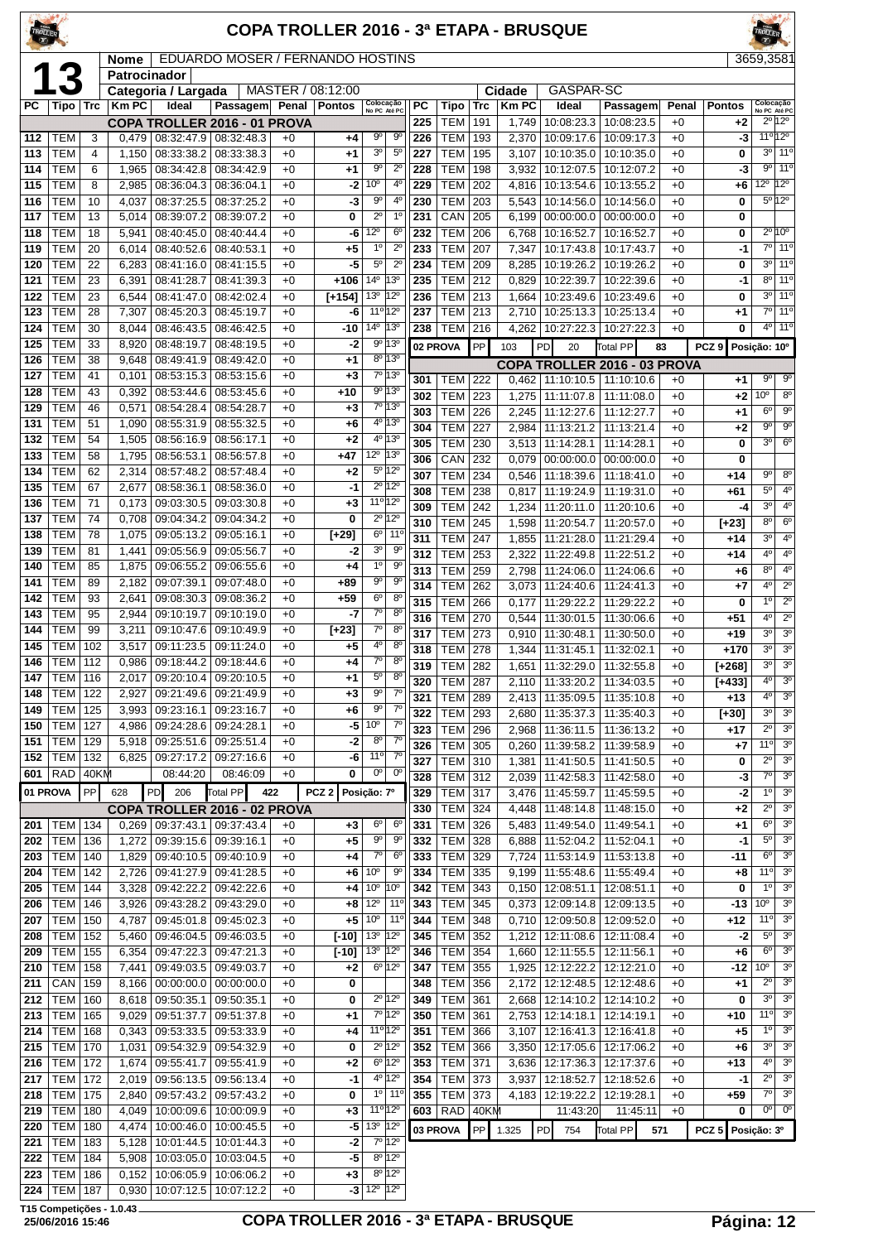#### **COPA TROLLER 2016 - 3ª ETAPA - BRUSQUE**

 $\boxed{\textbf{Name}} \mid \textbf{EDUARDO MOSER / FERNANDO HOSTINS} \qquad \boxed{3659,3581}$ 

| Γ          | К                |     | Patrocinador |                     |                                   |       |                       |                                 |                           |            |                          |            |                |                                 |                              |       |                   |                                          |
|------------|------------------|-----|--------------|---------------------|-----------------------------------|-------|-----------------------|---------------------------------|---------------------------|------------|--------------------------|------------|----------------|---------------------------------|------------------------------|-------|-------------------|------------------------------------------|
|            |                  |     |              | Categoria / Largada |                                   |       | MASTER / 08:12:00     |                                 |                           |            |                          |            | Cidade         | GASPAR-SC                       |                              |       |                   |                                          |
| РC         | Tipo             | Trc | <b>Km PC</b> | Ideal               | Passagem                          | Penal | <b>Pontos</b>         | Colocação<br>No PC Até PC       |                           | PC         | Tipo                     | Trc        | <b>KmPC</b>    | Ideal                           | Passagem                     | Penal | <b>Pontos</b>     | Colocação<br>No PC Até PC                |
|            |                  |     |              |                     | COPA TROLLER 2016 - 01 PROVA      |       |                       |                                 |                           | 225        | <b>TEM</b>               | 191        | 1,749          | 10:08:23.3                      | 10:08:23.5                   | $+0$  | $+2$              | 2º 12º                                   |
| 112        | TEM              | 3   | 0,479        | 08:32:47.9          | 08:32:48.3                        | $+0$  | +4                    | $9^{\circ}$                     | 90                        | 226        | <b>TEM</b>               | 193        | 2,370          | 10:09:17.6                      | 10:09:17.3                   | $+0$  | -3                | 11º 12º                                  |
| 113        | TEM              | 4   | 1,150        | 08:33:38.2          | 08:33:38.3                        | $+0$  | +1                    | 3 <sup>o</sup>                  | $5^{\circ}$               | 227        | <b>TEM</b>               | 195        | 3,107          | 10:10:35.0                      | 10:10:35.0                   | $+0$  | 0                 | $3^{\circ}$<br>11°                       |
| 114        | TEM              | 6   | 1,965        | 08:34:42.8          | 08:34:42.9                        | $+0$  | $+1$                  | 90                              | $2^{\circ}$               | 228        | <b>TEM</b>               | 198        | 3,932          | 10:12:07.5                      | 10:12:07.2                   | $+0$  | -3                | 11 <sup>o</sup><br>$9^{\circ}$           |
| 115        | TEM              | 8   | 2,985        | 08:36:04.3          | 08:36:04.1                        | $+0$  | -2                    | 10 <sup>o</sup>                 | 4°                        | 229        | <b>TEM</b>               | 202        | 4,816          | 10:13:54.6                      | 10:13:55.2                   | $+0$  | $+6$              | $12^{\circ}$<br>$12^{\circ}$             |
| 116        | TEM              | 10  | 4,037        | 08:37:25.5          | 08:37:25.2                        | $+0$  | -3                    | 90                              | 4°                        | 230        | <b>TEM</b>               | 203        | 5,543          | 10:14:56.0                      | 10:14:56.0                   | $+0$  | 0                 | 5º 12º                                   |
| 117        | <b>TEM</b>       | 13  | 5,014        | 08:39:07.2          | 08:39:07.2                        | $+0$  | 0                     | $2^{\circ}$                     | 1 <sup>0</sup>            | 231        | CAN                      | 205        | 6,199          | 00:00:00.0                      | 00:00:00.0                   | $+0$  | 0                 |                                          |
| 118        | TEM              | 18  | 5,941        | 08:40:45.0          | 08:40:44.4                        | $+0$  | -6                    | $12^{\circ}$                    | 6 <sup>o</sup>            | 232        | <b>TEM</b>               | 206        | 6,768          | 10:16:52.7                      | 10:16:52.7                   | $+0$  | 0                 | $2^{\circ}10^{\circ}$                    |
| 119        | TEM              | 20  | 6,014        | 08:40:52.6          | 08:40:53.1                        | $+0$  | $+5$                  | $1^{\circ}$                     | $2^{\circ}$               | 233        | <b>TEM</b>               | 207        | 7,347          | 10:17:43.8                      | 10:17:43.7                   | $+0$  | $-1$              | $7^\circ$<br>11°                         |
| 120        | <b>TEM</b>       | 22  | 6,283        | 08:41:16.0          | 08:41:15.5                        | $+0$  | -5                    | 5 <sup>o</sup>                  | $2^{\circ}$               | 234        | <b>TEM</b>               | 209        | 8,285          | 10:19:26.2                      | 10:19:26.2                   | $+0$  | 0                 | 3 <sup>0</sup><br>11 <sup>0</sup>        |
| 121        | <b>TEM</b>       | 23  | 6,391        | 08:41:28.7          | 08:41:39.3                        | $+0$  | $+106$                | $14^{\circ}$                    | $13^{o}$                  | 235        | TEM                      | 212        | 0,829          | 10:22:39.7                      | 10:22:39.6                   | $+0$  | $-1$              | $8^{\circ}$<br>$11^{\circ}$              |
| 122        | <b>TEM</b>       | 23  | 6,544        | 08:41:47.0          | 08:42:02.4                        | $+0$  | $[+154]$              | 13 <sup>0</sup>                 | $12^{\circ}$              | 236        | <b>TEM</b>               | 213        | 1,664          | 10:23:49.6                      | 10:23:49.6                   | $+0$  | 0                 | 3 <sup>o</sup><br>11 <sup>0</sup>        |
| 123        | TEM              | 28  | 7,307        | 08:45:20.3          | 08:45:19.7                        | $+0$  | -6                    | 11 <sup>o</sup> 12 <sup>o</sup> |                           | 237        | <b>TEM</b>               | 213        | 2,710          | 10:25:13.3                      | 10:25:13.4                   | $+0$  | $+1$              | $7^{\circ}$<br>11 <sup>°</sup>           |
| 124        | TEM              | 30  | 8,044        | 08:46:43.5          | 08:46:42.5                        | $+0$  | -10                   | $14^{\circ}$                    | $ 13^{\circ} $            | 238        | <b>TEM</b>               | 216        | 4,262          | 10:27:22.3                      | 10:27:22.3                   | $+0$  | 0                 | $4^{\circ}$<br>11°                       |
| 125        | <b>TEM</b>       | 33  | 8,920        | 08:48:19.7          | 08:48:19.5                        | $+0$  | -2                    |                                 | 9º 13º                    |            | 02 PROVA                 | PP         | 103            | PD<br>20                        | Total PP                     | 83    | PCZ <sub>9</sub>  | Posição: 10°                             |
| 126        | <b>TEM</b>       | 38  | 9,648        | 08:49:41.9          | 08:49:42.0                        | $+0$  | $+1$                  |                                 | 8º 13º                    |            |                          |            |                |                                 | COPA TROLLER 2016 - 03 PROVA |       |                   |                                          |
| 127        | <b>TEM</b>       | 41  | 0,101        | 08:53:15.3          | 08:53:15.6                        | $+0$  | $+3$                  |                                 | 7º 13º                    | 301        | TEM                      | 222        | 0,462          | 11:10:10.5                      | 11:10:10.6                   | $+0$  | $+1$              | $9^{\circ}$<br>90                        |
| 128        | TEM              | 43  | 0,392        | 08:53:44.6          | 08:53:45.6                        | $+0$  | $+10$                 |                                 | 9º 13º                    | 302        | TEM                      | 223        | 1,275          | 11:11:07.8                      | 11:11:08.0                   | $+0$  | $+2$              | $10^{\circ}$<br>8 <sup>o</sup>           |
| 129        | <b>TEM</b>       | 46  | 0,571        | 08:54:28.4          | 08:54:28.7                        | $+0$  | +3                    |                                 | 7° 13°                    | 303        | <b>TEM</b>               | 226        | 2,245          | 11:12:27.6                      | 11:12:27.7                   | $+0$  | $+1$              | 6 <sup>o</sup><br>$9^{\circ}$            |
| 131        | TEM              | 51  | 1,090        | 08:55:31.9          | 08:55:32.5                        | $+0$  | +6                    |                                 | 4º 13º                    | 304        | <b>TEM</b>               | 227        | 2,984          | 11:13:21.2                      | 11:13:21.4                   | $+0$  | $+2$              | $\overline{9^{\circ}}$<br>$9^{\circ}$    |
| 132        | <b>TEM</b>       | 54  | 1,505        | 08:56:16.9          | 08:56:17.1                        | $+0$  | $+2$                  |                                 | 4º 13º                    | 305        | <b>TEM</b>               | 230        | 3,513          | 11:14:28.1                      | 11:14:28.1                   | $+0$  | 0                 | $6^{\circ}$<br>3 <sup>o</sup>            |
| 133        | <b>TEM</b>       | 58  | 1,795        | 08:56:53.1          | 08:56:57.8                        | $+0$  | +47                   | 12°                             | 13 <sup>o</sup>           | 306        | CAN                      | 232        | 0,079          | 0.00:00:00.0                    | 00:00:00.0                   | $+0$  | 0                 |                                          |
| 134        | <b>TEM</b>       | 62  | 2,314        | 08:57:48.2          | 08:57:48.4                        | $+0$  | $+2$                  |                                 | $5^{\circ}12^{\circ}$     | 307        | TEM                      | 234        | 0,546          | 11:18:39.6                      | 11:18:41.0                   | $+0$  | $+14$             | 90<br>$8^{\circ}$                        |
| 135        | TEM              | 67  | 2,677        | 08:58:36.1          | 08:58:36.0                        | $+0$  | -1                    |                                 | 2º 12º                    | 308        | <b>TEM</b>               | 238        | 0,817          | 11:19:24.9                      | 11:19:31.0                   | $+0$  | +61               | $5^{\circ}$<br>4 <sup>0</sup>            |
| 136        | TEM              | 71  | 0,173        | 09:03:30.5          | 09:03:30.8                        | $+0$  | $+3$                  | $11^{\circ}$ 12°                |                           | 309        | <b>TEM</b>               | 242        | 1,234          | 11:20:11.0                      | 11:20:10.6                   | $+0$  | -4                | 3 <sup>o</sup><br>4 <sup>0</sup>         |
| 137        | <b>TEM</b>       | 74  | 0,708        | 09:04:34.2          | 09:04:34.2                        | $+0$  | $\bf{0}$              |                                 | $2^{\circ}$ 12°           | 310        | <b>TEM</b>               | 245        | 1,598          | 11:20:54.7                      | 11:20:57.0                   | $+0$  |                   | 8 <sup>o</sup><br>6 <sup>o</sup>         |
| 138        | <b>TEM</b>       | 78  | 1,075        | 09:05:13.2          | 09:05:16.1                        | $+0$  | $[+29]$               | $6^{\circ}$                     | $11^{\circ}$              |            | TEM                      | 247        |                | 11:21:28.0                      |                              | $+0$  | [+23]<br>$+14$    | 4 <sup>0</sup><br>3 <sup>0</sup>         |
| 139        | TEM              | 81  | 1,441        | 09:05:56.9          | 09:05:56.7                        | $+0$  | -2                    | 3 <sup>o</sup>                  | $9^{\circ}$               | 311<br>312 | <b>TEM</b>               | 253        | 1,855<br>2,322 | 11:22:49.8                      | 11:21:29.4<br>11:22:51.2     | $+0$  | $+14$             | 4 <sup>0</sup><br>4°                     |
| 140        | TEM              | 85  | 1,875        | 09:06:55.2          | 09:06:55.6                        | $+0$  | +4                    | 1 <sup>0</sup>                  | $9^{\circ}$               |            |                          |            |                |                                 |                              |       |                   | $8^{\circ}$<br>4 <sup>0</sup>            |
| 141        | <b>TEM</b>       | 89  | 2,182        | 09:07:39.1          | 09:07:48.0                        | $+0$  | +89                   | $9^{\circ}$                     | $9^{\circ}$               | 313        | <b>TEM</b><br><b>TEM</b> | 259<br>262 | 2,798          | 11:24:06.0                      | 11:24:06.6                   | $+0$  | $+6$              | 4 <sup>0</sup><br>$\overline{2^{\circ}}$ |
| 142        | <b>TEM</b>       | 93  | 2,641        | 09:08:30.3          | 09:08:36.2                        | $+0$  | $+59$                 | 6°                              | $8^{\circ}$               | 314        |                          |            | 3,073          | 11:24:40.6                      | 11:24:41.3                   | $+0$  | $+7$              | $\overline{2^{\circ}}$<br>1 <sup>0</sup> |
| 143        | <b>TEM</b>       | 95  | 2,944        | 09:10:19.7          | 09:10:19.0                        | $+0$  | -7                    | $\overline{7^0}$                | 8 <sup>o</sup>            | 315        | <b>TEM</b>               | 266        | 0,177          | 11:29:22.2                      | 11:29:22.2                   | $+0$  | 0                 | 4 <sup>0</sup><br>$2^{\circ}$            |
| 144        | <b>TEM</b>       | 99  | 3,211        | 09:10:47.6          | 09:10:49.9                        | $+0$  | [+23]                 | $7^\circ$                       | 8 <sup>o</sup>            | 316        | <b>TEM</b>               | 270        | 0,544          | 11:30:01.5                      | 11:30:06.6                   | $+0$  | $+51$             |                                          |
| 145        | <b>TEM</b>       | 102 | 3,517        | 09:11:23.5          | 09:11:24.0                        | $+0$  | +5                    | 4º                              | $8^{\circ}$               | 317        | TEM                      | 273        | 0,910          | 11:30:48.1                      | 11:30:50.0                   | $+0$  | $+19$             | 3 <sup>0</sup><br>3 <sup>0</sup>         |
| 146        | TEM              | 112 | 0,986        | 09:18:44.2          | 09:18:44.6                        | $+0$  | +4                    | $7^\circ$                       | 8 <sup>o</sup>            | 318        | <b>TEM</b>               | 278        | 1,344          | 11:31:45.1                      | 11:32:02.1                   | $+0$  | +170              | 3 <sup>0</sup><br>3 <sup>o</sup>         |
| 147        | TEM              | 116 | 2,017        | 09:20:10.4          | 09:20:10.5                        | $+0$  | +1                    | $5^{\circ}$                     | 8 <sup>o</sup>            | 319        | <b>TEM</b>               | 282        | 1,651          | 11:32:29.0                      | 11:32:55.8                   | $+0$  | $[+268]$          | 3 <sup>0</sup><br>3 <sup>o</sup>         |
| 148        | TEM              | 122 | 2,927        | 09:21:49.6          | 09:21:49.9                        | $+0$  | +3                    | $9^{\circ}$                     | $7^\circ$                 | 320        | <b>TEM</b>               | 287        | 2,110          | 11:33:20.2                      | 11:34:03.5                   | $+0$  | $[+433]$          | 4 <sup>0</sup><br>3 <sup>o</sup>         |
| 149        | TEM              | 125 |              | 09:23:16.1          | 09:23:16.7                        | $+0$  | $+6$                  | 90                              | $7^\circ$                 | 321        | <b>TEM</b>               | 289        | 2,413          | 11:35:09.5                      | 11:35:10.8                   | $+0$  | +13               | 4 <sup>0</sup><br>3 <sup>o</sup>         |
|            |                  | 127 | 3,993        |                     |                                   | $+0$  | $-5$                  | 10 <sup>o</sup>                 | $7^{\circ}$               | 322        | TEM                      | 293        |                | 2,680   11:35:37.3              | 11:35:40.3                   | $+0$  | $[+30]$           | 3 <sup>o</sup><br>3 <sup>o</sup>         |
| 150<br>151 | TEM              |     | 4,986        |                     | 09:24:28.6   09:24:28.1           |       |                       | 8 <sup>o</sup>                  | $7^{\circ}$               | 323        | <b>TEM</b> 296           |            |                | 2,968 11:36:11.5 11:36:13.2     |                              | $+0$  | $+17$             | $2^{\circ}$<br>$\overline{3^0}$          |
|            | <b>TEM</b>   129 |     |              |                     | 5,918   09:25:51.6   09:25:51.4   | $+0$  | $-2$                  | 11°                             | $7^\circ$                 | 326        | <b>TEM 305</b>           |            |                | $0,260$   11:39:58.2            | 11:39:58.9                   | $+0$  | $+7$              | 11 <sup>0</sup><br>3 <sup>0</sup>        |
| 152        | TEM   132        |     | 6,825        |                     | 09:27:17.2 09:27:16.6             | $+0$  | -6                    |                                 |                           | 327        | <b>TEM 310</b>           |            | 1,381          | 11:41:50.5                      | 11:41:50.5                   | $+0$  | 0                 | $2^{\circ}$<br>3 <sup>o</sup>            |
|            | 601   RAD   40KM |     |              | 08:44:20            | 08:46:09                          | $+0$  | 0                     | $0^{\circ}$                     | $0^{\circ}$               | 328        | <b>TEM 312</b>           |            |                | 2,039   11:42:58.3              | 11:42:58.0                   | $+0$  | -3                | $7^\circ$<br>$\overline{3^0}$            |
| 01 PROVA   |                  | PP  | 628          | PD<br>206           | Total PP                          | 422   | PCZ <sub>2</sub>      | Posição: 7º                     |                           | 329        | <b>TEM 317</b>           |            | 3,476          | 11:45:59.7                      | 11:45:59.5                   | $+0$  | -2                | 1 <sup>0</sup><br>3 <sup>o</sup>         |
|            |                  |     |              |                     | COPA TROLLER 2016 - 02 PROVA      |       |                       |                                 |                           | 330        | <b>TEM</b>               | 324        |                | 4,448   11:48:14.8              | 11:48:15.0                   | $+0$  | $+2$              | $2^{\circ}$<br>3 <sup>o</sup>            |
| 201        | <b>TEM 134</b>   |     | 0,269        |                     | 09:37:43.1 09:37:43.4             | $+0$  | +3                    | 6°                              | $6^{\circ}$               | 331        | TEM                      | 326        |                | 5,483   11:49:54.0              | 11:49:54.1                   | $+0$  | $+1$              | 3 <sup>o</sup><br>$6^{\circ}$            |
| 202        | <b>TEM   136</b> |     | 1,272        |                     | 09:39:15.6 09:39:16.1             | $+0$  | +5                    | $9^{\circ}$                     | $9^{\circ}$               | 332        | <b>TEM</b>               | 328        | 6,888          | 11:52:04.2                      | 11:52:04.1                   | $+0$  | -1                | 3 <sup>o</sup><br>$5^{\circ}$            |
| 203        | <b>TEM   140</b> |     | 1,829        |                     | 09:40:10.5 09:40:10.9             | $+0$  | +4                    | $7^\circ$                       | $6^{\circ}$               | 333        | TEM 329                  |            |                | 7,724   11:53:14.9   11:53:13.8 |                              | $+0$  | $-11$             | $\overline{3^0}$<br>$6^{\circ}$          |
| 204        | <b>TEM   142</b> |     | 2,726        |                     | 09:41:27.9 09:41:28.5             | $+0$  | +6                    | 10 <sup>o</sup>                 | 90                        | 334        | <b>TEM</b>               | 335        |                | $9,199$   11:55:48.6            | 11:55:49.4                   | $+0$  | $+8$              | 11°<br>3 <sup>o</sup>                    |
| 205        | <b>TEM   144</b> |     | 3,328        | 09:42:22.2          | 09:42:22.6                        | $+0$  |                       | $+4 10^{\circ}$                 | 10 <sup>o</sup>           | 342        | <b>TEM</b>               | 343        |                | $0,150$   12:08:51.1            | 12:08:51.1                   | $+0$  | 0                 | $1^{\circ}$<br>3 <sup>o</sup>            |
| 206        | <b>TEM   146</b> |     | 3,926        |                     | 09:43:28.2 09:43:29.0             | $+0$  | $+8$                  | $12^{\circ}$                    | 11°                       | 343        | <b>TEM</b>               | 345        |                | $0,373$   12:09:14.8            | 12:09:13.5                   | $+0$  | -13               | 10 <sup>o</sup><br>3 <sup>o</sup>        |
| 207        | <b>TEM   150</b> |     | 4,787        |                     | 09:45:01.8 09:45:02.3             | $+0$  | +5                    | 10 <sup>o</sup>                 | $11^{\circ}$              | 344        | TEM                      | 348        |                | $0,710$   12:09:50.8            | 12:09:52.0                   | $+0$  | $+12$             | 11 <sup>0</sup><br>3 <sup>o</sup>        |
| 208        | <b>TEM 152</b>   |     | 5,460        |                     | 09:46:04.5   09:46:03.5           | $+0$  | $[ -10 ]   13o   12o$ |                                 |                           | 345        | <b>TEM 352</b>           |            |                | $1,212$   12:11:08.6            | 12:11:08.4                   | $+0$  | $-2$              | 3 <sup>o</sup><br>$5^{\circ}$            |
| 209        | <b>TEM   155</b> |     | 6,354        |                     | 09:47:22.3 09:47:21.3             | $+0$  | $[-10]$               | $13^{\circ}$ $ 12^{\circ}$      |                           | 346        | <b>TEM</b>               | 354        |                | 1,660 12:11:55.5                | 12:11:56.1                   | $+0$  | $+6$              | $6^{\circ}$<br>3 <sup>o</sup>            |
| 210        | <b>TEM   158</b> |     | 7,441        |                     | 09:49:03.5 09:49:03.7             | $+0$  | +2                    | $6^{\circ}$ 12°                 |                           | 347        | TEM                      | 355        |                | 1,925 12:12:22.2                | 12:12:21.0                   | $+0$  | -12               | 3 <sup>o</sup><br>10 <sup>o</sup>        |
| 211        | $CAN$   159      |     | 8,166        |                     | $00:00:00.0$ 00:00:00.0           | $+0$  | 0                     |                                 |                           | 348        | TEM                      | 356        |                | 2,172   12:12:48.5              | 12:12:48.6                   | $+0$  | $+1$              | 3 <sup>o</sup><br>$2^{\circ}$            |
| 212        | TEM              | 160 | 8,618        | 09:50:35.1          | 09:50:35.1                        | $+0$  | 0                     |                                 | 2º 12º                    | 349        | <b>TEM</b>               | 361        |                | 2,668   12:14:10.2              | 12:14:10.2                   | $+0$  | 0                 | 3 <sup>o</sup><br>3 <sup>o</sup>         |
| 213        | <b>TEM   165</b> |     | 9,029        |                     | 09:51:37.7 09:51:37.8             | $+0$  | +1                    |                                 | 7º 12º                    | 350        | TEM                      | 361        |                | 2,753   12:14:18.1              | 12:14:19.1                   | $+0$  | +10               | 11°<br>3 <sup>o</sup>                    |
| 214        | <b>TEM   168</b> |     | 0,343        |                     | 09:53:33.5 09:53:33.9             | $+0$  | +4                    | 11º 12º                         |                           | 351        | <b>TEM</b>               | 366        | 3,107          | 12:16:41.3                      | 12:16:41.8                   | $+0$  | $+5$              | 1 <sup>0</sup><br>3 <sup>o</sup>         |
| 215        | <b>TEM   170</b> |     | 1,031        |                     | 09:54:32.9 09:54:32.9             | $+0$  | 0                     | $2^{\circ}$  12 $^{\circ}$      |                           | 352        | <b>TEM</b>               | 366        | 3,350          | 12:17:05.6                      | 12:17:06.2                   | $+0$  | +6                | 3 <sup>o</sup><br>3 <sup>o</sup>         |
| 216        | <b>TEM   172</b> |     | 1,674        | 09:55:41.7          | 09:55:41.9                        | $+0$  | +2                    |                                 | $6^{\circ}$ 12°           | 353        | <b>TEM</b>               | 371        | 3,636          | 12:17:36.3                      | 12:17:37.6                   | $+0$  | $+13$             | 3 <sup>o</sup><br>4°                     |
| 217        | <b>TEM   172</b> |     | 2,019        |                     | 09:56:13.5 09:56:13.4             | $+0$  | -1                    |                                 | 4º 12º                    | 354        | <b>TEM</b>               | 373        | 3,937          | 12:18:52.7                      | 12:18:52.6                   | $+0$  | -1                | $2^{\circ}$<br>3 <sup>o</sup>            |
| 218        | <b>TEM 175</b>   |     | 2,840        |                     | 09:57:43.2 09:57:43.2             | $+0$  | 0                     |                                 | 10 110                    | 355        | TEM 373                  |            |                | 4,183   12:19:22.2              | 12:19:28.1                   | $+0$  | $+59$             | $7^\circ$<br>3 <sup>o</sup>              |
| 219        | <b>TEM   180</b> |     | 4,049        |                     | 10:00:09.6   10:00:09.9           | $+0$  | +3                    | $11^{\circ}$ 12°                |                           | 603        | $RAD$ 40KM               |            |                | 11:43:20                        | 11:45:11                     | $+0$  | 0                 | $0^{\circ}$<br>$0^{\circ}$               |
| 220        | <b>TEM   180</b> |     | 4,474        |                     | 10:00:46.0   10:00:45.5           | $+0$  | -5                    | 13º 12º                         |                           |            |                          |            |                |                                 |                              |       |                   |                                          |
| 221        | <b>TEM   183</b> |     | 5,128        |                     | 10:01:44.5   10:01:44.3           | $+0$  | -2                    |                                 | 7º 12º                    |            | 03 PROVA                 |            | PP 1.325       | PD.<br>754                      | <b>Total PP</b><br>571       |       | PCZ 5 Posição: 3º |                                          |
| 222        | <b>TEM   184</b> |     | 5,908        |                     | 10:03:05.0   10:03:04.5           | $+0$  | -5                    | $8^{\circ}$ 12 $^{\circ}$       |                           |            |                          |            |                |                                 |                              |       |                   |                                          |
| 223        | <b>TEM 186</b>   |     |              |                     | $0,152$   10:06:05.9   10:06:06.2 | $+0$  | $\bf{+3}$             |                                 | $8^{\circ}$ 12 $^{\circ}$ |            |                          |            |                |                                 |                              |       |                   |                                          |
|            |                  |     |              |                     |                                   |       |                       |                                 |                           |            |                          |            |                |                                 |                              |       |                   |                                          |

**T15 Competições - 1.0.43**

TEM 187 0,930 10:07:12.5 10:07:12.2 +0 **-3** 12º 12º

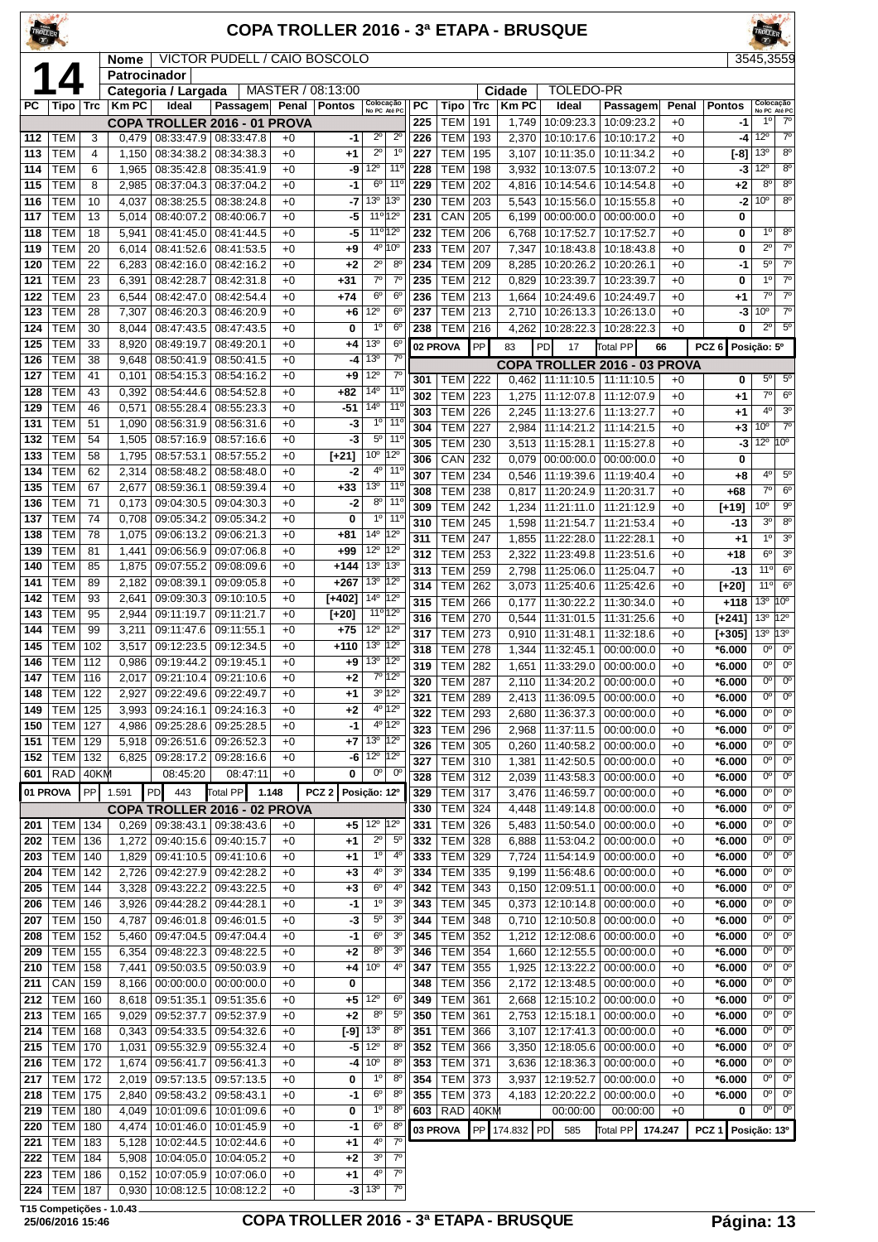### **COPA TROLLER 2016 - 3ª ETAPA - BRUSQUE**

**T15 Competições - 1.0.43**

|            |                          |          | <b>Nome</b>    |                                                        | VICTOR PUDELL / CAIO BOSCOLO |              |                   |                                 |                                 |                  |                       |                   |                      |                          |                                     |               |                      | 3545,3559                       |                               |
|------------|--------------------------|----------|----------------|--------------------------------------------------------|------------------------------|--------------|-------------------|---------------------------------|---------------------------------|------------------|-----------------------|-------------------|----------------------|--------------------------|-------------------------------------|---------------|----------------------|---------------------------------|-------------------------------|
|            | Δ                        |          | Patrocinador   |                                                        |                              |              |                   |                                 |                                 |                  |                       |                   |                      |                          |                                     |               |                      |                                 |                               |
|            |                          |          |                | Categoria / Largada                                    |                              |              | MASTER / 08:13:00 |                                 |                                 |                  |                       |                   | Cidade               | TOLEDO-PR                |                                     |               |                      |                                 |                               |
| PC         | Tipo   Trc               |          | <b>Km PC</b>   | Ideal                                                  | Passagem                     |              | Penal   Pontos    | Colocação<br>No PC Até PC       |                                 | <b>PC</b><br>225 | Tipo<br>TEM           | <b>Trc</b><br>191 | <b>KmPC</b><br>1,749 | Ideal<br>10:09:23.3      | Passagem<br>10:09:23.2              | Penal<br>$+0$ | <b>Pontos</b><br>-1  | Colocação<br>No PC Até PC<br>10 | $7^\circ$                     |
| 112        | <b>TEM</b>               | 3        | 0,479          | COPA TROLLER 2016 - 01 PROVA<br> 08:33:47.9 08:33:47.8 |                              | $+0$         | -1                | $2^{\circ}$                     | $2^{\circ}$                     | 226              | <b>TEM</b>            | 193               | 2,370                | 10:10:17.6               | 10:10:17.2                          | $+0$          | -4                   | $12^{\circ}$                    | $7^\circ$                     |
| 113        | <b>TEM</b>               | 4        | 1,150          | 08:34:38.2                                             | 08:34:38.3                   | $+0$         | +1                | $2^{\circ}$                     | $1^{\circ}$                     | 227              | <b>TEM</b>            | 195               | 3,107                | 10:11:35.0               | 10:11:34.2                          | $+0$          | $[-8]$               | 13 <sup>o</sup>                 | $8^{\circ}$                   |
| 114        | <b>TEM</b>               | 6        | 1,965          | 08:35:42.8 08:35:41.9                                  |                              | $+0$         | -9                | $12^{\circ}$                    | 11 <sup>o</sup>                 | 228              | <b>TEM</b>            | 198               | 3,932                | 10:13:07.5               | 10:13:07.2                          | $+0$          | -3                   | $12^{\circ}$                    | 8 <sup>o</sup>                |
| 115        | <b>TEM</b>               | 8        | 2,985          | 08:37:04.3                                             | 08:37:04.2                   | $+0$         | -1                | 6 <sup>o</sup>                  | 11 <sup>0</sup>                 | 229              | <b>TEM</b>            | 202               | 4,816                | 10:14:54.6               | 10:14:54.8                          | $+0$          | +2                   | $8^{\circ}$                     | $8^{\circ}$                   |
| 116        | <b>TEM</b>               | 10       | 4,037          | 08:38:25.5                                             | 08:38:24.8                   | $+0$         | -7                | 13 <sup>0</sup><br>13°          |                                 | 230              | <b>TEM</b>            | 203               | 5,543                | 10:15:56.0               | 10:15:55.8                          | $+0$          | $-2$                 | 10 <sup>o</sup>                 | 8 <sup>o</sup>                |
| 117        | <b>TEM</b>               | 13       | 5,014          | 08:40:07.2                                             | 08:40:06.7                   | $+0$         | -5                | 11º 12º                         |                                 | 231              | CAN                   | 205               | 6,199                | 00:00:00.0               | 00:00:00.0                          | $+0$          | 0                    |                                 |                               |
| 118        | <b>TEM</b>               | 18       | 5,941          | 08:41:45.0                                             | 08:41:44.5                   | $+0$         | -5                | $11^{\circ}$ 12°                |                                 | 232              | <b>TEM</b>            | 206               | 6,768                | 10:17:52.7               | 10:17:52.7                          | $+0$          | 0                    | $1^{\circ}$                     | $8^{\circ}$                   |
| 119        | <b>TEM</b>               | 20       | 6,014          | 08:41:52.6                                             | 08:41:53.5                   | $+0$         | $+9$              | 4º 10°                          |                                 | 233              | TEM                   | 207               | 7,347                | 10:18:43.8               | 10:18:43.8                          | $+0$          | 0                    | $2^{\circ}$                     | $7^\circ$                     |
| 120        | <b>TEM</b>               | 22       | 6,283          | 08:42:16.0                                             | 08:42:16.2                   | $+0$         | $+2$              | $2^{\circ}$                     | $8^{\circ}$                     | 234              | <b>TEM</b>            | 209               | 8,285                | 10:20:26.2               | 10:20:26.1                          | $+0$          | $-1$                 | 5°                              | $7^{\circ}$                   |
| 121        | <b>TEM</b>               | 23       | 6,391          | 08:42:28.7                                             | 08:42:31.8                   | $+0$         | $+31$             | $7^\circ$                       | $7^\circ$                       | 235              | <b>TEM</b>            | 212               | 0,829                | 10:23:39.7               | 10:23:39.7                          | $+0$          | 0                    | $1^{\circ}$                     | $7^\circ$                     |
| 122        | <b>TEM</b>               | 23       | 6,544          | 08:42:47.0                                             | 08:42:54.4                   | $+0$         | $+74$             | 6 <sup>o</sup>                  | 6 <sup>o</sup>                  | 236              | <b>TEM</b>            | 213               | 1,664                | 10:24:49.6               | 10:24:49.7                          | $+0$          | $+1$                 | $7^\circ$                       | 7 <sup>0</sup>                |
| 123        | <b>TEM</b>               | 28       | 7,307          | 08:46:20.3                                             | 08:46:20.9                   | $+0$         | $+6$              | $12^{\circ}$                    | 6 <sup>o</sup>                  | 237              | <b>TEM</b>            | 213               | 2,710                | 10:26:13.3               | 10:26:13.0                          | $+0$          | -3                   | 10 <sup>o</sup>                 | $7^\circ$                     |
| 124        | <b>TEM</b>               | 30       | 8,044          | 08:47:43.5                                             | 08:47:43.5                   | $+0$         | 0                 | 1 <sup>0</sup>                  | 6 <sup>o</sup>                  | 238              | TEM   216             |                   |                      |                          | 4,262   10:28:22.3   10:28:22.3     | $+0$          | 0                    | $2^{\circ}$                     | $5^{\circ}$                   |
| 125        | <b>TEM</b>               | 33       | 8,920          | 08:49:19.7                                             | 08:49:20.1                   | $+0$         | +4                | 13 <sup>0</sup>                 | 6 <sup>o</sup>                  |                  | 02 PROVA              | PP                | 83                   | PD<br>17                 | Total PP                            | 66            | PCZ <sub>6</sub>     | Posição: 5º                     |                               |
| 126        | <b>TEM</b>               | 38       | 9,648          | 08:50:41.9                                             | 08:50:41.5                   | $+0$         | -4                | 13 <sup>o</sup>                 | $\overline{7^{\circ}}$          |                  |                       |                   |                      |                          | COPA TROLLER 2016 - 03 PROVA        |               |                      |                                 |                               |
| 127        | <b>TEM</b>               | 41       | 0,101          | 08:54:15.3                                             | 08:54:16.2                   | $+0$         | +9                | $12^{\circ}$                    | $7^\circ$                       | 301              | <b>TEM</b>            | 222               | 0,462                | 11:11:10.5               | 11:11:10.5                          | $+0$          | 0                    | $5^{\circ}$                     | $5^{\circ}$                   |
| 128        | <b>TEM</b>               | 43       | 0,392          | 08:54:44.6                                             | 08:54:52.8                   | $+0$         | +82               | 14 <sup>°</sup>                 | 11 <sup>0</sup>                 | 302              | <b>TEM</b>            | 223               | 1,275                | 11:12:07.8               | 11:12:07.9                          | $+0$          | $+1$                 | $7^\circ$                       | 6 <sup>o</sup>                |
| 129        | <b>TEM</b>               | 46       | 0,571          | 08:55:28.4                                             | 08:55:23.3                   | $+0$         | $-51$             | 14 <sup>°</sup>                 | 11 <sup>o</sup>                 | 303              | <b>TEM</b>            | 226               | 2,245                | 11:13:27.6               | 11:13:27.7                          | $+0$          | $+1$                 | 4°                              | 3 <sup>0</sup>                |
| 131        | <b>TEM</b>               | 51       | 1,090          | 08:56:31.9                                             | 08:56:31.6                   | $+0$         | -3                | $1^{\circ}$                     | 11 <sup>0</sup>                 | 304              | <b>TEM</b>            | 227               | 2,984                | 11:14:21.2               | 11:14:21.5                          | $+0$          | +3                   | 10 <sup>o</sup>                 | $7^\circ$                     |
| 132        | <b>TEM</b>               | 54       | 1,505          | 08:57:16.9                                             | 08:57:16.6                   | $+0$         | -3                | $5^{\circ}$                     | 11 <sup>o</sup>                 | 305              | <b>TEM</b>            | 230               | 3,513                | 11:15:28.1               | 11:15:27.8                          | $+0$          | -3                   | $12^{\circ}$ $10^{\circ}$       |                               |
| 133        | <b>TEM</b>               | 58       | 1,795          | 08:57:53.1                                             | 08:57:55.2                   | $+0$         | $[-21]$           | 12°<br>10 <sup>o</sup>          |                                 | 306              | CAN                   | 232               | 0,079                | 00:00:00.0               | 00:00:00.0                          | $+0$          | 0                    |                                 |                               |
| 134        | TEM                      | 62       | 2,314          | 08:58:48.2                                             | 08:58:48.0                   | $+0$         | -2                | 4°                              | $11^{\circ}$                    | 307              | TEM                   | 234               | 0,546                | 11:19:39.6               | 11:19:40.4                          | $+0$          | $+8$                 | $4^{\circ}$                     | $5^{\circ}$                   |
| 135        | <b>TEM</b>               | 67       | 2,677          | 08:59:36.1                                             | 08:59:39.4                   | $+0$         | $+33$             | 13 <sup>0</sup><br>$8^{\circ}$  | 11 <sup>0</sup><br>$11^{\circ}$ | 308              | <b>TEM</b>            | 238               | 0,817                | 11:20:24.9               | 11:20:31.7                          | $+0$          | +68                  | $7^\circ$                       | $6^{\circ}$                   |
| 136<br>137 | <b>TEM</b><br><b>TEM</b> | 71<br>74 | 0,173<br>0,708 | 09:04:30.5<br>09:05:34.2                               | 09:04:30.3<br>09:05:34.2     | $+0$         | -2<br>0           | $1^{\circ}$                     | 11 <sup>0</sup>                 | 309              | <b>TEM</b>            | 242               | 1,234                | 11:21:11.0               | 11:21:12.9                          | $+0$          | [+19]                | $10^{\circ}$                    | $9^{\circ}$                   |
| 138        | <b>TEM</b>               | 78       | 1,075          | 09:06:13.2                                             | 09:06:21.3                   | $+0$<br>$+0$ | +81               | $12^{\circ}$<br>14°             |                                 | 310              | TEM                   | 245               | 1,598                | 11:21:54.7               | 11:21:53.4                          | $+0$          | $-13$                | 3 <sup>o</sup>                  | 8 <sup>o</sup>                |
| 139        | <b>TEM</b>               | 81       | 1,441          | 09:06:56.9                                             | 09:07:06.8                   | $+0$         | $+99$             | $12^{\circ}$<br>12°             |                                 | 311              | <b>TEM</b>            | 247               | 1,855                | 11:22:28.0               | 11:22:28.1                          | $+0$          | $+1$                 | $1^{\circ}$                     | 3 <sup>0</sup>                |
| 140        | <b>TEM</b>               | 85       | 1,875          | 09:07:55.2                                             | 09:08:09.6                   | $+0$         | $+144$            | 13 <sup>o</sup><br>13°          |                                 | 312              | TEM                   | 253               | 2,322                | 11:23:49.8               | 11:23:51.6                          | $+0$          | $+18$                | $6^{\circ}$                     | 3 <sup>0</sup>                |
| 141        | <b>TEM</b>               | 89       | 2,182          | 09:08:39.1                                             | 09:09:05.8                   | $+0$         | $+267$            | 13 <sup>o</sup><br>$12^{\circ}$ |                                 | 313              | TEM                   | 259               | 2,798                | 11:25:06.0               | 11:25:04.7                          | $+0$          | $-13$                | 11°<br>11°                      | $6^{\circ}$<br>$6^{\circ}$    |
| 142        | <b>TEM</b>               | 93       | 2,641          | 09:09:30.3                                             | 09:10:10.5                   | $+0$         | [+402]            | 14 <sup>°</sup><br>$12^{\circ}$ |                                 | 314              | <b>TEM</b>            | 262               | 3,073                | 11:25:40.6               | 11:25:42.6                          | $+0$          | [+20]                | $13^{\circ}$ 10 $^{\circ}$      |                               |
| 143        | TEM                      | 95       | 2,944          | 09:11:19.7                                             | 09:11:21.7                   | $+0$         | $[+20]$           | $11^{\circ}$ $12^{\circ}$       |                                 | 315<br>316       | TEM<br><b>TEM</b>     | 266<br>270        | 0,177<br>0,544       | 11:30:22.2<br>11:31:01.5 | 11:30:34.0<br>11:31:25.6            | $+0$<br>$+0$  | $+118$<br>[+241]     | 13 <sup>o</sup>                 | $12^{\circ}$                  |
| 144        | <b>TEM</b>               | 99       | 3,211          | 09:11:47.6                                             | 09:11:55.1                   | $+0$         | $+75$             | 12°<br>$12^{\circ}$             |                                 | 317              | TEM                   | 273               | 0,910                | 11:31:48.1               | 11:32:18.6                          | $+0$          | [+305]               | $13^{\circ}$ $13^{\circ}$       |                               |
| 145        | <b>TEM</b>               | 102      | 3,517          | 09:12:23.5                                             | 09:12:34.5                   | $+0$         | $+110$            | 13 <sup>o</sup><br>$12^{\circ}$ |                                 | 318              | <b>TEM</b>            | 278               | 1,344                | 11:32:45.1               | 00:00:00.0                          | $+0$          | *6.000               | 0 <sup>o</sup>                  | $\overline{0^{\circ}}$        |
| 146        | TEM                      | 112      | 0,986          | 09:19:44.2                                             | 09:19:45.1                   | $+0$         | +9                | 13 <sup>o</sup><br>$12^{\circ}$ |                                 | 319              | <b>TEM</b>            | 282               | 1,651                | 11:33:29.0               | 00:00:00.0                          | $+0$          | *6.000               | $0^{\circ}$                     | $0^{\circ}$                   |
| 147        | TEM                      | 116      | 2,017          | 09:21:10.4                                             | 09:21:10.6                   | $+0$         | $+2$              | 7º 12º                          |                                 | 320              | <b>TEM</b>            | 287               | 2,110                | 11:34:20.2               | 00:00:00.0                          | $+0$          | *6.000               | 0 <sup>o</sup>                  | $0^{\circ}$                   |
| 148        | TEM                      | 122      | 2,927          | 09:22:49.6                                             | 09:22:49.7                   | $+0$         | $+1$              | $3^{\circ}$ 12 <sup>°</sup>     |                                 | 321              | <b>TEM</b>            | 289               | 2.413                | 11:36:09.5               | 00:00:00.0                          | $+0$          | $*6.000$             | $0^{\circ}$                     | $0^{\circ}$                   |
| 149        | <b>TEM 125</b>           |          |                | 3,993 09:24:16.1                                       | 09:24:16.3                   | $+0$         | $+2$              | $4^{\circ}$ 12 $^{\circ}$       |                                 |                  | 322 TEM 293           |                   |                      |                          | 2.680 11:36:37.3 00:00:00.0         | $+0$          | $*6.000$             | $0^{\circ}$                     | 0 <sup>o</sup>                |
| 150        | <b>TEM   127</b>         |          | 4,986          | 09:25:28.6 09:25:28.5                                  |                              | $+0$         | -1                | 4º 12º                          |                                 | 323              | <b>TEM</b>            | 296               | 2.968                | 11:37:11.5               | 00:00:00.0                          | $+0$          | $*6.000$             | 0 <sup>o</sup>                  | $\overline{0^{\circ}}$        |
| 151        | TEM                      | 129      | 5,918          | 09:26:51.6                                             | 09:26:52.3                   | $+0$         | +7                | $12^{\circ}$<br>13 <sup>°</sup> |                                 | 326              | TEM                   | 305               | 0,260                | 11:40:58.2               | 00:00:00.0                          | $+0$          | $*6.000$             | $0^{\circ}$                     | $0^{\circ}$                   |
| 152        | <b>TEM 132</b>           |          |                | 6,825   09:28:17.2                                     | 09:28:16.6                   | $+0$         | -6                | $12^{\circ}$ 12 <sup>°</sup>    |                                 | 327              | TEM 310               |                   | 1,381                |                          | 11:42:50.5 00:00:00.0               | $+0$          | $*6.000$             | $0^{\circ}$                     | $0^{\circ}$                   |
| 601        | $RAD$ 40KM               |          |                | 08:45:20                                               | 08:47:11                     | $+0$         | 0                 | 0 <sup>o</sup>                  | $0^{\circ}$                     | 328              | <b>TEM</b>            | 312               | 2,039                | 11:43:58.3               | 00:00:00.0                          | $+0$          | $*6.000$             | 0 <sup>o</sup>                  | $0^{\circ}$                   |
| 01 PROVA   |                          | PP       | 1.591          | PD<br>443                                              | Total PP<br>1.148            |              | PCZ <sub>2</sub>  | Posição: 12º                    |                                 | 329              | <b>TEM 317</b>        |                   | 3,476                | 11:46:59.7               | 00:00:00.0                          | $+0$          | $*6.000$             | 0 <sup>o</sup>                  | $0^{\circ}$                   |
|            |                          |          |                | COPA TROLLER 2016 - 02 PROVA                           |                              |              |                   |                                 |                                 | 330              | <b>TEM</b>            | 324               | 4,448                | 11:49:14.8               | 00:00:00.0                          | $+0$          | $*6.000$             | $0^{\circ}$                     | $0^{\circ}$                   |
| 201        | <b>TEM 134</b>           |          | 0,269          | 09:38:43.1                                             | 09:38:43.6                   | $+0$         | $+5$              | $12^{\circ}$<br>$12^{\circ}$    |                                 | 331              | <b>TEM 326</b>        |                   | 5,483                | 11:50:54.0               | 00:00:00.0                          | $+0$          | $*6.000$             | 0 <sup>0</sup>                  | $0^{\circ}$                   |
| 202        | TEM                      | 136      | 1,272          | 09:40:15.6                                             | 09:40:15.7                   | $+0$         | +1                | $2^{\circ}$                     | $5^{\circ}$                     | 332              | TEM                   | 328               | 6,888                | 11:53:04.2               | 00:00:00.0                          | $+0$          | $*6.000$             | 0 <sup>o</sup>                  | $0^{\circ}$                   |
| 203        | <b>TEM 140</b>           |          | 1,829          | 09:41:10.5                                             | 09:41:10.6                   | $+0$         | $+1$              | $1^{\circ}$                     | $4^{\circ}$                     | 333              | <b>TEM</b>            | 329               | 7,724                | 11:54:14.9               | 00:00:00.0                          | $+0$          | $*6.000$             | 0 <sup>o</sup>                  | $0^{\circ}$                   |
| 204        | <b>TEM   142</b>         |          | 2,726          | 09:42:27.9                                             | 09:42:28.2                   | $+0$         | $+3$              | 4 <sup>0</sup><br>$6^{\rm o}$   | 3 <sup>o</sup><br>$4^{\circ}$   | 334              | TEM                   | 335               | 9,199                |                          | 11:56:48.6 00:00:00.0               | $+0$          | $*6.000$             | $0^{\circ}$<br>$0^{\circ}$      | 0 <sup>o</sup><br>$0^{\circ}$ |
| 205<br>206 | TEM  <br><b>TEM 146</b>  | 144      | 3,328<br>3,926 | 09:43:22.2<br>09:44:28.2                               | 09:43:22.5<br>09:44:28.1     | $+0$<br>$+0$ | $^{+3}$<br>-1     | 1 <sup>o</sup>                  | 3 <sup>o</sup>                  | 342<br>343       | TEM<br><b>TEM 345</b> | 343               | 0,150<br>0,373       | 12:09:51.1               | 00:00:00.0<br>12:10:14.8 00:00:00.0 | $+0$<br>$+0$  | $*6.000$<br>$*6.000$ | 0 <sup>0</sup>                  | $0^{\circ}$                   |
| 207        | <b>TEM 150</b>           |          | 4,787          | 09:46:01.8                                             | 09:46:01.5                   | $+0$         | -3                | $5^{\circ}$                     | 3 <sup>0</sup>                  | 344              | TEM                   | 348               | 0,710                | 12:10:50.8               | 00:00:00.0                          | $+0$          | $*6.000$             | 0 <sup>o</sup>                  | $0^{\circ}$                   |
| 208        | <b>TEM 152</b>           |          | 5,460          | 09:47:04.5                                             | 09:47:04.4                   | $+0$         | -1                | 6 <sup>o</sup>                  | 3 <sup>o</sup>                  | 345              | <b>TEM</b>            | 352               | 1,212                | 12:12:08.6               | 00:00:00.0                          | $+0$          | $*6.000$             | $0^{\circ}$                     | $0^{\circ}$                   |
| 209        | TEM                      | 155      | 6,354          | 09:48:22.3                                             | 09:48:22.5                   | $+0$         | +2                | 8 <sup>o</sup>                  | 3 <sup>o</sup>                  | 346              | <b>TEM</b>            | 354               | 1,660                | 12:12:55.5               | 00:00:00.0                          | $+0$          | $*6.000$             | 0 <sup>o</sup>                  | $0^{\circ}$                   |
| 210        | TEM                      | 158      | 7,441          | 09:50:03.5                                             | 09:50:03.9                   | $+0$         | +4                | 10 <sup>o</sup>                 | $4^{\circ}$                     | 347              | <b>TEM</b>            | 355               | 1,925                | 12:13:22.2               | 00:00:00.0                          | $+0$          | $*6.000$             | $0^{\circ}$                     | 0 <sup>o</sup>                |
| 211        | CAN   159                |          | 8,166          | 00:00:00.0 00:00:00.0                                  |                              | $+0$         | 0                 |                                 |                                 | 348              | TEM                   | 356               | 2,172                |                          | 12:13:48.5 00:00:00.0               | $+0$          | $*6.000$             | 0 <sup>0</sup>                  | 0 <sup>o</sup>                |
| 212        | <b>TEM 160</b>           |          | 8,618          | 09:51:35.1                                             | 09:51:35.6                   | $+0$         | +5                | $12^{\circ}$                    | $6^{\circ}$                     | 349              | <b>TEM</b>            | 361               | 2,668                |                          | 12:15:10.2 00:00:00.0               | $+0$          | $*6.000$             | $0^{\circ}$                     | $0^{\circ}$                   |
| 213        | TEM                      | 165      | 9,029          | 09:52:37.7                                             | 09:52:37.9                   | $+0$         | +2                | $8^{\circ}$                     | $5^{\circ}$                     | 350              | <b>TEM</b>            | 361               | 2,753                | 12:15:18.1               | 00:00:00.0                          | $+0$          | $*6.000$             | 0 <sup>o</sup>                  | $0^{\circ}$                   |
| 214        | TEM                      | 168      | 0,343          | 09:54:33.5                                             | 09:54:32.6                   | $+0$         | $[-9]$            | 13 <sup>o</sup>                 | 8 <sup>0</sup>                  | 351              | <b>TEM</b>            | 366               | 3,107                |                          | 12:17:41.3 00:00:00.0               | $+0$          | $*6.000$             | 0 <sup>o</sup>                  | $0^{\circ}$                   |
| 215        | TEM                      | 170      | 1,031          | 09:55:32.9                                             | 09:55:32.4                   | $+0$         | -5                | $12^{\circ}$                    | $8^{\circ}$                     | 352              | <b>TEM</b>            | 366               | 3,350                | 12:18:05.6               | 00:00:00.0                          | $+0$          | $*6.000$             | $0^{\circ}$                     | $0^{\circ}$                   |
| 216        | <b>TEM   172</b>         |          |                | 1,674   09:56:41.7                                     | 09:56:41.3                   | $+0$         | -4                | 10 <sup>o</sup>                 | 8 <sup>o</sup>                  | 353              | TEM 371               |                   | 3,636                |                          | 12:18:36.3 00:00:00.0               | $+0$          | $*6.000$             | 0 <sup>0</sup>                  | 0 <sup>o</sup>                |
| 217        | <b>TEM 172</b>           |          | 2,019          | 09:57:13.5                                             | 09:57:13.5                   | $+0$         | 0                 | $1^{\circ}$                     | 8 <sup>0</sup>                  | 354              | TEM 373               |                   | 3,937                | 12:19:52.7               | 00:00:00.0                          | $+0$          | $*6.000$             | 0 <sup>o</sup>                  | $0^{\circ}$                   |
| 218        | <b>TEM 175</b>           |          | 2,840          | 09:58:43.2                                             | 09:58:43.1                   | $+0$         | -1                | 6 <sup>o</sup>                  | $8^{\circ}$                     | 355              | TEM                   | 373               | 4,183                | 12:20:22.2               | 00:00:00.0                          | $+0$          | $*6.000$             | $0^{\circ}$                     | $0^{\circ}$                   |
| 219        | TEM                      | 180      | 4,049          | 10:01:09.6                                             | 10:01:09.6                   | $+0$         | 0                 | 1 <sup>0</sup>                  | $8^{\circ}$                     | 603              | $RAD$ 40KM            |                   |                      | 00:00:00                 | 00:00:00                            | $+0$          | 0                    | $0^{\circ}$                     | $0^{\circ}$                   |
| 220        | TEM                      | 180      | 4,474          | 10:01:46.0                                             | 10:01:45.9                   | $+0$         | -1                | 6 <sup>o</sup>                  | $8^{\circ}$                     |                  | 03 PROVA              |                   | PP 174.832           | PD<br>585                | Total PP 174.247                    |               | PCZ 1 Posição: 13º   |                                 |                               |
| 221        | TEM                      | 183      | 5,128          | 10:02:44.5                                             | 10:02:44.6                   | $+0$         | $+1$              | 4 <sup>0</sup>                  | 7 <sup>0</sup>                  |                  |                       |                   |                      |                          |                                     |               |                      |                                 |                               |
| 222        | TEM                      | 184      | 5,908          | 10:04:05.0                                             | 10:04:05.2                   | $+0$         | $+2$              | 3 <sup>o</sup>                  | $7^\circ$                       |                  |                       |                   |                      |                          |                                     |               |                      |                                 |                               |
| 223        | TEM                      | 186      | 0,152          | 10:07:05.9                                             | 10:07:06.0                   | $+0$         | +1                | $4^{\circ}$                     | $7^\circ$                       |                  |                       |                   |                      |                          |                                     |               |                      |                                 |                               |
| 224        | TEM                      | 187      | 0,930          | 10:08:12.5                                             | 10:08:12.2                   | $+0$         | $-3$              | 13 <sup>0</sup>                 | $7^\circ$                       |                  |                       |                   |                      |                          |                                     |               |                      |                                 |                               |